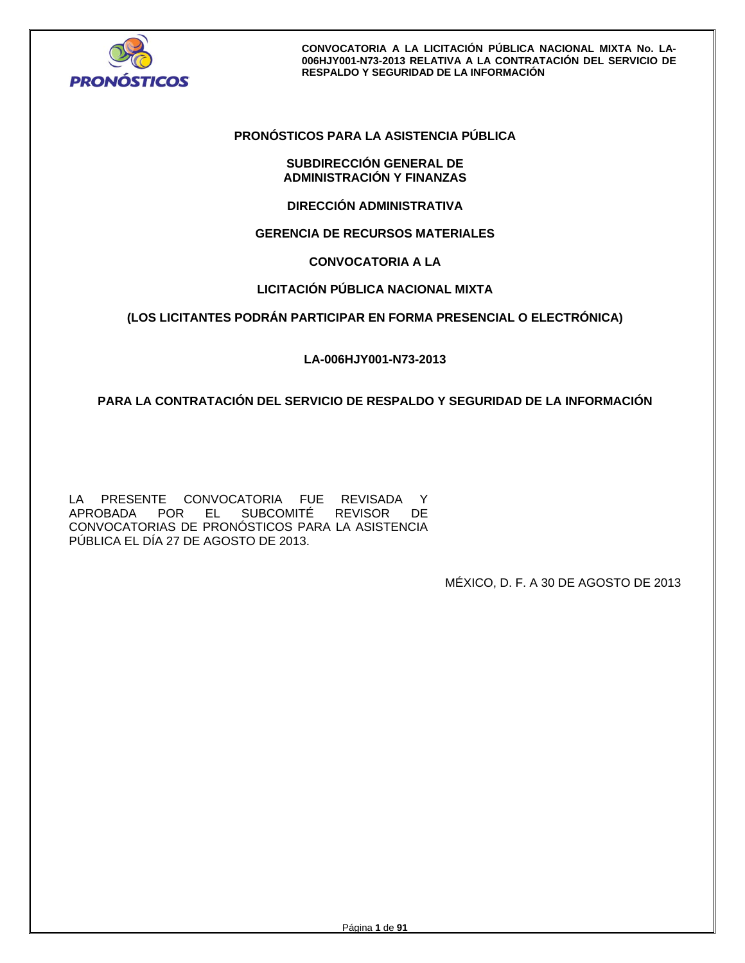

## **PRONÓSTICOS PARA LA ASISTENCIA PÚBLICA**

## **SUBDIRECCIÓN GENERAL DE ADMINISTRACIÓN Y FINANZAS**

**DIRECCIÓN ADMINISTRATIVA** 

## **GERENCIA DE RECURSOS MATERIALES**

## **CONVOCATORIA A LA**

## **LICITACIÓN PÚBLICA NACIONAL MIXTA**

## **(LOS LICITANTES PODRÁN PARTICIPAR EN FORMA PRESENCIAL O ELECTRÓNICA)**

## **LA-006HJY001-N73-2013**

## **PARA LA CONTRATACIÓN DEL SERVICIO DE RESPALDO Y SEGURIDAD DE LA INFORMACIÓN**

LA PRESENTE CONVOCATORIA FUE REVISADA Y APROBADA POR EL SUBCOMITÉ REVISOR DE CONVOCATORIAS DE PRONÓSTICOS PARA LA ASISTENCIA PÚBLICA EL DÍA 27 DE AGOSTO DE 2013.

MÉXICO, D. F. A 30 DE AGOSTO DE 2013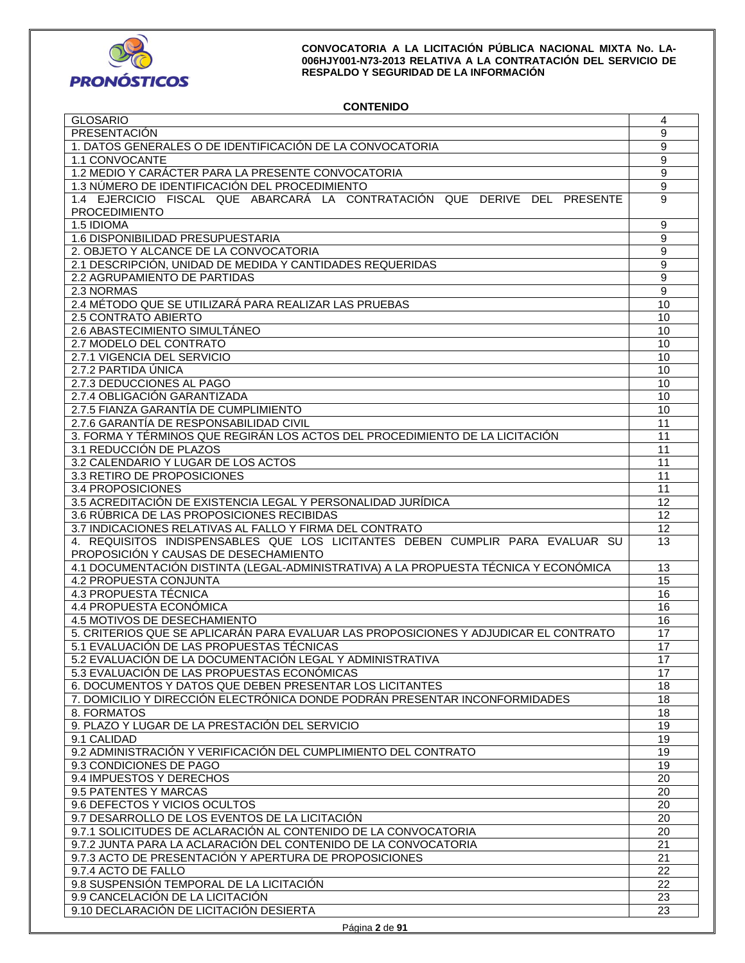

## **CONTENIDO**

| <b>GLOSARIO</b>                                                                      | 4               |
|--------------------------------------------------------------------------------------|-----------------|
| PRESENTACIÓN                                                                         | 9               |
| 1. DATOS GENERALES O DE IDENTIFICACIÓN DE LA CONVOCATORIA                            | 9               |
| 1.1 CONVOCANTE                                                                       | 9               |
| 1.2 MEDIO Y CARÁCTER PARA LA PRESENTE CONVOCATORIA                                   | 9               |
| 1.3 NÚMERO DE IDENTIFICACIÓN DEL PROCEDIMIENTO                                       | $\overline{9}$  |
| 1.4 EJERCICIO FISCAL QUE ABARCARÁ LA CONTRATACIÓN QUE DERIVE DEL PRESENTE            | 9               |
| <b>PROCEDIMIENTO</b>                                                                 |                 |
| 1.5 IDIOMA                                                                           | 9               |
| 1.6 DISPONIBILIDAD PRESUPUESTARIA                                                    | 9               |
| 2. OBJETO Y ALCANCE DE LA CONVOCATORIA                                               | 9               |
| 2.1 DESCRIPCIÓN, UNIDAD DE MEDIDA Y CANTIDADES REQUERIDAS                            | 9               |
|                                                                                      |                 |
| 2.2 AGRUPAMIENTO DE PARTIDAS                                                         | 9               |
| 2.3 NORMAS                                                                           | $\overline{9}$  |
| 2.4 MÉTODO QUE SE UTILIZARÁ PARA REALIZAR LAS PRUEBAS                                | 10              |
| 2.5 CONTRATO ABIERTO                                                                 | 10              |
| 2.6 ABASTECIMIENTO SIMULTÁNEO                                                        | 10              |
| 2.7 MODELO DEL CONTRATO                                                              | 10              |
| 2.7.1 VIGENCIA DEL SERVICIO                                                          | 10              |
| 2.7.2 PARTIDA ÚNICA                                                                  | 10              |
| 2.7.3 DEDUCCIONES AL PAGO                                                            | 10              |
| 2.7.4 OBLIGACIÓN GARANTIZADA                                                         | 10              |
| 2.7.5 FIANZA GARANTÍA DE CUMPLIMIENTO                                                | 10              |
| 2.7.6 GARANTÍA DE RESPONSABILIDAD CIVIL                                              | 11              |
| 3. FORMA Y TÉRMINOS QUE REGIRÁN LOS ACTOS DEL PROCEDIMIENTO DE LA LICITACIÓN         | 11              |
| 3.1 REDUCCIÓN DE PLAZOS                                                              | 11              |
| 3.2 CALENDARIO Y LUGAR DE LOS ACTOS                                                  | 11              |
| 3.3 RETIRO DE PROPOSICIONES                                                          | 11              |
| 3.4 PROPOSICIONES                                                                    | 11              |
| 3.5 ACREDITACIÓN DE EXISTENCIA LEGAL Y PERSONALIDAD JURÍDICA                         | 12              |
| 3.6 RÚBRICA DE LAS PROPOSICIONES RECIBIDAS                                           | 12              |
| 3.7 INDICACIONES RELATIVAS AL FALLO Y FIRMA DEL CONTRATO                             | 12              |
| 4. REQUISITOS INDISPENSABLES QUE LOS LICITANTES DEBEN CUMPLIR PARA EVALUAR SU        | 13              |
| PROPOSICIÓN Y CAUSAS DE DESECHAMIENTO                                                |                 |
| 4.1 DOCUMENTACIÓN DISTINTA (LEGAL-ADMINISTRATIVA) A LA PROPUESTA TÉCNICA Y ECONÓMICA | 13              |
| 4.2 PROPUESTA CONJUNTA                                                               | 15              |
| 4.3 PROPUESTA TÉCNICA                                                                | 16              |
| 4.4 PROPUESTA ECONÓMICA                                                              | 16              |
| 4.5 MOTIVOS DE DESECHAMIENTO                                                         | 16              |
|                                                                                      |                 |
| 5. CRITERIOS QUE SE APLICARÁN PARA EVALUAR LAS PROPOSICIONES Y ADJUDICAR EL CONTRATO | 17              |
| 5.1 EVALUACIÓN DE LAS PROPUESTAS TÉCNICAS                                            | 17              |
| 5.2 EVALUACIÓN DE LA DOCUMENTACIÓN LEGAL Y ADMINISTRATIVA                            | $17\,$          |
| 5.3 EVALUACIÓN DE LAS PROPUESTAS ECONÓMICAS                                          | 17              |
| 6. DOCUMENTOS Y DATOS QUE DEBEN PRESENTAR LOS LICITANTES                             | 18              |
| 7. DOMICILIO Y DIRECCIÓN ELECTRÓNICA DONDE PODRÁN PRESENTAR INCONFORMIDADES          | 18              |
| 8. FORMATOS                                                                          | 18              |
| 9. PLAZO Y LUGAR DE LA PRESTACIÓN DEL SERVICIO                                       | 19              |
| 9.1 CALIDAD                                                                          | 19              |
| 9.2 ADMINISTRACIÓN Y VERIFICACIÓN DEL CUMPLIMIENTO DEL CONTRATO                      | 19              |
| 9.3 CONDICIONES DE PAGO                                                              | 19              |
| 9.4 IMPUESTOS Y DERECHOS                                                             |                 |
|                                                                                      | 20              |
| 9.5 PATENTES Y MARCAS                                                                | 20              |
| 9.6 DEFECTOS Y VICIOS OCULTOS                                                        | 20              |
| 9.7 DESARROLLO DE LOS EVENTOS DE LA LICITACIÓN                                       | 20              |
| 9.7.1 SOLICITUDES DE ACLARACIÓN AL CONTENIDO DE LA CONVOCATORIA                      | 20              |
| 9.7.2 JUNTA PARA LA ACLARACIÓN DEL CONTENIDO DE LA CONVOCATORIA                      | 21              |
| 9.7.3 ACTO DE PRESENTACIÓN Y APERTURA DE PROPOSICIONES                               | 21              |
| 9.7.4 ACTO DE FALLO                                                                  | 22              |
| 9.8 SUSPENSIÓN TEMPORAL DE LA LICITACIÓN                                             | 22              |
|                                                                                      | $\overline{23}$ |
| 9.9 CANCELACIÓN DE LA LICITACIÓN<br>9.10 DECLARACIÓN DE LICITACIÓN DESIERTA          | 23              |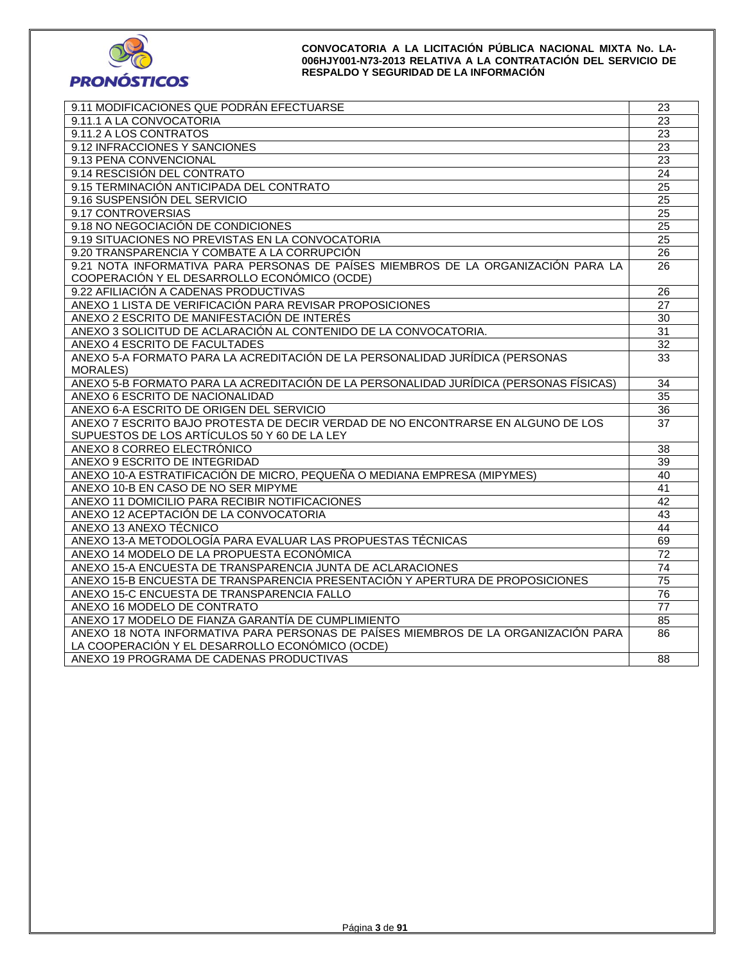

| 9.11 MODIFICACIONES QUE PODRÁN EFECTUARSE                                             | 23              |
|---------------------------------------------------------------------------------------|-----------------|
| 9.11.1 A LA CONVOCATORIA                                                              | 23              |
| 9.11.2 A LOS CONTRATOS                                                                | $\overline{23}$ |
| 9.12 INFRACCIONES Y SANCIONES                                                         | 23              |
| 9.13 PENA CONVENCIONAL                                                                | 23              |
| 9.14 RESCISIÓN DEL CONTRATO                                                           | 24              |
| 9.15 TERMINACIÓN ANTICIPADA DEL CONTRATO                                              | 25              |
| 9.16 SUSPENSIÓN DEL SERVICIO                                                          | 25              |
| 9.17 CONTROVERSIAS                                                                    | 25              |
| 9.18 NO NEGOCIACIÓN DE CONDICIONES                                                    | $\overline{25}$ |
| 9.19 SITUACIONES NO PREVISTAS EN LA CONVOCATORIA                                      | $\overline{25}$ |
| 9.20 TRANSPARENCIA Y COMBATE A LA CORRUPCIÓN                                          | 26              |
| 9.21 NOTA INFORMATIVA PARA PERSONAS DE PAÍSES MIEMBROS DE LA ORGANIZACIÓN PARA LA     | 26              |
| COOPERACIÓN Y EL DESARROLLO ECONÓMICO (OCDE)                                          |                 |
| 9.22 AFILIACIÓN A CADENAS PRODUCTIVAS                                                 | $\overline{26}$ |
| ANEXO 1 LISTA DE VERIFICACIÓN PARA REVISAR PROPOSICIONES                              | 27              |
| ANEXO 2 ESCRITO DE MANIFESTACIÓN DE INTERÉS                                           | 30              |
| ANEXO 3 SOLICITUD DE ACLARACIÓN AL CONTENIDO DE LA CONVOCATORIA.                      | 31              |
| ANEXO 4 ESCRITO DE FACULTADES                                                         | 32              |
| ANEXO 5-A FORMATO PARA LA ACREDITACIÓN DE LA PERSONALIDAD JURÍDICA (PERSONAS          | 33              |
| <b>MORALES)</b>                                                                       |                 |
| ANEXO 5-B FORMATO PARA LA ACREDITACIÓN DE LA PERSONALIDAD JURÍDICA (PERSONAS FÍSICAS) | 34              |
| ANEXO 6 ESCRITO DE NACIONALIDAD                                                       | 35              |
| ANEXO 6-A ESCRITO DE ORIGEN DEL SERVICIO                                              | $\overline{36}$ |
| ANEXO 7 ESCRITO BAJO PROTESTA DE DECIR VERDAD DE NO ENCONTRARSE EN ALGUNO DE LOS      | 37              |
| SUPUESTOS DE LOS ARTÍCULOS 50 Y 60 DE LA LEY                                          |                 |
| ANEXO 8 CORREO ELECTRÓNICO                                                            | 38              |
| ANEXO 9 ESCRITO DE INTEGRIDAD                                                         | 39              |
| ANEXO 10-A ESTRATIFICACIÓN DE MICRO, PEQUEÑA O MEDIANA EMPRESA (MIPYMES)              | 40              |
| ANEXO 10-B EN CASO DE NO SER MIPYME                                                   | 41              |
| ANEXO 11 DOMICILIO PARA RECIBIR NOTIFICACIONES                                        | 42              |
| ANEXO 12 ACEPTACIÓN DE LA CONVOCATORIA                                                | 43              |
| ANEXO 13 ANEXO TÉCNICO                                                                | 44              |
| ANEXO 13-A METODOLOGÍA PARA EVALUAR LAS PROPUESTAS TÉCNICAS                           | 69              |
| ANEXO 14 MODELO DE LA PROPUESTA ECONÓMICA                                             | 72              |
| ANEXO 15-A ENCUESTA DE TRANSPARENCIA JUNTA DE ACLARACIONES                            | 74              |
| ANEXO 15-B ENCUESTA DE TRANSPARENCIA PRESENTACIÓN Y APERTURA DE PROPOSICIONES         | 75              |
| ANEXO 15-C ENCUESTA DE TRANSPARENCIA FALLO                                            | 76              |
| ANEXO 16 MODELO DE CONTRATO                                                           | $\overline{77}$ |
| ANEXO 17 MODELO DE FIANZA GARANTÍA DE CUMPLIMIENTO                                    | 85              |
| ANEXO 18 NOTA INFORMATIVA PARA PERSONAS DE PAÍSES MIEMBROS DE LA ORGANIZACIÓN PARA    | 86              |
| LA COOPERACIÓN Y EL DESARROLLO ECONÓMICO (OCDE)                                       |                 |
| ANEXO 19 PROGRAMA DE CADENAS PRODUCTIVAS                                              | 88              |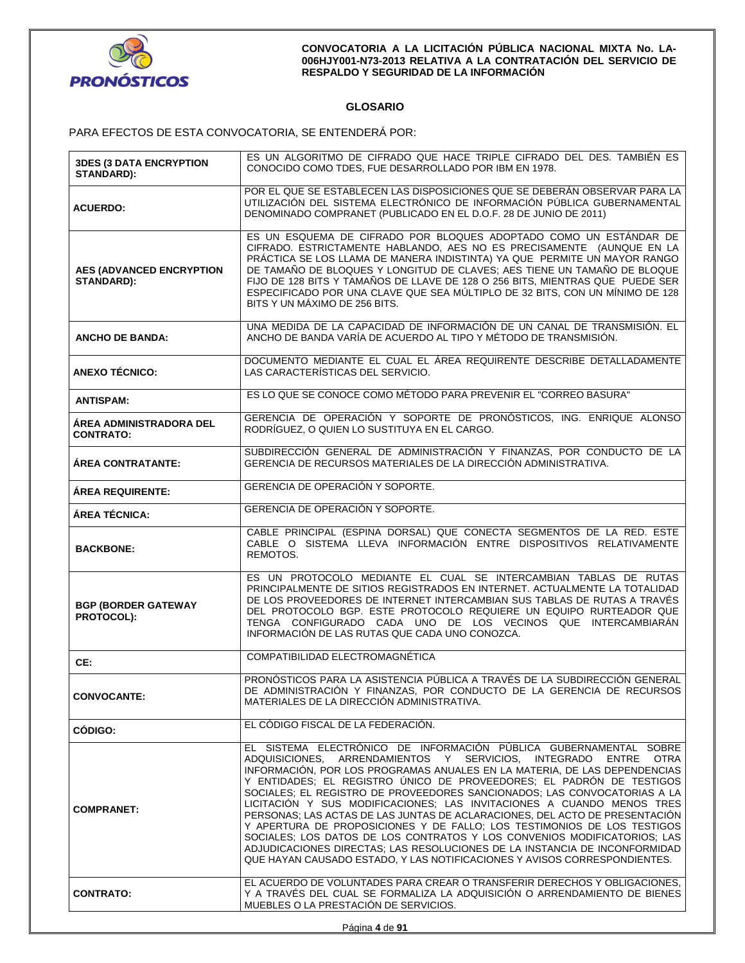

# **GLOSARIO**

PARA EFECTOS DE ESTA CONVOCATORIA, SE ENTENDERÁ POR:

| <b>3DES (3 DATA ENCRYPTION</b><br>STANDARD):  | ES UN ALGORITMO DE CIFRADO QUE HACE TRIPLE CIFRADO DEL DES. TAMBIÉN ES<br>CONOCIDO COMO TDES, FUE DESARROLLADO POR IBM EN 1978.                                                                                                                                                                                                                                                                                                                                                                                                                                                                                                                                                                                                                                                                                                                          |  |  |
|-----------------------------------------------|----------------------------------------------------------------------------------------------------------------------------------------------------------------------------------------------------------------------------------------------------------------------------------------------------------------------------------------------------------------------------------------------------------------------------------------------------------------------------------------------------------------------------------------------------------------------------------------------------------------------------------------------------------------------------------------------------------------------------------------------------------------------------------------------------------------------------------------------------------|--|--|
| <b>ACUERDO:</b>                               | POR EL QUE SE ESTABLECEN LAS DISPOSICIONES QUE SE DEBERÁN OBSERVAR PARA LA<br>UTILIZACIÓN DEL SISTEMA ELECTRÓNICO DE INFORMACIÓN PÚBLICA GUBERNAMENTAL<br>DENOMINADO COMPRANET (PUBLICADO EN EL D.O.F. 28 DE JUNIO DE 2011)                                                                                                                                                                                                                                                                                                                                                                                                                                                                                                                                                                                                                              |  |  |
| <b>AES (ADVANCED ENCRYPTION</b><br>STANDARD): | ES UN ESQUEMA DE CIFRADO POR BLOQUES ADOPTADO COMO UN ESTÁNDAR DE<br>CIFRADO. ESTRICTAMENTE HABLANDO, AES NO ES PRECISAMENTE (AUNQUE EN LA<br>PRÁCTICA SE LOS LLAMA DE MANERA INDISTINTA) YA QUE PERMITE UN MAYOR RANGO<br>DE TAMAÑO DE BLOQUES Y LONGITUD DE CLAVES; AES TIENE UN TAMAÑO DE BLOQUE<br>FIJO DE 128 BITS Y TAMAÑOS DE LLAVE DE 128 O 256 BITS, MIENTRAS QUE PUEDE SER<br>ESPECIFICADO POR UNA CLAVE QUE SEA MÚLTIPLO DE 32 BITS, CON UN MÍNIMO DE 128<br>BITS Y UN MÁXIMO DE 256 BITS.                                                                                                                                                                                                                                                                                                                                                    |  |  |
| <b>ANCHO DE BANDA:</b>                        | UNA MEDIDA DE LA CAPACIDAD DE INFORMACIÓN DE UN CANAL DE TRANSMISIÓN. EL<br>ANCHO DE BANDA VARÍA DE ACUERDO AL TIPO Y MÉTODO DE TRANSMISIÓN.                                                                                                                                                                                                                                                                                                                                                                                                                                                                                                                                                                                                                                                                                                             |  |  |
| <b>ANEXO TÉCNICO:</b>                         | DOCUMENTO MEDIANTE EL CUAL EL ÁREA REQUIRENTE DESCRIBE DETALLADAMENTE<br>LAS CARACTERÍSTICAS DEL SERVICIO.                                                                                                                                                                                                                                                                                                                                                                                                                                                                                                                                                                                                                                                                                                                                               |  |  |
| <b>ANTISPAM:</b>                              | ES LO QUE SE CONOCE COMO MÉTODO PARA PREVENIR EL "CORREO BASURA"                                                                                                                                                                                                                                                                                                                                                                                                                                                                                                                                                                                                                                                                                                                                                                                         |  |  |
| AREA ADMINISTRADORA DEL<br><b>CONTRATO:</b>   | GERENCIA DE OPERACIÓN Y SOPORTE DE PRONÓSTICOS, ING. ENRIQUE ALONSO<br>RODRÍGUEZ, O QUIEN LO SUSTITUYA EN EL CARGO.                                                                                                                                                                                                                                                                                                                                                                                                                                                                                                                                                                                                                                                                                                                                      |  |  |
| ÁREA CONTRATANTE:                             | SUBDIRECCIÓN GENERAL DE ADMINISTRACIÓN Y FINANZAS, POR CONDUCTO DE LA<br>GERENCIA DE RECURSOS MATERIALES DE LA DIRECCIÓN ADMINISTRATIVA.                                                                                                                                                                                                                                                                                                                                                                                                                                                                                                                                                                                                                                                                                                                 |  |  |
| <b>ÁREA REQUIRENTE:</b>                       | GERENCIA DE OPERACIÓN Y SOPORTE.                                                                                                                                                                                                                                                                                                                                                                                                                                                                                                                                                                                                                                                                                                                                                                                                                         |  |  |
| ÁREA TÉCNICA:                                 | GERENCIA DE OPERACIÓN Y SOPORTE.                                                                                                                                                                                                                                                                                                                                                                                                                                                                                                                                                                                                                                                                                                                                                                                                                         |  |  |
| <b>BACKBONE:</b>                              | CABLE PRINCIPAL (ESPINA DORSAL) QUE CONECTA SEGMENTOS DE LA RED. ESTE<br>CABLE O SISTEMA LLEVA INFORMACIÓN ENTRE DISPOSITIVOS RELATIVAMENTE<br>REMOTOS.                                                                                                                                                                                                                                                                                                                                                                                                                                                                                                                                                                                                                                                                                                  |  |  |
| <b>BGP (BORDER GATEWAY</b><br>PROTOCOL):      | ES UN PROTOCOLO MEDIANTE EL CUAL SE INTERCAMBIAN TABLAS DE RUTAS<br>PRINCIPALMENTE DE SITIOS REGISTRADOS EN INTERNET. ACTUALMENTE LA TOTALIDAD<br>DE LOS PROVEEDORES DE INTERNET INTERCAMBIAN SUS TABLAS DE RUTAS A TRAVÉS<br>DEL PROTOCOLO BGP. ESTE PROTOCOLO REQUIERE UN EQUIPO RURTEADOR QUE<br>TENGA CONFIGURADO CADA UNO DE LOS VECINOS QUE INTERCAMBIARÁN<br>INFORMACIÓN DE LAS RUTAS QUE CADA UNO CONOZCA.                                                                                                                                                                                                                                                                                                                                                                                                                                       |  |  |
| CE:                                           | COMPATIBILIDAD ELECTROMAGNÉTICA                                                                                                                                                                                                                                                                                                                                                                                                                                                                                                                                                                                                                                                                                                                                                                                                                          |  |  |
| <b>CONVOCANTE:</b>                            | PRONÓSTICOS PARA LA ASISTENCIA PÚBLICA A TRAVÉS DE LA SUBDIRECCIÓN GENERAL<br>DE ADMINISTRACIÓN Y FINANZAS, POR CONDUCTO DE LA GERENCIA DE RECURSOS<br>MATERIALES DE LA DIRECCIÓN ADMINISTRATIVA.                                                                                                                                                                                                                                                                                                                                                                                                                                                                                                                                                                                                                                                        |  |  |
| CÓDIGO:                                       | EL CÓDIGO FISCAL DE LA FEDERACIÓN.                                                                                                                                                                                                                                                                                                                                                                                                                                                                                                                                                                                                                                                                                                                                                                                                                       |  |  |
| <b>COMPRANET:</b>                             | EL SISTEMA ELECTRÓNICO DE INFORMACIÓN PÚBLICA GUBERNAMENTAL SOBRE<br>ADQUISICIONES.<br>ARRENDAMIENTOS Y SERVICIOS.<br>INTEGRADO<br>ENTRE OTRA<br>INFORMACIÓN. POR LOS PROGRAMAS ANUALES EN LA MATERIA. DE LAS DEPENDENCIAS<br>Y ENTIDADES; EL REGISTRO ÚNICO DE PROVEEDORES; EL PADRÓN DE TESTIGOS<br>SOCIALES; EL REGISTRO DE PROVEEDORES SANCIONADOS; LAS CONVOCATORIAS A LA<br>LICITACIÓN Y SUS MODIFICACIONES; LAS INVITACIONES A CUANDO MENOS TRES<br>PERSONAS; LAS ACTAS DE LAS JUNTAS DE ACLARACIONES, DEL ACTO DE PRESENTACIÓN<br>Y APERTURA DE PROPOSICIONES Y DE FALLO: LOS TESTIMONIOS DE LOS TESTIGOS<br>SOCIALES; LOS DATOS DE LOS CONTRATOS Y LOS CONVENIOS MODIFICATORIOS; LAS<br>ADJUDICACIONES DIRECTAS; LAS RESOLUCIONES DE LA INSTANCIA DE INCONFORMIDAD<br>QUE HAYAN CAUSADO ESTADO, Y LAS NOTIFICACIONES Y AVISOS CORRESPONDIENTES. |  |  |
| <b>CONTRATO:</b>                              | EL ACUERDO DE VOLUNTADES PARA CREAR O TRANSFERIR DERECHOS Y OBLIGACIONES.<br>Y A TRAVÉS DEL CUAL SE FORMALIZA LA ADQUISICIÓN O ARRENDAMIENTO DE BIENES<br>MUEBLES O LA PRESTACIÓN DE SERVICIOS.                                                                                                                                                                                                                                                                                                                                                                                                                                                                                                                                                                                                                                                          |  |  |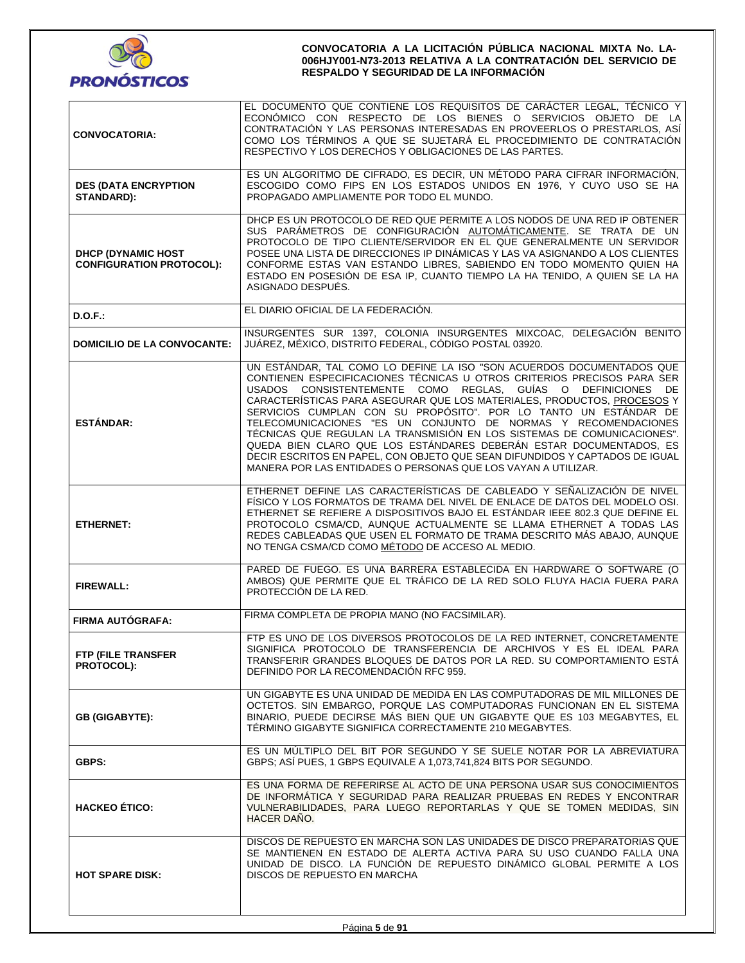

| <b>CONVOCATORIA:</b>                                          | EL DOCUMENTO QUE CONTIENE LOS REQUISITOS DE CARÁCTER LEGAL, TÉCNICO Y<br>ECONÓMICO CON RESPECTO DE LOS BIENES O SERVICIOS OBJETO DE LA<br>CONTRATACIÓN Y LAS PERSONAS INTERESADAS EN PROVEERLOS O PRESTARLOS, ASÍ<br>COMO LOS TÉRMINOS A QUE SE SUJETARÁ EL PROCEDIMIENTO DE CONTRATACIÓN<br>RESPECTIVO Y LOS DERECHOS Y OBLIGACIONES DE LAS PARTES.                                                                                                                                                                                                                                                                                                                                                                               |  |  |  |
|---------------------------------------------------------------|------------------------------------------------------------------------------------------------------------------------------------------------------------------------------------------------------------------------------------------------------------------------------------------------------------------------------------------------------------------------------------------------------------------------------------------------------------------------------------------------------------------------------------------------------------------------------------------------------------------------------------------------------------------------------------------------------------------------------------|--|--|--|
| <b>DES (DATA ENCRYPTION</b><br><b>STANDARD):</b>              | ES UN ALGORITMO DE CIFRADO, ES DECIR, UN MÉTODO PARA CIFRAR INFORMACIÓN,<br>ESCOGIDO COMO FIPS EN LOS ESTADOS UNIDOS EN 1976, Y CUYO USO SE HA<br>PROPAGADO AMPLIAMENTE POR TODO EL MUNDO.                                                                                                                                                                                                                                                                                                                                                                                                                                                                                                                                         |  |  |  |
| <b>DHCP (DYNAMIC HOST)</b><br><b>CONFIGURATION PROTOCOL):</b> | DHCP ES UN PROTOCOLO DE RED QUE PERMITE A LOS NODOS DE UNA RED IP OBTENER<br>SUS PARÁMETROS DE CONFIGURACIÓN AUTOMÁTICAMENTE. SE TRATA DE UN<br>PROTOCOLO DE TIPO CLIENTE/SERVIDOR EN EL QUE GENERALMENTE UN SERVIDOR<br>POSEE UNA LISTA DE DIRECCIONES IP DINÁMICAS Y LAS VA ASIGNANDO A LOS CLIENTES<br>CONFORME ESTAS VAN ESTANDO LIBRES, SABIENDO EN TODO MOMENTO QUIEN HA<br>ESTADO EN POSESIÓN DE ESA IP, CUANTO TIEMPO LA HA TENIDO, A QUIEN SE LA HA<br>ASIGNADO DESPUÉS.                                                                                                                                                                                                                                                  |  |  |  |
| D.O.F.                                                        | EL DIARIO OFICIAL DE LA FEDERACIÓN.                                                                                                                                                                                                                                                                                                                                                                                                                                                                                                                                                                                                                                                                                                |  |  |  |
| <b>DOMICILIO DE LA CONVOCANTE:</b>                            | INSURGENTES SUR 1397, COLONIA INSURGENTES MIXCOAC, DELEGACIÓN BENITO<br>JUÁREZ, MÉXICO, DISTRITO FEDERAL, CÓDIGO POSTAL 03920.                                                                                                                                                                                                                                                                                                                                                                                                                                                                                                                                                                                                     |  |  |  |
| <b>ESTÁNDAR:</b>                                              | UN ESTÁNDAR, TAL COMO LO DEFINE LA ISO "SON ACUERDOS DOCUMENTADOS QUE<br>CONTIENEN ESPECIFICACIONES TÉCNICAS U OTROS CRITERIOS PRECISOS PARA SER<br>USADOS CONSISTENTEMENTE COMO REGLAS, GUÍAS O DEFINICIONES DE<br>CARACTERÍSTICAS PARA ASEGURAR QUE LOS MATERIALES, PRODUCTOS, PROCESOS Y<br>SERVICIOS CUMPLAN CON SU PROPÓSITO". POR LO TANTO UN ESTÁNDAR DE<br>TELECOMUNICACIONES "ES UN CONJUNTO DE NORMAS Y RECOMENDACIONES<br>TÉCNICAS QUE REGULAN LA TRANSMISIÓN EN LOS SISTEMAS DE COMUNICACIONES".<br>QUEDA BIEN CLARO QUE LOS ESTÁNDARES DEBERÁN ESTAR DOCUMENTADOS, ES<br>DECIR ESCRITOS EN PAPEL, CON OBJETO QUE SEAN DIFUNDIDOS Y CAPTADOS DE IGUAL<br>MANERA POR LAS ENTIDADES O PERSONAS QUE LOS VAYAN A UTILIZAR. |  |  |  |
| <b>ETHERNET:</b>                                              | ETHERNET DEFINE LAS CARACTERÍSTICAS DE CABLEADO Y SEÑALIZACIÓN DE NIVEL<br>FÍSICO Y LOS FORMATOS DE TRAMA DEL NIVEL DE ENLACE DE DATOS DEL MODELO OSI.<br>ETHERNET SE REFIERE A DISPOSITIVOS BAJO EL ESTÁNDAR IEEE 802.3 QUE DEFINE EL<br>PROTOCOLO CSMA/CD, AUNQUE ACTUALMENTE SE LLAMA ETHERNET A TODAS LAS<br>REDES CABLEADAS QUE USEN EL FORMATO DE TRAMA DESCRITO MÁS ABAJO, AUNQUE<br>NO TENGA CSMA/CD COMO MÉTODO DE ACCESO AL MEDIO.                                                                                                                                                                                                                                                                                       |  |  |  |
| <b>FIREWALL:</b>                                              | PARED DE FUEGO. ES UNA BARRERA ESTABLECIDA EN HARDWARE O SOFTWARE (O<br>AMBOS) QUE PERMITE QUE EL TRÁFICO DE LA RED SOLO FLUYA HACIA FUERA PARA<br>PROTECCIÓN DE LA RED.                                                                                                                                                                                                                                                                                                                                                                                                                                                                                                                                                           |  |  |  |
| <b>FIRMA AUTÓGRAFA:</b>                                       | FIRMA COMPLETA DE PROPIA MANO (NO FACSIMILAR).                                                                                                                                                                                                                                                                                                                                                                                                                                                                                                                                                                                                                                                                                     |  |  |  |
| FTP (FILE TRANSFER<br>PROTOCOL):                              | FTP ES UNO DE LOS DIVERSOS PROTOCOLOS DE LA RED INTERNET, CONCRETAMENTE<br>SIGNIFICA PROTOCOLO DE TRANSFERENCIA DE ARCHIVOS Y ES EL IDEAL PARA<br>TRANSFERIR GRANDES BLOQUES DE DATOS POR LA RED. SU COMPORTAMIENTO ESTÁ<br>DEFINIDO POR LA RECOMENDACIÓN RFC 959.                                                                                                                                                                                                                                                                                                                                                                                                                                                                 |  |  |  |
| <b>GB (GIGABYTE):</b>                                         | UN GIGABYTE ES UNA UNIDAD DE MEDIDA EN LAS COMPUTADORAS DE MIL MILLONES DE<br>OCTETOS. SIN EMBARGO, PORQUE LAS COMPUTADORAS FUNCIONAN EN EL SISTEMA<br>BINARIO, PUEDE DECIRSE MÁS BIEN QUE UN GIGABYTE QUE ES 103 MEGABYTES, EL<br>TÉRMINO GIGABYTE SIGNIFICA CORRECTAMENTE 210 MEGABYTES.                                                                                                                                                                                                                                                                                                                                                                                                                                         |  |  |  |
| <b>GBPS:</b>                                                  | ES UN MÚLTIPLO DEL BIT POR SEGUNDO Y SE SUELE NOTAR POR LA ABREVIATURA<br>GBPS: ASÍ PUES. 1 GBPS EQUIVALE A 1.073.741.824 BITS POR SEGUNDO.                                                                                                                                                                                                                                                                                                                                                                                                                                                                                                                                                                                        |  |  |  |
| <b>HACKEO ÉTICO:</b>                                          | ES UNA FORMA DE REFERIRSE AL ACTO DE UNA PERSONA USAR SUS CONOCIMIENTOS<br>DE INFORMÁTICA Y SEGURIDAD PARA REALIZAR PRUEBAS EN REDES Y ENCONTRAR<br>VULNERABILIDADES, PARA LUEGO REPORTARLAS Y QUE SE TOMEN MEDIDAS, SIN<br>HACER DAÑO.                                                                                                                                                                                                                                                                                                                                                                                                                                                                                            |  |  |  |
| <b>HOT SPARE DISK:</b>                                        | DISCOS DE REPUESTO EN MARCHA SON LAS UNIDADES DE DISCO PREPARATORIAS QUE<br>SE MANTIENEN EN ESTADO DE ALERTA ACTIVA PARA SU USO CUANDO FALLA UNA<br>UNIDAD DE DISCO. LA FUNCIÓN DE REPUESTO DINÁMICO GLOBAL PERMITE A LOS<br>DISCOS DE REPUESTO EN MARCHA                                                                                                                                                                                                                                                                                                                                                                                                                                                                          |  |  |  |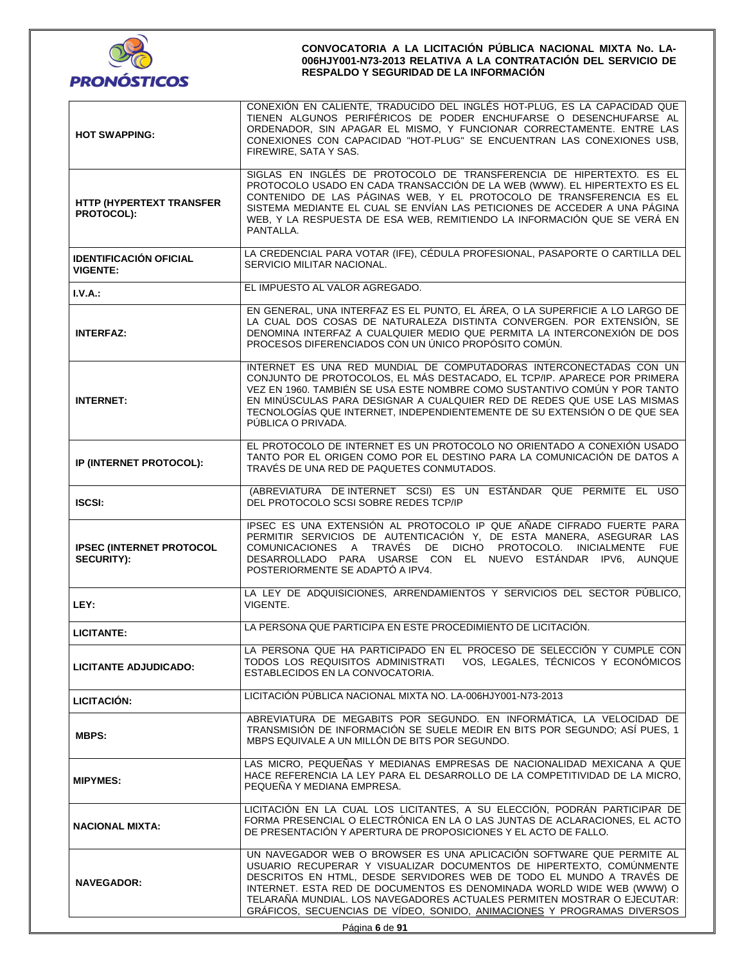

| <b>HOT SWAPPING:</b>                                 | CONEXIÓN EN CALIENTE, TRADUCIDO DEL INGLÉS HOT-PLUG, ES LA CAPACIDAD QUE<br>TIENEN ALGUNOS PERIFÉRICOS DE PODER ENCHUFARSE O DESENCHUFARSE AL<br>ORDENADOR, SIN APAGAR EL MISMO, Y FUNCIONAR CORRECTAMENTE. ENTRE LAS<br>CONEXIONES CON CAPACIDAD "HOT-PLUG" SE ENCUENTRAN LAS CONEXIONES USB,<br>FIREWIRE, SATA Y SAS.                                                                                                                            |  |  |
|------------------------------------------------------|----------------------------------------------------------------------------------------------------------------------------------------------------------------------------------------------------------------------------------------------------------------------------------------------------------------------------------------------------------------------------------------------------------------------------------------------------|--|--|
| HTTP (HYPERTEXT TRANSFER<br><b>PROTOCOL):</b>        | SIGLAS EN INGLÉS DE PROTOCOLO DE TRANSFERENCIA DE HIPERTEXTO. ES EL<br>PROTOCOLO USADO EN CADA TRANSACCIÓN DE LA WEB (WWW). EL HIPERTEXTO ES EL<br>CONTENIDO DE LAS PÁGINAS WEB, Y EL PROTOCOLO DE TRANSFERENCIA ES EL<br>SISTEMA MEDIANTE EL CUAL SE ENVÍAN LAS PETICIONES DE ACCEDER A UNA PÁGINA<br>WEB, Y LA RESPUESTA DE ESA WEB, REMITIENDO LA INFORMACIÓN QUE SE VERÁ EN<br>PANTALLA.                                                       |  |  |
| <b>IDENTIFICACIÓN OFICIAL</b><br><b>VIGENTE:</b>     | LA CREDENCIAL PARA VOTAR (IFE), CÉDULA PROFESIONAL, PASAPORTE O CARTILLA DEL<br>SERVICIO MILITAR NACIONAL.                                                                                                                                                                                                                                                                                                                                         |  |  |
| $I.V.A.$ :                                           | EL IMPUESTO AL VALOR AGREGADO.                                                                                                                                                                                                                                                                                                                                                                                                                     |  |  |
| <b>INTERFAZ:</b>                                     | EN GENERAL, UNA INTERFAZ ES EL PUNTO, EL ÁREA, O LA SUPERFICIE A LO LARGO DE<br>LA CUAL DOS COSAS DE NATURALEZA DISTINTA CONVERGEN. POR EXTENSIÓN, SE<br>DENOMINA INTERFAZ A CUALQUIER MEDIO QUE PERMITA LA INTERCONEXIÓN DE DOS<br>PROCESOS DIFERENCIADOS CON UN ÚNICO PROPÓSITO COMÚN.                                                                                                                                                           |  |  |
| <b>INTERNET:</b>                                     | INTERNET ES UNA RED MUNDIAL DE COMPUTADORAS INTERCONECTADAS CON UN<br>CONJUNTO DE PROTOCOLOS, EL MÁS DESTACADO, EL TCP/IP. APARECE POR PRIMERA<br>VEZ EN 1960. TAMBIÉN SE USA ESTE NOMBRE COMO SUSTANTIVO COMÚN Y POR TANTO<br>EN MINÚSCULAS PARA DESIGNAR A CUALQUIER RED DE REDES QUE USE LAS MISMAS<br>TECNOLOGÍAS QUE INTERNET, INDEPENDIENTEMENTE DE SU EXTENSIÓN O DE QUE SEA<br>PÚBLICA O PRIVADA.                                          |  |  |
| IP (INTERNET PROTOCOL):                              | EL PROTOCOLO DE INTERNET ES UN PROTOCOLO NO ORIENTADO A CONEXIÓN USADO<br>TANTO POR EL ORIGEN COMO POR EL DESTINO PARA LA COMUNICACIÓN DE DATOS A<br>TRAVÉS DE UNA RED DE PAQUETES CONMUTADOS.                                                                                                                                                                                                                                                     |  |  |
| <b>ISCSI:</b>                                        | (ABREVIATURA DE INTERNET SCSI) ES UN ESTÁNDAR QUE PERMITE EL USO<br>DEL PROTOCOLO SCSI SOBRE REDES TCP/IP                                                                                                                                                                                                                                                                                                                                          |  |  |
| <b>IPSEC (INTERNET PROTOCOL</b><br><b>SECURITY):</b> | IPSEC ES UNA EXTENSIÓN AL PROTOCOLO IP QUE AÑADE CIFRADO FUERTE PARA<br>PERMITIR SERVICIOS DE AUTENTICACIÓN Y, DE ESTA MANERA, ASEGURAR LAS<br>COMUNICACIONES A TRAVÉS DE DICHO PROTOCOLO. INICIALMENTE FUE<br>DESARROLLADO PARA USARSE CON EL NUEVO ESTÁNDAR IPV6, AUNQUE<br>POSTERIORMENTE SE ADAPTÓ A IPV4.                                                                                                                                     |  |  |
| LEY:                                                 | LA LEY DE ADQUISICIONES, ARRENDAMIENTOS Y SERVICIOS DEL SECTOR PÚBLICO,<br>VIGENTE.                                                                                                                                                                                                                                                                                                                                                                |  |  |
| <b>LICITANTE:</b>                                    | LA PERSONA QUE PARTICIPA EN ESTE PROCEDIMIENTO DE LICITACIÓN.                                                                                                                                                                                                                                                                                                                                                                                      |  |  |
| <b>LICITANTE ADJUDICADO:</b>                         | LA PERSONA QUE HA PARTICIPADO EN EL PROCESO DE SELECCIÓN Y CUMPLE CON<br>TODOS LOS REQUISITOS ADMINISTRATI<br>VOS, LEGALES, TÉCNICOS Y ECONÓMICOS<br>ESTABLECIDOS EN LA CONVOCATORIA.                                                                                                                                                                                                                                                              |  |  |
| LICITACIÓN:                                          | LICITACIÓN PÚBLICA NACIONAL MIXTA NO. LA-006HJY001-N73-2013                                                                                                                                                                                                                                                                                                                                                                                        |  |  |
| <b>MBPS:</b>                                         | ABREVIATURA DE MEGABITS POR SEGUNDO. EN INFORMÁTICA, LA VELOCIDAD DE<br>TRANSMISIÓN DE INFORMACIÓN SE SUELE MEDIR EN BITS POR SEGUNDO; ASÍ PUES, 1<br>MBPS EQUIVALE A UN MILLÓN DE BITS POR SEGUNDO.                                                                                                                                                                                                                                               |  |  |
| <b>MIPYMES:</b>                                      | LAS MICRO, PEQUEÑAS Y MEDIANAS EMPRESAS DE NACIONALIDAD MEXICANA A QUE<br>HACE REFERENCIA LA LEY PARA EL DESARROLLO DE LA COMPETITIVIDAD DE LA MICRO.<br>PEQUEÑA Y MEDIANA EMPRESA.                                                                                                                                                                                                                                                                |  |  |
| <b>NACIONAL MIXTA:</b>                               | LICITACIÓN EN LA CUAL LOS LICITANTES, A SU ELECCIÓN, PODRÁN PARTICIPAR DE<br>FORMA PRESENCIAL O ELECTRÓNICA EN LA O LAS JUNTAS DE ACLARACIONES, EL ACTO<br>DE PRESENTACIÓN Y APERTURA DE PROPOSICIONES Y EL ACTO DE FALLO.                                                                                                                                                                                                                         |  |  |
| <b>NAVEGADOR:</b>                                    | UN NAVEGADOR WEB O BROWSER ES UNA APLICACIÓN SOFTWARE QUE PERMITE AL<br>USUARIO RECUPERAR Y VISUALIZAR DOCUMENTOS DE HIPERTEXTO, COMÚNMENTE<br>DESCRITOS EN HTML. DESDE SERVIDORES WEB DE TODO EL MUNDO A TRAVÉS DE<br>INTERNET. ESTA RED DE DOCUMENTOS ES DENOMINADA WORLD WIDE WEB (WWW) O<br>TELARAÑA MUNDIAL. LOS NAVEGADORES ACTUALES PERMITEN MOSTRAR O EJECUTAR:<br>GRÁFICOS, SECUENCIAS DE VÍDEO, SONIDO, ANIMACIONES Y PROGRAMAS DIVERSOS |  |  |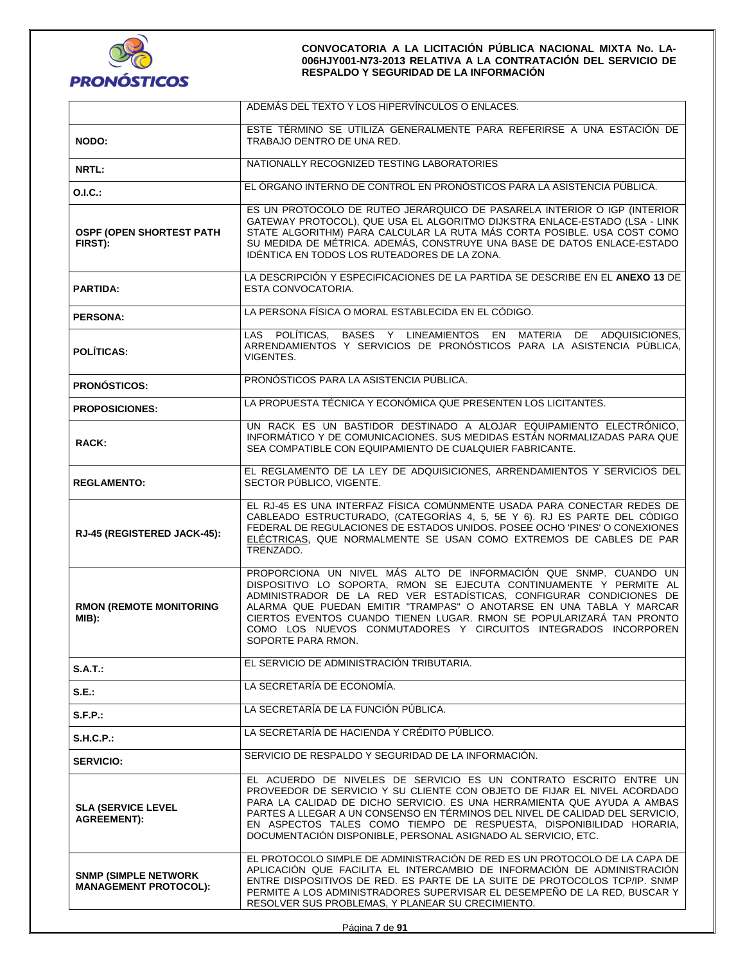

|                                                              | ADEMAS DEL TEXTO Y LOS HIPERVINCULOS O ENLACES.                                                                                                                                                                                                                                                                                                                                                                                                      |  |  |
|--------------------------------------------------------------|------------------------------------------------------------------------------------------------------------------------------------------------------------------------------------------------------------------------------------------------------------------------------------------------------------------------------------------------------------------------------------------------------------------------------------------------------|--|--|
| NODO:                                                        | ESTE TÉRMINO SE UTILIZA GENERALMENTE PARA REFERIRSE A UNA ESTACIÓN DE<br>TRABAJO DENTRO DE UNA RED.                                                                                                                                                                                                                                                                                                                                                  |  |  |
| NRTL:                                                        | NATIONALLY RECOGNIZED TESTING LABORATORIES                                                                                                                                                                                                                                                                                                                                                                                                           |  |  |
| <b>O.I.C.:</b>                                               | EL ÓRGANO INTERNO DE CONTROL EN PRONÓSTICOS PARA LA ASISTENCIA PÚBLICA.                                                                                                                                                                                                                                                                                                                                                                              |  |  |
| <b>OSPF (OPEN SHORTEST PATH)</b><br>FIRST):                  | ES UN PROTOCOLO DE RUTEO JERÁRQUICO DE PASARELA INTERIOR O IGP (INTERIOR<br>GATEWAY PROTOCOL), QUE USA EL ALGORITMO DIJKSTRA ENLACE-ESTADO (LSA - LINK<br>STATE ALGORITHM) PARA CALCULAR LA RUTA MÁS CORTA POSIBLE. USA COST COMO<br>SU MEDIDA DE MÉTRICA. ADEMÁS, CONSTRUYE UNA BASE DE DATOS ENLACE-ESTADO<br>IDÉNTICA EN TODOS LOS RUTEADORES DE LA ZONA.                                                                                         |  |  |
| <b>PARTIDA:</b>                                              | LA DESCRIPCIÓN Y ESPECIFICACIONES DE LA PARTIDA SE DESCRIBE EN EL ANEXO 13 DE<br>ESTA CONVOCATORIA.                                                                                                                                                                                                                                                                                                                                                  |  |  |
| <b>PERSONA:</b>                                              | LA PERSONA FÍSICA O MORAL ESTABLECIDA EN EL CÓDIGO.                                                                                                                                                                                                                                                                                                                                                                                                  |  |  |
| <b>POLÍTICAS:</b>                                            | LAS POLÍTICAS, BASES Y LINEAMIENTOS EN MATERIA DE ADQUISICIONES,<br>ARRENDAMIENTOS Y SERVICIOS DE PRONÓSTICOS PARA LA ASISTENCIA PÚBLICA,<br>VIGENTES.                                                                                                                                                                                                                                                                                               |  |  |
| <b>PRONÓSTICOS:</b>                                          | PRONÓSTICOS PARA LA ASISTENCIA PÚBLICA.                                                                                                                                                                                                                                                                                                                                                                                                              |  |  |
| <b>PROPOSICIONES:</b>                                        | LA PROPUESTA TÉCNICA Y ECONÓMICA QUE PRESENTEN LOS LICITANTES.                                                                                                                                                                                                                                                                                                                                                                                       |  |  |
| RACK:                                                        | UN RACK ES UN BASTIDOR DESTINADO A ALOJAR EQUIPAMIENTO ELECTRÓNICO,<br>INFORMÁTICO Y DE COMUNICACIONES. SUS MEDIDAS ESTÁN NORMALIZADAS PARA QUE<br>SEA COMPATIBLE CON EQUIPAMIENTO DE CUALQUIER FABRICANTE.                                                                                                                                                                                                                                          |  |  |
| <b>REGLAMENTO:</b>                                           | EL REGLAMENTO DE LA LEY DE ADQUISICIONES, ARRENDAMIENTOS Y SERVICIOS DEL<br>SECTOR PÚBLICO, VIGENTE.                                                                                                                                                                                                                                                                                                                                                 |  |  |
| RJ-45 (REGISTERED JACK-45):                                  | EL RJ-45 ES UNA INTERFAZ FÍSICA COMÚNMENTE USADA PARA CONECTAR REDES DE<br>CABLEADO ESTRUCTURADO, (CATEGORÍAS 4, 5, 5E Y 6). RJ ES PARTE DEL CÓDIGO<br>FEDERAL DE REGULACIONES DE ESTADOS UNIDOS. POSEE OCHO 'PINES' O CONEXIONES<br>ELÉCTRICAS, QUE NORMALMENTE SE USAN COMO EXTREMOS DE CABLES DE PAR<br>TRENZADO.                                                                                                                                 |  |  |
| <b>RMON (REMOTE MONITORING</b><br>MIB):                      | PROPORCIONA UN NIVEL MÁS ALTO DE INFORMACIÓN QUE SNMP. CUANDO UN<br>DISPOSITIVO LO SOPORTA, RMON SE EJECUTA CONTINUAMENTE Y PERMITE AL<br>ADMINISTRADOR DE LA RED VER ESTADÍSTICAS, CONFIGURAR CONDICIONES DE<br>ALARMA QUE PUEDAN EMITIR "TRAMPAS" O ANOTARSE EN UNA TABLA Y MARCAR<br>CIERTOS EVENTOS CUANDO TIENEN LUGAR. RMON SE POPULARIZARÁ TAN PRONTO<br>COMO LOS NUEVOS CONMUTADORES Y CIRCUITOS INTEGRADOS INCORPOREN<br>SOPORTE PARA RMON. |  |  |
| $S.A.T.$ :                                                   | EL SERVICIO DE ADMINISTRACIÓN TRIBUTARIA.                                                                                                                                                                                                                                                                                                                                                                                                            |  |  |
| S.E.:                                                        | LA SECRETARÍA DE ECONOMÍA.                                                                                                                                                                                                                                                                                                                                                                                                                           |  |  |
| S.F.P.                                                       | LA SECRETARÍA DE LA FUNCIÓN PÚBLICA.                                                                                                                                                                                                                                                                                                                                                                                                                 |  |  |
| S.H.C.P.                                                     | LA SECRETARÍA DE HACIENDA Y CRÉDITO PÚBLICO.                                                                                                                                                                                                                                                                                                                                                                                                         |  |  |
| <b>SERVICIO:</b>                                             | SERVICIO DE RESPALDO Y SEGURIDAD DE LA INFORMACIÓN.                                                                                                                                                                                                                                                                                                                                                                                                  |  |  |
| <b>SLA (SERVICE LEVEL</b><br><b>AGREEMENT):</b>              | EL ACUERDO DE NIVELES DE SERVICIO ES UN CONTRATO ESCRITO ENTRE UN<br>PROVEEDOR DE SERVICIO Y SU CLIENTE CON OBJETO DE FIJAR EL NIVEL ACORDADO<br>PARA LA CALIDAD DE DICHO SERVICIO. ES UNA HERRAMIENTA QUE AYUDA A AMBAS<br>PARTES A LLEGAR A UN CONSENSO EN TÉRMINOS DEL NIVEL DE CALIDAD DEL SERVICIO,<br>EN ASPECTOS TALES COMO TIEMPO DE RESPUESTA, DISPONIBILIDAD HORARIA,<br>DOCUMENTACIÓN DISPONIBLE, PERSONAL ASIGNADO AL SERVICIO, ETC.     |  |  |
| <b>SNMP (SIMPLE NETWORK)</b><br><b>MANAGEMENT PROTOCOL):</b> | EL PROTOCOLO SIMPLE DE ADMINISTRACIÓN DE RED ES UN PROTOCOLO DE LA CAPA DE<br>APLICACIÓN QUE FACILITA EL INTERCAMBIO DE INFORMACIÓN DE ADMINISTRACIÓN<br>ENTRE DISPOSITIVOS DE RED. ES PARTE DE LA SUITE DE PROTOCOLOS TCP/IP. SNMP<br>PERMITE A LOS ADMINISTRADORES SUPERVISAR EL DESEMPEÑO DE LA RED, BUSCAR Y<br>RESOLVER SUS PROBLEMAS, Y PLANEAR SU CRECIMIENTO.                                                                                |  |  |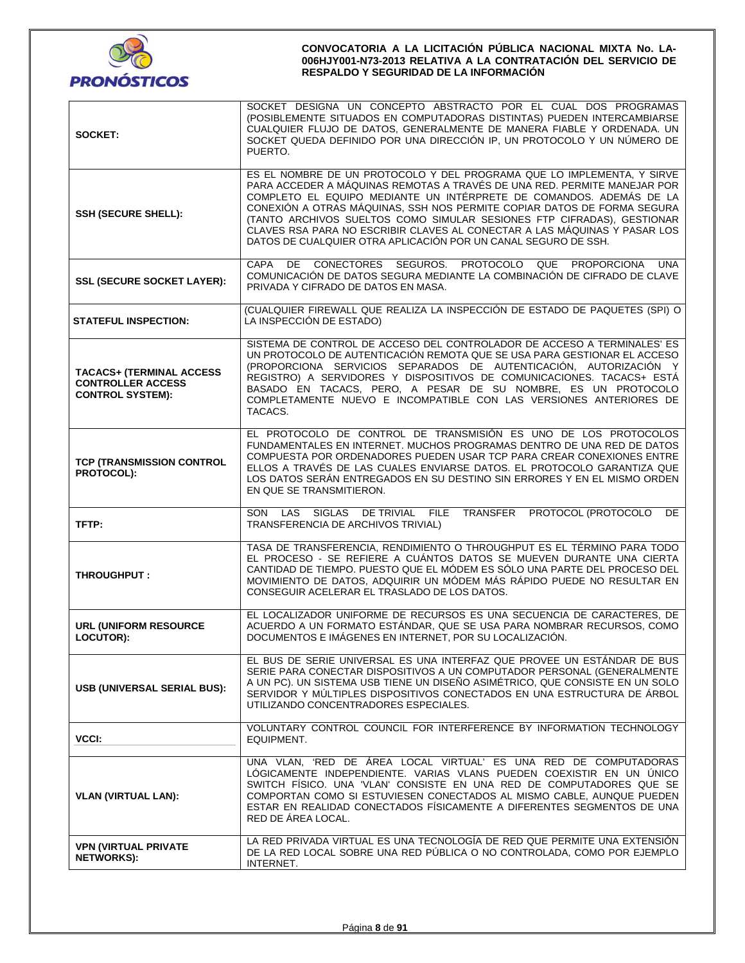

| SOCKET:                                                                                 | SOCKET DESIGNA UN CONCEPTO ABSTRACTO POR EL CUAL DOS PROGRAMAS<br>(POSIBLEMENTE SITUADOS EN COMPUTADORAS DISTINTAS) PUEDEN INTERCAMBIARSE<br>CUALQUIER FLUJO DE DATOS, GENERALMENTE DE MANERA FIABLE Y ORDENADA. UN<br>SOCKET QUEDA DEFINIDO POR UNA DIRECCIÓN IP, UN PROTOCOLO Y UN NÚMERO DE<br>PUERTO.                                                                                                                                                                                                                     |  |  |
|-----------------------------------------------------------------------------------------|-------------------------------------------------------------------------------------------------------------------------------------------------------------------------------------------------------------------------------------------------------------------------------------------------------------------------------------------------------------------------------------------------------------------------------------------------------------------------------------------------------------------------------|--|--|
| <b>SSH (SECURE SHELL):</b>                                                              | ES EL NOMBRE DE UN PROTOCOLO Y DEL PROGRAMA QUE LO IMPLEMENTA, Y SIRVE<br>PARA ACCEDER A MÁQUINAS REMOTAS A TRAVÉS DE UNA RED. PERMITE MANEJAR POR<br>COMPLETO EL EQUIPO MEDIANTE UN INTÉRPRETE DE COMANDOS. ADEMÁS DE LA<br>CONEXIÓN A OTRAS MÁQUINAS, SSH NOS PERMITE COPIAR DATOS DE FORMA SEGURA<br>(TANTO ARCHIVOS SUELTOS COMO SIMULAR SESIONES FTP CIFRADAS), GESTIONAR<br>CLAVES RSA PARA NO ESCRIBIR CLAVES AL CONECTAR A LAS MÁQUINAS Y PASAR LOS<br>DATOS DE CUALQUIER OTRA APLICACIÓN POR UN CANAL SEGURO DE SSH. |  |  |
| <b>SSL (SECURE SOCKET LAYER):</b>                                                       | CONECTORES SEGUROS. PROTOCOLO QUE<br><b>CAPA</b><br>DE<br><b>PROPORCIONA</b><br>UNA<br>COMUNICACIÓN DE DATOS SEGURA MEDIANTE LA COMBINACIÓN DE CIFRADO DE CLAVE<br>PRIVADA Y CIFRADO DE DATOS EN MASA.                                                                                                                                                                                                                                                                                                                        |  |  |
| <b>STATEFUL INSPECTION:</b>                                                             | (CUALQUIER FIREWALL QUE REALIZA LA INSPECCIÓN DE ESTADO DE PAQUETES (SPI) O<br>LA INSPECCIÓN DE ESTADO)                                                                                                                                                                                                                                                                                                                                                                                                                       |  |  |
| <b>TACACS+ (TERMINAL ACCESS)</b><br><b>CONTROLLER ACCESS</b><br><b>CONTROL SYSTEM):</b> | SISTEMA DE CONTROL DE ACCESO DEL CONTROLADOR DE ACCESO A TERMINALES' ES<br>UN PROTOCOLO DE AUTENTICACIÓN REMOTA QUE SE USA PARA GESTIONAR EL ACCESO<br>(PROPORCIONA SERVICIOS SEPARADOS DE AUTENTICACIÓN, AUTORIZACIÓN Y<br>REGISTRO) A SERVIDORES Y DISPOSITIVOS DE COMUNICACIONES. TACACS+ ESTÁ<br>BASADO EN TACACS, PERO, A PESAR DE SU NOMBRE, ES UN PROTOCOLO<br>COMPLETAMENTE NUEVO E INCOMPATIBLE CON LAS VERSIONES ANTERIORES DE<br>TACACS.                                                                           |  |  |
| TCP (TRANSMISSION CONTROL<br><b>PROTOCOL):</b>                                          | EL PROTOCOLO DE CONTROL DE TRANSMISIÓN ES UNO DE LOS PROTOCOLOS<br>FUNDAMENTALES EN INTERNET. MUCHOS PROGRAMAS DENTRO DE UNA RED DE DATOS<br>COMPUESTA POR ORDENADORES PUEDEN USAR TCP PARA CREAR CONEXIONES ENTRE<br>ELLOS A TRAVÉS DE LAS CUALES ENVIARSE DATOS. EL PROTOCOLO GARANTIZA QUE<br>LOS DATOS SERÁN ENTREGADOS EN SU DESTINO SIN ERRORES Y EN EL MISMO ORDEN<br>EN QUE SE TRANSMITIERON.                                                                                                                         |  |  |
| TFTP:                                                                                   | DE TRIVIAL FILE<br>TRANSFER<br>PROTOCOL (PROTOCOLO<br>SIGLAS<br>DE<br>SON LAS<br>TRANSFERENCIA DE ARCHIVOS TRIVIAL)                                                                                                                                                                                                                                                                                                                                                                                                           |  |  |
| <b>THROUGHPUT:</b>                                                                      | TASA DE TRANSFERENCIA, RENDIMIENTO O THROUGHPUT ES EL TÉRMINO PARA TODO<br>EL PROCESO - SE REFIERE A CUÁNTOS DATOS SE MUEVEN DURANTE UNA CIERTA<br>CANTIDAD DE TIEMPO. PUESTO QUE EL MÓDEM ES SÓLO UNA PARTE DEL PROCESO DEL<br>MOVIMIENTO DE DATOS, ADQUIRIR UN MÓDEM MÁS RÁPIDO PUEDE NO RESULTAR EN<br>CONSEGUIR ACELERAR EL TRASLADO DE LOS DATOS.                                                                                                                                                                        |  |  |
| <b>URL (UNIFORM RESOURCE</b><br><b>LOCUTOR):</b>                                        | EL LOCALIZADOR UNIFORME DE RECURSOS ES UNA SECUENCIA DE CARACTERES, DE<br>ACUERDO A UN FORMATO ESTÁNDAR, QUE SE USA PARA NOMBRAR RECURSOS, COMO<br>DOCUMENTOS E IMÁGENES EN INTERNET, POR SU LOCALIZACIÓN.                                                                                                                                                                                                                                                                                                                    |  |  |
| <b>USB (UNIVERSAL SERIAL BUS):</b>                                                      | EL BUS DE SERIE UNIVERSAL ES UNA INTERFAZ QUE PROVEE UN ESTÁNDAR DE BUS<br>SERIE PARA CONECTAR DISPOSITIVOS A UN COMPUTADOR PERSONAL (GENERALMENTE<br>A UN PC). UN SISTEMA USB TIENE UN DISEÑO ASIMÉTRICO, QUE CONSISTE EN UN SOLO<br>SERVIDOR Y MÚLTIPLES DISPOSITIVOS CONECTADOS EN UNA ESTRUCTURA DE ÁRBOL<br>UTILIZANDO CONCENTRADORES ESPECIALES.                                                                                                                                                                        |  |  |
| VCCI:                                                                                   | VOLUNTARY CONTROL COUNCIL FOR INTERFERENCE BY INFORMATION TECHNOLOGY<br>EQUIPMENT.                                                                                                                                                                                                                                                                                                                                                                                                                                            |  |  |
| <b>VLAN (VIRTUAL LAN):</b>                                                              | UNA VLAN, 'RED DE ÁREA LOCAL VIRTUAL' ES UNA RED DE COMPUTADORAS<br>LÓGICAMENTE INDEPENDIENTE. VARIAS VLANS PUEDEN COEXISTIR EN UN ÚNICO<br>SWITCH FÍSICO. UNA 'VLAN' CONSISTE EN UNA RED DE COMPUTADORES QUE SE<br>COMPORTAN COMO SI ESTUVIESEN CONECTADOS AL MISMO CABLE, AUNQUE PUEDEN<br>ESTAR EN REALIDAD CONECTADOS FÍSICAMENTE A DIFERENTES SEGMENTOS DE UNA<br>RED DE ÁREA LOCAL.                                                                                                                                     |  |  |
| <b>VPN (VIRTUAL PRIVATE)</b><br><b>NETWORKS):</b>                                       | LA RED PRIVADA VIRTUAL ES UNA TECNOLOGÍA DE RED QUE PERMITE UNA EXTENSIÓN<br>DE LA RED LOCAL SOBRE UNA RED PÚBLICA O NO CONTROLADA, COMO POR EJEMPLO<br>INTERNET.                                                                                                                                                                                                                                                                                                                                                             |  |  |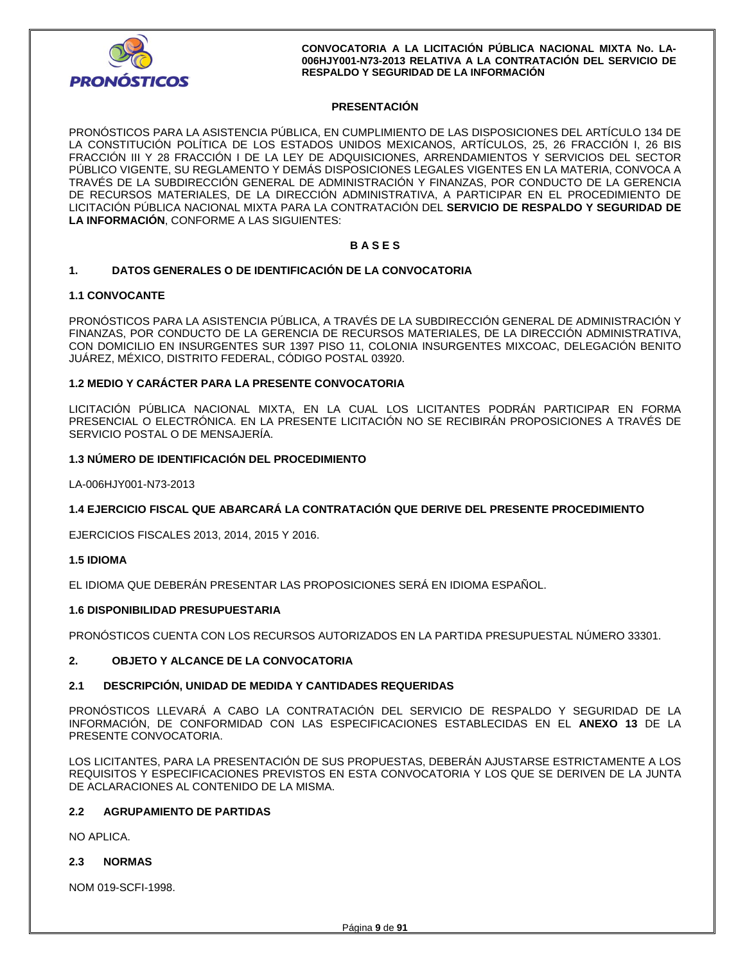

### **PRESENTACIÓN**

PRONÓSTICOS PARA LA ASISTENCIA PÚBLICA, EN CUMPLIMIENTO DE LAS DISPOSICIONES DEL ARTÍCULO 134 DE LA CONSTITUCIÓN POLÍTICA DE LOS ESTADOS UNIDOS MEXICANOS, ARTÍCULOS, 25, 26 FRACCIÓN I, 26 BIS FRACCIÓN III Y 28 FRACCIÓN I DE LA LEY DE ADQUISICIONES, ARRENDAMIENTOS Y SERVICIOS DEL SECTOR PÚBLICO VIGENTE, SU REGLAMENTO Y DEMÁS DISPOSICIONES LEGALES VIGENTES EN LA MATERIA, CONVOCA A TRAVÉS DE LA SUBDIRECCIÓN GENERAL DE ADMINISTRACIÓN Y FINANZAS, POR CONDUCTO DE LA GERENCIA DE RECURSOS MATERIALES, DE LA DIRECCIÓN ADMINISTRATIVA, A PARTICIPAR EN EL PROCEDIMIENTO DE LICITACIÓN PÚBLICA NACIONAL MIXTA PARA LA CONTRATACIÓN DEL **SERVICIO DE RESPALDO Y SEGURIDAD DE LA INFORMACIÓN**, CONFORME A LAS SIGUIENTES:

### **B A S E S**

### **1. DATOS GENERALES O DE IDENTIFICACIÓN DE LA CONVOCATORIA**

### **1.1 CONVOCANTE**

PRONÓSTICOS PARA LA ASISTENCIA PÚBLICA, A TRAVÉS DE LA SUBDIRECCIÓN GENERAL DE ADMINISTRACIÓN Y FINANZAS, POR CONDUCTO DE LA GERENCIA DE RECURSOS MATERIALES, DE LA DIRECCIÓN ADMINISTRATIVA, CON DOMICILIO EN INSURGENTES SUR 1397 PISO 11, COLONIA INSURGENTES MIXCOAC, DELEGACIÓN BENITO JUÁREZ, MÉXICO, DISTRITO FEDERAL, CÓDIGO POSTAL 03920.

### **1.2 MEDIO Y CARÁCTER PARA LA PRESENTE CONVOCATORIA**

LICITACIÓN PÚBLICA NACIONAL MIXTA, EN LA CUAL LOS LICITANTES PODRÁN PARTICIPAR EN FORMA PRESENCIAL O ELECTRÓNICA. EN LA PRESENTE LICITACIÓN NO SE RECIBIRÁN PROPOSICIONES A TRAVÉS DE SERVICIO POSTAL O DE MENSAJERÍA.

#### **1.3 NÚMERO DE IDENTIFICACIÓN DEL PROCEDIMIENTO**

LA-006HJY001-N73-2013

### **1.4 EJERCICIO FISCAL QUE ABARCARÁ LA CONTRATACIÓN QUE DERIVE DEL PRESENTE PROCEDIMIENTO**

EJERCICIOS FISCALES 2013, 2014, 2015 Y 2016.

#### **1.5 IDIOMA**

EL IDIOMA QUE DEBERÁN PRESENTAR LAS PROPOSICIONES SERÁ EN IDIOMA ESPAÑOL.

### **1.6 DISPONIBILIDAD PRESUPUESTARIA**

PRONÓSTICOS CUENTA CON LOS RECURSOS AUTORIZADOS EN LA PARTIDA PRESUPUESTAL NÚMERO 33301.

### **2. OBJETO Y ALCANCE DE LA CONVOCATORIA**

### **2.1 DESCRIPCIÓN, UNIDAD DE MEDIDA Y CANTIDADES REQUERIDAS**

PRONÓSTICOS LLEVARÁ A CABO LA CONTRATACIÓN DEL SERVICIO DE RESPALDO Y SEGURIDAD DE LA INFORMACIÓN, DE CONFORMIDAD CON LAS ESPECIFICACIONES ESTABLECIDAS EN EL **ANEXO 13** DE LA PRESENTE CONVOCATORIA.

LOS LICITANTES, PARA LA PRESENTACIÓN DE SUS PROPUESTAS, DEBERÁN AJUSTARSE ESTRICTAMENTE A LOS REQUISITOS Y ESPECIFICACIONES PREVISTOS EN ESTA CONVOCATORIA Y LOS QUE SE DERIVEN DE LA JUNTA DE ACLARACIONES AL CONTENIDO DE LA MISMA.

#### **2.2 AGRUPAMIENTO DE PARTIDAS**

NO APLICA.

### **2.3 NORMAS**

NOM 019-SCFI-1998.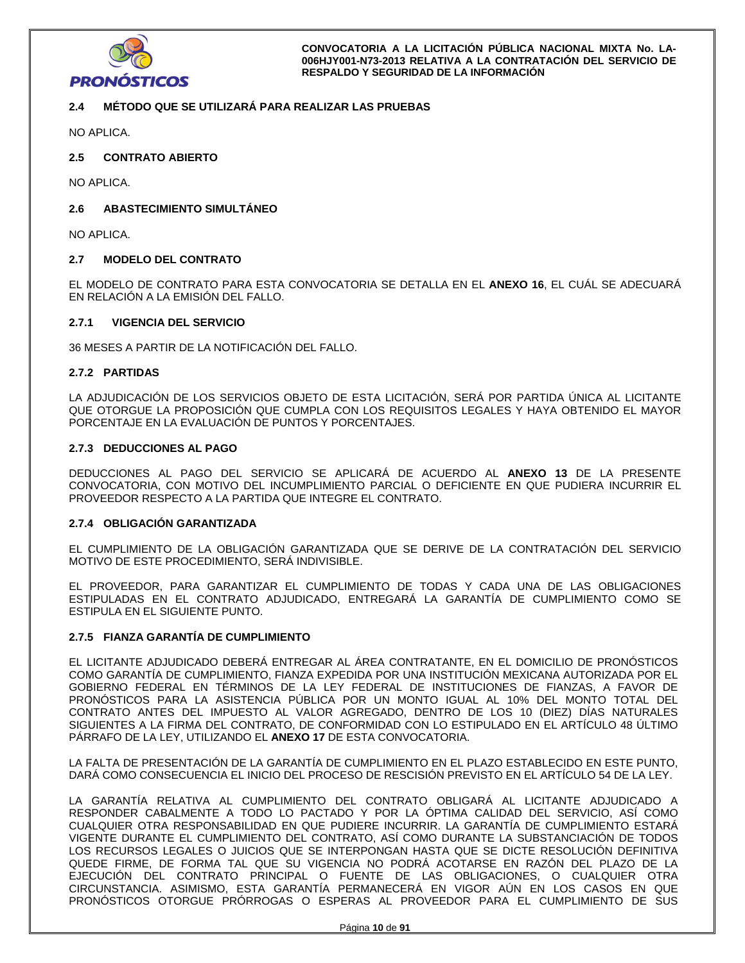

## **2.4 MÉTODO QUE SE UTILIZARÁ PARA REALIZAR LAS PRUEBAS**

NO APLICA.

### **2.5 CONTRATO ABIERTO**

NO APLICA.

### **2.6 ABASTECIMIENTO SIMULTÁNEO**

NO APLICA.

### **2.7 MODELO DEL CONTRATO**

EL MODELO DE CONTRATO PARA ESTA CONVOCATORIA SE DETALLA EN EL **ANEXO 16**, EL CUÁL SE ADECUARÁ EN RELACIÓN A LA EMISIÓN DEL FALLO.

## **2.7.1 VIGENCIA DEL SERVICIO**

36 MESES A PARTIR DE LA NOTIFICACIÓN DEL FALLO.

### **2.7.2 PARTIDAS**

LA ADJUDICACIÓN DE LOS SERVICIOS OBJETO DE ESTA LICITACIÓN, SERÁ POR PARTIDA ÚNICA AL LICITANTE QUE OTORGUE LA PROPOSICIÓN QUE CUMPLA CON LOS REQUISITOS LEGALES Y HAYA OBTENIDO EL MAYOR PORCENTAJE EN LA EVALUACIÓN DE PUNTOS Y PORCENTAJES.

### **2.7.3 DEDUCCIONES AL PAGO**

DEDUCCIONES AL PAGO DEL SERVICIO SE APLICARÁ DE ACUERDO AL **ANEXO 13** DE LA PRESENTE CONVOCATORIA, CON MOTIVO DEL INCUMPLIMIENTO PARCIAL O DEFICIENTE EN QUE PUDIERA INCURRIR EL PROVEEDOR RESPECTO A LA PARTIDA QUE INTEGRE EL CONTRATO.

### **2.7.4 OBLIGACIÓN GARANTIZADA**

EL CUMPLIMIENTO DE LA OBLIGACIÓN GARANTIZADA QUE SE DERIVE DE LA CONTRATACIÓN DEL SERVICIO MOTIVO DE ESTE PROCEDIMIENTO, SERÁ INDIVISIBLE.

EL PROVEEDOR, PARA GARANTIZAR EL CUMPLIMIENTO DE TODAS Y CADA UNA DE LAS OBLIGACIONES ESTIPULADAS EN EL CONTRATO ADJUDICADO, ENTREGARÁ LA GARANTÍA DE CUMPLIMIENTO COMO SE ESTIPULA EN EL SIGUIENTE PUNTO.

### **2.7.5 FIANZA GARANTÍA DE CUMPLIMIENTO**

EL LICITANTE ADJUDICADO DEBERÁ ENTREGAR AL ÁREA CONTRATANTE, EN EL DOMICILIO DE PRONÓSTICOS COMO GARANTÍA DE CUMPLIMIENTO, FIANZA EXPEDIDA POR UNA INSTITUCIÓN MEXICANA AUTORIZADA POR EL GOBIERNO FEDERAL EN TÉRMINOS DE LA LEY FEDERAL DE INSTITUCIONES DE FIANZAS, A FAVOR DE PRONÓSTICOS PARA LA ASISTENCIA PÚBLICA POR UN MONTO IGUAL AL 10% DEL MONTO TOTAL DEL CONTRATO ANTES DEL IMPUESTO AL VALOR AGREGADO, DENTRO DE LOS 10 (DIEZ) DÍAS NATURALES SIGUIENTES A LA FIRMA DEL CONTRATO, DE CONFORMIDAD CON LO ESTIPULADO EN EL ARTÍCULO 48 ÚLTIMO PÁRRAFO DE LA LEY, UTILIZANDO EL **ANEXO 17** DE ESTA CONVOCATORIA.

LA FALTA DE PRESENTACIÓN DE LA GARANTÍA DE CUMPLIMIENTO EN EL PLAZO ESTABLECIDO EN ESTE PUNTO, DARÁ COMO CONSECUENCIA EL INICIO DEL PROCESO DE RESCISIÓN PREVISTO EN EL ARTÍCULO 54 DE LA LEY.

LA GARANTÍA RELATIVA AL CUMPLIMIENTO DEL CONTRATO OBLIGARÁ AL LICITANTE ADJUDICADO A RESPONDER CABALMENTE A TODO LO PACTADO Y POR LA ÓPTIMA CALIDAD DEL SERVICIO, ASÍ COMO CUALQUIER OTRA RESPONSABILIDAD EN QUE PUDIERE INCURRIR. LA GARANTÍA DE CUMPLIMIENTO ESTARÁ VIGENTE DURANTE EL CUMPLIMIENTO DEL CONTRATO, ASÍ COMO DURANTE LA SUBSTANCIACIÓN DE TODOS LOS RECURSOS LEGALES O JUICIOS QUE SE INTERPONGAN HASTA QUE SE DICTE RESOLUCIÓN DEFINITIVA QUEDE FIRME, DE FORMA TAL QUE SU VIGENCIA NO PODRÁ ACOTARSE EN RAZÓN DEL PLAZO DE LA EJECUCIÓN DEL CONTRATO PRINCIPAL O FUENTE DE LAS OBLIGACIONES, O CUALQUIER OTRA CIRCUNSTANCIA. ASIMISMO, ESTA GARANTÍA PERMANECERÁ EN VIGOR AÚN EN LOS CASOS EN QUE PRONÓSTICOS OTORGUE PRÓRROGAS O ESPERAS AL PROVEEDOR PARA EL CUMPLIMIENTO DE SUS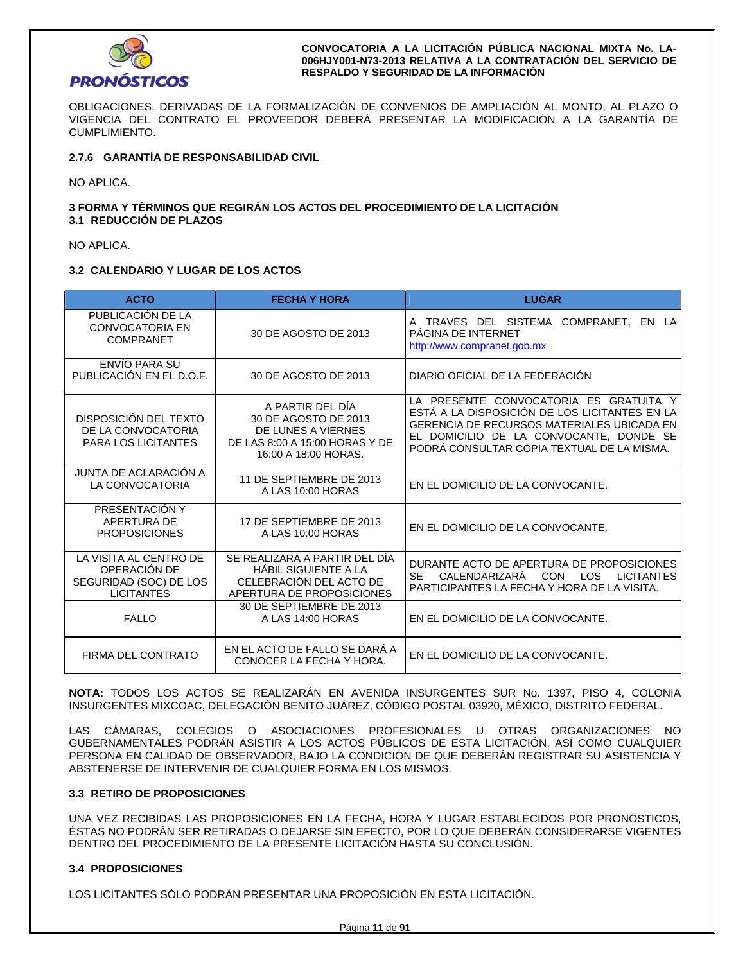

OBLIGACIONES, DERIVADAS DE LA FORMALIZACIÓN DE CONVENIOS DE AMPLIACIÓN AL MONTO, AL PLAZO O VIGENCIA DEL CONTRATO EL PROVEEDOR DEBERÁ PRESENTAR LA MODIFICACIÓN A LA GARANTÍA DE CUMPLIMIENTO.

### **2.7.6 GARANTÍA DE RESPONSABILIDAD CIVIL**

NO APLICA.

### **3 FORMA Y TÉRMINOS QUE REGIRÁN LOS ACTOS DEL PROCEDIMIENTO DE LA LICITACIÓN 3.1 REDUCCIÓN DE PLAZOS**

NO APLICA.

### **3.2 CALENDARIO Y LUGAR DE LOS ACTOS**

| <b>ACTO</b>                                                                           | <b>FECHA Y HORA</b>                                                                                                                                                                                                                             | <b>LUGAR</b>                                                                                                                                                                                                                          |  |  |
|---------------------------------------------------------------------------------------|-------------------------------------------------------------------------------------------------------------------------------------------------------------------------------------------------------------------------------------------------|---------------------------------------------------------------------------------------------------------------------------------------------------------------------------------------------------------------------------------------|--|--|
| PUBLICACIÓN DE LA<br><b>CONVOCATORIA EN</b><br><b>COMPRANET</b>                       | 30 DE AGOSTO DE 2013                                                                                                                                                                                                                            | A TRAVÉS DEL SISTEMA COMPRANET,<br>EN LA<br>PÁGINA DE INTERNET<br>http://www.compranet.gob.mx                                                                                                                                         |  |  |
| ENVÍO PARA SU<br>PUBLICACIÓN EN EL D.O.F.                                             | DIARIO OFICIAL DE LA FEDERACIÓN<br>30 DE AGOSTO DE 2013                                                                                                                                                                                         |                                                                                                                                                                                                                                       |  |  |
| DISPOSICIÓN DEL TEXTO<br>DE LA CONVOCATORIA<br><b>PARA LOS LICITANTES</b>             | A PARTIR DEL DÍA<br>30 DE AGOSTO DE 2013<br>DE LUNES A VIERNES<br>DE LAS 8:00 A 15:00 HORAS Y DE<br>16:00 A 18:00 HORAS.                                                                                                                        | LA PRESENTE CONVOCATORIA ES GRATUITA Y<br>ESTÁ A LA DISPOSICIÓN DE LOS LICITANTES EN LA<br><b>GERENCIA DE RECURSOS MATERIALES UBICADA EN</b><br>EL DOMICILIO DE LA CONVOCANTE, DONDE SE<br>PODRÁ CONSULTAR COPIA TEXTUAL DE LA MISMA. |  |  |
| JUNTA DE ACLARACIÓN A<br>LA CONVOCATORIA                                              | 11 DE SEPTIEMBRE DE 2013<br>EN EL DOMICILIO DE LA CONVOCANTE.<br>A LAS 10:00 HORAS                                                                                                                                                              |                                                                                                                                                                                                                                       |  |  |
| PRESENTACIÓN Y<br>APERTURA DE<br><b>PROPOSICIONES</b>                                 | 17 DE SEPTIEMBRE DE 2013<br>A LAS 10:00 HORAS                                                                                                                                                                                                   | EN EL DOMICILIO DE LA CONVOCANTE.                                                                                                                                                                                                     |  |  |
| LA VISITA AL CENTRO DE<br>OPERACIÓN DE<br>SEGURIDAD (SOC) DE LOS<br><b>LICITANTES</b> | SE REALIZARÁ A PARTIR DEL DÍA<br>DURANTE ACTO DE APERTURA DE PROPOSICIONES<br><b>HÁBIL SIGUIENTE A LA</b><br>SE.<br>CON<br>CALENDARIZARA<br>CELEBRACIÓN DEL ACTO DE<br>PARTICIPANTES LA FECHA Y HORA DE LA VISITA.<br>APERTURA DE PROPOSICIONES |                                                                                                                                                                                                                                       |  |  |
| <b>FALLO</b>                                                                          | 30 DE SEPTIEMBRE DE 2013<br>A LAS 14:00 HORAS                                                                                                                                                                                                   | EN EL DOMICILIO DE LA CONVOCANTE.                                                                                                                                                                                                     |  |  |
| FIRMA DEL CONTRATO                                                                    | EN EL ACTO DE FALLO SE DARÁ A<br>EN EL DOMICILIO DE LA CONVOCANTE.<br>CONOCER LA FECHA Y HORA.                                                                                                                                                  |                                                                                                                                                                                                                                       |  |  |

**NOTA:** TODOS LOS ACTOS SE REALIZARÁN EN AVENIDA INSURGENTES SUR No. 1397, PISO 4, COLONIA INSURGENTES MIXCOAC, DELEGACIÓN BENITO JUÁREZ, CÓDIGO POSTAL 03920, MÉXICO, DISTRITO FEDERAL.

LAS CÁMARAS, COLEGIOS O ASOCIACIONES PROFESIONALES U OTRAS ORGANIZACIONES NO GUBERNAMENTALES PODRÁN ASISTIR A LOS ACTOS PÚBLICOS DE ESTA LICITACIÓN, ASÍ COMO CUALQUIER PERSONA EN CALIDAD DE OBSERVADOR, BAJO LA CONDICIÓN DE QUE DEBERÁN REGISTRAR SU ASISTENCIA Y ABSTENERSE DE INTERVENIR DE CUALQUIER FORMA EN LOS MISMOS.

### **3.3 RETIRO DE PROPOSICIONES**

UNA VEZ RECIBIDAS LAS PROPOSICIONES EN LA FECHA, HORA Y LUGAR ESTABLECIDOS POR PRONÓSTICOS, ÉSTAS NO PODRÁN SER RETIRADAS O DEJARSE SIN EFECTO, POR LO QUE DEBERÁN CONSIDERARSE VIGENTES DENTRO DEL PROCEDIMIENTO DE LA PRESENTE LICITACIÓN HASTA SU CONCLUSIÓN.

### **3.4 PROPOSICIONES**

LOS LICITANTES SÓLO PODRÁN PRESENTAR UNA PROPOSICIÓN EN ESTA LICITACIÓN.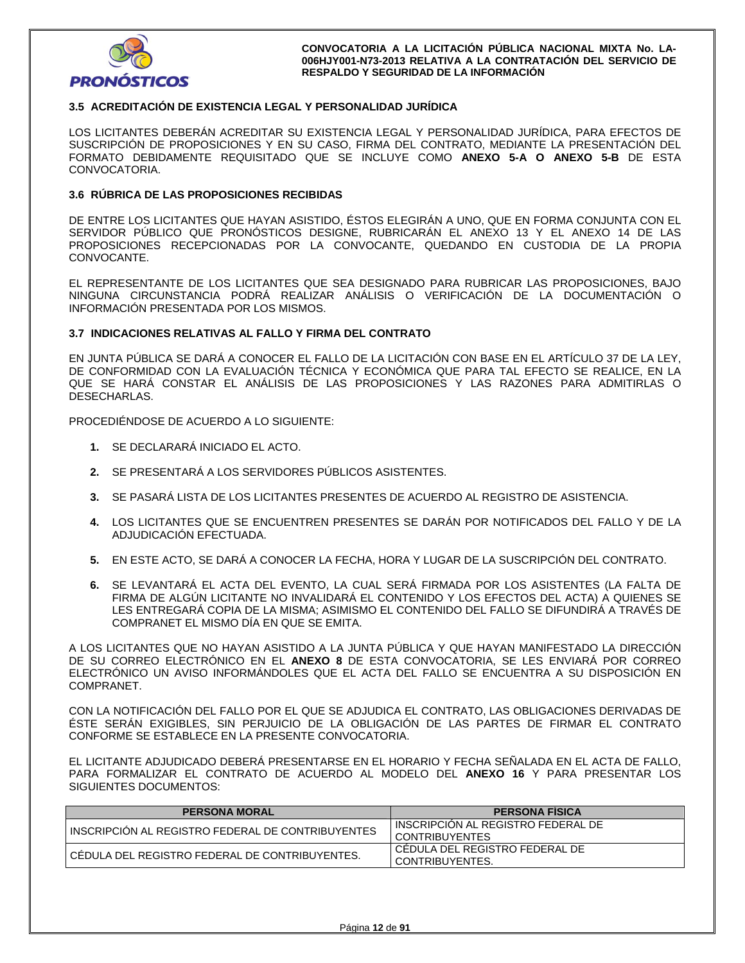

### **3.5 ACREDITACIÓN DE EXISTENCIA LEGAL Y PERSONALIDAD JURÍDICA**

LOS LICITANTES DEBERÁN ACREDITAR SU EXISTENCIA LEGAL Y PERSONALIDAD JURÍDICA, PARA EFECTOS DE SUSCRIPCIÓN DE PROPOSICIONES Y EN SU CASO, FIRMA DEL CONTRATO, MEDIANTE LA PRESENTACIÓN DEL FORMATO DEBIDAMENTE REQUISITADO QUE SE INCLUYE COMO **ANEXO 5-A O ANEXO 5-B** DE ESTA CONVOCATORIA.

### **3.6 RÚBRICA DE LAS PROPOSICIONES RECIBIDAS**

DE ENTRE LOS LICITANTES QUE HAYAN ASISTIDO, ÉSTOS ELEGIRÁN A UNO, QUE EN FORMA CONJUNTA CON EL SERVIDOR PÚBLICO QUE PRONÓSTICOS DESIGNE, RUBRICARÁN EL ANEXO 13 Y EL ANEXO 14 DE LAS PROPOSICIONES RECEPCIONADAS POR LA CONVOCANTE, QUEDANDO EN CUSTODIA DE LA PROPIA CONVOCANTE.

EL REPRESENTANTE DE LOS LICITANTES QUE SEA DESIGNADO PARA RUBRICAR LAS PROPOSICIONES, BAJO NINGUNA CIRCUNSTANCIA PODRÁ REALIZAR ANÁLISIS O VERIFICACIÓN DE LA DOCUMENTACIÓN O INFORMACIÓN PRESENTADA POR LOS MISMOS.

#### **3.7 INDICACIONES RELATIVAS AL FALLO Y FIRMA DEL CONTRATO**

EN JUNTA PÚBLICA SE DARÁ A CONOCER EL FALLO DE LA LICITACIÓN CON BASE EN EL ARTÍCULO 37 DE LA LEY, DE CONFORMIDAD CON LA EVALUACIÓN TÉCNICA Y ECONÓMICA QUE PARA TAL EFECTO SE REALICE, EN LA QUE SE HARÁ CONSTAR EL ANÁLISIS DE LAS PROPOSICIONES Y LAS RAZONES PARA ADMITIRLAS O DESECHARLAS.

PROCEDIÉNDOSE DE ACUERDO A LO SIGUIENTE:

- **1.** SE DECLARARÁ INICIADO EL ACTO.
- **2.** SE PRESENTARÁ A LOS SERVIDORES PÚBLICOS ASISTENTES.
- **3.** SE PASARÁ LISTA DE LOS LICITANTES PRESENTES DE ACUERDO AL REGISTRO DE ASISTENCIA.
- **4.** LOS LICITANTES QUE SE ENCUENTREN PRESENTES SE DARÁN POR NOTIFICADOS DEL FALLO Y DE LA ADJUDICACIÓN EFECTUADA.
- **5.** EN ESTE ACTO, SE DARÁ A CONOCER LA FECHA, HORA Y LUGAR DE LA SUSCRIPCIÓN DEL CONTRATO.
- **6.** SE LEVANTARÁ EL ACTA DEL EVENTO, LA CUAL SERÁ FIRMADA POR LOS ASISTENTES (LA FALTA DE FIRMA DE ALGÚN LICITANTE NO INVALIDARÁ EL CONTENIDO Y LOS EFECTOS DEL ACTA) A QUIENES SE LES ENTREGARÁ COPIA DE LA MISMA; ASIMISMO EL CONTENIDO DEL FALLO SE DIFUNDIRÁ A TRAVÉS DE COMPRANET EL MISMO DÍA EN QUE SE EMITA.

A LOS LICITANTES QUE NO HAYAN ASISTIDO A LA JUNTA PÚBLICA Y QUE HAYAN MANIFESTADO LA DIRECCIÓN DE SU CORREO ELECTRÓNICO EN EL **ANEXO 8** DE ESTA CONVOCATORIA, SE LES ENVIARÁ POR CORREO ELECTRÓNICO UN AVISO INFORMÁNDOLES QUE EL ACTA DEL FALLO SE ENCUENTRA A SU DISPOSICIÓN EN COMPRANET.

CON LA NOTIFICACIÓN DEL FALLO POR EL QUE SE ADJUDICA EL CONTRATO, LAS OBLIGACIONES DERIVADAS DE ÉSTE SERÁN EXIGIBLES, SIN PERJUICIO DE LA OBLIGACIÓN DE LAS PARTES DE FIRMAR EL CONTRATO CONFORME SE ESTABLECE EN LA PRESENTE CONVOCATORIA.

EL LICITANTE ADJUDICADO DEBERÁ PRESENTARSE EN EL HORARIO Y FECHA SEÑALADA EN EL ACTA DE FALLO, PARA FORMALIZAR EL CONTRATO DE ACUERDO AL MODELO DEL **ANEXO 16** Y PARA PRESENTAR LOS SIGUIENTES DOCUMENTOS:

| <b>PERSONA MORAL</b>                              | <b>PERSONA FISICA</b>                                |
|---------------------------------------------------|------------------------------------------------------|
| INSCRIPCION AL REGISTRO FEDERAL DE CONTRIBUYENTES | INSCRIPCION AL REGISTRO FEDERAL DE<br>CONTRIBUYENTES |
| I CÉDULA DEL REGISTRO FEDERAL DE CONTRIBUYENTES.  | CEDULA DEL REGISTRO FEDERAL DE<br>CONTRIBUYENTES.    |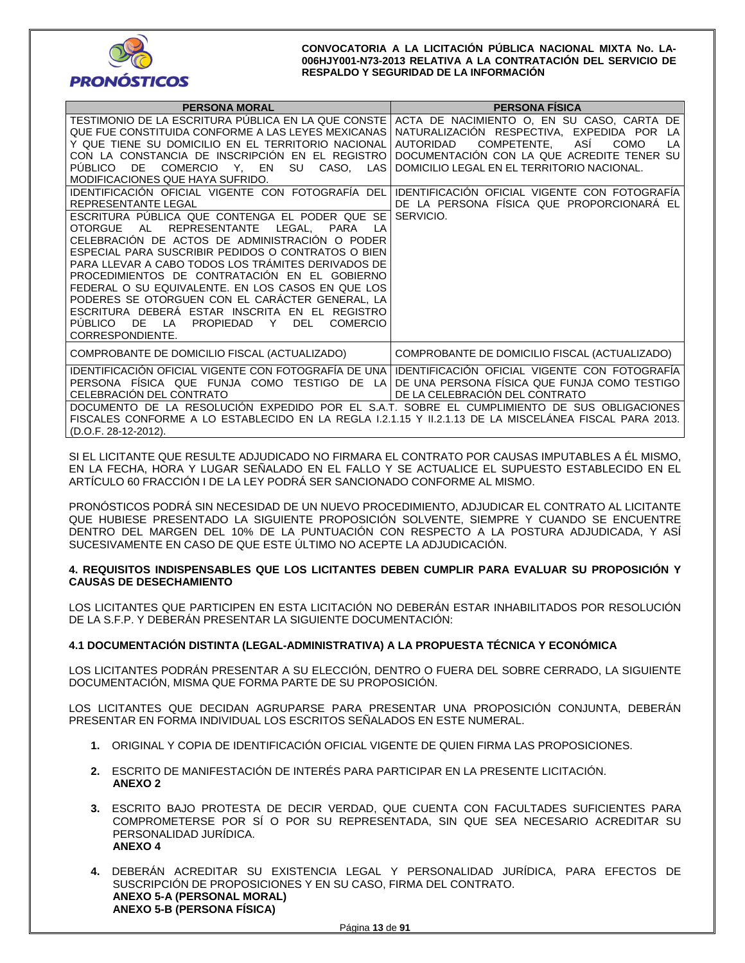

| <b>PERSONA MORAL</b>                                                                                                                                                                                                                                                                                                                                                                                                                                                                                                                                                                                                                                                                                                                                                                                                                                                                                                                                                                                                     | <b>PERSONA FISICA</b>                                                                                                                                                                                                                                                                                                                                      |
|--------------------------------------------------------------------------------------------------------------------------------------------------------------------------------------------------------------------------------------------------------------------------------------------------------------------------------------------------------------------------------------------------------------------------------------------------------------------------------------------------------------------------------------------------------------------------------------------------------------------------------------------------------------------------------------------------------------------------------------------------------------------------------------------------------------------------------------------------------------------------------------------------------------------------------------------------------------------------------------------------------------------------|------------------------------------------------------------------------------------------------------------------------------------------------------------------------------------------------------------------------------------------------------------------------------------------------------------------------------------------------------------|
| TESTIMONIO DE LA ESCRITURA PÚBLICA EN LA QUE CONSTE<br>QUE FUE CONSTITUIDA CONFORME A LAS LEYES MEXICANAS<br>Y QUE TIENE SU DOMICILIO EN EL TERRITORIO NACIONAL<br>CON LA CONSTANCIA DE INSCRIPCIÓN EN EL REGISTRO<br><b>PUBLICO</b><br>SU<br>CASO, LAS<br>DE.<br>COMERCIO Y, EN<br>MODIFICACIONES QUE HAYA SUFRIDO.<br>IDENTIFICACIÓN OFICIAL VIGENTE CON FOTOGRAFÍA DEL<br>REPRESENTANTE LEGAL<br>ESCRITURA PUBLICA QUE CONTENGA EL PODER QUE SE<br>LEGAL.<br><b>OTORGUE</b><br><b>REPRESENTANTE</b><br>AL<br><b>PARA</b><br>I A<br>CELEBRACIÓN DE ACTOS DE ADMINISTRACIÓN O PODER<br>ESPECIAL PARA SUSCRIBIR PEDIDOS O CONTRATOS O BIEN<br>PARA LLEVAR A CABO TODOS LOS TRÁMITES DERIVADOS DE<br>PROCEDIMIENTOS DE CONTRATACIÓN EN EL GOBIERNO<br>FEDERAL O SU EQUIVALENTE. EN LOS CASOS EN QUE LOS<br>PODERES SE OTORGUEN CON EL CARACTER GENERAL, LA<br>ESCRITURA DEBERÁ ESTAR INSCRITA EN EL REGISTRO<br><b>PUBLICO</b><br>DE.<br>LA<br><b>PROPIEDAD</b><br><b>DEL</b><br><b>COMERCIO</b><br>Y<br>CORRESPONDIENTE. | ACTA DE NACIMIENTO O, EN SU CASO, CARTA DE<br>NATURALIZACIÓN RESPECTIVA, EXPEDIDA POR<br>LA<br>COMPETENTE,<br>ASİ<br><b>AUTORIDAD</b><br>COMO<br>LA<br>DOCUMENTACIÓN CON LA QUE ACREDITE TENER SU<br>DOMICILIO LEGAL EN EL TERRITORIO NACIONAL.<br>IDENTIFICACIÓN OFICIAL VIGENTE CON FOTOGRAFÍA<br>DE LA PERSONA FÍSICA QUE PROPORCIONARÁ EL<br>SERVICIO. |
| COMPROBANTE DE DOMICILIO FISCAL (ACTUALIZADO)                                                                                                                                                                                                                                                                                                                                                                                                                                                                                                                                                                                                                                                                                                                                                                                                                                                                                                                                                                            | COMPROBANTE DE DOMICILIO FISCAL (ACTUALIZADO)                                                                                                                                                                                                                                                                                                              |
| IDENTIFICACIÓN OFICIAL VIGENTE CON FOTOGRAFÍA DE UNA<br>PERSONA FÍSICA QUE FUNJA COMO TESTIGO DE LA<br>CELEBRACIÓN DEL CONTRATO<br>DOCUMENTO DE LA RESOLUCIÓN EXPEDIDO POR EL S.A.T. SOBRE EL CUMPLIMIENTO DE SUS OBLIGACIONES<br>FISCALES CONFORME A LO ESTABLECIDO EN LA REGLA 1.2.1.15 Y 11.2.1.13 DE LA MISCELÁNEA FISCAL PARA 2013.<br>(D.O.F. 28-12-2012).                                                                                                                                                                                                                                                                                                                                                                                                                                                                                                                                                                                                                                                         | IDENTIFICACIÓN OFICIAL VIGENTE CON FOTOGRAFÍA<br>DE UNA PERSONA FÍSICA QUE FUNJA COMO TESTIGO<br>DE LA CELEBRACIÓN DEL CONTRATO                                                                                                                                                                                                                            |

SI EL LICITANTE QUE RESULTE ADJUDICADO NO FIRMARA EL CONTRATO POR CAUSAS IMPUTABLES A ÉL MISMO, EN LA FECHA, HORA Y LUGAR SEÑALADO EN EL FALLO Y SE ACTUALICE EL SUPUESTO ESTABLECIDO EN EL ARTÍCULO 60 FRACCIÓN I DE LA LEY PODRÁ SER SANCIONADO CONFORME AL MISMO.

PRONÓSTICOS PODRÁ SIN NECESIDAD DE UN NUEVO PROCEDIMIENTO, ADJUDICAR EL CONTRATO AL LICITANTE QUE HUBIESE PRESENTADO LA SIGUIENTE PROPOSICIÓN SOLVENTE, SIEMPRE Y CUANDO SE ENCUENTRE DENTRO DEL MARGEN DEL 10% DE LA PUNTUACIÓN CON RESPECTO A LA POSTURA ADJUDICADA, Y ASÍ SUCESIVAMENTE EN CASO DE QUE ESTE ÚLTIMO NO ACEPTE LA ADJUDICACIÓN.

### **4. REQUISITOS INDISPENSABLES QUE LOS LICITANTES DEBEN CUMPLIR PARA EVALUAR SU PROPOSICIÓN Y CAUSAS DE DESECHAMIENTO**

LOS LICITANTES QUE PARTICIPEN EN ESTA LICITACIÓN NO DEBERÁN ESTAR INHABILITADOS POR RESOLUCIÓN DE LA S.F.P. Y DEBERÁN PRESENTAR LA SIGUIENTE DOCUMENTACIÓN:

### **4.1 DOCUMENTACIÓN DISTINTA (LEGAL-ADMINISTRATIVA) A LA PROPUESTA TÉCNICA Y ECONÓMICA**

LOS LICITANTES PODRÁN PRESENTAR A SU ELECCIÓN, DENTRO O FUERA DEL SOBRE CERRADO, LA SIGUIENTE DOCUMENTACIÓN, MISMA QUE FORMA PARTE DE SU PROPOSICIÓN.

LOS LICITANTES QUE DECIDAN AGRUPARSE PARA PRESENTAR UNA PROPOSICIÓN CONJUNTA, DEBERÁN PRESENTAR EN FORMA INDIVIDUAL LOS ESCRITOS SEÑALADOS EN ESTE NUMERAL.

- **1.** ORIGINAL Y COPIA DE IDENTIFICACIÓN OFICIAL VIGENTE DE QUIEN FIRMA LAS PROPOSICIONES.
- **2.** ESCRITO DE MANIFESTACIÓN DE INTERÉS PARA PARTICIPAR EN LA PRESENTE LICITACIÓN. **ANEXO 2**
- **3.** ESCRITO BAJO PROTESTA DE DECIR VERDAD, QUE CUENTA CON FACULTADES SUFICIENTES PARA COMPROMETERSE POR SÍ O POR SU REPRESENTADA, SIN QUE SEA NECESARIO ACREDITAR SU PERSONALIDAD JURÍDICA. **ANEXO 4**
- **4.** DEBERÁN ACREDITAR SU EXISTENCIA LEGAL Y PERSONALIDAD JURÍDICA, PARA EFECTOS DE SUSCRIPCIÓN DE PROPOSICIONES Y EN SU CASO, FIRMA DEL CONTRATO. **ANEXO 5-A (PERSONAL MORAL) ANEXO 5-B (PERSONA FÍSICA)**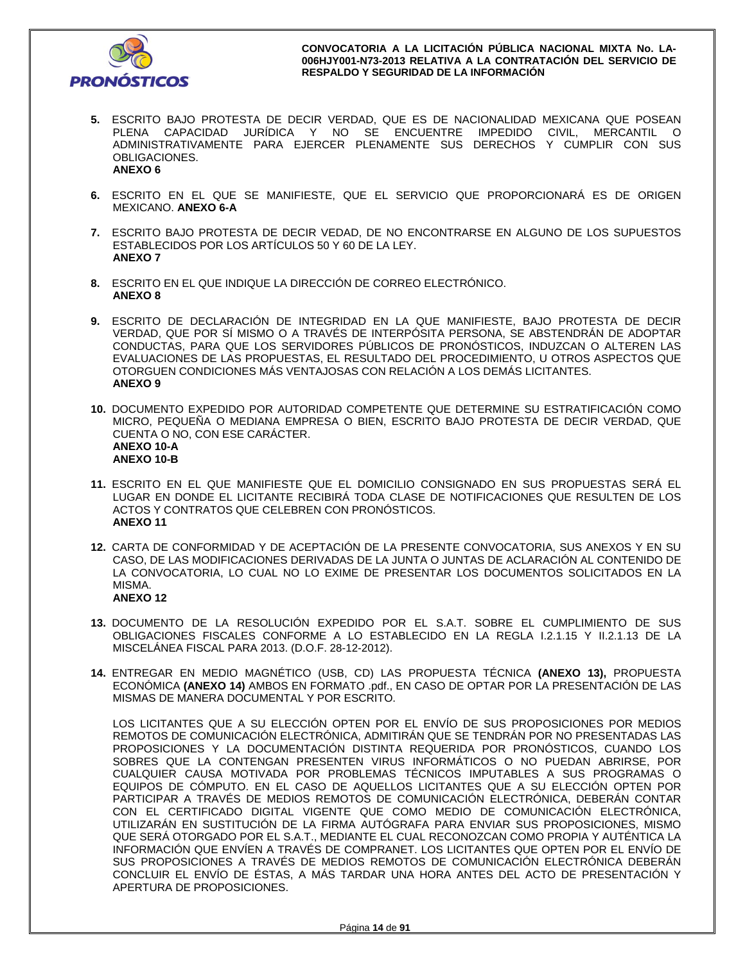

- **5.** ESCRITO BAJO PROTESTA DE DECIR VERDAD, QUE ES DE NACIONALIDAD MEXICANA QUE POSEAN PLENA CAPACIDAD JURÍDICA Y NO SE ENCUENTRE IMPEDIDO CIVIL, MERCANTIL O ADMINISTRATIVAMENTE PARA EJERCER PLENAMENTE SUS DERECHOS Y CUMPLIR CON SUS OBLIGACIONES. **ANEXO 6**
- **6.** ESCRITO EN EL QUE SE MANIFIESTE, QUE EL SERVICIO QUE PROPORCIONARÁ ES DE ORIGEN MEXICANO. **ANEXO 6-A**
- **7.** ESCRITO BAJO PROTESTA DE DECIR VEDAD, DE NO ENCONTRARSE EN ALGUNO DE LOS SUPUESTOS ESTABLECIDOS POR LOS ARTÍCULOS 50 Y 60 DE LA LEY. **ANEXO 7**
- **8.** ESCRITO EN EL QUE INDIQUE LA DIRECCIÓN DE CORREO ELECTRÓNICO. **ANEXO 8**
- **9.** ESCRITO DE DECLARACIÓN DE INTEGRIDAD EN LA QUE MANIFIESTE, BAJO PROTESTA DE DECIR VERDAD, QUE POR SÍ MISMO O A TRAVÉS DE INTERPÓSITA PERSONA, SE ABSTENDRÁN DE ADOPTAR CONDUCTAS, PARA QUE LOS SERVIDORES PÚBLICOS DE PRONÓSTICOS, INDUZCAN O ALTEREN LAS EVALUACIONES DE LAS PROPUESTAS, EL RESULTADO DEL PROCEDIMIENTO, U OTROS ASPECTOS QUE OTORGUEN CONDICIONES MÁS VENTAJOSAS CON RELACIÓN A LOS DEMÁS LICITANTES. **ANEXO 9**
- **10.** DOCUMENTO EXPEDIDO POR AUTORIDAD COMPETENTE QUE DETERMINE SU ESTRATIFICACIÓN COMO MICRO, PEQUEÑA O MEDIANA EMPRESA O BIEN, ESCRITO BAJO PROTESTA DE DECIR VERDAD, QUE CUENTA O NO, CON ESE CARÁCTER. **ANEXO 10-A ANEXO 10-B**
- **11.** ESCRITO EN EL QUE MANIFIESTE QUE EL DOMICILIO CONSIGNADO EN SUS PROPUESTAS SERÁ EL LUGAR EN DONDE EL LICITANTE RECIBIRÁ TODA CLASE DE NOTIFICACIONES QUE RESULTEN DE LOS ACTOS Y CONTRATOS QUE CELEBREN CON PRONÓSTICOS. **ANEXO 11**
- **12.** CARTA DE CONFORMIDAD Y DE ACEPTACIÓN DE LA PRESENTE CONVOCATORIA, SUS ANEXOS Y EN SU CASO, DE LAS MODIFICACIONES DERIVADAS DE LA JUNTA O JUNTAS DE ACLARACIÓN AL CONTENIDO DE LA CONVOCATORIA, LO CUAL NO LO EXIME DE PRESENTAR LOS DOCUMENTOS SOLICITADOS EN LA MISMA. **ANEXO 12**
- **13.** DOCUMENTO DE LA RESOLUCIÓN EXPEDIDO POR EL S.A.T. SOBRE EL CUMPLIMIENTO DE SUS OBLIGACIONES FISCALES CONFORME A LO ESTABLECIDO EN LA REGLA I.2.1.15 Y II.2.1.13 DE LA MISCELÁNEA FISCAL PARA 2013. (D.O.F. 28-12-2012).
- **14.** ENTREGAR EN MEDIO MAGNÉTICO (USB, CD) LAS PROPUESTA TÉCNICA **(ANEXO 13),** PROPUESTA ECONÓMICA **(ANEXO 14)** AMBOS EN FORMATO .pdf., EN CASO DE OPTAR POR LA PRESENTACIÓN DE LAS MISMAS DE MANERA DOCUMENTAL Y POR ESCRITO.

LOS LICITANTES QUE A SU ELECCIÓN OPTEN POR EL ENVÍO DE SUS PROPOSICIONES POR MEDIOS REMOTOS DE COMUNICACIÓN ELECTRÓNICA, ADMITIRÁN QUE SE TENDRÁN POR NO PRESENTADAS LAS PROPOSICIONES Y LA DOCUMENTACIÓN DISTINTA REQUERIDA POR PRONÓSTICOS, CUANDO LOS SOBRES QUE LA CONTENGAN PRESENTEN VIRUS INFORMÁTICOS O NO PUEDAN ABRIRSE, POR CUALQUIER CAUSA MOTIVADA POR PROBLEMAS TÉCNICOS IMPUTABLES A SUS PROGRAMAS O EQUIPOS DE CÓMPUTO. EN EL CASO DE AQUELLOS LICITANTES QUE A SU ELECCIÓN OPTEN POR PARTICIPAR A TRAVÉS DE MEDIOS REMOTOS DE COMUNICACIÓN ELECTRÓNICA, DEBERÁN CONTAR CON EL CERTIFICADO DIGITAL VIGENTE QUE COMO MEDIO DE COMUNICACIÓN ELECTRÓNICA, UTILIZARÁN EN SUSTITUCIÓN DE LA FIRMA AUTÓGRAFA PARA ENVIAR SUS PROPOSICIONES, MISMO QUE SERÁ OTORGADO POR EL S.A.T., MEDIANTE EL CUAL RECONOZCAN COMO PROPIA Y AUTÉNTICA LA INFORMACIÓN QUE ENVÍEN A TRAVÉS DE COMPRANET. LOS LICITANTES QUE OPTEN POR EL ENVÍO DE SUS PROPOSICIONES A TRAVÉS DE MEDIOS REMOTOS DE COMUNICACIÓN ELECTRÓNICA DEBERÁN CONCLUIR EL ENVÍO DE ÉSTAS, A MÁS TARDAR UNA HORA ANTES DEL ACTO DE PRESENTACIÓN Y APERTURA DE PROPOSICIONES.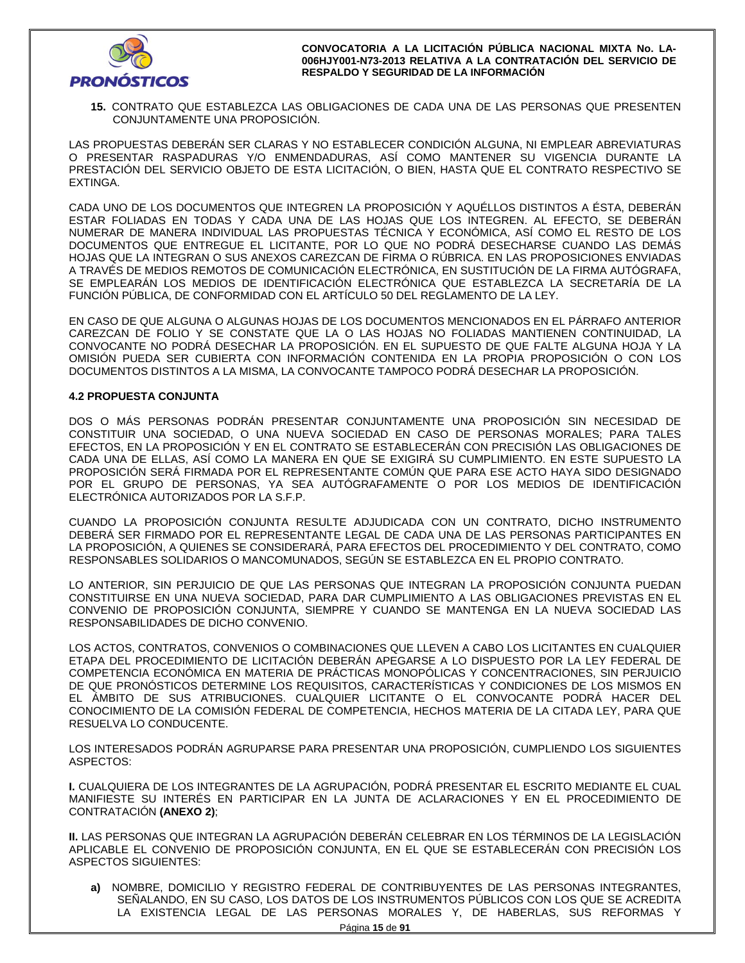

**15.** CONTRATO QUE ESTABLEZCA LAS OBLIGACIONES DE CADA UNA DE LAS PERSONAS QUE PRESENTEN CONJUNTAMENTE UNA PROPOSICIÓN.

LAS PROPUESTAS DEBERÁN SER CLARAS Y NO ESTABLECER CONDICIÓN ALGUNA, NI EMPLEAR ABREVIATURAS O PRESENTAR RASPADURAS Y/O ENMENDADURAS, ASÍ COMO MANTENER SU VIGENCIA DURANTE LA PRESTACIÓN DEL SERVICIO OBJETO DE ESTA LICITACIÓN, O BIEN, HASTA QUE EL CONTRATO RESPECTIVO SE EXTINGA.

CADA UNO DE LOS DOCUMENTOS QUE INTEGREN LA PROPOSICIÓN Y AQUÉLLOS DISTINTOS A ÉSTA, DEBERÁN ESTAR FOLIADAS EN TODAS Y CADA UNA DE LAS HOJAS QUE LOS INTEGREN. AL EFECTO, SE DEBERÁN NUMERAR DE MANERA INDIVIDUAL LAS PROPUESTAS TÉCNICA Y ECONÓMICA, ASÍ COMO EL RESTO DE LOS DOCUMENTOS QUE ENTREGUE EL LICITANTE, POR LO QUE NO PODRÁ DESECHARSE CUANDO LAS DEMÁS HOJAS QUE LA INTEGRAN O SUS ANEXOS CAREZCAN DE FIRMA O RÚBRICA. EN LAS PROPOSICIONES ENVIADAS A TRAVÉS DE MEDIOS REMOTOS DE COMUNICACIÓN ELECTRÓNICA, EN SUSTITUCIÓN DE LA FIRMA AUTÓGRAFA, SE EMPLEARÁN LOS MEDIOS DE IDENTIFICACIÓN ELECTRÓNICA QUE ESTABLEZCA LA SECRETARÍA DE LA FUNCIÓN PÚBLICA, DE CONFORMIDAD CON EL ARTÍCULO 50 DEL REGLAMENTO DE LA LEY.

EN CASO DE QUE ALGUNA O ALGUNAS HOJAS DE LOS DOCUMENTOS MENCIONADOS EN EL PÁRRAFO ANTERIOR CAREZCAN DE FOLIO Y SE CONSTATE QUE LA O LAS HOJAS NO FOLIADAS MANTIENEN CONTINUIDAD, LA CONVOCANTE NO PODRÁ DESECHAR LA PROPOSICIÓN. EN EL SUPUESTO DE QUE FALTE ALGUNA HOJA Y LA OMISIÓN PUEDA SER CUBIERTA CON INFORMACIÓN CONTENIDA EN LA PROPIA PROPOSICIÓN O CON LOS DOCUMENTOS DISTINTOS A LA MISMA, LA CONVOCANTE TAMPOCO PODRÁ DESECHAR LA PROPOSICIÓN.

### **4.2 PROPUESTA CONJUNTA**

DOS O MÁS PERSONAS PODRÁN PRESENTAR CONJUNTAMENTE UNA PROPOSICIÓN SIN NECESIDAD DE CONSTITUIR UNA SOCIEDAD, O UNA NUEVA SOCIEDAD EN CASO DE PERSONAS MORALES; PARA TALES EFECTOS, EN LA PROPOSICIÓN Y EN EL CONTRATO SE ESTABLECERÁN CON PRECISIÓN LAS OBLIGACIONES DE CADA UNA DE ELLAS, ASÍ COMO LA MANERA EN QUE SE EXIGIRÁ SU CUMPLIMIENTO. EN ESTE SUPUESTO LA PROPOSICIÓN SERÁ FIRMADA POR EL REPRESENTANTE COMÚN QUE PARA ESE ACTO HAYA SIDO DESIGNADO POR EL GRUPO DE PERSONAS, YA SEA AUTÓGRAFAMENTE O POR LOS MEDIOS DE IDENTIFICACIÓN ELECTRÓNICA AUTORIZADOS POR LA S.F.P.

CUANDO LA PROPOSICIÓN CONJUNTA RESULTE ADJUDICADA CON UN CONTRATO, DICHO INSTRUMENTO DEBERÁ SER FIRMADO POR EL REPRESENTANTE LEGAL DE CADA UNA DE LAS PERSONAS PARTICIPANTES EN LA PROPOSICIÓN, A QUIENES SE CONSIDERARÁ, PARA EFECTOS DEL PROCEDIMIENTO Y DEL CONTRATO, COMO RESPONSABLES SOLIDARIOS O MANCOMUNADOS, SEGÚN SE ESTABLEZCA EN EL PROPIO CONTRATO.

LO ANTERIOR, SIN PERJUICIO DE QUE LAS PERSONAS QUE INTEGRAN LA PROPOSICIÓN CONJUNTA PUEDAN CONSTITUIRSE EN UNA NUEVA SOCIEDAD, PARA DAR CUMPLIMIENTO A LAS OBLIGACIONES PREVISTAS EN EL CONVENIO DE PROPOSICIÓN CONJUNTA, SIEMPRE Y CUANDO SE MANTENGA EN LA NUEVA SOCIEDAD LAS RESPONSABILIDADES DE DICHO CONVENIO.

LOS ACTOS, CONTRATOS, CONVENIOS O COMBINACIONES QUE LLEVEN A CABO LOS LICITANTES EN CUALQUIER ETAPA DEL PROCEDIMIENTO DE LICITACIÓN DEBERÁN APEGARSE A LO DISPUESTO POR LA LEY FEDERAL DE COMPETENCIA ECONÓMICA EN MATERIA DE PRÁCTICAS MONOPÓLICAS Y CONCENTRACIONES, SIN PERJUICIO DE QUE PRONÓSTICOS DETERMINE LOS REQUISITOS, CARACTERÍSTICAS Y CONDICIONES DE LOS MISMOS EN EL ÁMBITO DE SUS ATRIBUCIONES. CUALQUIER LICITANTE O EL CONVOCANTE PODRÁ HACER DEL CONOCIMIENTO DE LA COMISIÓN FEDERAL DE COMPETENCIA, HECHOS MATERIA DE LA CITADA LEY, PARA QUE RESUELVA LO CONDUCENTE.

LOS INTERESADOS PODRÁN AGRUPARSE PARA PRESENTAR UNA PROPOSICIÓN, CUMPLIENDO LOS SIGUIENTES ASPECTOS:

**I.** CUALQUIERA DE LOS INTEGRANTES DE LA AGRUPACIÓN, PODRÁ PRESENTAR EL ESCRITO MEDIANTE EL CUAL MANIFIESTE SU INTERÉS EN PARTICIPAR EN LA JUNTA DE ACLARACIONES Y EN EL PROCEDIMIENTO DE CONTRATACIÓN **(ANEXO 2)**;

**II.** LAS PERSONAS QUE INTEGRAN LA AGRUPACIÓN DEBERÁN CELEBRAR EN LOS TÉRMINOS DE LA LEGISLACIÓN APLICABLE EL CONVENIO DE PROPOSICIÓN CONJUNTA, EN EL QUE SE ESTABLECERÁN CON PRECISIÓN LOS ASPECTOS SIGUIENTES:

**a)** NOMBRE, DOMICILIO Y REGISTRO FEDERAL DE CONTRIBUYENTES DE LAS PERSONAS INTEGRANTES, SEÑALANDO, EN SU CASO, LOS DATOS DE LOS INSTRUMENTOS PÚBLICOS CON LOS QUE SE ACREDITA LA EXISTENCIA LEGAL DE LAS PERSONAS MORALES Y, DE HABERLAS, SUS REFORMAS Y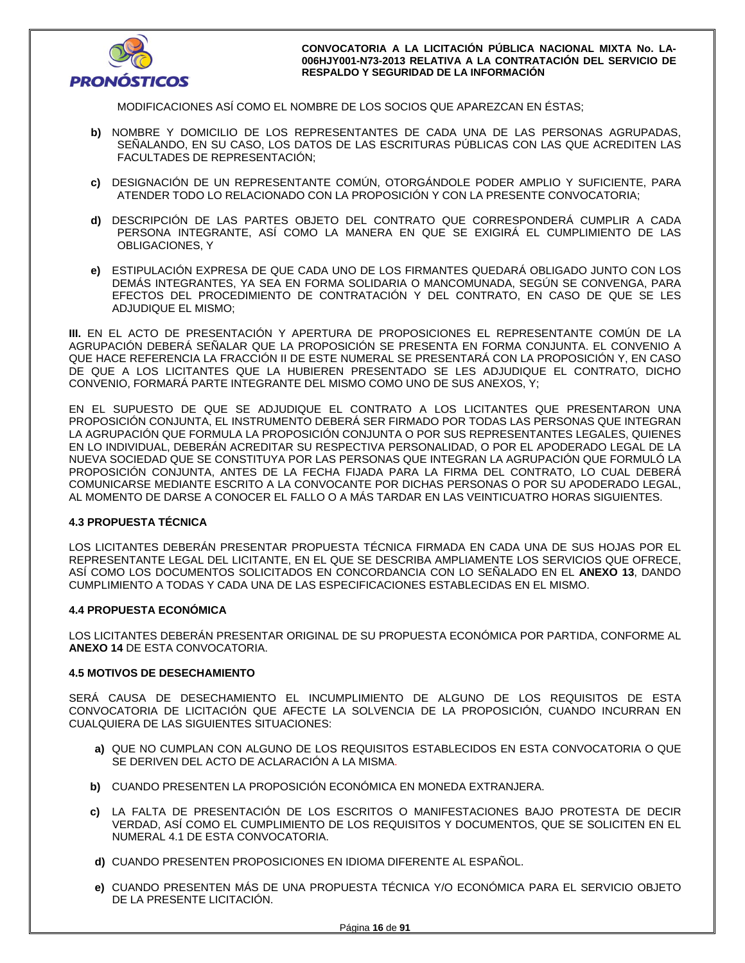

MODIFICACIONES ASÍ COMO EL NOMBRE DE LOS SOCIOS QUE APAREZCAN EN ÉSTAS;

- **b)** NOMBRE Y DOMICILIO DE LOS REPRESENTANTES DE CADA UNA DE LAS PERSONAS AGRUPADAS, SEÑALANDO, EN SU CASO, LOS DATOS DE LAS ESCRITURAS PÚBLICAS CON LAS QUE ACREDITEN LAS FACULTADES DE REPRESENTACIÓN;
- **c)** DESIGNACIÓN DE UN REPRESENTANTE COMÚN, OTORGÁNDOLE PODER AMPLIO Y SUFICIENTE, PARA ATENDER TODO LO RELACIONADO CON LA PROPOSICIÓN Y CON LA PRESENTE CONVOCATORIA;
- **d)** DESCRIPCIÓN DE LAS PARTES OBJETO DEL CONTRATO QUE CORRESPONDERÁ CUMPLIR A CADA PERSONA INTEGRANTE, ASÍ COMO LA MANERA EN QUE SE EXIGIRÁ EL CUMPLIMIENTO DE LAS OBLIGACIONES, Y
- **e)** ESTIPULACIÓN EXPRESA DE QUE CADA UNO DE LOS FIRMANTES QUEDARÁ OBLIGADO JUNTO CON LOS DEMÁS INTEGRANTES, YA SEA EN FORMA SOLIDARIA O MANCOMUNADA, SEGÚN SE CONVENGA, PARA EFECTOS DEL PROCEDIMIENTO DE CONTRATACIÓN Y DEL CONTRATO, EN CASO DE QUE SE LES ADJUDIQUE EL MISMO;

**III.** EN EL ACTO DE PRESENTACIÓN Y APERTURA DE PROPOSICIONES EL REPRESENTANTE COMÚN DE LA AGRUPACIÓN DEBERÁ SEÑALAR QUE LA PROPOSICIÓN SE PRESENTA EN FORMA CONJUNTA. EL CONVENIO A QUE HACE REFERENCIA LA FRACCIÓN II DE ESTE NUMERAL SE PRESENTARÁ CON LA PROPOSICIÓN Y, EN CASO DE QUE A LOS LICITANTES QUE LA HUBIEREN PRESENTADO SE LES ADJUDIQUE EL CONTRATO, DICHO CONVENIO, FORMARÁ PARTE INTEGRANTE DEL MISMO COMO UNO DE SUS ANEXOS, Y;

EN EL SUPUESTO DE QUE SE ADJUDIQUE EL CONTRATO A LOS LICITANTES QUE PRESENTARON UNA PROPOSICIÓN CONJUNTA, EL INSTRUMENTO DEBERÁ SER FIRMADO POR TODAS LAS PERSONAS QUE INTEGRAN LA AGRUPACIÓN QUE FORMULA LA PROPOSICIÓN CONJUNTA O POR SUS REPRESENTANTES LEGALES, QUIENES EN LO INDIVIDUAL, DEBERÁN ACREDITAR SU RESPECTIVA PERSONALIDAD, O POR EL APODERADO LEGAL DE LA NUEVA SOCIEDAD QUE SE CONSTITUYA POR LAS PERSONAS QUE INTEGRAN LA AGRUPACIÓN QUE FORMULÓ LA PROPOSICIÓN CONJUNTA, ANTES DE LA FECHA FIJADA PARA LA FIRMA DEL CONTRATO, LO CUAL DEBERÁ COMUNICARSE MEDIANTE ESCRITO A LA CONVOCANTE POR DICHAS PERSONAS O POR SU APODERADO LEGAL, AL MOMENTO DE DARSE A CONOCER EL FALLO O A MÁS TARDAR EN LAS VEINTICUATRO HORAS SIGUIENTES.

### **4.3 PROPUESTA TÉCNICA**

LOS LICITANTES DEBERÁN PRESENTAR PROPUESTA TÉCNICA FIRMADA EN CADA UNA DE SUS HOJAS POR EL REPRESENTANTE LEGAL DEL LICITANTE, EN EL QUE SE DESCRIBA AMPLIAMENTE LOS SERVICIOS QUE OFRECE, ASÍ COMO LOS DOCUMENTOS SOLICITADOS EN CONCORDANCIA CON LO SEÑALADO EN EL **ANEXO 13**, DANDO CUMPLIMIENTO A TODAS Y CADA UNA DE LAS ESPECIFICACIONES ESTABLECIDAS EN EL MISMO.

### **4.4 PROPUESTA ECONÓMICA**

LOS LICITANTES DEBERÁN PRESENTAR ORIGINAL DE SU PROPUESTA ECONÓMICA POR PARTIDA, CONFORME AL **ANEXO 14** DE ESTA CONVOCATORIA.

### **4.5 MOTIVOS DE DESECHAMIENTO**

SERÁ CAUSA DE DESECHAMIENTO EL INCUMPLIMIENTO DE ALGUNO DE LOS REQUISITOS DE ESTA CONVOCATORIA DE LICITACIÓN QUE AFECTE LA SOLVENCIA DE LA PROPOSICIÓN, CUANDO INCURRAN EN CUALQUIERA DE LAS SIGUIENTES SITUACIONES:

- **a)** QUE NO CUMPLAN CON ALGUNO DE LOS REQUISITOS ESTABLECIDOS EN ESTA CONVOCATORIA O QUE SE DERIVEN DEL ACTO DE ACLARACIÓN A LA MISMA.
- **b)** CUANDO PRESENTEN LA PROPOSICIÓN ECONÓMICA EN MONEDA EXTRANJERA.
- **c)** LA FALTA DE PRESENTACIÓN DE LOS ESCRITOS O MANIFESTACIONES BAJO PROTESTA DE DECIR VERDAD, ASÍ COMO EL CUMPLIMIENTO DE LOS REQUISITOS Y DOCUMENTOS, QUE SE SOLICITEN EN EL NUMERAL 4.1 DE ESTA CONVOCATORIA.
- **d)** CUANDO PRESENTEN PROPOSICIONES EN IDIOMA DIFERENTE AL ESPAÑOL.
- **e)** CUANDO PRESENTEN MÁS DE UNA PROPUESTA TÉCNICA Y/O ECONÓMICA PARA EL SERVICIO OBJETO DE LA PRESENTE LICITACIÓN.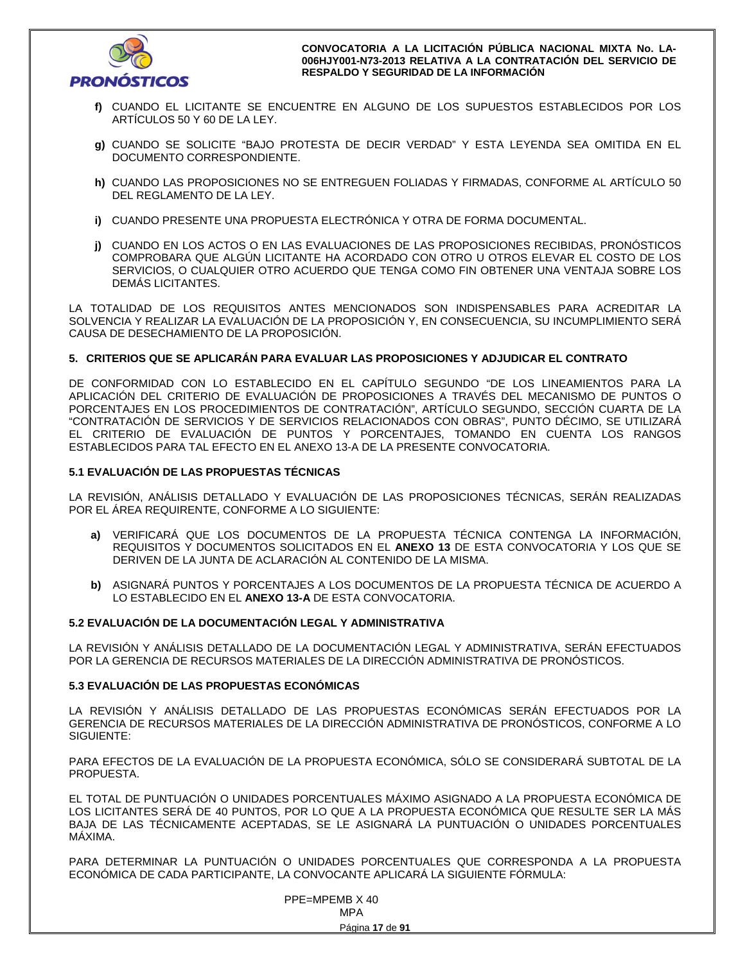

- **f)** CUANDO EL LICITANTE SE ENCUENTRE EN ALGUNO DE LOS SUPUESTOS ESTABLECIDOS POR LOS ARTÍCULOS 50 Y 60 DE LA LEY.
- **g)** CUANDO SE SOLICITE "BAJO PROTESTA DE DECIR VERDAD" Y ESTA LEYENDA SEA OMITIDA EN EL DOCUMENTO CORRESPONDIENTE.
- **h)** CUANDO LAS PROPOSICIONES NO SE ENTREGUEN FOLIADAS Y FIRMADAS, CONFORME AL ARTÍCULO 50 DEL REGLAMENTO DE LA LEY.
- **i)** CUANDO PRESENTE UNA PROPUESTA ELECTRÓNICA Y OTRA DE FORMA DOCUMENTAL.
- **j)** CUANDO EN LOS ACTOS O EN LAS EVALUACIONES DE LAS PROPOSICIONES RECIBIDAS, PRONÓSTICOS COMPROBARA QUE ALGÚN LICITANTE HA ACORDADO CON OTRO U OTROS ELEVAR EL COSTO DE LOS SERVICIOS, O CUALQUIER OTRO ACUERDO QUE TENGA COMO FIN OBTENER UNA VENTAJA SOBRE LOS DEMÁS LICITANTES.

LA TOTALIDAD DE LOS REQUISITOS ANTES MENCIONADOS SON INDISPENSABLES PARA ACREDITAR LA SOLVENCIA Y REALIZAR LA EVALUACIÓN DE LA PROPOSICIÓN Y, EN CONSECUENCIA, SU INCUMPLIMIENTO SERÁ CAUSA DE DESECHAMIENTO DE LA PROPOSICIÓN.

### **5. CRITERIOS QUE SE APLICARÁN PARA EVALUAR LAS PROPOSICIONES Y ADJUDICAR EL CONTRATO**

DE CONFORMIDAD CON LO ESTABLECIDO EN EL CAPÍTULO SEGUNDO "DE LOS LINEAMIENTOS PARA LA APLICACIÓN DEL CRITERIO DE EVALUACIÓN DE PROPOSICIONES A TRAVÉS DEL MECANISMO DE PUNTOS O PORCENTAJES EN LOS PROCEDIMIENTOS DE CONTRATACIÓN", ARTÍCULO SEGUNDO, SECCIÓN CUARTA DE LA "CONTRATACIÓN DE SERVICIOS Y DE SERVICIOS RELACIONADOS CON OBRAS", PUNTO DÉCIMO, SE UTILIZARÁ EL CRITERIO DE EVALUACIÓN DE PUNTOS Y PORCENTAJES, TOMANDO EN CUENTA LOS RANGOS ESTABLECIDOS PARA TAL EFECTO EN EL ANEXO 13-A DE LA PRESENTE CONVOCATORIA.

### **5.1 EVALUACIÓN DE LAS PROPUESTAS TÉCNICAS**

LA REVISIÓN, ANÁLISIS DETALLADO Y EVALUACIÓN DE LAS PROPOSICIONES TÉCNICAS, SERÁN REALIZADAS POR EL ÁREA REQUIRENTE, CONFORME A LO SIGUIENTE:

- **a)** VERIFICARÁ QUE LOS DOCUMENTOS DE LA PROPUESTA TÉCNICA CONTENGA LA INFORMACIÓN, REQUISITOS Y DOCUMENTOS SOLICITADOS EN EL **ANEXO 13** DE ESTA CONVOCATORIA Y LOS QUE SE DERIVEN DE LA JUNTA DE ACLARACIÓN AL CONTENIDO DE LA MISMA.
- **b)** ASIGNARÁ PUNTOS Y PORCENTAJES A LOS DOCUMENTOS DE LA PROPUESTA TÉCNICA DE ACUERDO A LO ESTABLECIDO EN EL **ANEXO 13-A** DE ESTA CONVOCATORIA.

### **5.2 EVALUACIÓN DE LA DOCUMENTACIÓN LEGAL Y ADMINISTRATIVA**

LA REVISIÓN Y ANÁLISIS DETALLADO DE LA DOCUMENTACIÓN LEGAL Y ADMINISTRATIVA, SERÁN EFECTUADOS POR LA GERENCIA DE RECURSOS MATERIALES DE LA DIRECCIÓN ADMINISTRATIVA DE PRONÓSTICOS.

### **5.3 EVALUACIÓN DE LAS PROPUESTAS ECONÓMICAS**

LA REVISIÓN Y ANÁLISIS DETALLADO DE LAS PROPUESTAS ECONÓMICAS SERÁN EFECTUADOS POR LA GERENCIA DE RECURSOS MATERIALES DE LA DIRECCIÓN ADMINISTRATIVA DE PRONÓSTICOS, CONFORME A LO SIGUIENTE:

PARA EFECTOS DE LA EVALUACIÓN DE LA PROPUESTA ECONÓMICA, SÓLO SE CONSIDERARÁ SUBTOTAL DE LA PROPUESTA.

EL TOTAL DE PUNTUACIÓN O UNIDADES PORCENTUALES MÁXIMO ASIGNADO A LA PROPUESTA ECONÓMICA DE LOS LICITANTES SERÁ DE 40 PUNTOS, POR LO QUE A LA PROPUESTA ECONÓMICA QUE RESULTE SER LA MÁS BAJA DE LAS TÉCNICAMENTE ACEPTADAS, SE LE ASIGNARÁ LA PUNTUACIÓN O UNIDADES PORCENTUALES MÁXIMA.

PARA DETERMINAR LA PUNTUACIÓN O UNIDADES PORCENTUALES QUE CORRESPONDA A LA PROPUESTA ECONÓMICA DE CADA PARTICIPANTE, LA CONVOCANTE APLICARÁ LA SIGUIENTE FÓRMULA:

 PPE=MPEMB X 40 **MPA MPA**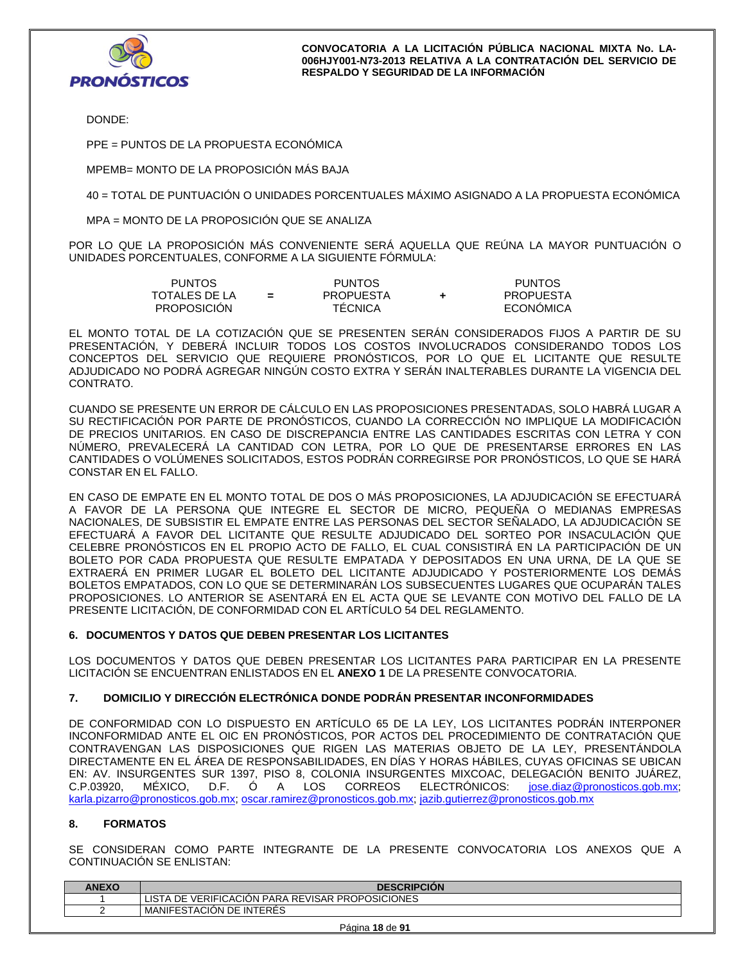

DONDE:

PPE = PUNTOS DE LA PROPUESTA ECONÓMICA

MPEMB= MONTO DE LA PROPOSICIÓN MÁS BAJA

40 = TOTAL DE PUNTUACIÓN O UNIDADES PORCENTUALES MÁXIMO ASIGNADO A LA PROPUESTA ECONÓMICA

MPA = MONTO DE LA PROPOSICIÓN QUE SE ANALIZA

POR LO QUE LA PROPOSICIÓN MÁS CONVENIENTE SERÁ AQUELLA QUE REÚNA LA MAYOR PUNTUACIÓN O UNIDADES PORCENTUALES, CONFORME A LA SIGUIENTE FÓRMULA:

| PUNTOS        |     | <b>PUNTOS</b>    | <b>PUNTOS</b>    |
|---------------|-----|------------------|------------------|
| TOTALES DE LA | $=$ | <b>PROPUESTA</b> | <b>PROPUESTA</b> |
| PROPOSICIÓN   |     | <b>TECNICA</b>   | ECONÓMICA        |

EL MONTO TOTAL DE LA COTIZACIÓN QUE SE PRESENTEN SERÁN CONSIDERADOS FIJOS A PARTIR DE SU PRESENTACIÓN, Y DEBERÁ INCLUIR TODOS LOS COSTOS INVOLUCRADOS CONSIDERANDO TODOS LOS CONCEPTOS DEL SERVICIO QUE REQUIERE PRONÓSTICOS, POR LO QUE EL LICITANTE QUE RESULTE ADJUDICADO NO PODRÁ AGREGAR NINGÚN COSTO EXTRA Y SERÁN INALTERABLES DURANTE LA VIGENCIA DEL CONTRATO.

CUANDO SE PRESENTE UN ERROR DE CÁLCULO EN LAS PROPOSICIONES PRESENTADAS, SOLO HABRÁ LUGAR A SU RECTIFICACIÓN POR PARTE DE PRONÓSTICOS, CUANDO LA CORRECCIÓN NO IMPLIQUE LA MODIFICACIÓN DE PRECIOS UNITARIOS. EN CASO DE DISCREPANCIA ENTRE LAS CANTIDADES ESCRITAS CON LETRA Y CON NÚMERO, PREVALECERÁ LA CANTIDAD CON LETRA, POR LO QUE DE PRESENTARSE ERRORES EN LAS CANTIDADES O VOLÚMENES SOLICITADOS, ESTOS PODRÁN CORREGIRSE POR PRONÓSTICOS, LO QUE SE HARÁ CONSTAR EN EL FALLO.

EN CASO DE EMPATE EN EL MONTO TOTAL DE DOS O MÁS PROPOSICIONES, LA ADJUDICACIÓN SE EFECTUARÁ A FAVOR DE LA PERSONA QUE INTEGRE EL SECTOR DE MICRO, PEQUEÑA O MEDIANAS EMPRESAS NACIONALES, DE SUBSISTIR EL EMPATE ENTRE LAS PERSONAS DEL SECTOR SEÑALADO, LA ADJUDICACIÓN SE EFECTUARÁ A FAVOR DEL LICITANTE QUE RESULTE ADJUDICADO DEL SORTEO POR INSACULACIÓN QUE CELEBRE PRONÓSTICOS EN EL PROPIO ACTO DE FALLO, EL CUAL CONSISTIRÁ EN LA PARTICIPACIÓN DE UN BOLETO POR CADA PROPUESTA QUE RESULTE EMPATADA Y DEPOSITADOS EN UNA URNA, DE LA QUE SE EXTRAERÁ EN PRIMER LUGAR EL BOLETO DEL LICITANTE ADJUDICADO Y POSTERIORMENTE LOS DEMÁS BOLETOS EMPATADOS, CON LO QUE SE DETERMINARÁN LOS SUBSECUENTES LUGARES QUE OCUPARÁN TALES PROPOSICIONES. LO ANTERIOR SE ASENTARÁ EN EL ACTA QUE SE LEVANTE CON MOTIVO DEL FALLO DE LA PRESENTE LICITACIÓN, DE CONFORMIDAD CON EL ARTÍCULO 54 DEL REGLAMENTO.

### **6. DOCUMENTOS Y DATOS QUE DEBEN PRESENTAR LOS LICITANTES**

LOS DOCUMENTOS Y DATOS QUE DEBEN PRESENTAR LOS LICITANTES PARA PARTICIPAR EN LA PRESENTE LICITACIÓN SE ENCUENTRAN ENLISTADOS EN EL **ANEXO 1** DE LA PRESENTE CONVOCATORIA.

## **7. DOMICILIO Y DIRECCIÓN ELECTRÓNICA DONDE PODRÁN PRESENTAR INCONFORMIDADES**

DE CONFORMIDAD CON LO DISPUESTO EN ARTÍCULO 65 DE LA LEY, LOS LICITANTES PODRÁN INTERPONER INCONFORMIDAD ANTE EL OIC EN PRONÓSTICOS, POR ACTOS DEL PROCEDIMIENTO DE CONTRATACIÓN QUE CONTRAVENGAN LAS DISPOSICIONES QUE RIGEN LAS MATERIAS OBJETO DE LA LEY, PRESENTÁNDOLA DIRECTAMENTE EN EL ÁREA DE RESPONSABILIDADES, EN DÍAS Y HORAS HÁBILES, CUYAS OFICINAS SE UBICAN EN: AV. INSURGENTES SUR 1397, PISO 8, COLONIA INSURGENTES MIXCOAC, DELEGACIÓN BENITO JUÁREZ, C.P.03920, MÉXICO, D.F. Ó A LOS CORREOS ELECTRÓNICOS: jose.diaz@pronosticos.gob.mx; karla.pizarro@pronosticos.gob.mx; oscar.ramirez@pronosticos.gob.mx; jazib.gutierrez@pronosticos.gob.mx

### **8. FORMATOS**

SE CONSIDERAN COMO PARTE INTEGRANTE DE LA PRESENTE CONVOCATORIA LOS ANEXOS QUE A CONTINUACIÓN SE ENLISTAN:

| <b>ANEXO</b> | <b>DESCRIPCION</b>         |
|--------------|----------------------------|
|              | LISTA                      |
|              | I MANIFESTACION DE INTERES |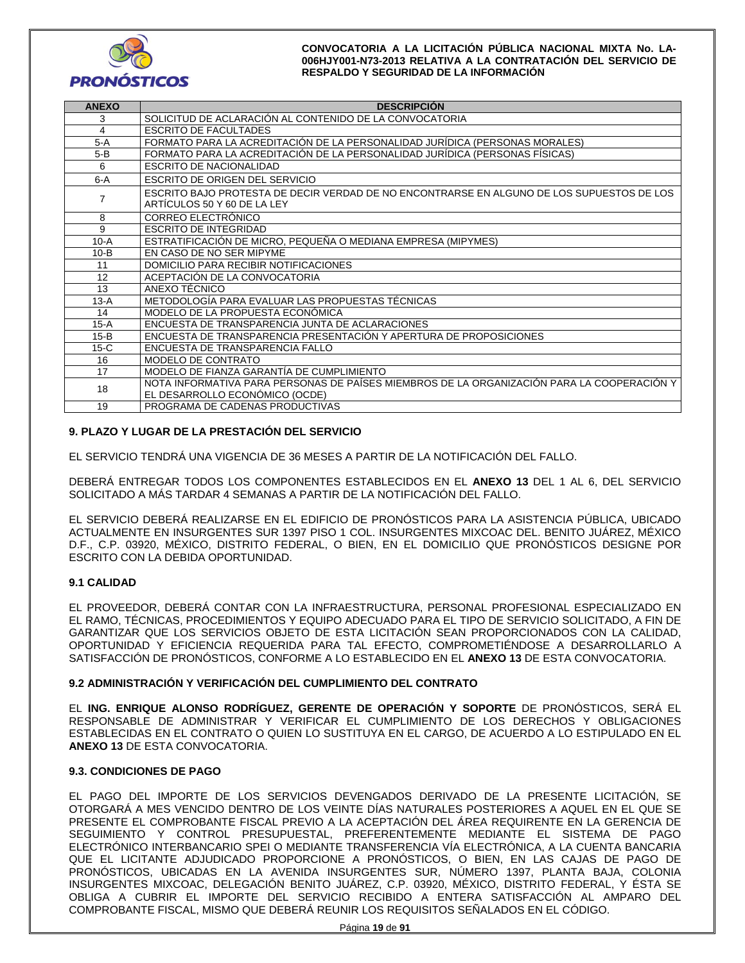

| <b>ANEXO</b> | <b>DESCRIPCIÓN</b>                                                                                                           |
|--------------|------------------------------------------------------------------------------------------------------------------------------|
| 3            | SOLICITUD DE ACLARACIÓN AL CONTENIDO DE LA CONVOCATORIA                                                                      |
| 4            | <b>ESCRITO DE FACULTADES</b>                                                                                                 |
| 5-A          | FORMATO PARA LA ACREDITACIÓN DE LA PERSONALIDAD JURÍDICA (PERSONAS MORALES)                                                  |
| 5-B          | FORMATO PARA LA ACREDITACIÓN DE LA PERSONALIDAD JURÍDICA (PERSONAS FÍSICAS)                                                  |
| 6            | ESCRITO DE NACIONALIDAD                                                                                                      |
| $6-A$        | <b>ESCRITO DE ORIGEN DEL SERVICIO</b>                                                                                        |
| 7            | ESCRITO BAJO PROTESTA DE DECIR VERDAD DE NO ENCONTRARSE EN ALGUNO DE LOS SUPUESTOS DE LOS<br>ARTICULOS 50 Y 60 DE LA LEY     |
| 8            | CORREO ELECTRÓNICO                                                                                                           |
| 9            | <b>ESCRITO DE INTEGRIDAD</b>                                                                                                 |
| $10-A$       | ESTRATIFICACIÓN DE MICRO, PEQUEÑA O MEDIANA EMPRESA (MIPYMES)                                                                |
| $10-B$       | EN CASO DE NO SER MIPYME                                                                                                     |
| 11           | DOMICILIO PARA RECIBIR NOTIFICACIONES                                                                                        |
| 12           | ACEPTACIÓN DE LA CONVOCATORIA                                                                                                |
| 13           | ANEXO TÉCNICO                                                                                                                |
| $13-A$       | METODOLOGÍA PARA EVALUAR LAS PROPUESTAS TÉCNICAS                                                                             |
| 14           | MODELO DE LA PROPUESTA ECONÓMICA                                                                                             |
| $15-A$       | ENCUESTA DE TRANSPARENCIA JUNTA DE ACLARACIONES                                                                              |
| $15-B$       | ENCUESTA DE TRANSPARENCIA PRESENTACIÓN Y APERTURA DE PROPOSICIONES                                                           |
| $15-C$       | ENCUESTA DE TRANSPARENCIA FALLO                                                                                              |
| 16           | MODELO DE CONTRATO                                                                                                           |
| 17           | MODELO DE FIANZA GARANTÍA DE CUMPLIMIENTO                                                                                    |
| 18           | NOTA INFORMATIVA PARA PERSONAS DE PAÍSES MIEMBROS DE LA ORGANIZACIÓN PARA LA COOPERACIÓN Y<br>EL DESARROLLO ECONÓMICO (OCDE) |
| 19           | PROGRAMA DE CADENAS PRODUCTIVAS                                                                                              |

## **9. PLAZO Y LUGAR DE LA PRESTACIÓN DEL SERVICIO**

EL SERVICIO TENDRÁ UNA VIGENCIA DE 36 MESES A PARTIR DE LA NOTIFICACIÓN DEL FALLO.

DEBERÁ ENTREGAR TODOS LOS COMPONENTES ESTABLECIDOS EN EL **ANEXO 13** DEL 1 AL 6, DEL SERVICIO SOLICITADO A MÁS TARDAR 4 SEMANAS A PARTIR DE LA NOTIFICACIÓN DEL FALLO.

EL SERVICIO DEBERÁ REALIZARSE EN EL EDIFICIO DE PRONÓSTICOS PARA LA ASISTENCIA PÚBLICA, UBICADO ACTUALMENTE EN INSURGENTES SUR 1397 PISO 1 COL. INSURGENTES MIXCOAC DEL. BENITO JUÁREZ, MÉXICO D.F., C.P. 03920, MÉXICO, DISTRITO FEDERAL, O BIEN, EN EL DOMICILIO QUE PRONÓSTICOS DESIGNE POR ESCRITO CON LA DEBIDA OPORTUNIDAD.

### **9.1 CALIDAD**

EL PROVEEDOR, DEBERÁ CONTAR CON LA INFRAESTRUCTURA, PERSONAL PROFESIONAL ESPECIALIZADO EN EL RAMO, TÉCNICAS, PROCEDIMIENTOS Y EQUIPO ADECUADO PARA EL TIPO DE SERVICIO SOLICITADO, A FIN DE GARANTIZAR QUE LOS SERVICIOS OBJETO DE ESTA LICITACIÓN SEAN PROPORCIONADOS CON LA CALIDAD, OPORTUNIDAD Y EFICIENCIA REQUERIDA PARA TAL EFECTO, COMPROMETIÉNDOSE A DESARROLLARLO A SATISFACCIÓN DE PRONÓSTICOS, CONFORME A LO ESTABLECIDO EN EL **ANEXO 13** DE ESTA CONVOCATORIA.

### **9.2 ADMINISTRACIÓN Y VERIFICACIÓN DEL CUMPLIMIENTO DEL CONTRATO**

EL **ING. ENRIQUE ALONSO RODRÍGUEZ, GERENTE DE OPERACIÓN Y SOPORTE** DE PRONÓSTICOS, SERÁ EL RESPONSABLE DE ADMINISTRAR Y VERIFICAR EL CUMPLIMIENTO DE LOS DERECHOS Y OBLIGACIONES ESTABLECIDAS EN EL CONTRATO O QUIEN LO SUSTITUYA EN EL CARGO, DE ACUERDO A LO ESTIPULADO EN EL **ANEXO 13** DE ESTA CONVOCATORIA.

### **9.3. CONDICIONES DE PAGO**

EL PAGO DEL IMPORTE DE LOS SERVICIOS DEVENGADOS DERIVADO DE LA PRESENTE LICITACIÓN, SE OTORGARÁ A MES VENCIDO DENTRO DE LOS VEINTE DÍAS NATURALES POSTERIORES A AQUEL EN EL QUE SE PRESENTE EL COMPROBANTE FISCAL PREVIO A LA ACEPTACIÓN DEL ÁREA REQUIRENTE EN LA GERENCIA DE SEGUIMIENTO Y CONTROL PRESUPUESTAL, PREFERENTEMENTE MEDIANTE EL SISTEMA DE PAGO ELECTRÓNICO INTERBANCARIO SPEI O MEDIANTE TRANSFERENCIA VÍA ELECTRÓNICA, A LA CUENTA BANCARIA QUE EL LICITANTE ADJUDICADO PROPORCIONE A PRONÓSTICOS, O BIEN, EN LAS CAJAS DE PAGO DE PRONÓSTICOS, UBICADAS EN LA AVENIDA INSURGENTES SUR, NÚMERO 1397, PLANTA BAJA, COLONIA INSURGENTES MIXCOAC, DELEGACIÓN BENITO JUÁREZ, C.P. 03920, MÉXICO, DISTRITO FEDERAL, Y ÉSTA SE OBLIGA A CUBRIR EL IMPORTE DEL SERVICIO RECIBIDO A ENTERA SATISFACCIÓN AL AMPARO DEL COMPROBANTE FISCAL, MISMO QUE DEBERÁ REUNIR LOS REQUISITOS SEÑALADOS EN EL CÓDIGO.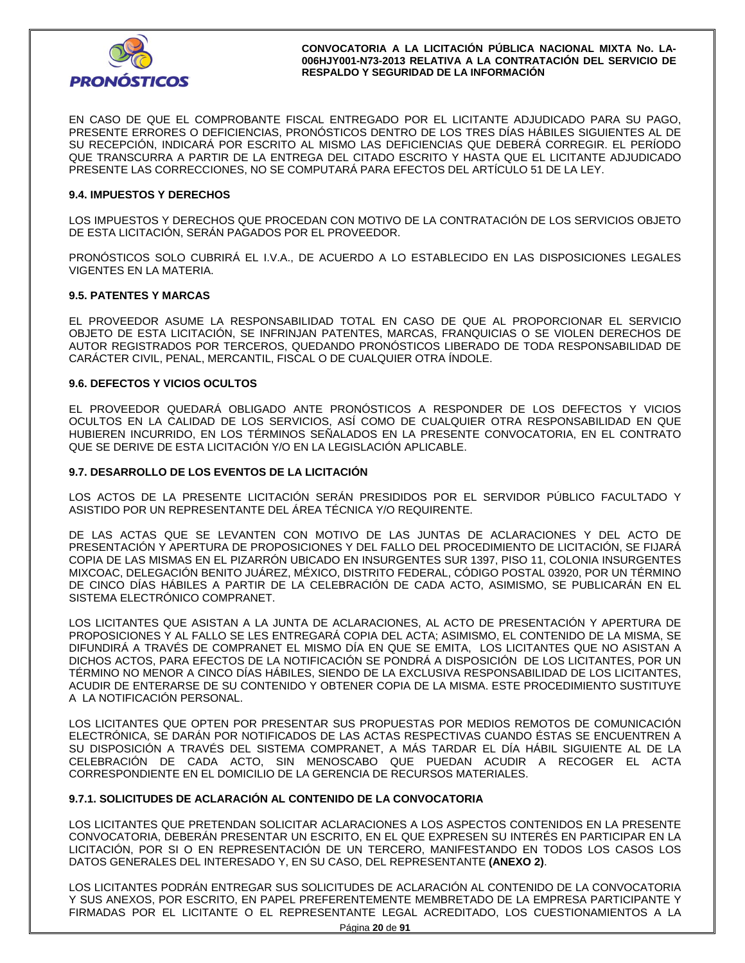

EN CASO DE QUE EL COMPROBANTE FISCAL ENTREGADO POR EL LICITANTE ADJUDICADO PARA SU PAGO, PRESENTE ERRORES O DEFICIENCIAS, PRONÓSTICOS DENTRO DE LOS TRES DÍAS HÁBILES SIGUIENTES AL DE SU RECEPCIÓN, INDICARÁ POR ESCRITO AL MISMO LAS DEFICIENCIAS QUE DEBERÁ CORREGIR. EL PERÍODO QUE TRANSCURRA A PARTIR DE LA ENTREGA DEL CITADO ESCRITO Y HASTA QUE EL LICITANTE ADJUDICADO PRESENTE LAS CORRECCIONES, NO SE COMPUTARÁ PARA EFECTOS DEL ARTÍCULO 51 DE LA LEY.

#### **9.4. IMPUESTOS Y DERECHOS**

LOS IMPUESTOS Y DERECHOS QUE PROCEDAN CON MOTIVO DE LA CONTRATACIÓN DE LOS SERVICIOS OBJETO DE ESTA LICITACIÓN, SERÁN PAGADOS POR EL PROVEEDOR.

PRONÓSTICOS SOLO CUBRIRÁ EL I.V.A., DE ACUERDO A LO ESTABLECIDO EN LAS DISPOSICIONES LEGALES VIGENTES EN LA MATERIA.

#### **9.5. PATENTES Y MARCAS**

EL PROVEEDOR ASUME LA RESPONSABILIDAD TOTAL EN CASO DE QUE AL PROPORCIONAR EL SERVICIO OBJETO DE ESTA LICITACIÓN, SE INFRINJAN PATENTES, MARCAS, FRANQUICIAS O SE VIOLEN DERECHOS DE AUTOR REGISTRADOS POR TERCEROS, QUEDANDO PRONÓSTICOS LIBERADO DE TODA RESPONSABILIDAD DE CARÁCTER CIVIL, PENAL, MERCANTIL, FISCAL O DE CUALQUIER OTRA ÍNDOLE.

#### **9.6. DEFECTOS Y VICIOS OCULTOS**

EL PROVEEDOR QUEDARÁ OBLIGADO ANTE PRONÓSTICOS A RESPONDER DE LOS DEFECTOS Y VICIOS OCULTOS EN LA CALIDAD DE LOS SERVICIOS, ASÍ COMO DE CUALQUIER OTRA RESPONSABILIDAD EN QUE HUBIEREN INCURRIDO, EN LOS TÉRMINOS SEÑALADOS EN LA PRESENTE CONVOCATORIA, EN EL CONTRATO QUE SE DERIVE DE ESTA LICITACIÓN Y/O EN LA LEGISLACIÓN APLICABLE.

#### **9.7. DESARROLLO DE LOS EVENTOS DE LA LICITACIÓN**

LOS ACTOS DE LA PRESENTE LICITACIÓN SERÁN PRESIDIDOS POR EL SERVIDOR PÚBLICO FACULTADO Y ASISTIDO POR UN REPRESENTANTE DEL ÁREA TÉCNICA Y/O REQUIRENTE.

DE LAS ACTAS QUE SE LEVANTEN CON MOTIVO DE LAS JUNTAS DE ACLARACIONES Y DEL ACTO DE PRESENTACIÓN Y APERTURA DE PROPOSICIONES Y DEL FALLO DEL PROCEDIMIENTO DE LICITACIÓN, SE FIJARÁ COPIA DE LAS MISMAS EN EL PIZARRÓN UBICADO EN INSURGENTES SUR 1397, PISO 11, COLONIA INSURGENTES MIXCOAC, DELEGACIÓN BENITO JUÁREZ, MÉXICO, DISTRITO FEDERAL, CÓDIGO POSTAL 03920, POR UN TÉRMINO DE CINCO DÍAS HÁBILES A PARTIR DE LA CELEBRACIÓN DE CADA ACTO, ASIMISMO, SE PUBLICARÁN EN EL SISTEMA ELECTRÓNICO COMPRANET.

LOS LICITANTES QUE ASISTAN A LA JUNTA DE ACLARACIONES, AL ACTO DE PRESENTACIÓN Y APERTURA DE PROPOSICIONES Y AL FALLO SE LES ENTREGARÁ COPIA DEL ACTA; ASIMISMO, EL CONTENIDO DE LA MISMA, SE DIFUNDIRÁ A TRAVÉS DE COMPRANET EL MISMO DÍA EN QUE SE EMITA, LOS LICITANTES QUE NO ASISTAN A DICHOS ACTOS, PARA EFECTOS DE LA NOTIFICACIÓN SE PONDRÁ A DISPOSICIÓN DE LOS LICITANTES, POR UN TÉRMINO NO MENOR A CINCO DÍAS HÁBILES, SIENDO DE LA EXCLUSIVA RESPONSABILIDAD DE LOS LICITANTES, ACUDIR DE ENTERARSE DE SU CONTENIDO Y OBTENER COPIA DE LA MISMA. ESTE PROCEDIMIENTO SUSTITUYE A LA NOTIFICACIÓN PERSONAL.

LOS LICITANTES QUE OPTEN POR PRESENTAR SUS PROPUESTAS POR MEDIOS REMOTOS DE COMUNICACIÓN ELECTRÓNICA, SE DARÁN POR NOTIFICADOS DE LAS ACTAS RESPECTIVAS CUANDO ÉSTAS SE ENCUENTREN A SU DISPOSICIÓN A TRAVÉS DEL SISTEMA COMPRANET, A MÁS TARDAR EL DÍA HÁBIL SIGUIENTE AL DE LA CELEBRACIÓN DE CADA ACTO, SIN MENOSCABO QUE PUEDAN ACUDIR A RECOGER EL ACTA CORRESPONDIENTE EN EL DOMICILIO DE LA GERENCIA DE RECURSOS MATERIALES.

### **9.7.1. SOLICITUDES DE ACLARACIÓN AL CONTENIDO DE LA CONVOCATORIA**

LOS LICITANTES QUE PRETENDAN SOLICITAR ACLARACIONES A LOS ASPECTOS CONTENIDOS EN LA PRESENTE CONVOCATORIA, DEBERÁN PRESENTAR UN ESCRITO, EN EL QUE EXPRESEN SU INTERÉS EN PARTICIPAR EN LA LICITACIÓN, POR SI O EN REPRESENTACIÓN DE UN TERCERO, MANIFESTANDO EN TODOS LOS CASOS LOS DATOS GENERALES DEL INTERESADO Y, EN SU CASO, DEL REPRESENTANTE **(ANEXO 2)**.

LOS LICITANTES PODRÁN ENTREGAR SUS SOLICITUDES DE ACLARACIÓN AL CONTENIDO DE LA CONVOCATORIA Y SUS ANEXOS, POR ESCRITO, EN PAPEL PREFERENTEMENTE MEMBRETADO DE LA EMPRESA PARTICIPANTE Y FIRMADAS POR EL LICITANTE O EL REPRESENTANTE LEGAL ACREDITADO, LOS CUESTIONAMIENTOS A LA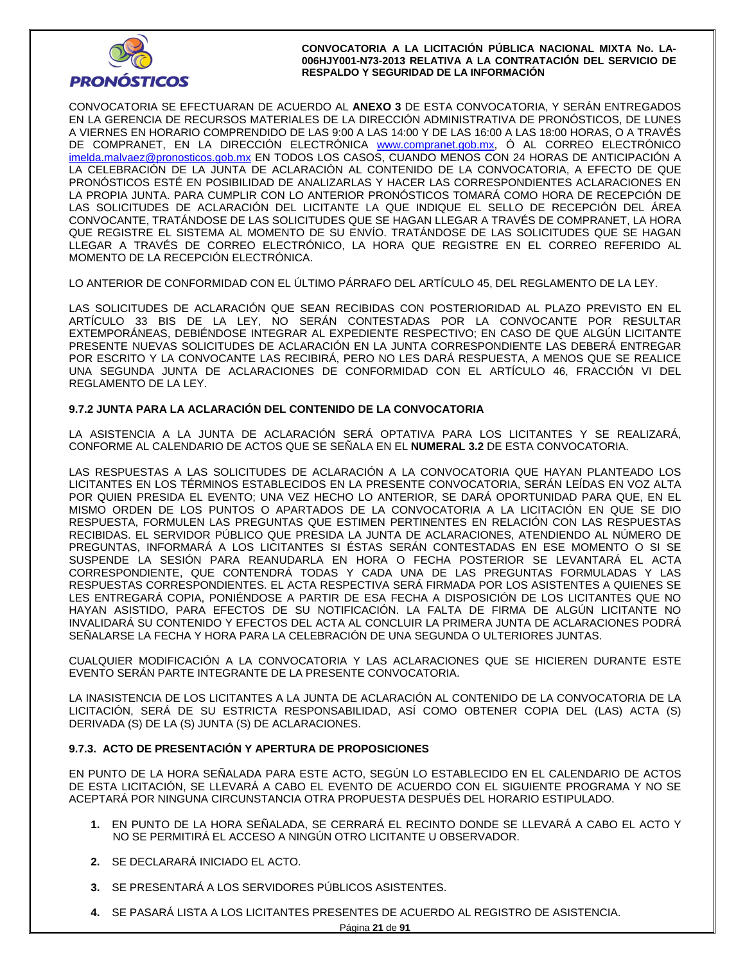

CONVOCATORIA SE EFECTUARAN DE ACUERDO AL **ANEXO 3** DE ESTA CONVOCATORIA, Y SERÁN ENTREGADOS EN LA GERENCIA DE RECURSOS MATERIALES DE LA DIRECCIÓN ADMINISTRATIVA DE PRONÓSTICOS, DE LUNES A VIERNES EN HORARIO COMPRENDIDO DE LAS 9:00 A LAS 14:00 Y DE LAS 16:00 A LAS 18:00 HORAS, O A TRAVÉS DE COMPRANET, EN LA DIRECCIÓN ELECTRÓNICA www.compranet.gob.mx, Ó AL CORREO ELECTRÓNICO imelda.malvaez@pronosticos.gob.mx EN TODOS LOS CASOS, CUANDO MENOS CON 24 HORAS DE ANTICIPACIÓN A LA CELEBRACIÓN DE LA JUNTA DE ACLARACIÓN AL CONTENIDO DE LA CONVOCATORIA, A EFECTO DE QUE PRONÓSTICOS ESTÉ EN POSIBILIDAD DE ANALIZARLAS Y HACER LAS CORRESPONDIENTES ACLARACIONES EN LA PROPIA JUNTA. PARA CUMPLIR CON LO ANTERIOR PRONÓSTICOS TOMARÁ COMO HORA DE RECEPCIÓN DE LAS SOLICITUDES DE ACLARACIÓN DEL LICITANTE LA QUE INDIQUE EL SELLO DE RECEPCIÓN DEL ÁREA CONVOCANTE, TRATÁNDOSE DE LAS SOLICITUDES QUE SE HAGAN LLEGAR A TRAVÉS DE COMPRANET, LA HORA QUE REGISTRE EL SISTEMA AL MOMENTO DE SU ENVÍO. TRATÁNDOSE DE LAS SOLICITUDES QUE SE HAGAN LLEGAR A TRAVÉS DE CORREO ELECTRÓNICO, LA HORA QUE REGISTRE EN EL CORREO REFERIDO AL MOMENTO DE LA RECEPCIÓN ELECTRÓNICA.

LO ANTERIOR DE CONFORMIDAD CON EL ÚLTIMO PÁRRAFO DEL ARTÍCULO 45, DEL REGLAMENTO DE LA LEY.

LAS SOLICITUDES DE ACLARACIÓN QUE SEAN RECIBIDAS CON POSTERIORIDAD AL PLAZO PREVISTO EN EL ARTÍCULO 33 BIS DE LA LEY, NO SERÁN CONTESTADAS POR LA CONVOCANTE POR RESULTAR EXTEMPORÁNEAS, DEBIÉNDOSE INTEGRAR AL EXPEDIENTE RESPECTIVO; EN CASO DE QUE ALGÚN LICITANTE PRESENTE NUEVAS SOLICITUDES DE ACLARACIÓN EN LA JUNTA CORRESPONDIENTE LAS DEBERÁ ENTREGAR POR ESCRITO Y LA CONVOCANTE LAS RECIBIRÁ, PERO NO LES DARÁ RESPUESTA, A MENOS QUE SE REALICE UNA SEGUNDA JUNTA DE ACLARACIONES DE CONFORMIDAD CON EL ARTÍCULO 46, FRACCIÓN VI DEL REGLAMENTO DE LA LEY.

## **9.7.2 JUNTA PARA LA ACLARACIÓN DEL CONTENIDO DE LA CONVOCATORIA**

LA ASISTENCIA A LA JUNTA DE ACLARACIÓN SERÁ OPTATIVA PARA LOS LICITANTES Y SE REALIZARÁ, CONFORME AL CALENDARIO DE ACTOS QUE SE SEÑALA EN EL **NUMERAL 3.2** DE ESTA CONVOCATORIA.

LAS RESPUESTAS A LAS SOLICITUDES DE ACLARACIÓN A LA CONVOCATORIA QUE HAYAN PLANTEADO LOS LICITANTES EN LOS TÉRMINOS ESTABLECIDOS EN LA PRESENTE CONVOCATORIA, SERÁN LEÍDAS EN VOZ ALTA POR QUIEN PRESIDA EL EVENTO; UNA VEZ HECHO LO ANTERIOR, SE DARÁ OPORTUNIDAD PARA QUE, EN EL MISMO ORDEN DE LOS PUNTOS O APARTADOS DE LA CONVOCATORIA A LA LICITACIÓN EN QUE SE DIO RESPUESTA, FORMULEN LAS PREGUNTAS QUE ESTIMEN PERTINENTES EN RELACIÓN CON LAS RESPUESTAS RECIBIDAS. EL SERVIDOR PÚBLICO QUE PRESIDA LA JUNTA DE ACLARACIONES, ATENDIENDO AL NÚMERO DE PREGUNTAS, INFORMARÁ A LOS LICITANTES SI ÉSTAS SERÁN CONTESTADAS EN ESE MOMENTO O SI SE SUSPENDE LA SESIÓN PARA REANUDARLA EN HORA O FECHA POSTERIOR SE LEVANTARÁ EL ACTA CORRESPONDIENTE, QUE CONTENDRÁ TODAS Y CADA UNA DE LAS PREGUNTAS FORMULADAS Y LAS RESPUESTAS CORRESPONDIENTES. EL ACTA RESPECTIVA SERÁ FIRMADA POR LOS ASISTENTES A QUIENES SE LES ENTREGARÁ COPIA, PONIÉNDOSE A PARTIR DE ESA FECHA A DISPOSICIÓN DE LOS LICITANTES QUE NO HAYAN ASISTIDO, PARA EFECTOS DE SU NOTIFICACIÓN. LA FALTA DE FIRMA DE ALGÚN LICITANTE NO INVALIDARÁ SU CONTENIDO Y EFECTOS DEL ACTA AL CONCLUIR LA PRIMERA JUNTA DE ACLARACIONES PODRÁ SEÑALARSE LA FECHA Y HORA PARA LA CELEBRACIÓN DE UNA SEGUNDA O ULTERIORES JUNTAS.

CUALQUIER MODIFICACIÓN A LA CONVOCATORIA Y LAS ACLARACIONES QUE SE HICIEREN DURANTE ESTE EVENTO SERÁN PARTE INTEGRANTE DE LA PRESENTE CONVOCATORIA.

LA INASISTENCIA DE LOS LICITANTES A LA JUNTA DE ACLARACIÓN AL CONTENIDO DE LA CONVOCATORIA DE LA LICITACIÓN, SERÁ DE SU ESTRICTA RESPONSABILIDAD, ASÍ COMO OBTENER COPIA DEL (LAS) ACTA (S) DERIVADA (S) DE LA (S) JUNTA (S) DE ACLARACIONES.

## **9.7.3. ACTO DE PRESENTACIÓN Y APERTURA DE PROPOSICIONES**

EN PUNTO DE LA HORA SEÑALADA PARA ESTE ACTO, SEGÚN LO ESTABLECIDO EN EL CALENDARIO DE ACTOS DE ESTA LICITACIÓN, SE LLEVARÁ A CABO EL EVENTO DE ACUERDO CON EL SIGUIENTE PROGRAMA Y NO SE ACEPTARÁ POR NINGUNA CIRCUNSTANCIA OTRA PROPUESTA DESPUÉS DEL HORARIO ESTIPULADO.

- **1.** EN PUNTO DE LA HORA SEÑALADA, SE CERRARÁ EL RECINTO DONDE SE LLEVARÁ A CABO EL ACTO Y NO SE PERMITIRÁ EL ACCESO A NINGÚN OTRO LICITANTE U OBSERVADOR.
- **2.** SE DECLARARÁ INICIADO EL ACTO.
- **3.** SE PRESENTARÁ A LOS SERVIDORES PÚBLICOS ASISTENTES.
- **4.** SE PASARÁ LISTA A LOS LICITANTES PRESENTES DE ACUERDO AL REGISTRO DE ASISTENCIA.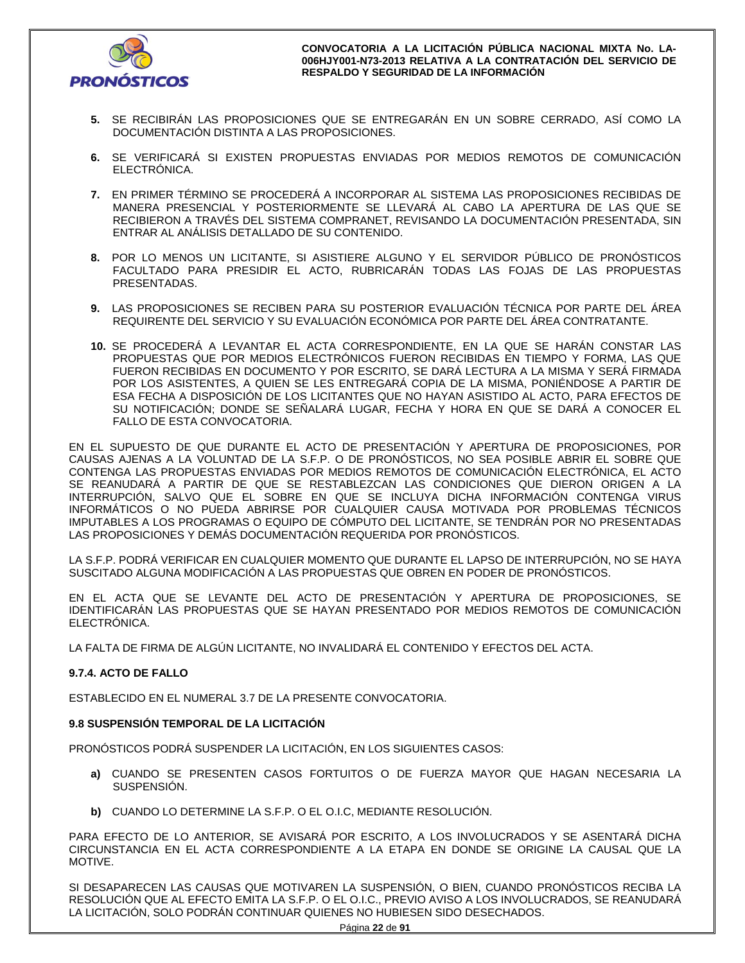

- **5.** SE RECIBIRÁN LAS PROPOSICIONES QUE SE ENTREGARÁN EN UN SOBRE CERRADO, ASÍ COMO LA DOCUMENTACIÓN DISTINTA A LAS PROPOSICIONES.
- **6.** SE VERIFICARÁ SI EXISTEN PROPUESTAS ENVIADAS POR MEDIOS REMOTOS DE COMUNICACIÓN ELECTRÓNICA.
- **7.** EN PRIMER TÉRMINO SE PROCEDERÁ A INCORPORAR AL SISTEMA LAS PROPOSICIONES RECIBIDAS DE MANERA PRESENCIAL Y POSTERIORMENTE SE LLEVARÁ AL CABO LA APERTURA DE LAS QUE SE RECIBIERON A TRAVÉS DEL SISTEMA COMPRANET, REVISANDO LA DOCUMENTACIÓN PRESENTADA, SIN ENTRAR AL ANÁLISIS DETALLADO DE SU CONTENIDO.
- **8.** POR LO MENOS UN LICITANTE, SI ASISTIERE ALGUNO Y EL SERVIDOR PÚBLICO DE PRONÓSTICOS FACULTADO PARA PRESIDIR EL ACTO, RUBRICARÁN TODAS LAS FOJAS DE LAS PROPUESTAS PRESENTADAS.
- **9.** LAS PROPOSICIONES SE RECIBEN PARA SU POSTERIOR EVALUACIÓN TÉCNICA POR PARTE DEL ÁREA REQUIRENTE DEL SERVICIO Y SU EVALUACIÓN ECONÓMICA POR PARTE DEL ÁREA CONTRATANTE.
- **10.** SE PROCEDERÁ A LEVANTAR EL ACTA CORRESPONDIENTE, EN LA QUE SE HARÁN CONSTAR LAS PROPUESTAS QUE POR MEDIOS ELECTRÓNICOS FUERON RECIBIDAS EN TIEMPO Y FORMA, LAS QUE FUERON RECIBIDAS EN DOCUMENTO Y POR ESCRITO, SE DARÁ LECTURA A LA MISMA Y SERÁ FIRMADA POR LOS ASISTENTES, A QUIEN SE LES ENTREGARÁ COPIA DE LA MISMA, PONIÉNDOSE A PARTIR DE ESA FECHA A DISPOSICIÓN DE LOS LICITANTES QUE NO HAYAN ASISTIDO AL ACTO, PARA EFECTOS DE SU NOTIFICACIÓN; DONDE SE SEÑALARÁ LUGAR, FECHA Y HORA EN QUE SE DARÁ A CONOCER EL FALLO DE ESTA CONVOCATORIA.

EN EL SUPUESTO DE QUE DURANTE EL ACTO DE PRESENTACIÓN Y APERTURA DE PROPOSICIONES, POR CAUSAS AJENAS A LA VOLUNTAD DE LA S.F.P. O DE PRONÓSTICOS, NO SEA POSIBLE ABRIR EL SOBRE QUE CONTENGA LAS PROPUESTAS ENVIADAS POR MEDIOS REMOTOS DE COMUNICACIÓN ELECTRÓNICA, EL ACTO SE REANUDARÁ A PARTIR DE QUE SE RESTABLEZCAN LAS CONDICIONES QUE DIERON ORIGEN A LA INTERRUPCIÓN, SALVO QUE EL SOBRE EN QUE SE INCLUYA DICHA INFORMACIÓN CONTENGA VIRUS INFORMÁTICOS O NO PUEDA ABRIRSE POR CUALQUIER CAUSA MOTIVADA POR PROBLEMAS TÉCNICOS IMPUTABLES A LOS PROGRAMAS O EQUIPO DE CÓMPUTO DEL LICITANTE, SE TENDRÁN POR NO PRESENTADAS LAS PROPOSICIONES Y DEMÁS DOCUMENTACIÓN REQUERIDA POR PRONÓSTICOS.

LA S.F.P. PODRÁ VERIFICAR EN CUALQUIER MOMENTO QUE DURANTE EL LAPSO DE INTERRUPCIÓN, NO SE HAYA SUSCITADO ALGUNA MODIFICACIÓN A LAS PROPUESTAS QUE OBREN EN PODER DE PRONÓSTICOS.

EN EL ACTA QUE SE LEVANTE DEL ACTO DE PRESENTACIÓN Y APERTURA DE PROPOSICIONES, SE IDENTIFICARÁN LAS PROPUESTAS QUE SE HAYAN PRESENTADO POR MEDIOS REMOTOS DE COMUNICACIÓN ELECTRÓNICA.

LA FALTA DE FIRMA DE ALGÚN LICITANTE, NO INVALIDARÁ EL CONTENIDO Y EFECTOS DEL ACTA.

## **9.7.4. ACTO DE FALLO**

ESTABLECIDO EN EL NUMERAL 3.7 DE LA PRESENTE CONVOCATORIA.

## **9.8 SUSPENSIÓN TEMPORAL DE LA LICITACIÓN**

PRONÓSTICOS PODRÁ SUSPENDER LA LICITACIÓN, EN LOS SIGUIENTES CASOS:

- **a)** CUANDO SE PRESENTEN CASOS FORTUITOS O DE FUERZA MAYOR QUE HAGAN NECESARIA LA SUSPENSIÓN.
- **b)** CUANDO LO DETERMINE LA S.F.P. O EL O.I.C, MEDIANTE RESOLUCIÓN.

PARA EFECTO DE LO ANTERIOR, SE AVISARÁ POR ESCRITO, A LOS INVOLUCRADOS Y SE ASENTARÁ DICHA CIRCUNSTANCIA EN EL ACTA CORRESPONDIENTE A LA ETAPA EN DONDE SE ORIGINE LA CAUSAL QUE LA MOTIVE.

SI DESAPARECEN LAS CAUSAS QUE MOTIVAREN LA SUSPENSIÓN, O BIEN, CUANDO PRONÓSTICOS RECIBA LA RESOLUCIÓN QUE AL EFECTO EMITA LA S.F.P. O EL O.I.C., PREVIO AVISO A LOS INVOLUCRADOS, SE REANUDARÁ LA LICITACIÓN, SOLO PODRÁN CONTINUAR QUIENES NO HUBIESEN SIDO DESECHADOS.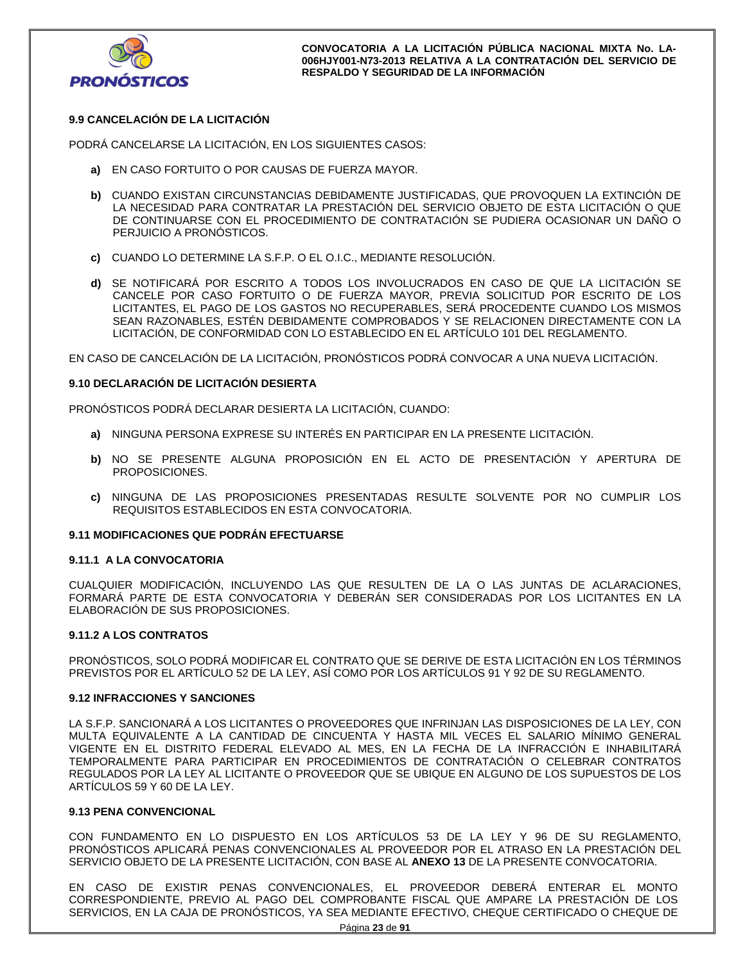

## **9.9 CANCELACIÓN DE LA LICITACIÓN**

PODRÁ CANCELARSE LA LICITACIÓN, EN LOS SIGUIENTES CASOS:

- **a)** EN CASO FORTUITO O POR CAUSAS DE FUERZA MAYOR.
- **b)** CUANDO EXISTAN CIRCUNSTANCIAS DEBIDAMENTE JUSTIFICADAS, QUE PROVOQUEN LA EXTINCIÓN DE LA NECESIDAD PARA CONTRATAR LA PRESTACIÓN DEL SERVICIO OBJETO DE ESTA LICITACIÓN O QUE DE CONTINUARSE CON EL PROCEDIMIENTO DE CONTRATACIÓN SE PUDIERA OCASIONAR UN DAÑO O PERJUICIO A PRONÓSTICOS.
- **c)** CUANDO LO DETERMINE LA S.F.P. O EL O.I.C., MEDIANTE RESOLUCIÓN.
- **d)** SE NOTIFICARÁ POR ESCRITO A TODOS LOS INVOLUCRADOS EN CASO DE QUE LA LICITACIÓN SE CANCELE POR CASO FORTUITO O DE FUERZA MAYOR, PREVIA SOLICITUD POR ESCRITO DE LOS LICITANTES, EL PAGO DE LOS GASTOS NO RECUPERABLES, SERÁ PROCEDENTE CUANDO LOS MISMOS SEAN RAZONABLES, ESTÉN DEBIDAMENTE COMPROBADOS Y SE RELACIONEN DIRECTAMENTE CON LA LICITACIÓN, DE CONFORMIDAD CON LO ESTABLECIDO EN EL ARTÍCULO 101 DEL REGLAMENTO.

EN CASO DE CANCELACIÓN DE LA LICITACIÓN, PRONÓSTICOS PODRÁ CONVOCAR A UNA NUEVA LICITACIÓN.

#### **9.10 DECLARACIÓN DE LICITACIÓN DESIERTA**

PRONÓSTICOS PODRÁ DECLARAR DESIERTA LA LICITACIÓN, CUANDO:

- **a)** NINGUNA PERSONA EXPRESE SU INTERÉS EN PARTICIPAR EN LA PRESENTE LICITACIÓN.
- **b)** NO SE PRESENTE ALGUNA PROPOSICIÓN EN EL ACTO DE PRESENTACIÓN Y APERTURA DE PROPOSICIONES.
- **c)** NINGUNA DE LAS PROPOSICIONES PRESENTADAS RESULTE SOLVENTE POR NO CUMPLIR LOS REQUISITOS ESTABLECIDOS EN ESTA CONVOCATORIA.

#### **9.11 MODIFICACIONES QUE PODRÁN EFECTUARSE**

#### **9.11.1 A LA CONVOCATORIA**

CUALQUIER MODIFICACIÓN, INCLUYENDO LAS QUE RESULTEN DE LA O LAS JUNTAS DE ACLARACIONES, FORMARÁ PARTE DE ESTA CONVOCATORIA Y DEBERÁN SER CONSIDERADAS POR LOS LICITANTES EN LA ELABORACIÓN DE SUS PROPOSICIONES.

#### **9.11.2 A LOS CONTRATOS**

PRONÓSTICOS, SOLO PODRÁ MODIFICAR EL CONTRATO QUE SE DERIVE DE ESTA LICITACIÓN EN LOS TÉRMINOS PREVISTOS POR EL ARTÍCULO 52 DE LA LEY, ASÍ COMO POR LOS ARTÍCULOS 91 Y 92 DE SU REGLAMENTO.

#### **9.12 INFRACCIONES Y SANCIONES**

LA S.F.P. SANCIONARÁ A LOS LICITANTES O PROVEEDORES QUE INFRINJAN LAS DISPOSICIONES DE LA LEY, CON MULTA EQUIVALENTE A LA CANTIDAD DE CINCUENTA Y HASTA MIL VECES EL SALARIO MÍNIMO GENERAL VIGENTE EN EL DISTRITO FEDERAL ELEVADO AL MES, EN LA FECHA DE LA INFRACCIÓN E INHABILITARÁ TEMPORALMENTE PARA PARTICIPAR EN PROCEDIMIENTOS DE CONTRATACIÓN O CELEBRAR CONTRATOS REGULADOS POR LA LEY AL LICITANTE O PROVEEDOR QUE SE UBIQUE EN ALGUNO DE LOS SUPUESTOS DE LOS ARTÍCULOS 59 Y 60 DE LA LEY.

#### **9.13 PENA CONVENCIONAL**

CON FUNDAMENTO EN LO DISPUESTO EN LOS ARTÍCULOS 53 DE LA LEY Y 96 DE SU REGLAMENTO, PRONÓSTICOS APLICARÁ PENAS CONVENCIONALES AL PROVEEDOR POR EL ATRASO EN LA PRESTACIÓN DEL SERVICIO OBJETO DE LA PRESENTE LICITACIÓN, CON BASE AL **ANEXO 13** DE LA PRESENTE CONVOCATORIA.

EN CASO DE EXISTIR PENAS CONVENCIONALES, EL PROVEEDOR DEBERÁ ENTERAR EL MONTO CORRESPONDIENTE, PREVIO AL PAGO DEL COMPROBANTE FISCAL QUE AMPARE LA PRESTACIÓN DE LOS SERVICIOS, EN LA CAJA DE PRONÓSTICOS, YA SEA MEDIANTE EFECTIVO, CHEQUE CERTIFICADO O CHEQUE DE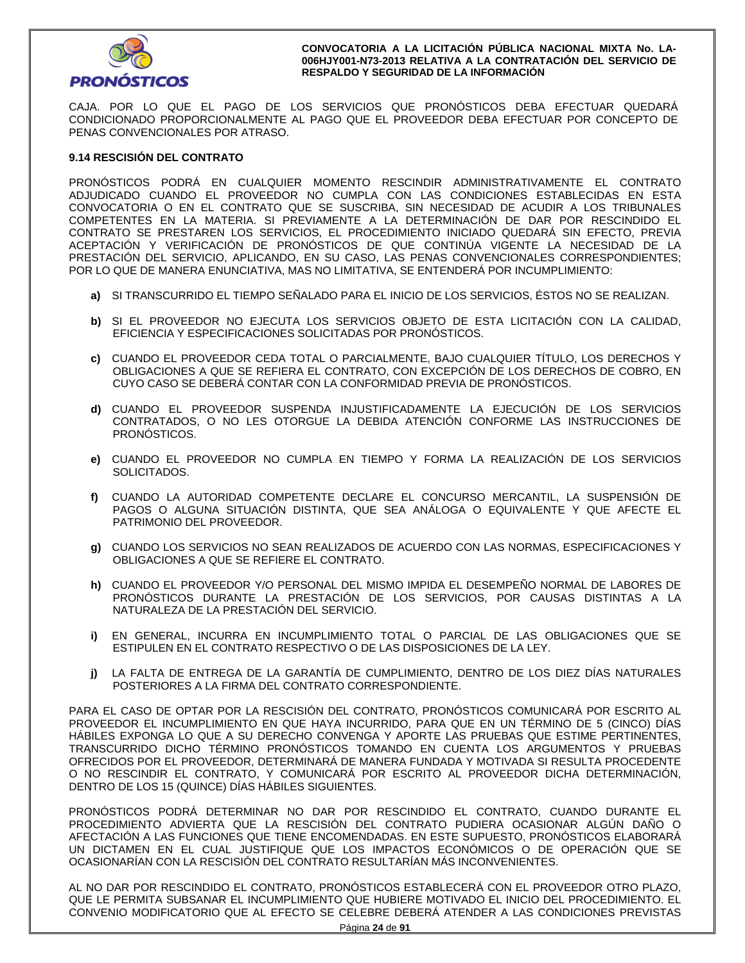

CAJA. POR LO QUE EL PAGO DE LOS SERVICIOS QUE PRONÓSTICOS DEBA EFECTUAR QUEDARÁ CONDICIONADO PROPORCIONALMENTE AL PAGO QUE EL PROVEEDOR DEBA EFECTUAR POR CONCEPTO DE PENAS CONVENCIONALES POR ATRASO.

### **9.14 RESCISIÓN DEL CONTRATO**

PRONÓSTICOS PODRÁ EN CUALQUIER MOMENTO RESCINDIR ADMINISTRATIVAMENTE EL CONTRATO ADJUDICADO CUANDO EL PROVEEDOR NO CUMPLA CON LAS CONDICIONES ESTABLECIDAS EN ESTA CONVOCATORIA O EN EL CONTRATO QUE SE SUSCRIBA, SIN NECESIDAD DE ACUDIR A LOS TRIBUNALES COMPETENTES EN LA MATERIA. SI PREVIAMENTE A LA DETERMINACIÓN DE DAR POR RESCINDIDO EL CONTRATO SE PRESTAREN LOS SERVICIOS, EL PROCEDIMIENTO INICIADO QUEDARÁ SIN EFECTO, PREVIA ACEPTACIÓN Y VERIFICACIÓN DE PRONÓSTICOS DE QUE CONTINÚA VIGENTE LA NECESIDAD DE LA PRESTACIÓN DEL SERVICIO, APLICANDO, EN SU CASO, LAS PENAS CONVENCIONALES CORRESPONDIENTES; POR LO QUE DE MANERA ENUNCIATIVA, MAS NO LIMITATIVA, SE ENTENDERÁ POR INCUMPLIMIENTO:

- **a)** SI TRANSCURRIDO EL TIEMPO SEÑALADO PARA EL INICIO DE LOS SERVICIOS, ÉSTOS NO SE REALIZAN.
- **b)** SI EL PROVEEDOR NO EJECUTA LOS SERVICIOS OBJETO DE ESTA LICITACIÓN CON LA CALIDAD, EFICIENCIA Y ESPECIFICACIONES SOLICITADAS POR PRONÓSTICOS.
- **c)** CUANDO EL PROVEEDOR CEDA TOTAL O PARCIALMENTE, BAJO CUALQUIER TÍTULO, LOS DERECHOS Y OBLIGACIONES A QUE SE REFIERA EL CONTRATO, CON EXCEPCIÓN DE LOS DERECHOS DE COBRO, EN CUYO CASO SE DEBERÁ CONTAR CON LA CONFORMIDAD PREVIA DE PRONÓSTICOS.
- **d)** CUANDO EL PROVEEDOR SUSPENDA INJUSTIFICADAMENTE LA EJECUCIÓN DE LOS SERVICIOS CONTRATADOS, O NO LES OTORGUE LA DEBIDA ATENCIÓN CONFORME LAS INSTRUCCIONES DE PRONÓSTICOS.
- **e)** CUANDO EL PROVEEDOR NO CUMPLA EN TIEMPO Y FORMA LA REALIZACIÓN DE LOS SERVICIOS SOLICITADOS.
- **f)** CUANDO LA AUTORIDAD COMPETENTE DECLARE EL CONCURSO MERCANTIL, LA SUSPENSIÓN DE PAGOS O ALGUNA SITUACIÓN DISTINTA, QUE SEA ANÁLOGA O EQUIVALENTE Y QUE AFECTE EL PATRIMONIO DEL PROVEEDOR.
- **g)** CUANDO LOS SERVICIOS NO SEAN REALIZADOS DE ACUERDO CON LAS NORMAS, ESPECIFICACIONES Y OBLIGACIONES A QUE SE REFIERE EL CONTRATO.
- **h)** CUANDO EL PROVEEDOR Y/O PERSONAL DEL MISMO IMPIDA EL DESEMPEÑO NORMAL DE LABORES DE PRONÓSTICOS DURANTE LA PRESTACIÓN DE LOS SERVICIOS, POR CAUSAS DISTINTAS A LA NATURALEZA DE LA PRESTACIÓN DEL SERVICIO.
- **i)** EN GENERAL, INCURRA EN INCUMPLIMIENTO TOTAL O PARCIAL DE LAS OBLIGACIONES QUE SE ESTIPULEN EN EL CONTRATO RESPECTIVO O DE LAS DISPOSICIONES DE LA LEY.
- **j)** LA FALTA DE ENTREGA DE LA GARANTÍA DE CUMPLIMIENTO, DENTRO DE LOS DIEZ DÍAS NATURALES POSTERIORES A LA FIRMA DEL CONTRATO CORRESPONDIENTE.

PARA EL CASO DE OPTAR POR LA RESCISIÓN DEL CONTRATO, PRONÓSTICOS COMUNICARÁ POR ESCRITO AL PROVEEDOR EL INCUMPLIMIENTO EN QUE HAYA INCURRIDO, PARA QUE EN UN TÉRMINO DE 5 (CINCO) DÍAS HÁBILES EXPONGA LO QUE A SU DERECHO CONVENGA Y APORTE LAS PRUEBAS QUE ESTIME PERTINENTES, TRANSCURRIDO DICHO TÉRMINO PRONÓSTICOS TOMANDO EN CUENTA LOS ARGUMENTOS Y PRUEBAS OFRECIDOS POR EL PROVEEDOR, DETERMINARÁ DE MANERA FUNDADA Y MOTIVADA SI RESULTA PROCEDENTE O NO RESCINDIR EL CONTRATO, Y COMUNICARÁ POR ESCRITO AL PROVEEDOR DICHA DETERMINACIÓN, DENTRO DE LOS 15 (QUINCE) DÍAS HÁBILES SIGUIENTES.

PRONÓSTICOS PODRÁ DETERMINAR NO DAR POR RESCINDIDO EL CONTRATO, CUANDO DURANTE EL PROCEDIMIENTO ADVIERTA QUE LA RESCISIÓN DEL CONTRATO PUDIERA OCASIONAR ALGÚN DAÑO O AFECTACIÓN A LAS FUNCIONES QUE TIENE ENCOMENDADAS. EN ESTE SUPUESTO, PRONÓSTICOS ELABORARÁ UN DICTAMEN EN EL CUAL JUSTIFIQUE QUE LOS IMPACTOS ECONÓMICOS O DE OPERACIÓN QUE SE OCASIONARÍAN CON LA RESCISIÓN DEL CONTRATO RESULTARÍAN MÁS INCONVENIENTES.

AL NO DAR POR RESCINDIDO EL CONTRATO, PRONÓSTICOS ESTABLECERÁ CON EL PROVEEDOR OTRO PLAZO, QUE LE PERMITA SUBSANAR EL INCUMPLIMIENTO QUE HUBIERE MOTIVADO EL INICIO DEL PROCEDIMIENTO. EL CONVENIO MODIFICATORIO QUE AL EFECTO SE CELEBRE DEBERÁ ATENDER A LAS CONDICIONES PREVISTAS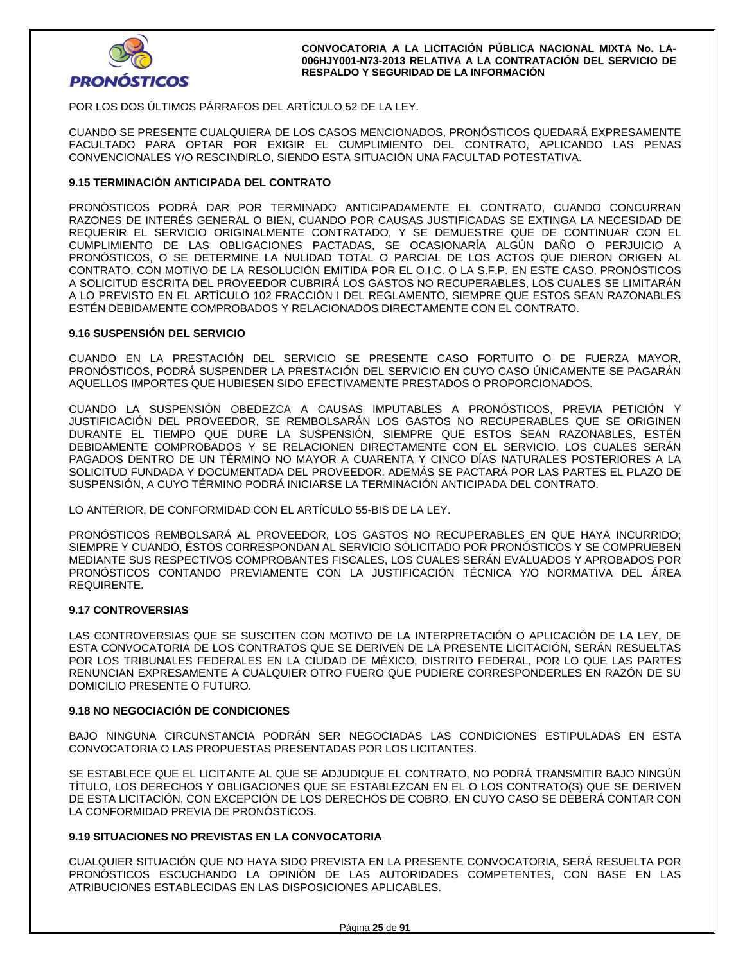

POR LOS DOS ÚLTIMOS PÁRRAFOS DEL ARTÍCULO 52 DE LA LEY.

CUANDO SE PRESENTE CUALQUIERA DE LOS CASOS MENCIONADOS, PRONÓSTICOS QUEDARÁ EXPRESAMENTE FACULTADO PARA OPTAR POR EXIGIR EL CUMPLIMIENTO DEL CONTRATO, APLICANDO LAS PENAS CONVENCIONALES Y/O RESCINDIRLO, SIENDO ESTA SITUACIÓN UNA FACULTAD POTESTATIVA.

### **9.15 TERMINACIÓN ANTICIPADA DEL CONTRATO**

PRONÓSTICOS PODRÁ DAR POR TERMINADO ANTICIPADAMENTE EL CONTRATO, CUANDO CONCURRAN RAZONES DE INTERÉS GENERAL O BIEN, CUANDO POR CAUSAS JUSTIFICADAS SE EXTINGA LA NECESIDAD DE REQUERIR EL SERVICIO ORIGINALMENTE CONTRATADO, Y SE DEMUESTRE QUE DE CONTINUAR CON EL CUMPLIMIENTO DE LAS OBLIGACIONES PACTADAS, SE OCASIONARÍA ALGÚN DAÑO O PERJUICIO A PRONÓSTICOS, O SE DETERMINE LA NULIDAD TOTAL O PARCIAL DE LOS ACTOS QUE DIERON ORIGEN AL CONTRATO, CON MOTIVO DE LA RESOLUCIÓN EMITIDA POR EL O.I.C. O LA S.F.P. EN ESTE CASO, PRONÓSTICOS A SOLICITUD ESCRITA DEL PROVEEDOR CUBRIRÁ LOS GASTOS NO RECUPERABLES, LOS CUALES SE LIMITARÁN A LO PREVISTO EN EL ARTÍCULO 102 FRACCIÓN I DEL REGLAMENTO, SIEMPRE QUE ESTOS SEAN RAZONABLES ESTÉN DEBIDAMENTE COMPROBADOS Y RELACIONADOS DIRECTAMENTE CON EL CONTRATO.

### **9.16 SUSPENSIÓN DEL SERVICIO**

CUANDO EN LA PRESTACIÓN DEL SERVICIO SE PRESENTE CASO FORTUITO O DE FUERZA MAYOR, PRONÓSTICOS, PODRÁ SUSPENDER LA PRESTACIÓN DEL SERVICIO EN CUYO CASO ÚNICAMENTE SE PAGARÁN AQUELLOS IMPORTES QUE HUBIESEN SIDO EFECTIVAMENTE PRESTADOS O PROPORCIONADOS.

CUANDO LA SUSPENSIÓN OBEDEZCA A CAUSAS IMPUTABLES A PRONÓSTICOS, PREVIA PETICIÓN Y JUSTIFICACIÓN DEL PROVEEDOR, SE REMBOLSARÁN LOS GASTOS NO RECUPERABLES QUE SE ORIGINEN DURANTE EL TIEMPO QUE DURE LA SUSPENSIÓN, SIEMPRE QUE ESTOS SEAN RAZONABLES, ESTÉN DEBIDAMENTE COMPROBADOS Y SE RELACIONEN DIRECTAMENTE CON EL SERVICIO, LOS CUALES SERÁN PAGADOS DENTRO DE UN TÉRMINO NO MAYOR A CUARENTA Y CINCO DÍAS NATURALES POSTERIORES A LA SOLICITUD FUNDADA Y DOCUMENTADA DEL PROVEEDOR. ADEMÁS SE PACTARÁ POR LAS PARTES EL PLAZO DE SUSPENSIÓN, A CUYO TÉRMINO PODRÁ INICIARSE LA TERMINACIÓN ANTICIPADA DEL CONTRATO.

LO ANTERIOR, DE CONFORMIDAD CON EL ARTÍCULO 55-BIS DE LA LEY.

PRONÓSTICOS REMBOLSARÁ AL PROVEEDOR, LOS GASTOS NO RECUPERABLES EN QUE HAYA INCURRIDO; SIEMPRE Y CUANDO, ÉSTOS CORRESPONDAN AL SERVICIO SOLICITADO POR PRONÓSTICOS Y SE COMPRUEBEN MEDIANTE SUS RESPECTIVOS COMPROBANTES FISCALES, LOS CUALES SERÁN EVALUADOS Y APROBADOS POR PRONÓSTICOS CONTANDO PREVIAMENTE CON LA JUSTIFICACIÓN TÉCNICA Y/O NORMATIVA DEL ÁREA REQUIRENTE.

### **9.17 CONTROVERSIAS**

LAS CONTROVERSIAS QUE SE SUSCITEN CON MOTIVO DE LA INTERPRETACIÓN O APLICACIÓN DE LA LEY, DE ESTA CONVOCATORIA DE LOS CONTRATOS QUE SE DERIVEN DE LA PRESENTE LICITACIÓN, SERÁN RESUELTAS POR LOS TRIBUNALES FEDERALES EN LA CIUDAD DE MÉXICO, DISTRITO FEDERAL, POR LO QUE LAS PARTES RENUNCIAN EXPRESAMENTE A CUALQUIER OTRO FUERO QUE PUDIERE CORRESPONDERLES EN RAZÓN DE SU DOMICILIO PRESENTE O FUTURO.

### **9.18 NO NEGOCIACIÓN DE CONDICIONES**

BAJO NINGUNA CIRCUNSTANCIA PODRÁN SER NEGOCIADAS LAS CONDICIONES ESTIPULADAS EN ESTA CONVOCATORIA O LAS PROPUESTAS PRESENTADAS POR LOS LICITANTES.

SE ESTABLECE QUE EL LICITANTE AL QUE SE ADJUDIQUE EL CONTRATO, NO PODRÁ TRANSMITIR BAJO NINGÚN TÍTULO, LOS DERECHOS Y OBLIGACIONES QUE SE ESTABLEZCAN EN EL O LOS CONTRATO(S) QUE SE DERIVEN DE ESTA LICITACIÓN, CON EXCEPCIÓN DE LOS DERECHOS DE COBRO, EN CUYO CASO SE DEBERÁ CONTAR CON LA CONFORMIDAD PREVIA DE PRONÓSTICOS.

### **9.19 SITUACIONES NO PREVISTAS EN LA CONVOCATORIA**

CUALQUIER SITUACIÓN QUE NO HAYA SIDO PREVISTA EN LA PRESENTE CONVOCATORIA, SERÁ RESUELTA POR PRONÓSTICOS ESCUCHANDO LA OPINIÓN DE LAS AUTORIDADES COMPETENTES, CON BASE EN LAS ATRIBUCIONES ESTABLECIDAS EN LAS DISPOSICIONES APLICABLES.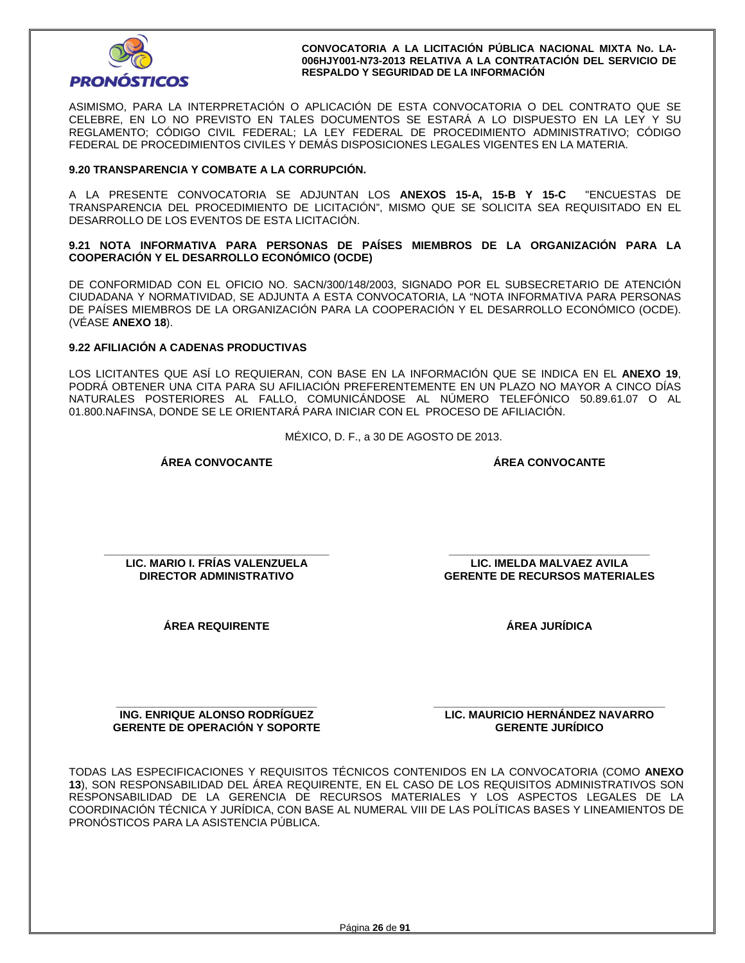

ASIMISMO, PARA LA INTERPRETACIÓN O APLICACIÓN DE ESTA CONVOCATORIA O DEL CONTRATO QUE SE CELEBRE, EN LO NO PREVISTO EN TALES DOCUMENTOS SE ESTARÁ A LO DISPUESTO EN LA LEY Y SU REGLAMENTO; CÓDIGO CIVIL FEDERAL; LA LEY FEDERAL DE PROCEDIMIENTO ADMINISTRATIVO; CÓDIGO FEDERAL DE PROCEDIMIENTOS CIVILES Y DEMÁS DISPOSICIONES LEGALES VIGENTES EN LA MATERIA.

## **9.20 TRANSPARENCIA Y COMBATE A LA CORRUPCIÓN.**

A LA PRESENTE CONVOCATORIA SE ADJUNTAN LOS **ANEXOS 15-A, 15-B Y 15-C** "ENCUESTAS DE TRANSPARENCIA DEL PROCEDIMIENTO DE LICITACIÓN", MISMO QUE SE SOLICITA SEA REQUISITADO EN EL DESARROLLO DE LOS EVENTOS DE ESTA LICITACIÓN.

**9.21 NOTA INFORMATIVA PARA PERSONAS DE PAÍSES MIEMBROS DE LA ORGANIZACIÓN PARA LA COOPERACIÓN Y EL DESARROLLO ECONÓMICO (OCDE)** 

DE CONFORMIDAD CON EL OFICIO NO. SACN/300/148/2003, SIGNADO POR EL SUBSECRETARIO DE ATENCIÓN CIUDADANA Y NORMATIVIDAD, SE ADJUNTA A ESTA CONVOCATORIA, LA "NOTA INFORMATIVA PARA PERSONAS DE PAÍSES MIEMBROS DE LA ORGANIZACIÓN PARA LA COOPERACIÓN Y EL DESARROLLO ECONÓMICO (OCDE). (VÉASE **ANEXO 18**).

### **9.22 AFILIACIÓN A CADENAS PRODUCTIVAS**

LOS LICITANTES QUE ASÍ LO REQUIERAN, CON BASE EN LA INFORMACIÓN QUE SE INDICA EN EL **ANEXO 19**, PODRÁ OBTENER UNA CITA PARA SU AFILIACIÓN PREFERENTEMENTE EN UN PLAZO NO MAYOR A CINCO DÍAS NATURALES POSTERIORES AL FALLO, COMUNICÁNDOSE AL NÚMERO TELEFÓNICO 50.89.61.07 O AL 01.800.NAFINSA, DONDE SE LE ORIENTARÁ PARA INICIAR CON EL PROCESO DE AFILIACIÓN.

MÉXICO, D. F., a 30 DE AGOSTO DE 2013.

**ÁREA CONVOCANTE** 

**ÁREA CONVOCANTE**

**\_\_\_\_\_\_\_\_\_\_\_\_\_\_\_\_\_\_\_\_\_\_\_\_\_\_\_\_\_\_\_\_\_\_\_\_\_ LIC. MARIO I. FRÍAS VALENZUELA DIRECTOR ADMINISTRATIVO** 

**ÁREA JURÍDICA** 

**\_\_\_\_\_\_\_\_\_\_\_\_\_\_\_\_\_\_\_\_\_\_\_\_\_\_\_\_\_\_\_\_\_ LIC. IMELDA MALVAEZ AVILA GERENTE DE RECURSOS MATERIALES** 

**ÁREA REQUIRENTE** 

**\_\_\_\_\_\_\_\_\_\_\_\_\_\_\_\_\_\_\_\_\_\_\_\_\_\_\_\_\_\_\_\_\_ ING. ENRIQUE ALONSO RODRÍGUEZ GERENTE DE OPERACIÓN Y SOPORTE**  **\_\_\_\_\_\_\_\_\_\_\_\_\_\_\_\_\_\_\_\_\_\_\_\_\_\_\_\_\_\_\_\_\_\_\_\_\_\_ LIC. MAURICIO HERNÁNDEZ NAVARRO GERENTE JURÍDICO** 

TODAS LAS ESPECIFICACIONES Y REQUISITOS TÉCNICOS CONTENIDOS EN LA CONVOCATORIA (COMO **ANEXO 13**), SON RESPONSABILIDAD DEL ÁREA REQUIRENTE, EN EL CASO DE LOS REQUISITOS ADMINISTRATIVOS SON RESPONSABILIDAD DE LA GERENCIA DE RECURSOS MATERIALES Y LOS ASPECTOS LEGALES DE LA COORDINACIÓN TÉCNICA Y JURÍDICA, CON BASE AL NUMERAL VIII DE LAS POLÍTICAS BASES Y LINEAMIENTOS DE PRONÓSTICOS PARA LA ASISTENCIA PÚBLICA.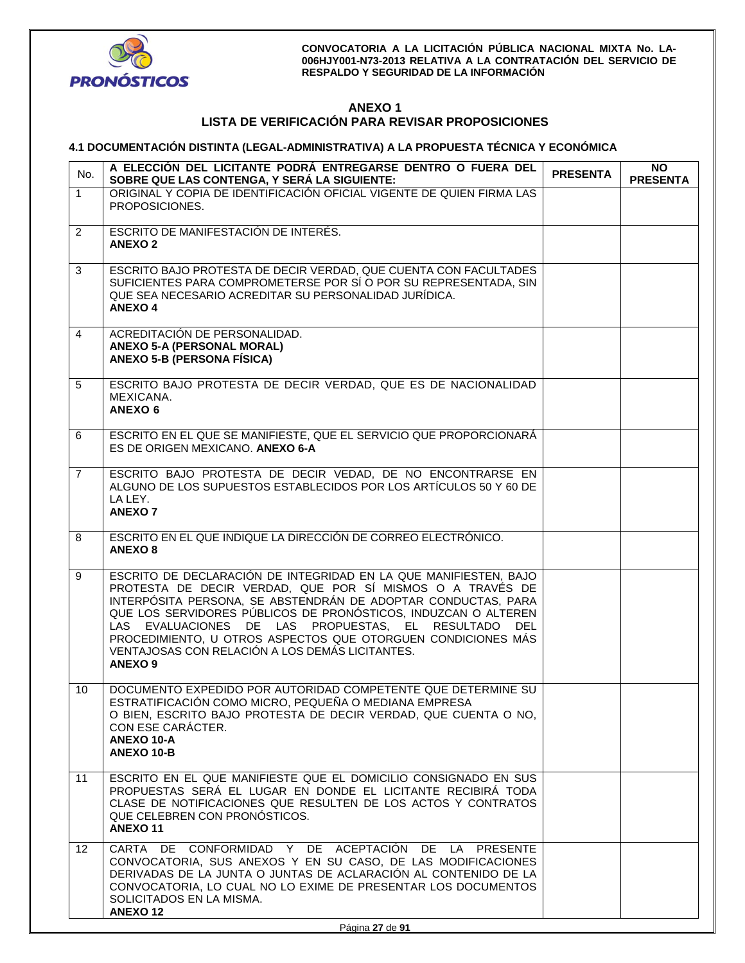

## **ANEXO 1 LISTA DE VERIFICACIÓN PARA REVISAR PROPOSICIONES**

## **4.1 DOCUMENTACIÓN DISTINTA (LEGAL-ADMINISTRATIVA) A LA PROPUESTA TÉCNICA Y ECONÓMICA**

| No.            | A ELECCIÓN DEL LICITANTE PODRÁ ENTREGARSE DENTRO O FUERA DEL<br>SOBRE QUE LAS CONTENGA, Y SERÁ LA SIGUIENTE:                                                                                                                                                                                                                                                                                                                                                  | <b>PRESENTA</b> | NO.<br><b>PRESENTA</b> |
|----------------|---------------------------------------------------------------------------------------------------------------------------------------------------------------------------------------------------------------------------------------------------------------------------------------------------------------------------------------------------------------------------------------------------------------------------------------------------------------|-----------------|------------------------|
| $\mathbf{1}$   | ORIGINAL Y COPIA DE IDENTIFICACIÓN OFICIAL VIGENTE DE QUIEN FIRMA LAS<br>PROPOSICIONES.                                                                                                                                                                                                                                                                                                                                                                       |                 |                        |
| $\overline{2}$ | ESCRITO DE MANIFESTACIÓN DE INTERÉS.<br><b>ANEXO 2</b>                                                                                                                                                                                                                                                                                                                                                                                                        |                 |                        |
| 3              | ESCRITO BAJO PROTESTA DE DECIR VERDAD, QUE CUENTA CON FACULTADES<br>SUFICIENTES PARA COMPROMETERSE POR SÍ O POR SU REPRESENTADA, SIN<br>QUE SEA NECESARIO ACREDITAR SU PERSONALIDAD JURÍDICA.<br><b>ANEXO4</b>                                                                                                                                                                                                                                                |                 |                        |
| $\overline{4}$ | ACREDITACIÓN DE PERSONALIDAD.<br><b>ANEXO 5-A (PERSONAL MORAL)</b><br><b>ANEXO 5-B (PERSONA FÍSICA)</b>                                                                                                                                                                                                                                                                                                                                                       |                 |                        |
| 5              | ESCRITO BAJO PROTESTA DE DECIR VERDAD, QUE ES DE NACIONALIDAD<br>MEXICANA.<br><b>ANEXO 6</b>                                                                                                                                                                                                                                                                                                                                                                  |                 |                        |
| 6              | ESCRITO EN EL QUE SE MANIFIESTE, QUE EL SERVICIO QUE PROPORCIONARÁ<br>ES DE ORIGEN MEXICANO. ANEXO 6-A                                                                                                                                                                                                                                                                                                                                                        |                 |                        |
| $\overline{7}$ | ESCRITO BAJO PROTESTA DE DECIR VEDAD, DE NO ENCONTRARSE EN<br>ALGUNO DE LOS SUPUESTOS ESTABLECIDOS POR LOS ARTÍCULOS 50 Y 60 DE<br>LA LEY.<br><b>ANEXO 7</b>                                                                                                                                                                                                                                                                                                  |                 |                        |
| 8              | ESCRITO EN EL QUE INDIQUE LA DIRECCIÓN DE CORREO ELECTRÓNICO.<br><b>ANEXO 8</b>                                                                                                                                                                                                                                                                                                                                                                               |                 |                        |
| 9              | ESCRITO DE DECLARACIÓN DE INTEGRIDAD EN LA QUE MANIFIESTEN, BAJO<br>PROTESTA DE DECIR VERDAD, QUE POR SÍ MISMOS O A TRAVÉS DE<br>INTERPÓSITA PERSONA, SE ABSTENDRÁN DE ADOPTAR CONDUCTAS, PARA<br>QUE LOS SERVIDORES PÚBLICOS DE PRONÓSTICOS, INDUZCAN O ALTEREN<br>LAS EVALUACIONES DE LAS PROPUESTAS, EL RESULTADO DEL<br>PROCEDIMIENTO, U OTROS ASPECTOS QUE OTORGUEN CONDICIONES MÁS<br>VENTAJOSAS CON RELACIÓN A LOS DEMÁS LICITANTES.<br><b>ANEXO 9</b> |                 |                        |
| 10             | DOCUMENTO EXPEDIDO POR AUTORIDAD COMPETENTE QUE DETERMINE SU<br>ESTRATIFICACIÓN COMO MICRO, PEQUEÑA O MEDIANA EMPRESA<br>O BIEN, ESCRITO BAJO PROTESTA DE DECIR VERDAD, QUE CUENTA O NO,<br>CON ESE CARÁCTER.<br><b>ANEXO 10-A</b><br>ANEXO 10-B                                                                                                                                                                                                              |                 |                        |
| 11             | ESCRITO EN EL QUE MANIFIESTE QUE EL DOMICILIO CONSIGNADO EN SUS<br>PROPUESTAS SERA EL LUGAR EN DONDE EL LICITANTE RECIBIRA TODA<br>CLASE DE NOTIFICACIONES QUE RESULTEN DE LOS ACTOS Y CONTRATOS<br>QUE CELEBREN CON PRONOSTICOS.<br><b>ANEXO 11</b>                                                                                                                                                                                                          |                 |                        |
| 12             | CARTA DE CONFORMIDAD Y DE ACEPTACIÓN DE LA PRESENTE<br>CONVOCATORIA, SUS ANEXOS Y EN SU CASO, DE LAS MODIFICACIONES<br>DERIVADAS DE LA JUNTA O JUNTAS DE ACLARACIÓN AL CONTENIDO DE LA<br>CONVOCATORIA, LO CUAL NO LO EXIME DE PRESENTAR LOS DOCUMENTOS<br>SOLICITADOS EN LA MISMA.<br><b>ANEXO12</b>                                                                                                                                                         |                 |                        |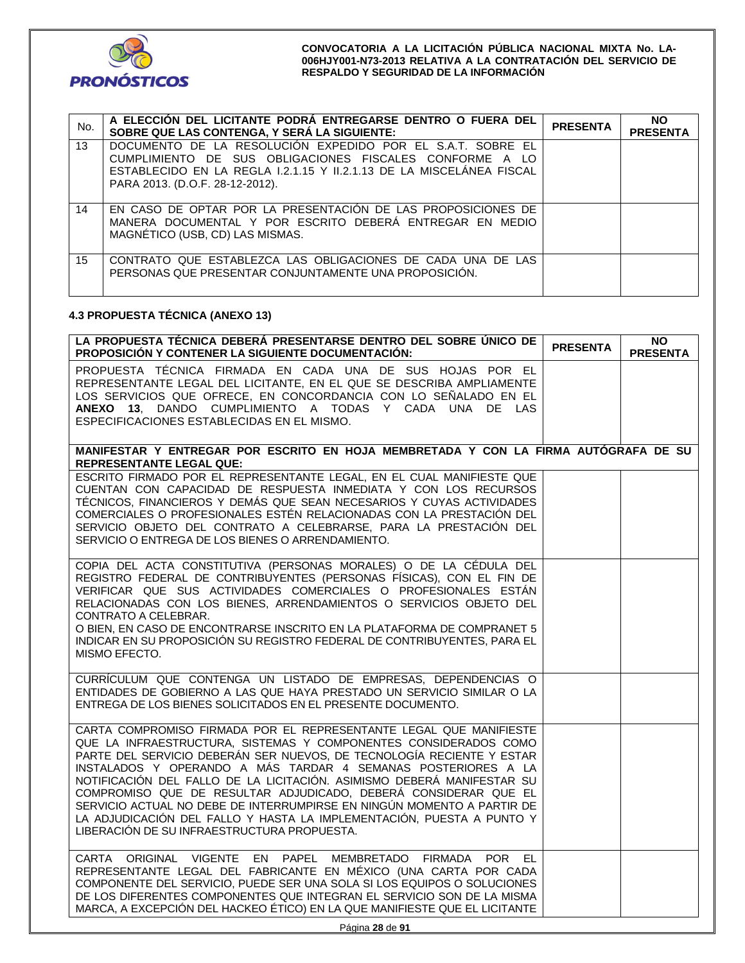| No. | A ELECCIÓN DEL LICITANTE PODRÁ ENTREGARSE DENTRO O FUERA DEL<br>SOBRE QUE LAS CONTENGA, Y SERÁ LA SIGUIENTE:                                                                                                                     | <b>PRESENTA</b> | NO.<br><b>PRESENTA</b> |
|-----|----------------------------------------------------------------------------------------------------------------------------------------------------------------------------------------------------------------------------------|-----------------|------------------------|
| 13  | DOCUMENTO DE LA RESOLUCIÓN EXPEDIDO POR EL S.A.T. SOBRE EL<br>CUMPLIMIENTO DE SUS OBLIGACIONES FISCALES CONFORME A LO<br>ESTABLECIDO EN LA REGLA 1.2.1.15 Y 11.2.1.13 DE LA MISCELÁNEA FISCAL<br>PARA 2013. (D.O.F. 28-12-2012). |                 |                        |
| 14  | EN CASO DE OPTAR POR LA PRESENTACIÓN DE LAS PROPOSICIONES DE<br>MANERA DOCUMENTAL Y POR ESCRITO DEBERÁ ENTREGAR EN MEDIO<br>MAGNÉTICO (USB, CD) LAS MISMAS.                                                                      |                 |                        |
| 15  | CONTRATO QUE ESTABLEZCA LAS OBLIGACIONES DE CADA UNA DE LAS<br>PERSONAS QUE PRESENTAR CONJUNTAMENTE UNA PROPOSICIÓN.                                                                                                             |                 |                        |

## **4.3 PROPUESTA TÉCNICA (ANEXO 13)**

| LA PROPUESTA TÉCNICA DEBERÁ PRESENTARSE DENTRO DEL SOBRE ÚNICO DE<br>PROPOSICIÓN Y CONTENER LA SIGUIENTE DOCUMENTACIÓN:                                                                                                                                                                                                                                                                                                                                                                                                                                                                                                         | <b>PRESENTA</b> | ΝO<br><b>PRESENTA</b> |
|---------------------------------------------------------------------------------------------------------------------------------------------------------------------------------------------------------------------------------------------------------------------------------------------------------------------------------------------------------------------------------------------------------------------------------------------------------------------------------------------------------------------------------------------------------------------------------------------------------------------------------|-----------------|-----------------------|
| PROPUESTA TÉCNICA FIRMADA EN CADA UNA DE SUS HOJAS POR EL<br>REPRESENTANTE LEGAL DEL LICITANTE, EN EL QUE SE DESCRIBA AMPLIAMENTE<br>LOS SERVICIOS QUE OFRECE, EN CONCORDANCIA CON LO SEÑALADO EN EL<br>ANEXO 13, DANDO CUMPLIMIENTO A TODAS Y CADA UNA DE LAS<br>ESPECIFICACIONES ESTABLECIDAS EN EL MISMO.                                                                                                                                                                                                                                                                                                                    |                 |                       |
| MANIFESTAR Y ENTREGAR POR ESCRITO EN HOJA MEMBRETADA Y CON LA FIRMA AUTÓGRAFA DE SU<br><b>REPRESENTANTE LEGAL QUE:</b>                                                                                                                                                                                                                                                                                                                                                                                                                                                                                                          |                 |                       |
| ESCRITO FIRMADO POR EL REPRESENTANTE LEGAL, EN EL CUAL MANIFIESTE QUE<br>CUENTAN CON CAPACIDAD DE RESPUESTA INMEDIATA Y CON LOS RECURSOS<br>TÉCNICOS, FINANCIEROS Y DEMÁS QUE SEAN NECESARIOS Y CUYAS ACTIVIDADES<br>COMERCIALES O PROFESIONALES ESTÉN RELACIONADAS CON LA PRESTACIÓN DEL<br>SERVICIO OBJETO DEL CONTRATO A CELEBRARSE, PARA LA PRESTACIÓN DEL<br>SERVICIO O ENTREGA DE LOS BIENES O ARRENDAMIENTO.                                                                                                                                                                                                             |                 |                       |
| COPIA DEL ACTA CONSTITUTIVA (PERSONAS MORALES) O DE LA CÉDULA DEL<br>REGISTRO FEDERAL DE CONTRIBUYENTES (PERSONAS FÍSICAS), CON EL FIN DE<br>VERIFICAR QUE SUS ACTIVIDADES COMERCIALES O PROFESIONALES ESTÁN<br>RELACIONADAS CON LOS BIENES, ARRENDAMIENTOS O SERVICIOS OBJETO DEL<br>CONTRATO A CELEBRAR.<br>O BIEN, EN CASO DE ENCONTRARSE INSCRITO EN LA PLATAFORMA DE COMPRANET 5<br>INDICAR EN SU PROPOSICIÓN SU REGISTRO FEDERAL DE CONTRIBUYENTES, PARA EL<br>MISMO EFECTO.                                                                                                                                              |                 |                       |
| CURRÍCULUM QUE CONTENGA UN LISTADO DE EMPRESAS, DEPENDENCIAS O<br>ENTIDADES DE GOBIERNO A LAS QUE HAYA PRESTADO UN SERVICIO SIMILAR O LA<br>ENTREGA DE LOS BIENES SOLICITADOS EN EL PRESENTE DOCUMENTO.                                                                                                                                                                                                                                                                                                                                                                                                                         |                 |                       |
| CARTA COMPROMISO FIRMADA POR EL REPRESENTANTE LEGAL QUE MANIFIESTE<br>QUE LA INFRAESTRUCTURA, SISTEMAS Y COMPONENTES CONSIDERADOS COMO<br>PARTE DEL SERVICIO DEBERÁN SER NUEVOS, DE TECNOLOGÍA RECIENTE Y ESTAR<br>INSTALADOS Y OPERANDO A MÁS TARDAR 4 SEMANAS POSTERIORES A LA<br>NOTIFICACIÓN DEL FALLO DE LA LICITACIÓN. ASIMISMO DEBERÁ MANIFESTAR SU<br>COMPROMISO QUE DE RESULTAR ADJUDICADO, DEBERÁ CONSIDERAR QUE EL<br>SERVICIO ACTUAL NO DEBE DE INTERRUMPIRSE EN NINGÚN MOMENTO A PARTIR DE<br>LA ADJUDICACIÓN DEL FALLO Y HASTA LA IMPLEMENTACIÓN, PUESTA A PUNTO Y<br>LIBERACIÓN DE SU INFRAESTRUCTURA PROPUESTA. |                 |                       |
| CARTA ORIGINAL VIGENTE EN PAPEL MEMBRETADO FIRMADA POR<br>EL<br>REPRESENTANTE LEGAL DEL FABRICANTE EN MÉXICO (UNA CARTA POR CADA<br>COMPONENTE DEL SERVICIO, PUEDE SER UNA SOLA SI LOS EQUIPOS O SOLUCIONES<br>DE LOS DIFERENTES COMPONENTES QUE INTEGRAN EL SERVICIO SON DE LA MISMA<br>MARCA, A EXCEPCIÓN DEL HACKEO ÉTICO) EN LA QUE MANIFIESTE QUE EL LICITANTE                                                                                                                                                                                                                                                             |                 |                       |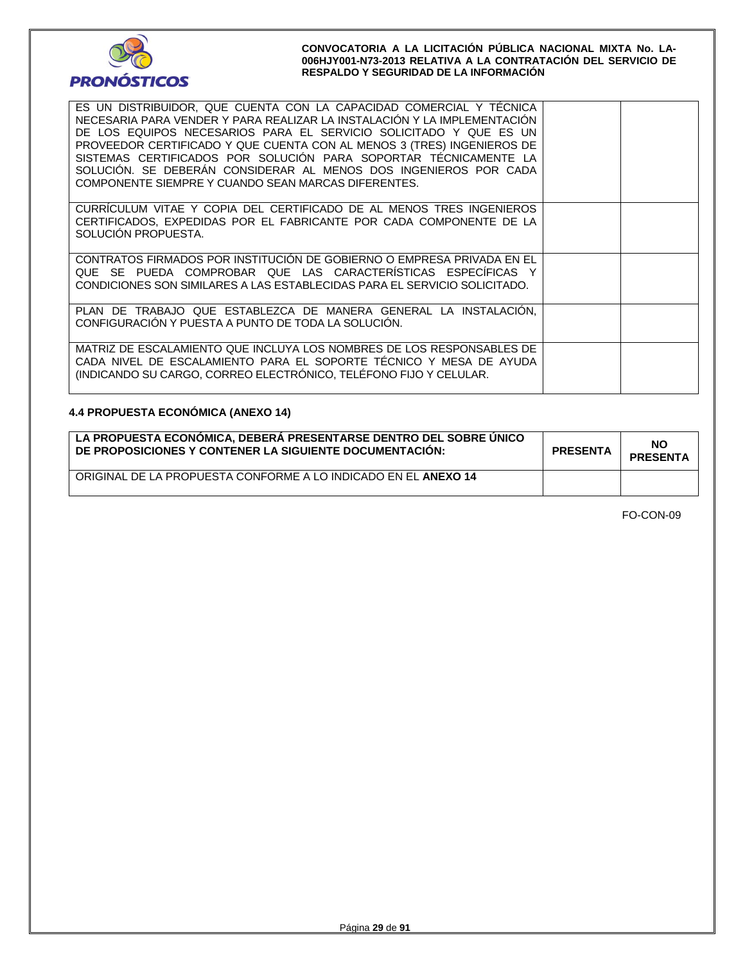

| ES UN DISTRIBUIDOR, QUE CUENTA CON LA CAPACIDAD COMERCIAL Y TÉCNICA<br>NECESARIA PARA VENDER Y PARA REALIZAR LA INSTALACIÓN Y LA IMPLEMENTACIÓN<br>DE LOS EQUIPOS NECESARIOS PARA EL SERVICIO SOLICITADO Y QUE ES UN<br>PROVEEDOR CERTIFICADO Y QUE CUENTA CON AL MENOS 3 (TRES) INGENIEROS DE<br>SISTEMAS CERTIFICADOS POR SOLUCIÓN PARA SOPORTAR TÉCNICAMENTE LA<br>SOLUCIÓN. SE DEBERÁN CONSIDERAR AL MENOS DOS INGENIEROS POR CADA<br>COMPONENTE SIEMPRE Y CUANDO SEAN MARCAS DIFERENTES. |  |
|-----------------------------------------------------------------------------------------------------------------------------------------------------------------------------------------------------------------------------------------------------------------------------------------------------------------------------------------------------------------------------------------------------------------------------------------------------------------------------------------------|--|
| CURRICULUM VITAE Y COPIA DEL CERTIFICADO DE AL MENOS TRES INGENIEROS<br>CERTIFICADOS, EXPEDIDAS POR EL FABRICANTE POR CADA COMPONENTE DE LA<br>SOLUCIÓN PROPUESTA.                                                                                                                                                                                                                                                                                                                            |  |
| CONTRATOS FIRMADOS POR INSTITUCIÓN DE GOBIERNO O EMPRESA PRIVADA EN EL<br>QUE SE PUEDA COMPROBAR QUE LAS CARACTERÍSTICAS ESPECÍFICAS Y<br>CONDICIONES SON SIMILARES A LAS ESTABLECIDAS PARA EL SERVICIO SOLICITADO.                                                                                                                                                                                                                                                                           |  |
| PLAN DE TRABAJO QUE ESTABLEZCA DE MANERA GENERAL LA INSTALACIÓN.<br>CONFIGURACIÓN Y PUESTA A PUNTO DE TODA LA SOLUCIÓN.                                                                                                                                                                                                                                                                                                                                                                       |  |
| MATRIZ DE ESCALAMIENTO QUE INCLUYA LOS NOMBRES DE LOS RESPONSABLES DE<br>CADA NIVEL DE ESCALAMIENTO PARA EL SOPORTE TÉCNICO Y MESA DE AYUDA<br>(INDICANDO SU CARGO, CORREO ELECTRÓNICO, TELÉFONO FIJO Y CELULAR.                                                                                                                                                                                                                                                                              |  |

## **4.4 PROPUESTA ECONÓMICA (ANEXO 14)**

| LA PROPUESTA ECONÓMICA. DEBERÁ PRESENTARSE DENTRO DEL SOBRE UNICO<br>DE PROPOSICIONES Y CONTENER LA SIGUIENTE DOCUMENTACIÓN: | <b>PRESENTA</b> | <b>NO</b><br><b>PRESENTA</b> |
|------------------------------------------------------------------------------------------------------------------------------|-----------------|------------------------------|
| ORIGINAL DE LA PROPUESTA CONFORME A LO INDICADO EN EL ANEXO 14                                                               |                 |                              |

FO-CON-09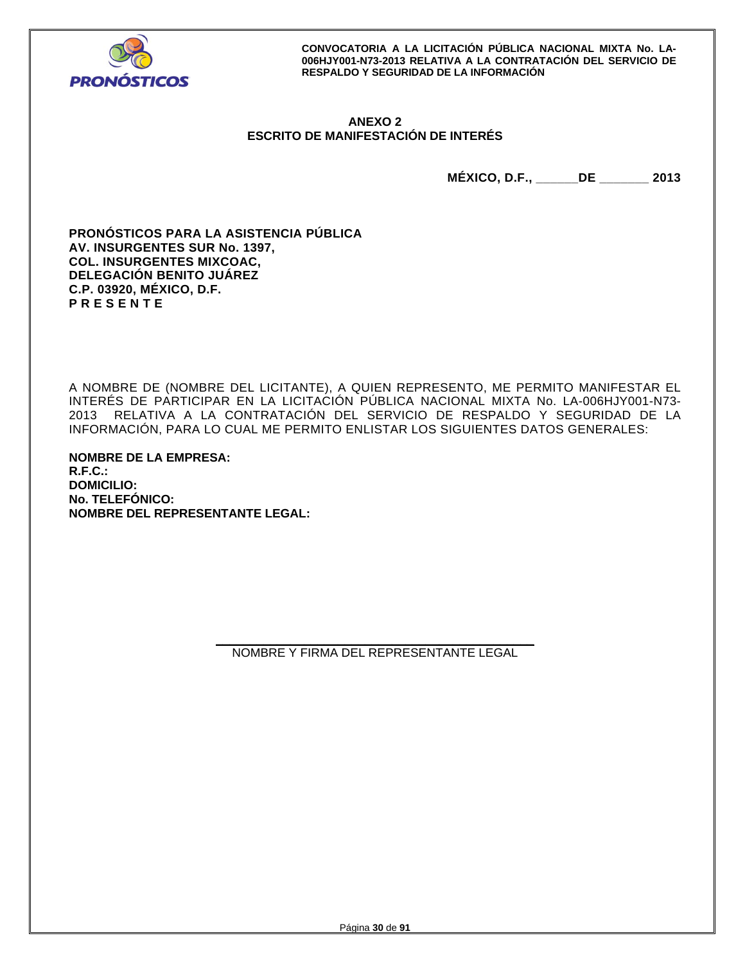

## **ANEXO 2 ESCRITO DE MANIFESTACIÓN DE INTERÉS**

**MÉXICO, D.F., \_\_\_\_\_\_DE \_\_\_\_\_\_\_ 2013** 

**PRONÓSTICOS PARA LA ASISTENCIA PÚBLICA AV. INSURGENTES SUR No. 1397, COL. INSURGENTES MIXCOAC, DELEGACIÓN BENITO JUÁREZ C.P. 03920, MÉXICO, D.F. P R E S E N T E** 

A NOMBRE DE (NOMBRE DEL LICITANTE), A QUIEN REPRESENTO, ME PERMITO MANIFESTAR EL INTERÉS DE PARTICIPAR EN LA LICITACIÓN PÚBLICA NACIONAL MIXTA No. LA-006HJY001-N73- 2013 RELATIVA A LA CONTRATACIÓN DEL SERVICIO DE RESPALDO Y SEGURIDAD DE LA INFORMACIÓN, PARA LO CUAL ME PERMITO ENLISTAR LOS SIGUIENTES DATOS GENERALES:

**NOMBRE DE LA EMPRESA: R.F.C.: DOMICILIO: No. TELEFÓNICO: NOMBRE DEL REPRESENTANTE LEGAL:** 

> **\_\_\_\_\_\_\_\_\_\_\_\_\_\_\_\_\_\_\_\_\_\_\_\_\_\_\_\_\_\_\_\_\_\_\_\_\_\_\_\_\_\_\_\_\_\_\_**  NOMBRE Y FIRMA DEL REPRESENTANTE LEGAL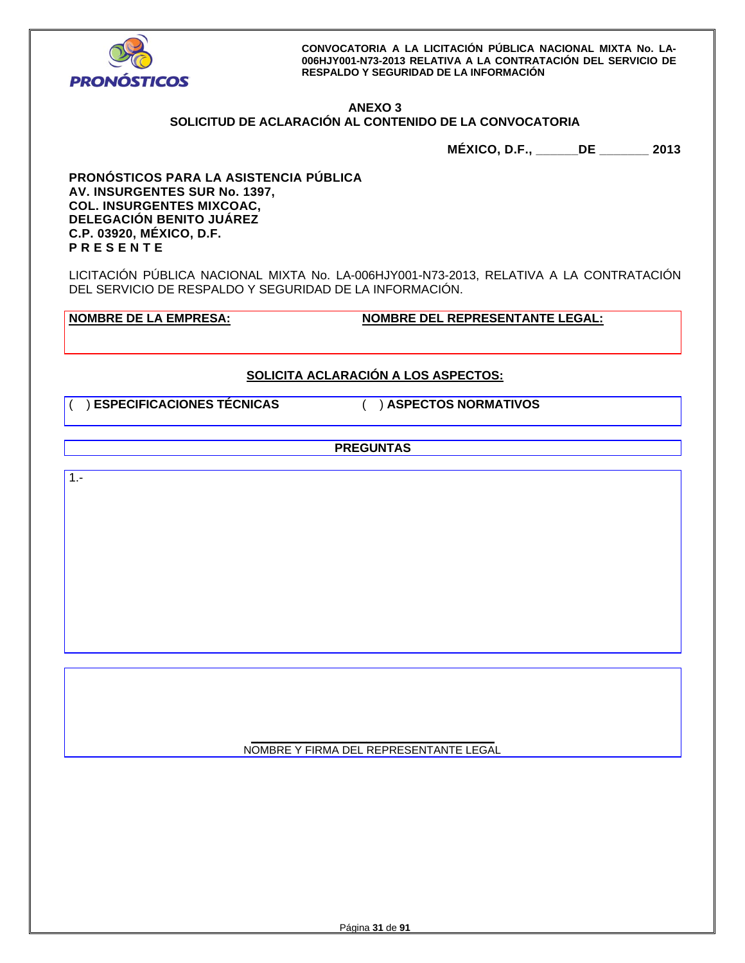

### **ANEXO 3 SOLICITUD DE ACLARACIÓN AL CONTENIDO DE LA CONVOCATORIA**

**MÉXICO, D.F., \_\_\_\_\_\_DE \_\_\_\_\_\_\_ 2013** 

**PRONÓSTICOS PARA LA ASISTENCIA PÚBLICA AV. INSURGENTES SUR No. 1397, COL. INSURGENTES MIXCOAC, DELEGACIÓN BENITO JUÁREZ C.P. 03920, MÉXICO, D.F. P R E S E N T E** 

LICITACIÓN PÚBLICA NACIONAL MIXTA No. LA-006HJY001-N73-2013, RELATIVA A LA CONTRATACIÓN DEL SERVICIO DE RESPALDO Y SEGURIDAD DE LA INFORMACIÓN.

**NOMBRE DE LA EMPRESA: NOMBRE DEL REPRESENTANTE LEGAL:** 

# **SOLICITA ACLARACIÓN A LOS ASPECTOS:**

( ) **ESPECIFICACIONES TÉCNICAS** ( ) **ASPECTOS NORMATIVOS**

**PREGUNTAS** 

 $1. -$ 

**\_\_\_\_\_\_\_\_\_\_\_\_\_\_\_\_\_\_\_\_\_\_\_\_\_\_\_\_\_\_\_\_\_\_\_\_\_\_\_\_**  NOMBRE Y FIRMA DEL REPRESENTANTE LEGAL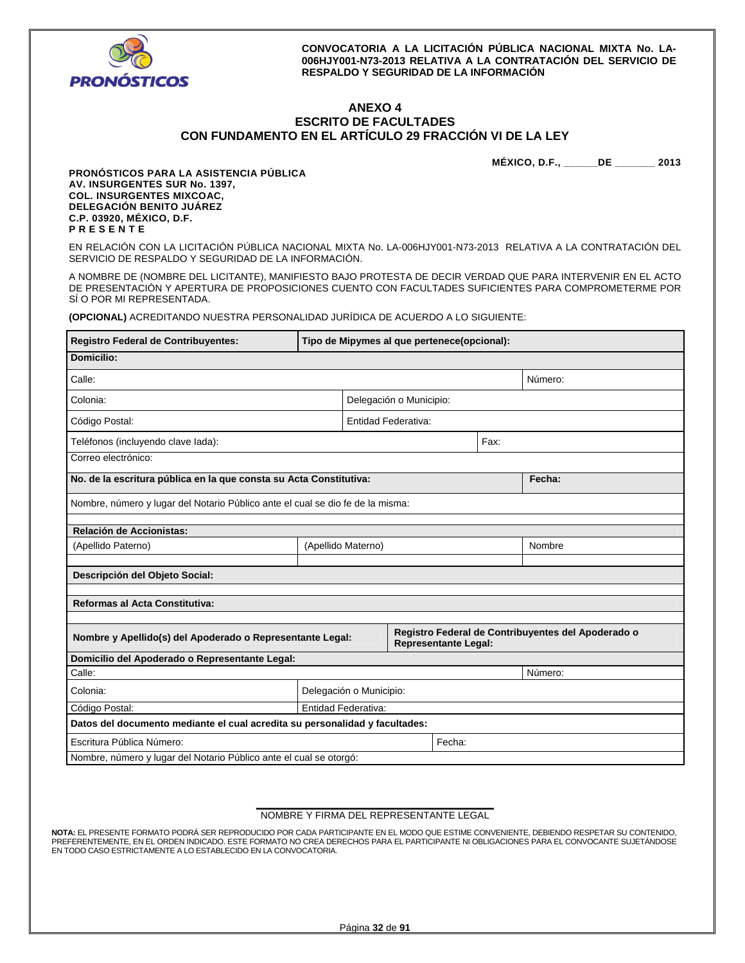

 $\blacksquare$ 

**CONVOCATORIA A LA LICITACIÓN PÚBLICA NACIONAL MIXTA No. LA-006HJY001-N73-2013 RELATIVA A LA CONTRATACIÓN DEL SERVICIO DE RESPALDO Y SEGURIDAD DE LA INFORMACIÓN** 

### **ANEXO 4 ESCRITO DE FACULTADES CON FUNDAMENTO EN EL ARTÍCULO 29 FRACCIÓN VI DE LA LEY**

**MÉXICO, D.F., \_\_\_\_\_\_DE \_\_\_\_\_\_\_ 2013** 

h

**PRONÓSTICOS PARA LA ASISTENCIA PÚBLICA AV. INSURGENTES SUR No. 1397, COL. INSURGENTES MIXCOAC, DELEGACIÓN BENITO JUÁREZ C.P. 03920, MÉXICO, D.F. P R E S E N T E** 

EN RELACIÓN CON LA LICITACIÓN PÚBLICA NACIONAL MIXTA No. LA-006HJY001-N73-2013 RELATIVA A LA CONTRATACIÓN DEL SERVICIO DE RESPALDO Y SEGURIDAD DE LA INFORMACIÓN.

A NOMBRE DE (NOMBRE DEL LICITANTE), MANIFIESTO BAJO PROTESTA DE DECIR VERDAD QUE PARA INTERVENIR EN EL ACTO DE PRESENTACIÓN Y APERTURA DE PROPOSICIONES CUENTO CON FACULTADES SUFICIENTES PARA COMPROMETERME POR SÍ O POR MI REPRESENTADA.

**(OPCIONAL)** ACREDITANDO NUESTRA PERSONALIDAD JURÍDICA DE ACUERDO A LO SIGUIENTE:

| Registro Federal de Contribuyentes:                                                                                                            | Tipo de Mipymes al que pertenece(opcional): |  |      |  |        |  |
|------------------------------------------------------------------------------------------------------------------------------------------------|---------------------------------------------|--|------|--|--------|--|
| Domicilio:                                                                                                                                     |                                             |  |      |  |        |  |
| Calle:<br>Número:                                                                                                                              |                                             |  |      |  |        |  |
| Colonia:                                                                                                                                       | Delegación o Municipio:                     |  |      |  |        |  |
| Código Postal:                                                                                                                                 | Entidad Federativa:                         |  |      |  |        |  |
| Teléfonos (incluyendo clave lada):                                                                                                             |                                             |  | Fax: |  |        |  |
| Correo electrónico:                                                                                                                            |                                             |  |      |  |        |  |
| No. de la escritura pública en la que consta su Acta Constitutiva:                                                                             |                                             |  |      |  | Fecha: |  |
| Nombre, número y lugar del Notario Público ante el cual se dio fe de la misma:                                                                 |                                             |  |      |  |        |  |
| Relación de Accionistas:                                                                                                                       |                                             |  |      |  |        |  |
| (Apellido Paterno)                                                                                                                             | (Apellido Materno)                          |  |      |  | Nombre |  |
| Descripción del Objeto Social:                                                                                                                 |                                             |  |      |  |        |  |
| Reformas al Acta Constitutiva:                                                                                                                 |                                             |  |      |  |        |  |
| Registro Federal de Contribuyentes del Apoderado o<br>Nombre y Apellido(s) del Apoderado o Representante Legal:<br><b>Representante Legal:</b> |                                             |  |      |  |        |  |
| Domicilio del Apoderado o Representante Legal:                                                                                                 |                                             |  |      |  |        |  |
| Calle:<br>Número:                                                                                                                              |                                             |  |      |  |        |  |
| Colonia:                                                                                                                                       | Delegación o Municipio:                     |  |      |  |        |  |
| Código Postal:<br>Entidad Federativa:                                                                                                          |                                             |  |      |  |        |  |
| Datos del documento mediante el cual acredita su personalidad y facultades:                                                                    |                                             |  |      |  |        |  |
| Escritura Pública Número:<br>Fecha:                                                                                                            |                                             |  |      |  |        |  |
| Nombre, número y lugar del Notario Público ante el cual se otorgó:                                                                             |                                             |  |      |  |        |  |

#### **\_\_\_\_\_\_\_\_\_\_\_\_\_\_\_\_\_\_\_\_\_\_\_\_\_\_\_\_\_\_\_\_\_\_\_\_\_\_\_\_\_\_\_\_**  NOMBRE Y FIRMA DEL REPRESENTANTE LEGAL

**NOTA:** EL PRESENTE FORMATO PODRÁ SER REPRODUCIDO POR CADA PARTICIPANTE EN EL MODO QUE ESTIME CONVENIENTE, DEBIENDO RESPETAR SU CONTENIDO, PREFERENTEMENTE, EN EL ORDEN INDICADO. ESTE FORMATO NO CREA DERECHOS PARA EL PARTICIPANTE NI OBLIGACIONES PARA EL CONVOCANTE SUJETÁNDOSE EN TODO CASO ESTRICTAMENTE A LO ESTABLECIDO EN LA CONVOCATORIA.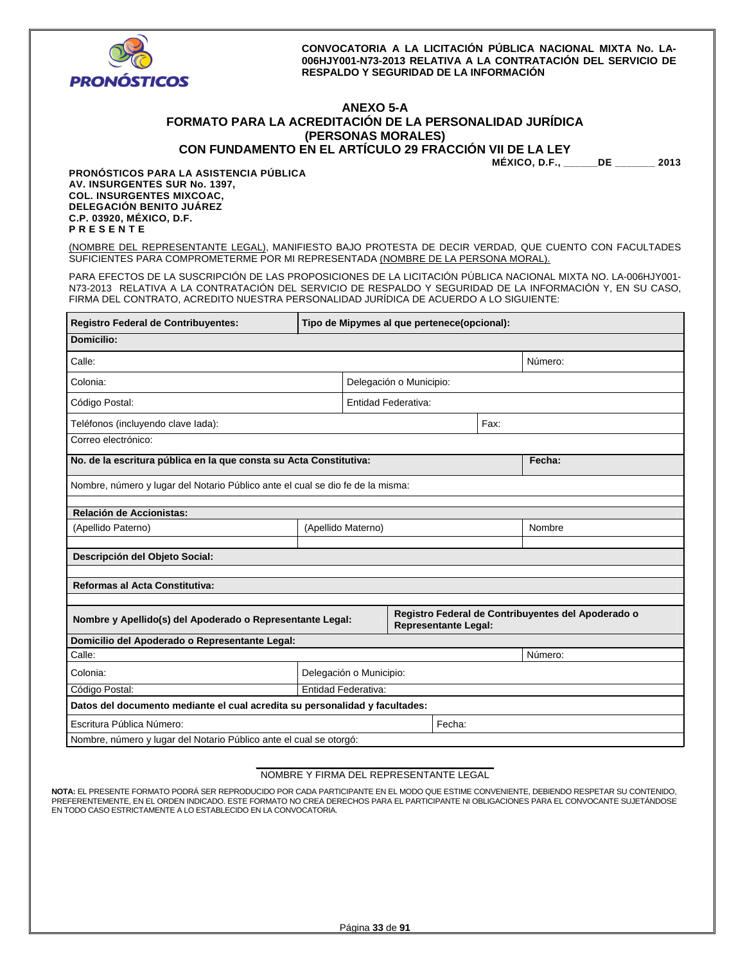

# **ANEXO 5-A FORMATO PARA LA ACREDITACIÓN DE LA PERSONALIDAD JURÍDICA (PERSONAS MORALES)**

**CON FUNDAMENTO EN EL ARTÍCULO 29 FRACCIÓN VII DE LA LEY** 

**MÉXICO, D.F., \_\_\_\_\_\_DE \_\_\_\_\_\_\_ 2013** 

**PRONÓSTICOS PARA LA ASISTENCIA PÚBLICA AV. INSURGENTES SUR No. 1397, COL. INSURGENTES MIXCOAC, DELEGACIÓN BENITO JUÁREZ C.P. 03920, MÉXICO, D.F. P R E S E N T E** 

(NOMBRE DEL REPRESENTANTE LEGAL), MANIFIESTO BAJO PROTESTA DE DECIR VERDAD, QUE CUENTO CON FACULTADES SUFICIENTES PARA COMPROMETERME POR MI REPRESENTADA (NOMBRE DE LA PERSONA MORAL).

PARA EFECTOS DE LA SUSCRIPCIÓN DE LAS PROPOSICIONES DE LA LICITACIÓN PÚBLICA NACIONAL MIXTA NO. LA-006HJY001- N73-2013 RELATIVA A LA CONTRATACIÓN DEL SERVICIO DE RESPALDO Y SEGURIDAD DE LA INFORMACIÓN Y, EN SU CASO, FIRMA DEL CONTRATO, ACREDITO NUESTRA PERSONALIDAD JURÍDICA DE ACUERDO A LO SIGUIENTE:

| <b>Registro Federal de Contribuyentes:</b><br>Tipo de Mipymes al que pertenece(opcional):                                                      |                         |  |      |        |  |
|------------------------------------------------------------------------------------------------------------------------------------------------|-------------------------|--|------|--------|--|
| Domicilio:                                                                                                                                     |                         |  |      |        |  |
| Calle:<br>Número:                                                                                                                              |                         |  |      |        |  |
| Colonia:<br>Delegación o Municipio:                                                                                                            |                         |  |      |        |  |
| Código Postal:<br><b>Entidad Federativa:</b>                                                                                                   |                         |  |      |        |  |
| Teléfonos (incluyendo clave lada):                                                                                                             |                         |  | Fax: |        |  |
| Correo electrónico:                                                                                                                            |                         |  |      |        |  |
| No. de la escritura pública en la que consta su Acta Constitutiva:                                                                             |                         |  |      | Fecha: |  |
| Nombre, número y lugar del Notario Público ante el cual se dio fe de la misma:                                                                 |                         |  |      |        |  |
| Relación de Accionistas:                                                                                                                       |                         |  |      |        |  |
| (Apellido Paterno)                                                                                                                             | (Apellido Materno)      |  |      | Nombre |  |
| Descripción del Objeto Social:                                                                                                                 |                         |  |      |        |  |
| Reformas al Acta Constitutiva:                                                                                                                 |                         |  |      |        |  |
| Registro Federal de Contribuyentes del Apoderado o<br>Nombre y Apellido(s) del Apoderado o Representante Legal:<br><b>Representante Legal:</b> |                         |  |      |        |  |
| Domicilio del Apoderado o Representante Legal:                                                                                                 |                         |  |      |        |  |
| Calle:<br>Número:                                                                                                                              |                         |  |      |        |  |
| Colonia:                                                                                                                                       | Delegación o Municipio: |  |      |        |  |
| Código Postal:<br><b>Entidad Federativa:</b>                                                                                                   |                         |  |      |        |  |
| Datos del documento mediante el cual acredita su personalidad y facultades:                                                                    |                         |  |      |        |  |
| Fecha:<br>Escritura Pública Número:                                                                                                            |                         |  |      |        |  |
| Nombre, número y lugar del Notario Público ante el cual se otorgó:                                                                             |                         |  |      |        |  |

#### **\_\_\_\_\_\_\_\_\_\_\_\_\_\_\_\_\_\_\_\_\_\_\_\_\_\_\_\_\_\_\_\_\_\_\_\_\_\_\_\_\_\_\_\_**  NOMBRE Y FIRMA DEL REPRESENTANTE LEGAL

**NOTA:** EL PRESENTE FORMATO PODRÁ SER REPRODUCIDO POR CADA PARTICIPANTE EN EL MODO QUE ESTIME CONVENIENTE, DEBIENDO RESPETAR SU CONTENIDO, PREFERENTEMENTE, EN EL ORDEN INDICADO. ESTE FORMATO NO CREA DERECHOS PARA EL PARTICIPANTE NI OBLIGACIONES PARA EL CONVOCANTE SUJETANDOSE<br>EN TODO CASO ESTRICTAMENTE A LO ESTABLECIDO EN LA CONVOCATORIA.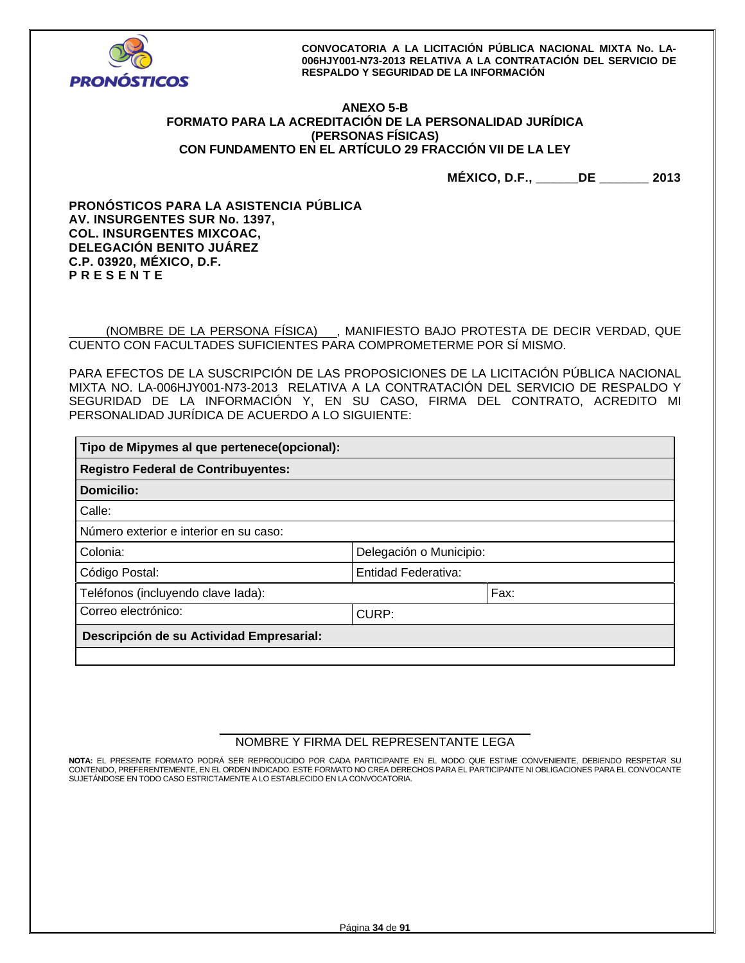

## **ANEXO 5-B FORMATO PARA LA ACREDITACIÓN DE LA PERSONALIDAD JURÍDICA (PERSONAS FÍSICAS) CON FUNDAMENTO EN EL ARTÍCULO 29 FRACCIÓN VII DE LA LEY**

**MÉXICO, D.F., \_\_\_\_\_\_DE \_\_\_\_\_\_\_ 2013** 

**PRONÓSTICOS PARA LA ASISTENCIA PÚBLICA AV. INSURGENTES SUR No. 1397, COL. INSURGENTES MIXCOAC, DELEGACIÓN BENITO JUÁREZ C.P. 03920, MÉXICO, D.F. P R E S E N T E** 

 (NOMBRE DE LA PERSONA FÍSICA) , MANIFIESTO BAJO PROTESTA DE DECIR VERDAD, QUE CUENTO CON FACULTADES SUFICIENTES PARA COMPROMETERME POR SÍ MISMO.

PARA EFECTOS DE LA SUSCRIPCIÓN DE LAS PROPOSICIONES DE LA LICITACIÓN PÚBLICA NACIONAL MIXTA NO. LA-006HJY001-N73-2013 RELATIVA A LA CONTRATACIÓN DEL SERVICIO DE RESPALDO Y SEGURIDAD DE LA INFORMACIÓN Y, EN SU CASO, FIRMA DEL CONTRATO, ACREDITO MI PERSONALIDAD JURÍDICA DE ACUERDO A LO SIGUIENTE:

| Tipo de Mipymes al que pertenece(opcional): |                         |      |  |  |  |
|---------------------------------------------|-------------------------|------|--|--|--|
| <b>Registro Federal de Contribuyentes:</b>  |                         |      |  |  |  |
| Domicilio:                                  |                         |      |  |  |  |
| Calle:                                      |                         |      |  |  |  |
| Número exterior e interior en su caso:      |                         |      |  |  |  |
| Colonia:                                    | Delegación o Municipio: |      |  |  |  |
| Entidad Federativa:<br>Código Postal:       |                         |      |  |  |  |
| Teléfonos (incluyendo clave lada):          |                         | Fax: |  |  |  |
| Correo electrónico:<br>CURP:                |                         |      |  |  |  |
| Descripción de su Actividad Empresarial:    |                         |      |  |  |  |
|                                             |                         |      |  |  |  |

### **\_\_\_\_\_\_\_\_\_\_\_\_\_\_\_\_\_\_\_\_\_\_\_\_\_\_\_\_\_\_\_\_\_\_\_\_\_\_\_\_\_\_\_\_\_\_**  NOMBRE Y FIRMA DEL REPRESENTANTE LEGA

**NOTA:** EL PRESENTE FORMATO PODRÁ SER REPRODUCIDO POR CADA PARTICIPANTE EN EL MODO QUE ESTIME CONVENIENTE, DEBIENDO RESPETAR SU CONTENIDO, PREFERENTEMENTE, EN EL ORDEN INDICADO. ESTE FORMATO NO CREA DERECHOS PARA EL PARTICIPANTE NI OBLIGACIONES PARA EL CONVOCANTE SUJETÁNDOSE EN TODO CASO ESTRICTAMENTE A LO ESTABLECIDO EN LA CONVOCATORIA.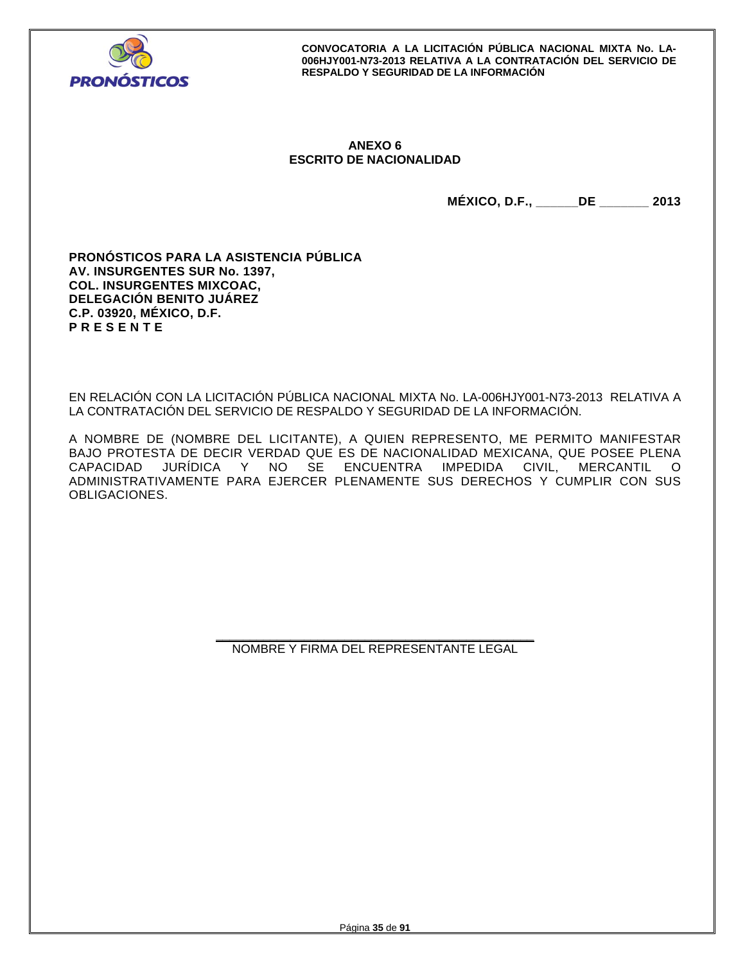

## **ANEXO 6 ESCRITO DE NACIONALIDAD**

**MÉXICO, D.F., \_\_\_\_\_\_DE \_\_\_\_\_\_\_ 2013** 

**PRONÓSTICOS PARA LA ASISTENCIA PÚBLICA AV. INSURGENTES SUR No. 1397, COL. INSURGENTES MIXCOAC, DELEGACIÓN BENITO JUÁREZ C.P. 03920, MÉXICO, D.F. P R E S E N T E** 

EN RELACIÓN CON LA LICITACIÓN PÚBLICA NACIONAL MIXTA No. LA-006HJY001-N73-2013 RELATIVA A LA CONTRATACIÓN DEL SERVICIO DE RESPALDO Y SEGURIDAD DE LA INFORMACIÓN.

A NOMBRE DE (NOMBRE DEL LICITANTE), A QUIEN REPRESENTO, ME PERMITO MANIFESTAR BAJO PROTESTA DE DECIR VERDAD QUE ES DE NACIONALIDAD MEXICANA, QUE POSEE PLENA<br>CAPACIDAD JURÍDICA Y NO SE ENCUENTRA IMPEDIDA CIVIL, MERCANTIL O JURÍDICA Y NO SE ENCUENTRA IMPEDIDA ADMINISTRATIVAMENTE PARA EJERCER PLENAMENTE SUS DERECHOS Y CUMPLIR CON SUS OBLIGACIONES.

> **\_\_\_\_\_\_\_\_\_\_\_\_\_\_\_\_\_\_\_\_\_\_\_\_\_\_\_\_\_\_\_\_\_\_\_\_\_\_\_\_\_\_\_\_\_\_\_**  NOMBRE Y FIRMA DEL REPRESENTANTE LEGAL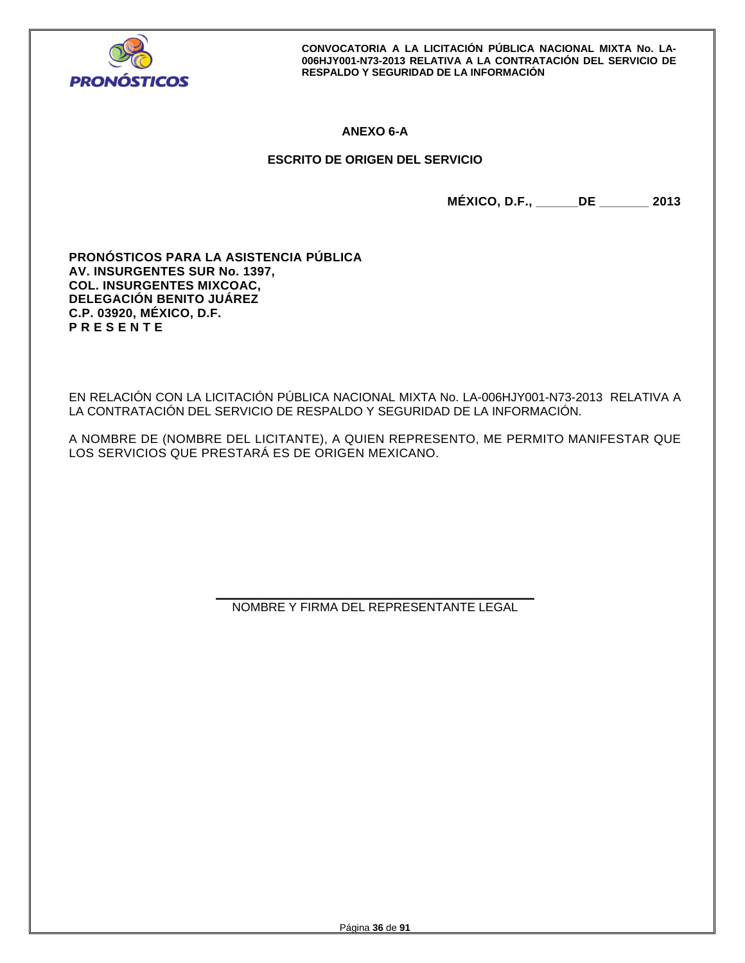

## **ANEXO 6-A**

## **ESCRITO DE ORIGEN DEL SERVICIO**

**MÉXICO, D.F., \_\_\_\_\_\_DE \_\_\_\_\_\_\_ 2013** 

**PRONÓSTICOS PARA LA ASISTENCIA PÚBLICA AV. INSURGENTES SUR No. 1397, COL. INSURGENTES MIXCOAC, DELEGACIÓN BENITO JUÁREZ C.P. 03920, MÉXICO, D.F. P R E S E N T E** 

EN RELACIÓN CON LA LICITACIÓN PÚBLICA NACIONAL MIXTA No. LA-006HJY001-N73-2013 RELATIVA A LA CONTRATACIÓN DEL SERVICIO DE RESPALDO Y SEGURIDAD DE LA INFORMACIÓN.

A NOMBRE DE (NOMBRE DEL LICITANTE), A QUIEN REPRESENTO, ME PERMITO MANIFESTAR QUE LOS SERVICIOS QUE PRESTARÁ ES DE ORIGEN MEXICANO.

> **\_\_\_\_\_\_\_\_\_\_\_\_\_\_\_\_\_\_\_\_\_\_\_\_\_\_\_\_\_\_\_\_\_\_\_\_\_\_\_\_\_\_\_\_\_\_\_**  NOMBRE Y FIRMA DEL REPRESENTANTE LEGAL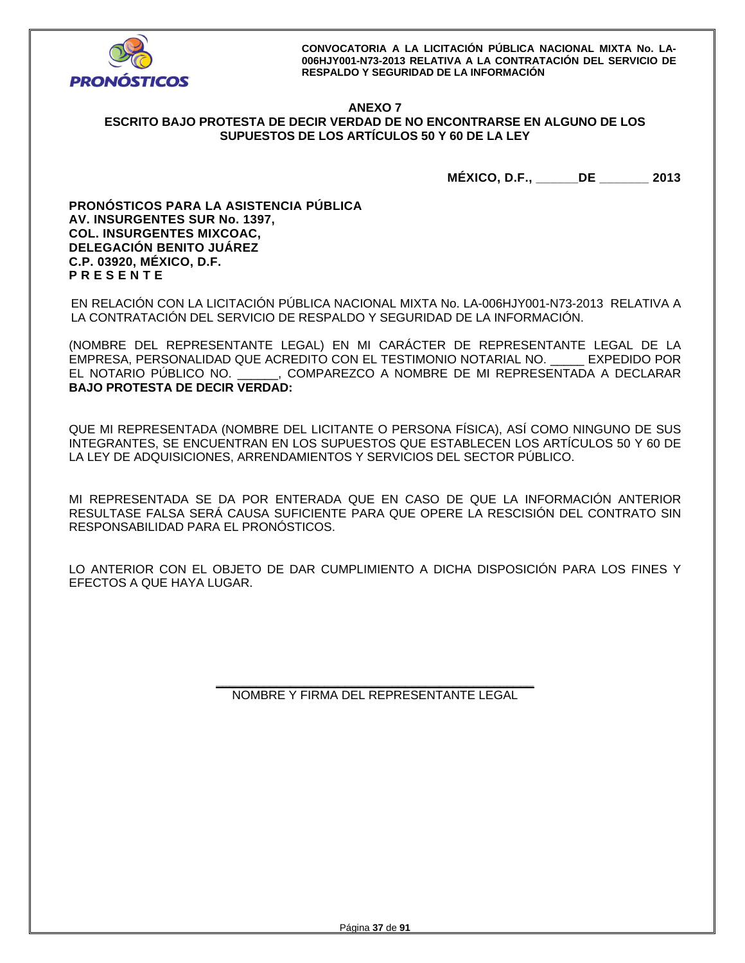

## **ANEXO 7 ESCRITO BAJO PROTESTA DE DECIR VERDAD DE NO ENCONTRARSE EN ALGUNO DE LOS SUPUESTOS DE LOS ARTÍCULOS 50 Y 60 DE LA LEY**

**MÉXICO, D.F., \_\_\_\_\_\_DE \_\_\_\_\_\_\_ 2013** 

**PRONÓSTICOS PARA LA ASISTENCIA PÚBLICA AV. INSURGENTES SUR No. 1397, COL. INSURGENTES MIXCOAC, DELEGACIÓN BENITO JUÁREZ C.P. 03920, MÉXICO, D.F. P R E S E N T E** 

EN RELACIÓN CON LA LICITACIÓN PÚBLICA NACIONAL MIXTA No. LA-006HJY001-N73-2013 RELATIVA A LA CONTRATACIÓN DEL SERVICIO DE RESPALDO Y SEGURIDAD DE LA INFORMACIÓN.

(NOMBRE DEL REPRESENTANTE LEGAL) EN MI CARÁCTER DE REPRESENTANTE LEGAL DE LA EMPRESA, PERSONALIDAD QUE ACREDITO CON EL TESTIMONIO NOTARIAL NO. \_\_\_\_\_ EXPEDIDO POR EL NOTARIO PÚBLICO NO. \_\_\_\_\_\_, COMPAREZCO A NOMBRE DE MI REPRESENTADA A DECLARAR **BAJO PROTESTA DE DECIR VERDAD:** 

QUE MI REPRESENTADA (NOMBRE DEL LICITANTE O PERSONA FÍSICA), ASÍ COMO NINGUNO DE SUS INTEGRANTES, SE ENCUENTRAN EN LOS SUPUESTOS QUE ESTABLECEN LOS ARTÍCULOS 50 Y 60 DE LA LEY DE ADQUISICIONES, ARRENDAMIENTOS Y SERVICIOS DEL SECTOR PÚBLICO.

MI REPRESENTADA SE DA POR ENTERADA QUE EN CASO DE QUE LA INFORMACIÓN ANTERIOR RESULTASE FALSA SERÁ CAUSA SUFICIENTE PARA QUE OPERE LA RESCISIÓN DEL CONTRATO SIN RESPONSABILIDAD PARA EL PRONÓSTICOS.

LO ANTERIOR CON EL OBJETO DE DAR CUMPLIMIENTO A DICHA DISPOSICIÓN PARA LOS FINES Y EFECTOS A QUE HAYA LUGAR.

> **\_\_\_\_\_\_\_\_\_\_\_\_\_\_\_\_\_\_\_\_\_\_\_\_\_\_\_\_\_\_\_\_\_\_\_\_\_\_\_\_\_\_\_\_\_\_\_**  NOMBRE Y FIRMA DEL REPRESENTANTE LEGAL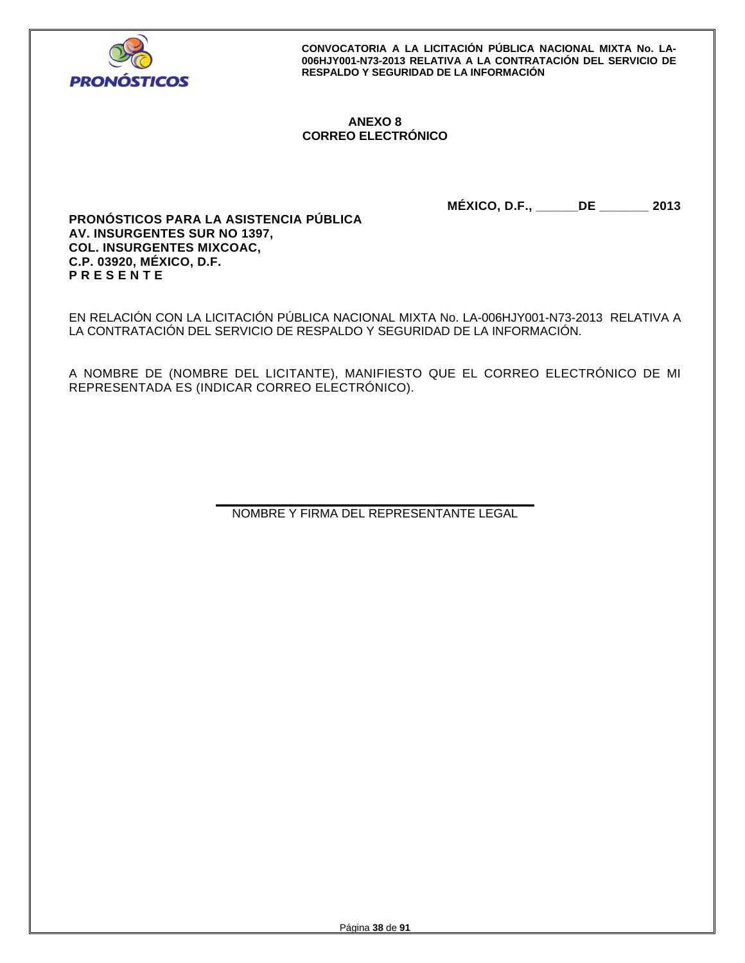

## **ANEXO 8 CORREO ELECTRÓNICO**

**MÉXICO, D.F., \_\_\_\_\_\_DE \_\_\_\_\_\_\_ 2013** 

**PRONÓSTICOS PARA LA ASISTENCIA PÚBLICA AV. INSURGENTES SUR NO 1397, COL. INSURGENTES MIXCOAC, C.P. 03920, MÉXICO, D.F. P R E S E N T E** 

EN RELACIÓN CON LA LICITACIÓN PÚBLICA NACIONAL MIXTA No. LA-006HJY001-N73-2013 RELATIVA A LA CONTRATACIÓN DEL SERVICIO DE RESPALDO Y SEGURIDAD DE LA INFORMACIÓN.

A NOMBRE DE (NOMBRE DEL LICITANTE), MANIFIESTO QUE EL CORREO ELECTRÓNICO DE MI REPRESENTADA ES (INDICAR CORREO ELECTRÓNICO).

> **\_\_\_\_\_\_\_\_\_\_\_\_\_\_\_\_\_\_\_\_\_\_\_\_\_\_\_\_\_\_\_\_\_\_\_\_\_\_\_\_\_\_\_\_\_\_\_**  NOMBRE Y FIRMA DEL REPRESENTANTE LEGAL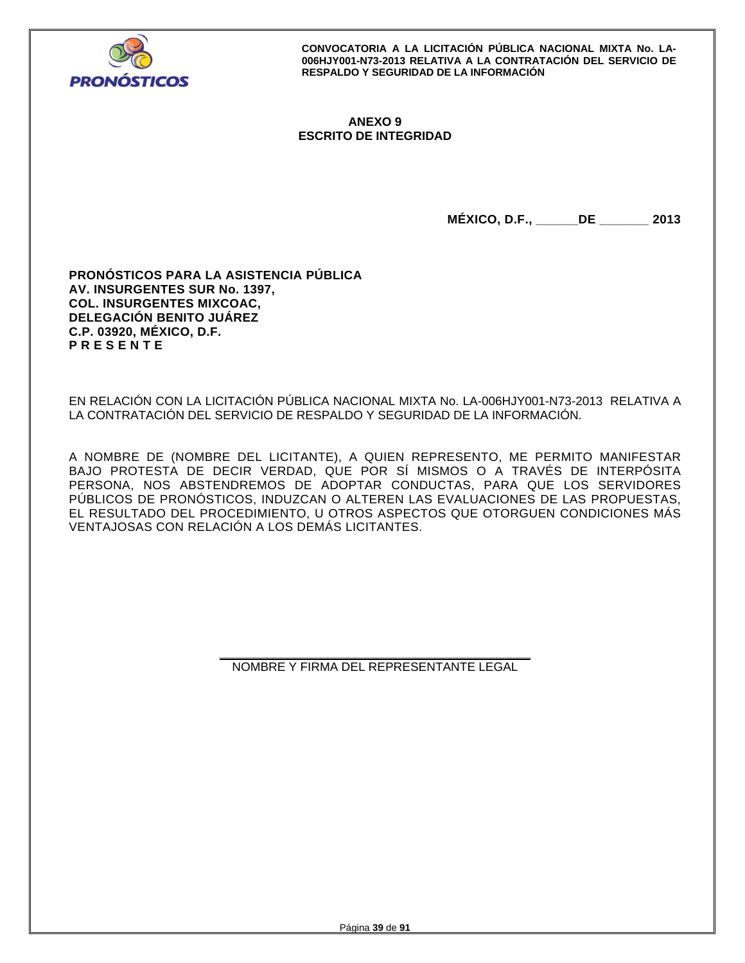

## **ANEXO 9 ESCRITO DE INTEGRIDAD**

**MÉXICO, D.F., \_\_\_\_\_\_DE \_\_\_\_\_\_\_ 2013** 

**PRONÓSTICOS PARA LA ASISTENCIA PÚBLICA AV. INSURGENTES SUR No. 1397, COL. INSURGENTES MIXCOAC, DELEGACIÓN BENITO JUÁREZ C.P. 03920, MÉXICO, D.F. P R E S E N T E** 

EN RELACIÓN CON LA LICITACIÓN PÚBLICA NACIONAL MIXTA No. LA-006HJY001-N73-2013 RELATIVA A LA CONTRATACIÓN DEL SERVICIO DE RESPALDO Y SEGURIDAD DE LA INFORMACIÓN.

A NOMBRE DE (NOMBRE DEL LICITANTE), A QUIEN REPRESENTO, ME PERMITO MANIFESTAR BAJO PROTESTA DE DECIR VERDAD, QUE POR SÍ MISMOS O A TRAVÉS DE INTERPÓSITA PERSONA, NOS ABSTENDREMOS DE ADOPTAR CONDUCTAS, PARA QUE LOS SERVIDORES PÚBLICOS DE PRONÓSTICOS, INDUZCAN O ALTEREN LAS EVALUACIONES DE LAS PROPUESTAS, EL RESULTADO DEL PROCEDIMIENTO, U OTROS ASPECTOS QUE OTORGUEN CONDICIONES MÁS VENTAJOSAS CON RELACIÓN A LOS DEMÁS LICITANTES.

> **\_\_\_\_\_\_\_\_\_\_\_\_\_\_\_\_\_\_\_\_\_\_\_\_\_\_\_\_\_\_\_\_\_\_\_\_\_\_\_\_\_\_\_\_\_\_**  NOMBRE Y FIRMA DEL REPRESENTANTE LEGAL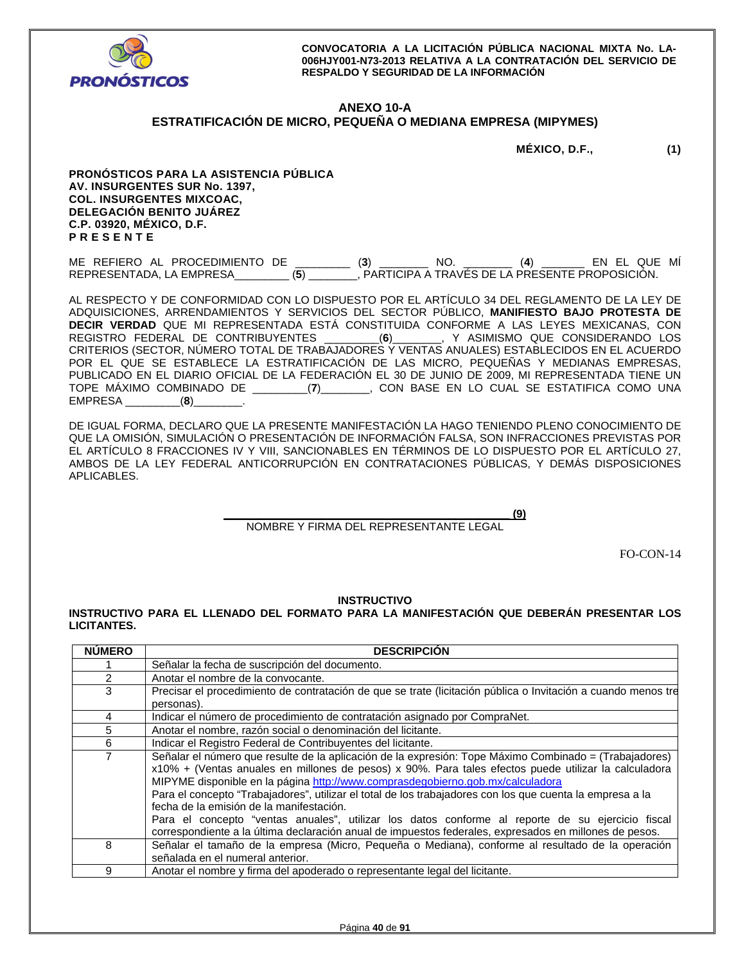

## **ANEXO 10-A ESTRATIFICACIÓN DE MICRO, PEQUEÑA O MEDIANA EMPRESA (MIPYMES)**

**MÉXICO, D.F., (1)** 

**PRONÓSTICOS PARA LA ASISTENCIA PÚBLICA AV. INSURGENTES SUR No. 1397, COL. INSURGENTES MIXCOAC, DELEGACIÓN BENITO JUÁREZ C.P. 03920, MÉXICO, D.F. P R E S E N T E** 

ME REFIERO AL PROCEDIMIENTO DE \_\_\_\_\_\_\_\_\_ (**3**) \_\_\_\_\_\_\_\_ NO. \_\_\_\_\_\_\_\_ (**4**) \_\_\_\_\_\_\_ EN EL QUE MÍ REPRESENTADA, LA EMPRESA\_\_\_\_\_\_\_\_\_ (**5**) \_\_\_\_\_\_\_\_, PARTICIPA A TRAVÉS DE LA PRESENTE PROPOSICIÓN.

AL RESPECTO Y DE CONFORMIDAD CON LO DISPUESTO POR EL ARTÍCULO 34 DEL REGLAMENTO DE LA LEY DE ADQUISICIONES, ARRENDAMIENTOS Y SERVICIOS DEL SECTOR PÚBLICO, **MANIFIESTO BAJO PROTESTA DE DECIR VERDAD** QUE MI REPRESENTADA ESTÁ CONSTITUIDA CONFORME A LAS LEYES MEXICANAS, CON<br>REGISTRO FEDERAL DE CONTRIBUYENTES \_\_\_\_\_\_\_\_\_(6)\_\_\_\_\_\_\_\_, Y ASIMISMO QUE CONSIDERANDO LOS REGISTRO FEDERAL DE CONTRIBUYENTES \_\_\_\_\_\_\_\_\_(**6**)\_\_\_\_\_\_\_\_, Y ASIMISMO QUE CONSIDERANDO LOS CRITERIOS (SECTOR, NÚMERO TOTAL DE TRABAJADORES Y VENTAS ANUALES) ESTABLECIDOS EN EL ACUERDO POR EL QUE SE ESTABLECE LA ESTRATIFICACIÓN DE LAS MICRO, PEQUEÑAS Y MEDIANAS EMPRESAS, PUBLICADO EN EL DIARIO OFICIAL DE LA FEDERACIÓN EL 30 DE JUNIO DE 2009, MI REPRESENTADA TIENE UN TOPE MÁXIMO COMBINADO DE \_\_\_\_\_\_\_\_\_(**7**)\_\_\_\_\_\_\_\_, CON BASE EN LO CUAL SE ESTATIFICA COMO UNA EMPRESA \_\_\_\_\_\_\_\_\_(**8**)\_\_\_\_\_\_\_\_.

DE IGUAL FORMA, DECLARO QUE LA PRESENTE MANIFESTACIÓN LA HAGO TENIENDO PLENO CONOCIMIENTO DE QUE LA OMISIÓN, SIMULACIÓN O PRESENTACIÓN DE INFORMACIÓN FALSA, SON INFRACCIONES PREVISTAS POR EL ARTÍCULO 8 FRACCIONES IV Y VIII, SANCIONABLES EN TÉRMINOS DE LO DISPUESTO POR EL ARTÍCULO 27, AMBOS DE LA LEY FEDERAL ANTICORRUPCIÓN EN CONTRATACIONES PÚBLICAS, Y DEMÁS DISPOSICIONES APLICABLES.

**\_\_\_\_\_\_\_\_\_\_\_\_\_\_\_\_\_\_\_\_\_\_\_\_\_\_\_\_\_\_\_\_\_\_\_\_\_\_\_\_\_\_\_\_\_\_\_ (9)** 

## NOMBRE Y FIRMA DEL REPRESENTANTE LEGAL

FO-CON-14

## **INSTRUCTIVO**

**INSTRUCTIVO PARA EL LLENADO DEL FORMATO PARA LA MANIFESTACIÓN QUE DEBERÁN PRESENTAR LOS LICITANTES.** 

| <b>NUMERO</b>                                                                                        | <b>DESCRIPCION</b>                                                                                            |  |  |  |
|------------------------------------------------------------------------------------------------------|---------------------------------------------------------------------------------------------------------------|--|--|--|
|                                                                                                      | Señalar la fecha de suscripción del documento.                                                                |  |  |  |
| $\overline{2}$                                                                                       | Anotar el nombre de la convocante.                                                                            |  |  |  |
| 3                                                                                                    | Precisar el procedimiento de contratación de que se trate (licitación pública o Invitación a cuando menos tre |  |  |  |
|                                                                                                      | personas).                                                                                                    |  |  |  |
| 4                                                                                                    | Indicar el número de procedimiento de contratación asignado por CompraNet.                                    |  |  |  |
| 5                                                                                                    | Anotar el nombre, razón social o denominación del licitante.                                                  |  |  |  |
| 6                                                                                                    | Indicar el Registro Federal de Contribuyentes del licitante.                                                  |  |  |  |
| 7                                                                                                    | Señalar el número que resulte de la aplicación de la expresión: Tope Máximo Combinado = (Trabajadores)        |  |  |  |
| x10% + (Ventas anuales en millones de pesos) x 90%. Para tales efectos puede utilizar la calculadora |                                                                                                               |  |  |  |
|                                                                                                      | MIPYME disponible en la página http://www.comprasdegobierno.gob.mx/calculadora                                |  |  |  |
|                                                                                                      | Para el concepto "Trabajadores", utilizar el total de los trabajadores con los que cuenta la empresa a la     |  |  |  |
|                                                                                                      | fecha de la emisión de la manifestación.                                                                      |  |  |  |
|                                                                                                      | Para el concepto "ventas anuales", utilizar los datos conforme al reporte de su ejercicio fiscal              |  |  |  |
|                                                                                                      | correspondiente a la última declaración anual de impuestos federales, expresados en millones de pesos.        |  |  |  |
| 8                                                                                                    | Señalar el tamaño de la empresa (Micro, Pequeña o Mediana), conforme al resultado de la operación             |  |  |  |
|                                                                                                      | señalada en el numeral anterior.                                                                              |  |  |  |
| 9                                                                                                    | Anotar el nombre y firma del apoderado o representante legal del licitante.                                   |  |  |  |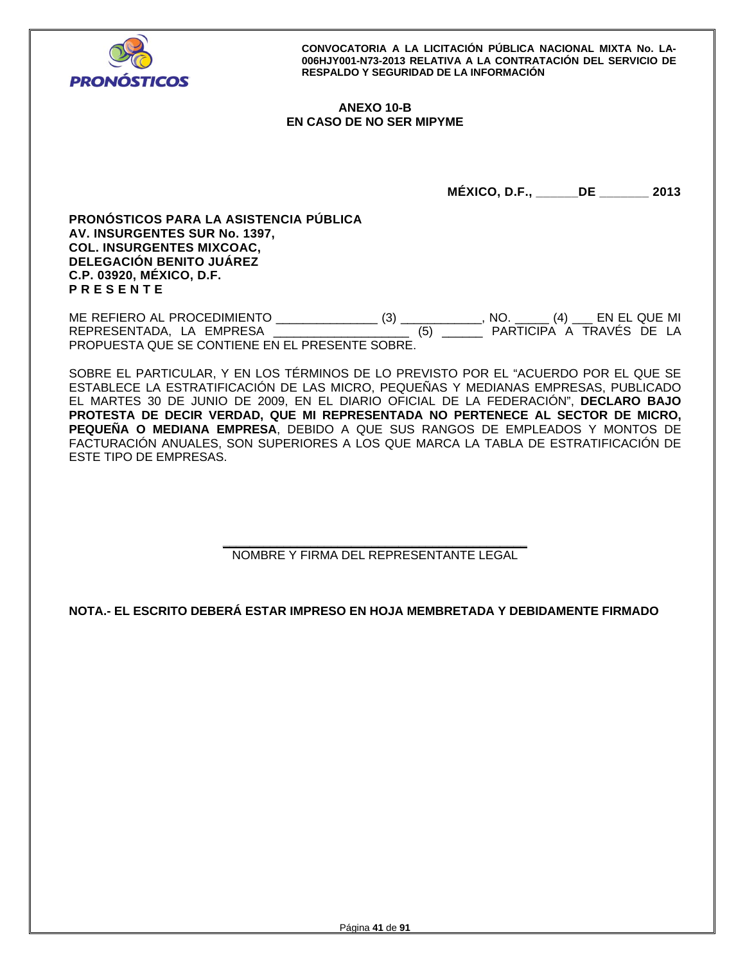

## **ANEXO 10-B EN CASO DE NO SER MIPYME**

**MÉXICO, D.F., \_\_\_\_\_\_DE \_\_\_\_\_\_\_ 2013** 

**PRONÓSTICOS PARA LA ASISTENCIA PÚBLICA AV. INSURGENTES SUR No. 1397, COL. INSURGENTES MIXCOAC, DELEGACIÓN BENITO JUÁREZ C.P. 03920, MÉXICO, D.F. P R E S E N T E** 

ME REFIERO AL PROCEDIMIENTO \_\_\_\_\_\_\_\_\_\_\_\_\_\_\_ (3) \_\_\_\_\_\_\_\_\_\_\_\_, NO. \_\_\_\_\_ (4) \_\_\_ EN EL QUE MI REPRESENTADA, LA EMPRESA de la contrata de la contrata de la participa a través de la PROPUESTA QUE SE CONTIENE EN EL PRESENTE SOBRE.

SOBRE EL PARTICULAR, Y EN LOS TÉRMINOS DE LO PREVISTO POR EL "ACUERDO POR EL QUE SE ESTABLECE LA ESTRATIFICACIÓN DE LAS MICRO, PEQUEÑAS Y MEDIANAS EMPRESAS, PUBLICADO EL MARTES 30 DE JUNIO DE 2009, EN EL DIARIO OFICIAL DE LA FEDERACIÓN", **DECLARO BAJO PROTESTA DE DECIR VERDAD, QUE MI REPRESENTADA NO PERTENECE AL SECTOR DE MICRO, PEQUEÑA O MEDIANA EMPRESA**, DEBIDO A QUE SUS RANGOS DE EMPLEADOS Y MONTOS DE FACTURACIÓN ANUALES, SON SUPERIORES A LOS QUE MARCA LA TABLA DE ESTRATIFICACIÓN DE ESTE TIPO DE EMPRESAS.

## **\_\_\_\_\_\_\_\_\_\_\_\_\_\_\_\_\_\_\_\_\_\_\_\_\_\_\_\_\_\_\_\_\_\_\_\_\_\_\_\_\_\_\_\_\_**  NOMBRE Y FIRMA DEL REPRESENTANTE LEGAL

**NOTA.- EL ESCRITO DEBERÁ ESTAR IMPRESO EN HOJA MEMBRETADA Y DEBIDAMENTE FIRMADO**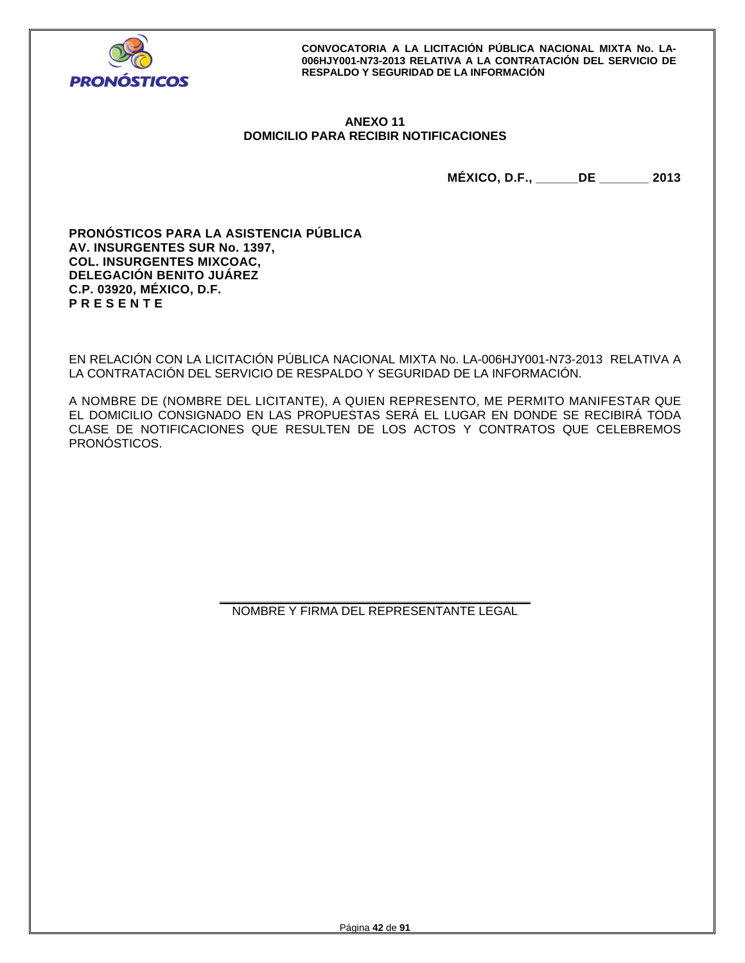

## **ANEXO 11 DOMICILIO PARA RECIBIR NOTIFICACIONES**

**MÉXICO, D.F., \_\_\_\_\_\_DE \_\_\_\_\_\_\_ 2013** 

**PRONÓSTICOS PARA LA ASISTENCIA PÚBLICA AV. INSURGENTES SUR No. 1397, COL. INSURGENTES MIXCOAC, DELEGACIÓN BENITO JUÁREZ C.P. 03920, MÉXICO, D.F. P R E S E N T E** 

EN RELACIÓN CON LA LICITACIÓN PÚBLICA NACIONAL MIXTA No. LA-006HJY001-N73-2013 RELATIVA A LA CONTRATACIÓN DEL SERVICIO DE RESPALDO Y SEGURIDAD DE LA INFORMACIÓN.

A NOMBRE DE (NOMBRE DEL LICITANTE), A QUIEN REPRESENTO, ME PERMITO MANIFESTAR QUE EL DOMICILIO CONSIGNADO EN LAS PROPUESTAS SERÁ EL LUGAR EN DONDE SE RECIBIRÁ TODA CLASE DE NOTIFICACIONES QUE RESULTEN DE LOS ACTOS Y CONTRATOS QUE CELEBREMOS PRONÓSTICOS.

> **\_\_\_\_\_\_\_\_\_\_\_\_\_\_\_\_\_\_\_\_\_\_\_\_\_\_\_\_\_\_\_\_\_\_\_\_\_\_\_\_\_\_\_\_\_\_**  NOMBRE Y FIRMA DEL REPRESENTANTE LEGAL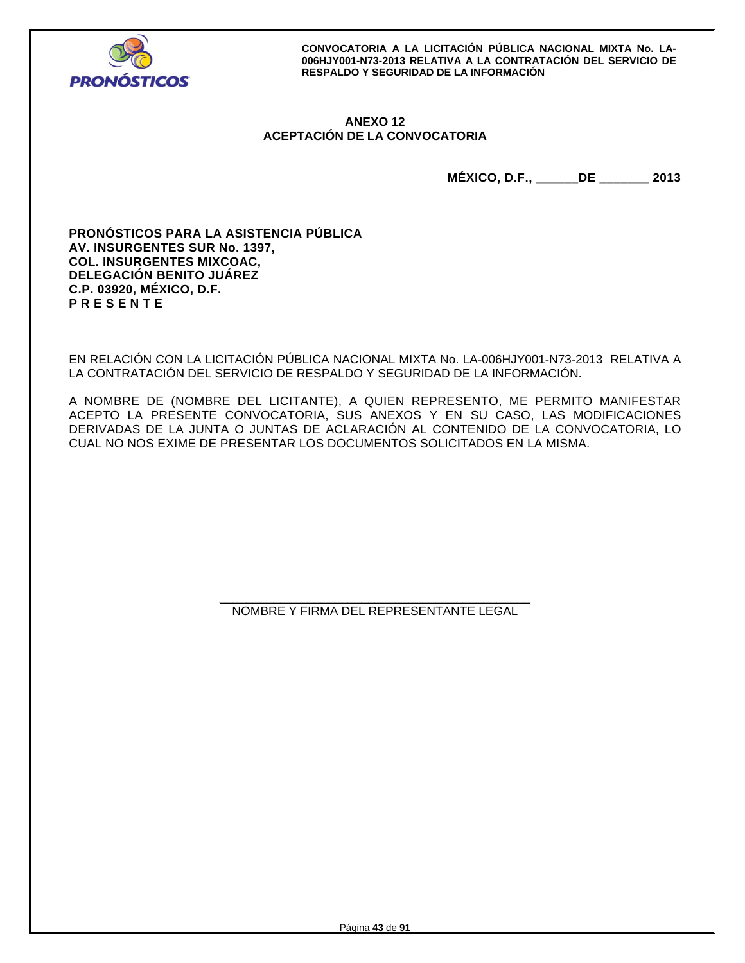

## **ANEXO 12 ACEPTACIÓN DE LA CONVOCATORIA**

**MÉXICO, D.F., \_\_\_\_\_\_DE \_\_\_\_\_\_\_ 2013** 

**PRONÓSTICOS PARA LA ASISTENCIA PÚBLICA AV. INSURGENTES SUR No. 1397, COL. INSURGENTES MIXCOAC, DELEGACIÓN BENITO JUÁREZ C.P. 03920, MÉXICO, D.F. P R E S E N T E** 

EN RELACIÓN CON LA LICITACIÓN PÚBLICA NACIONAL MIXTA No. LA-006HJY001-N73-2013 RELATIVA A LA CONTRATACIÓN DEL SERVICIO DE RESPALDO Y SEGURIDAD DE LA INFORMACIÓN.

A NOMBRE DE (NOMBRE DEL LICITANTE), A QUIEN REPRESENTO, ME PERMITO MANIFESTAR ACEPTO LA PRESENTE CONVOCATORIA, SUS ANEXOS Y EN SU CASO, LAS MODIFICACIONES DERIVADAS DE LA JUNTA O JUNTAS DE ACLARACIÓN AL CONTENIDO DE LA CONVOCATORIA, LO CUAL NO NOS EXIME DE PRESENTAR LOS DOCUMENTOS SOLICITADOS EN LA MISMA.

> **\_\_\_\_\_\_\_\_\_\_\_\_\_\_\_\_\_\_\_\_\_\_\_\_\_\_\_\_\_\_\_\_\_\_\_\_\_\_\_\_\_\_\_\_\_\_**  NOMBRE Y FIRMA DEL REPRESENTANTE LEGAL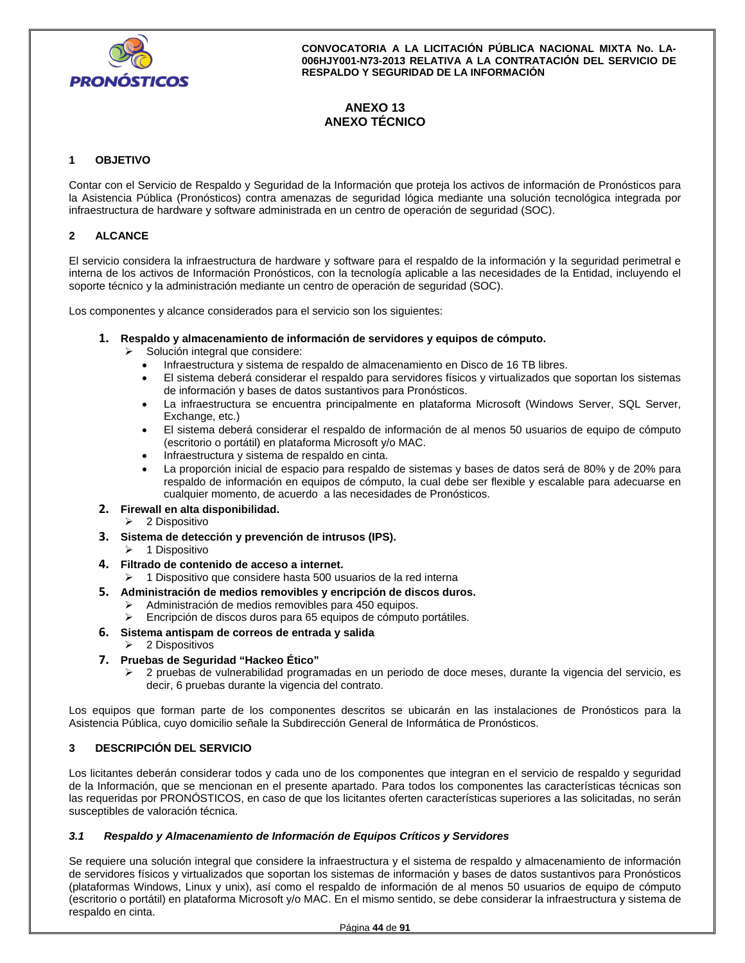

# **ANEXO 13 ANEXO TÉCNICO**

## **1 OBJETIVO**

Contar con el Servicio de Respaldo y Seguridad de la Información que proteja los activos de información de Pronósticos para la Asistencia Pública (Pronósticos) contra amenazas de seguridad lógica mediante una solución tecnológica integrada por infraestructura de hardware y software administrada en un centro de operación de seguridad (SOC).

## **2 ALCANCE**

El servicio considera la infraestructura de hardware y software para el respaldo de la información y la seguridad perimetral e interna de los activos de Información Pronósticos, con la tecnología aplicable a las necesidades de la Entidad, incluyendo el soporte técnico y la administración mediante un centro de operación de seguridad (SOC).

Los componentes y alcance considerados para el servicio son los siguientes:

## **1. Respaldo y almacenamiento de información de servidores y equipos de cómputo.**

- $\triangleright$  Solución integral que considere:
	- Infraestructura y sistema de respaldo de almacenamiento en Disco de 16 TB libres.
	- El sistema deberá considerar el respaldo para servidores físicos y virtualizados que soportan los sistemas de información y bases de datos sustantivos para Pronósticos.
	- La infraestructura se encuentra principalmente en plataforma Microsoft (Windows Server, SQL Server, Exchange, etc.)
	- El sistema deberá considerar el respaldo de información de al menos 50 usuarios de equipo de cómputo (escritorio o portátil) en plataforma Microsoft y/o MAC.
	- Infraestructura y sistema de respaldo en cinta.
	- La proporción inicial de espacio para respaldo de sistemas y bases de datos será de 80% y de 20% para respaldo de información en equipos de cómputo, la cual debe ser flexible y escalable para adecuarse en cualquier momento, de acuerdo a las necesidades de Pronósticos.
- **2. Firewall en alta disponibilidad.** 
	- 2 Dispositivo
- **3. Sistema de detección y prevención de intrusos (IPS).** 
	- $\geq 1$  Dispositivo
- **4. Filtrado de contenido de acceso a internet.** 
	- 1 Dispositivo que considere hasta 500 usuarios de la red interna
- **5. Administración de medios removibles y encripción de discos duros.** 
	- Administración de medios removibles para 450 equipos.
	- Encripción de discos duros para 65 equipos de cómputo portátiles.

## **6. Sistema antispam de correos de entrada y salida**

- 2 Dispositivos
- **7. Pruebas de Seguridad "Hackeo Ético"** 
	- 2 pruebas de vulnerabilidad programadas en un periodo de doce meses, durante la vigencia del servicio, es decir, 6 pruebas durante la vigencia del contrato.

Los equipos que forman parte de los componentes descritos se ubicarán en las instalaciones de Pronósticos para la Asistencia Pública, cuyo domicilio señale la Subdirección General de Informática de Pronósticos.

## **3 DESCRIPCIÓN DEL SERVICIO**

Los licitantes deberán considerar todos y cada uno de los componentes que integran en el servicio de respaldo y seguridad de la Información, que se mencionan en el presente apartado. Para todos los componentes las características técnicas son las requeridas por PRONÓSTICOS, en caso de que los licitantes oferten características superiores a las solicitadas, no serán susceptibles de valoración técnica.

## *3.1 Respaldo y Almacenamiento de Información de Equipos Críticos y Servidores*

Se requiere una solución integral que considere la infraestructura y el sistema de respaldo y almacenamiento de información de servidores físicos y virtualizados que soportan los sistemas de información y bases de datos sustantivos para Pronósticos (plataformas Windows, Linux y unix), así como el respaldo de información de al menos 50 usuarios de equipo de cómputo (escritorio o portátil) en plataforma Microsoft y/o MAC. En el mismo sentido, se debe considerar la infraestructura y sistema de respaldo en cinta.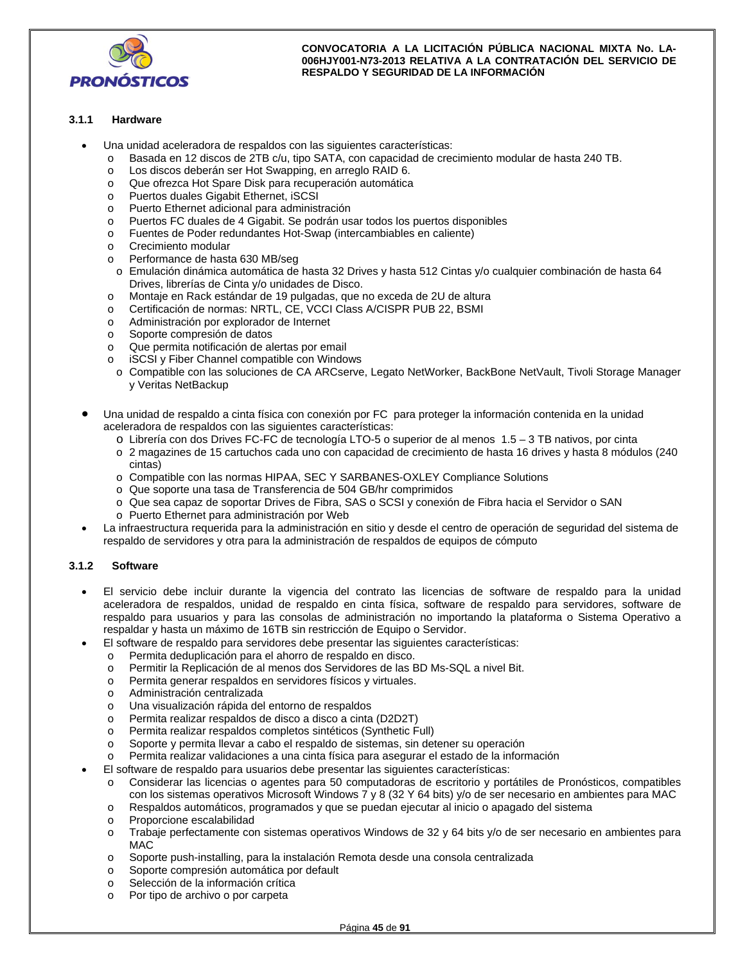

## **3.1.1 Hardware**

- Una unidad aceleradora de respaldos con las siguientes características:
	- o Basada en 12 discos de 2TB c/u, tipo SATA, con capacidad de crecimiento modular de hasta 240 TB.
	- o Los discos deberán ser Hot Swapping, en arreglo RAID 6.
	- o Que ofrezca Hot Spare Disk para recuperación automática
	- o Puertos duales Gigabit Ethernet, iSCSI
	- o Puerto Ethernet adicional para administración
	- o Puertos FC duales de 4 Gigabit. Se podrán usar todos los puertos disponibles
	- o Fuentes de Poder redundantes Hot-Swap (intercambiables en caliente)
	- o Crecimiento modular
	- o Performance de hasta 630 MB/seg
	- o Emulación dinámica automática de hasta 32 Drives y hasta 512 Cintas y/o cualquier combinación de hasta 64 Drives, librerías de Cinta y/o unidades de Disco.
	- o Montaje en Rack estándar de 19 pulgadas, que no exceda de 2U de altura
	- o Certificación de normas: NRTL, CE, VCCI Class A/CISPR PUB 22, BSMI
	- o Administración por explorador de Internet
	- o Soporte compresión de datos
	- o Que permita notificación de alertas por email
	- o iSCSI y Fiber Channel compatible con Windows
	- o Compatible con las soluciones de CA ARCserve, Legato NetWorker, BackBone NetVault, Tivoli Storage Manager y Veritas NetBackup
- Una unidad de respaldo a cinta física con conexión por FC para proteger la información contenida en la unidad aceleradora de respaldos con las siguientes características:
	- o Librería con dos Drives FC-FC de tecnología LTO-5 o superior de al menos 1.5 3 TB nativos, por cinta
	- o 2 magazines de 15 cartuchos cada uno con capacidad de crecimiento de hasta 16 drives y hasta 8 módulos (240 cintas)
	- o Compatible con las normas HIPAA, SEC Y SARBANES-OXLEY Compliance Solutions
	- o Que soporte una tasa de Transferencia de 504 GB/hr comprimidos
	- o Que sea capaz de soportar Drives de Fibra, SAS o SCSI y conexión de Fibra hacia el Servidor o SAN
	- o Puerto Ethernet para administración por Web
- La infraestructura requerida para la administración en sitio y desde el centro de operación de seguridad del sistema de respaldo de servidores y otra para la administración de respaldos de equipos de cómputo

## **3.1.2 Software**

- El servicio debe incluir durante la vigencia del contrato las licencias de software de respaldo para la unidad aceleradora de respaldos, unidad de respaldo en cinta física, software de respaldo para servidores, software de respaldo para usuarios y para las consolas de administración no importando la plataforma o Sistema Operativo a respaldar y hasta un máximo de 16TB sin restricción de Equipo o Servidor.
	- El software de respaldo para servidores debe presentar las siguientes características:
		- o Permita deduplicación para el ahorro de respaldo en disco.
		- o Permitir la Replicación de al menos dos Servidores de las BD Ms-SQL a nivel Bit.
		- o Permita generar respaldos en servidores físicos y virtuales.
		- o Administración centralizada
		- o Una visualización rápida del entorno de respaldos
		- o Permita realizar respaldos de disco a disco a cinta (D2D2T)
		- o Permita realizar respaldos completos sintéticos (Synthetic Full)
		- o Soporte y permita llevar a cabo el respaldo de sistemas, sin detener su operación
		- o Permita realizar validaciones a una cinta física para asegurar el estado de la información
- El software de respaldo para usuarios debe presentar las siguientes características:
	- o Considerar las licencias o agentes para 50 computadoras de escritorio y portátiles de Pronósticos, compatibles con los sistemas operativos Microsoft Windows 7 y 8 (32 Y 64 bits) y/o de ser necesario en ambientes para MAC
	- o Respaldos automáticos, programados y que se puedan ejecutar al inicio o apagado del sistema
	- o Proporcione escalabilidad
	- o Trabaje perfectamente con sistemas operativos Windows de 32 y 64 bits y/o de ser necesario en ambientes para MAC
	- o Soporte push-installing, para la instalación Remota desde una consola centralizada
	- o Soporte compresión automática por default
	- o Selección de la información crítica
	- o Por tipo de archivo o por carpeta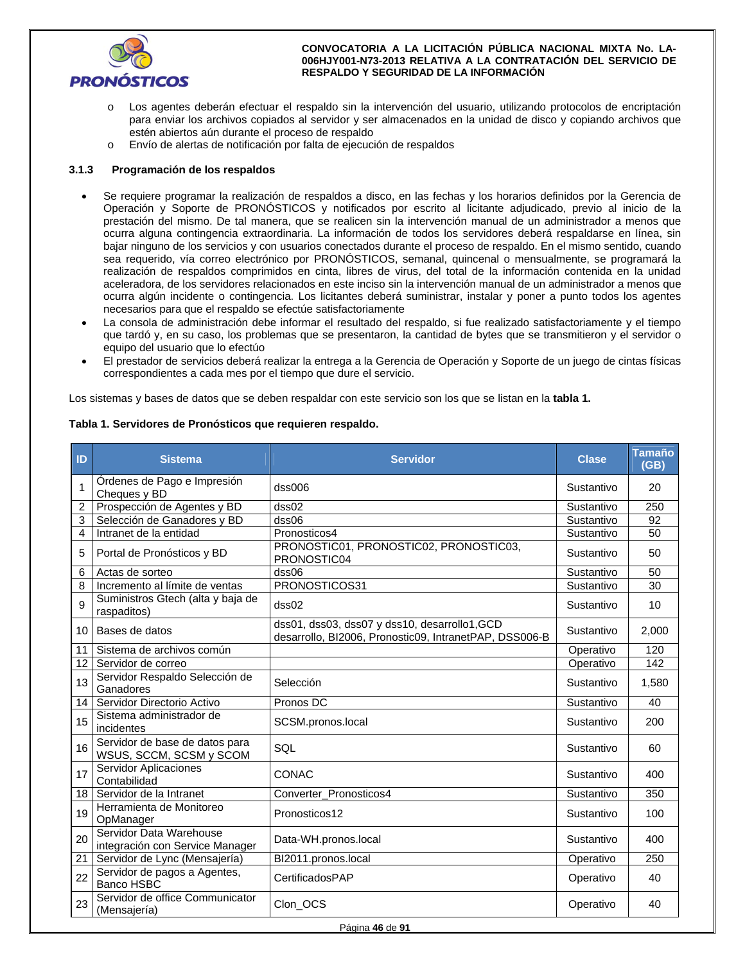

- o Los agentes deberán efectuar el respaldo sin la intervención del usuario, utilizando protocolos de encriptación para enviar los archivos copiados al servidor y ser almacenados en la unidad de disco y copiando archivos que estén abiertos aún durante el proceso de respaldo
- o Envío de alertas de notificación por falta de ejecución de respaldos

### **3.1.3 Programación de los respaldos**

- Se requiere programar la realización de respaldos a disco, en las fechas y los horarios definidos por la Gerencia de Operación y Soporte de PRONÓSTICOS y notificados por escrito al licitante adjudicado, previo al inicio de la prestación del mismo. De tal manera, que se realicen sin la intervención manual de un administrador a menos que ocurra alguna contingencia extraordinaria. La información de todos los servidores deberá respaldarse en línea, sin bajar ninguno de los servicios y con usuarios conectados durante el proceso de respaldo. En el mismo sentido, cuando sea requerido, vía correo electrónico por PRONÓSTICOS, semanal, quincenal o mensualmente, se programará la realización de respaldos comprimidos en cinta, libres de virus, del total de la información contenida en la unidad aceleradora, de los servidores relacionados en este inciso sin la intervención manual de un administrador a menos que ocurra algún incidente o contingencia. Los licitantes deberá suministrar, instalar y poner a punto todos los agentes necesarios para que el respaldo se efectúe satisfactoriamente
- La consola de administración debe informar el resultado del respaldo, si fue realizado satisfactoriamente y el tiempo que tardó y, en su caso, los problemas que se presentaron, la cantidad de bytes que se transmitieron y el servidor o equipo del usuario que lo efectúo
- El prestador de servicios deberá realizar la entrega a la Gerencia de Operación y Soporte de un juego de cintas físicas correspondientes a cada mes por el tiempo que dure el servicio.

Los sistemas y bases de datos que se deben respaldar con este servicio son los que se listan en la **tabla 1.**

| ID              | <b>Sistema</b>                                             | <b>Servidor</b>                                                                                         | <b>Clase</b> | Tamaño<br>(GB) |
|-----------------|------------------------------------------------------------|---------------------------------------------------------------------------------------------------------|--------------|----------------|
| 1               | Órdenes de Pago e Impresión<br>Cheques y BD                | dss006                                                                                                  | Sustantivo   | 20             |
| $\overline{2}$  | Prospección de Agentes y BD                                | dss02                                                                                                   | Sustantivo   | 250            |
| 3               | Selección de Ganadores y BD                                | dss06                                                                                                   | Sustantivo   | 92             |
| 4               | Intranet de la entidad                                     | Pronosticos4                                                                                            | Sustantivo   | 50             |
| 5               | Portal de Pronósticos y BD                                 | PRONOSTIC01, PRONOSTIC02, PRONOSTIC03,<br>PRONOSTIC04                                                   | Sustantivo   | 50             |
| 6               | Actas de sorteo                                            | dss06                                                                                                   | Sustantivo   | 50             |
| 8               | Incremento al límite de ventas                             | PRONOSTICOS31                                                                                           | Sustantivo   | 30             |
| 9               | Suministros Gtech (alta y baja de<br>raspaditos)           | dss02                                                                                                   | Sustantivo   | 10             |
| 10 <sup>1</sup> | Bases de datos                                             | dss01, dss03, dss07 y dss10, desarrollo1, GCD<br>desarrollo, BI2006, Pronostic09, IntranetPAP, DSS006-B | Sustantivo   | 2,000          |
| 11              | Sistema de archivos común                                  |                                                                                                         | Operativo    | 120            |
| 12              | Servidor de correo                                         |                                                                                                         | Operativo    | 142            |
| 13              | Servidor Respaldo Selección de<br>Ganadores                | Selección                                                                                               | Sustantivo   | 1,580          |
| 14              | Servidor Directorio Activo                                 | Pronos DC                                                                                               | Sustantivo   | 40             |
| 15              | Sistema administrador de<br>incidentes                     | SCSM.pronos.local                                                                                       | Sustantivo   | 200            |
| 16              | Servidor de base de datos para<br>WSUS, SCCM, SCSM y SCOM  | SQL                                                                                                     | Sustantivo   | 60             |
| 17              | Servidor Aplicaciones<br>Contabilidad                      | <b>CONAC</b>                                                                                            | Sustantivo   | 400            |
| 18              | Servidor de la Intranet                                    | Converter_Pronosticos4                                                                                  | Sustantivo   | 350            |
| 19              | Herramienta de Monitoreo<br>OpManager                      | Pronosticos12                                                                                           | Sustantivo   | 100            |
| 20              | Servidor Data Warehouse<br>integración con Service Manager | Data-WH.pronos.local                                                                                    | Sustantivo   | 400            |
| 21              | Servidor de Lync (Mensajería)                              | BI2011.pronos.local                                                                                     | Operativo    | 250            |
| 22              | Servidor de pagos a Agentes,<br>Banco HSBC                 | CertificadosPAP                                                                                         | Operativo    | 40             |
| 23              | Servidor de office Communicator<br>(Mensajería)            | Clon_OCS                                                                                                | Operativo    | 40             |

#### **Tabla 1. Servidores de Pronósticos que requieren respaldo.**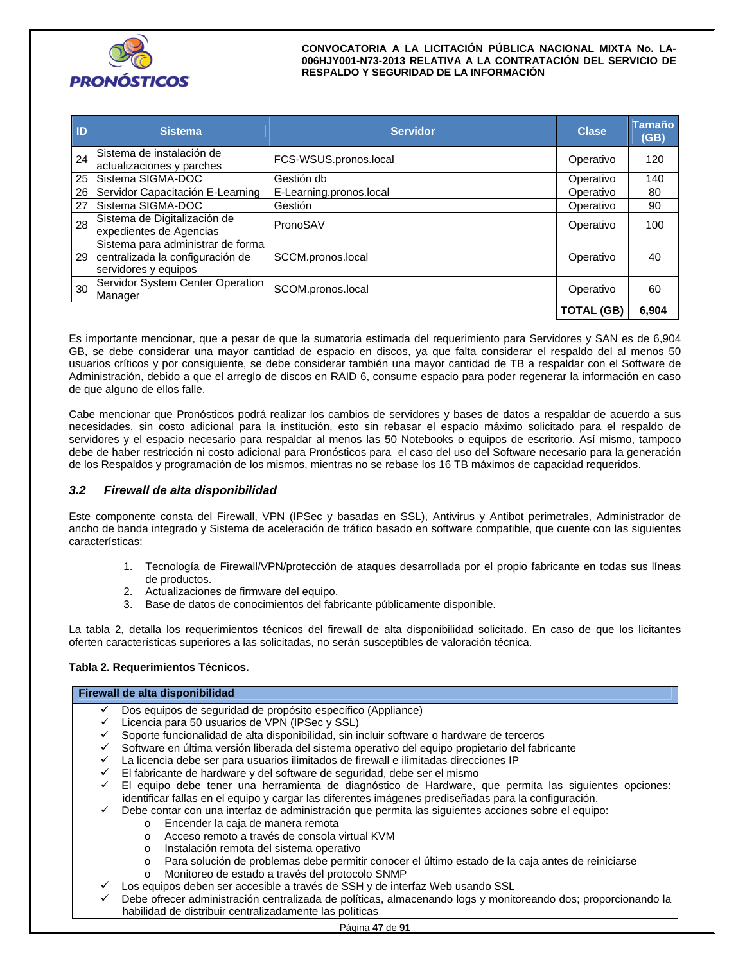

| ID              | <b>Sistema</b>                                                                                | <b>Servidor</b>         | <b>Clase</b>      | <b>Tamaño</b><br>(GB) |
|-----------------|-----------------------------------------------------------------------------------------------|-------------------------|-------------------|-----------------------|
| 24              | Sistema de instalación de<br>actualizaciones y parches                                        | FCS-WSUS.pronos.local   | Operativo         | 120                   |
| 25              | Sistema SIGMA-DOC                                                                             | Gestión db              | Operativo         | 140                   |
| 26              | Servidor Capacitación E-Learning                                                              | E-Learning.pronos.local | Operativo         | 80                    |
| 27              | Sistema SIGMA-DOC                                                                             | Gestión                 | Operativo         | 90                    |
| 28              | Sistema de Digitalización de<br>expedientes de Agencias                                       | PronoSAV                | Operativo         | 100                   |
| 29 <sup>1</sup> | Sistema para administrar de forma<br>centralizada la configuración de<br>servidores y equipos | SCCM.pronos.local       | Operativo         | 40                    |
| 30              | Servidor System Center Operation<br>Manager                                                   | SCOM.pronos.local       | Operativo         | 60                    |
|                 |                                                                                               |                         | <b>TOTAL (GB)</b> | 6,904                 |

Es importante mencionar, que a pesar de que la sumatoria estimada del requerimiento para Servidores y SAN es de 6,904 GB, se debe considerar una mayor cantidad de espacio en discos, ya que falta considerar el respaldo del al menos 50 usuarios críticos y por consiguiente, se debe considerar también una mayor cantidad de TB a respaldar con el Software de Administración, debido a que el arreglo de discos en RAID 6, consume espacio para poder regenerar la información en caso de que alguno de ellos falle.

Cabe mencionar que Pronósticos podrá realizar los cambios de servidores y bases de datos a respaldar de acuerdo a sus necesidades, sin costo adicional para la institución, esto sin rebasar el espacio máximo solicitado para el respaldo de servidores y el espacio necesario para respaldar al menos las 50 Notebooks o equipos de escritorio. Así mismo, tampoco debe de haber restricción ni costo adicional para Pronósticos para el caso del uso del Software necesario para la generación de los Respaldos y programación de los mismos, mientras no se rebase los 16 TB máximos de capacidad requeridos.

## *3.2 Firewall de alta disponibilidad*

Este componente consta del Firewall, VPN (IPSec y basadas en SSL), Antivirus y Antibot perimetrales, Administrador de ancho de banda integrado y Sistema de aceleración de tráfico basado en software compatible, que cuente con las siguientes características:

- 1. Tecnología de Firewall/VPN/protección de ataques desarrollada por el propio fabricante en todas sus líneas de productos.
- 2. Actualizaciones de firmware del equipo.
- 3. Base de datos de conocimientos del fabricante públicamente disponible.

La tabla 2, detalla los requerimientos técnicos del firewall de alta disponibilidad solicitado. En caso de que los licitantes oferten características superiores a las solicitadas, no serán susceptibles de valoración técnica.

## **Tabla 2. Requerimientos Técnicos.**

## **Firewall de alta disponibilidad**

- Dos equipos de seguridad de propósito específico (Appliance)
- $\checkmark$  Licencia para 50 usuarios de VPN (IPSec y SSL)
- Soporte funcionalidad de alta disponibilidad, sin incluir software o hardware de terceros
- Software en última versión liberada del sistema operativo del equipo propietario del fabricante
- $\checkmark$  La licencia debe ser para usuarios ilimitados de firewall e ilimitadas direcciones IP
- $\mathcal V$  El fabricante de hardware y del software de seguridad, debe ser el mismo
- El equipo debe tener una herramienta de diagnóstico de Hardware, que permita las siguientes opciones: identificar fallas en el equipo y cargar las diferentes imágenes prediseñadas para la configuración.
- Debe contar con una interfaz de administración que permita las siguientes acciones sobre el equipo:
	- o Encender la caja de manera remota
	- o Acceso remoto a través de consola virtual KVM
	- o Instalación remota del sistema operativo
	- o Para solución de problemas debe permitir conocer el último estado de la caja antes de reiniciarse
	- o Monitoreo de estado a través del protocolo SNMP
- Los equipos deben ser accesible a través de SSH y de interfaz Web usando SSL
- Debe ofrecer administración centralizada de políticas, almacenando logs y monitoreando dos; proporcionando la habilidad de distribuir centralizadamente las políticas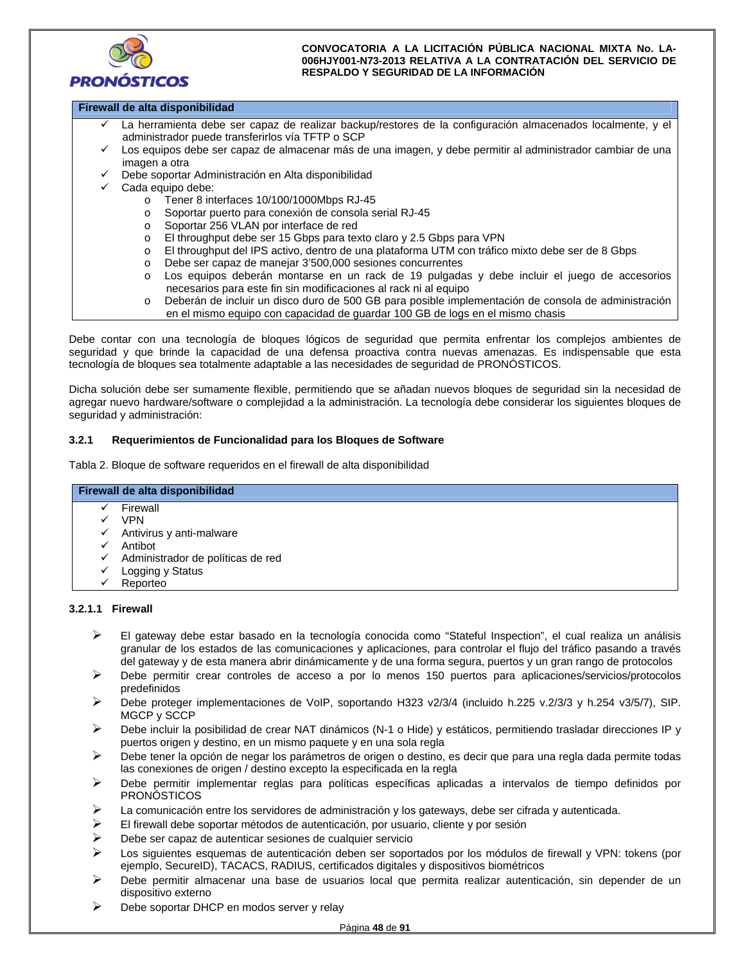

## **Firewall de alta disponibilidad**

- La herramienta debe ser capaz de realizar backup/restores de la configuración almacenados localmente, y el administrador puede transferirlos vía TFTP o SCP
- Los equipos debe ser capaz de almacenar más de una imagen, y debe permitir al administrador cambiar de una imagen a otra
- Debe soportar Administración en Alta disponibilidad
- $\checkmark$  Cada equipo debe:
	- o Tener 8 interfaces 10/100/1000Mbps RJ-45
	- o Soportar puerto para conexión de consola serial RJ-45
	- o Soportar 256 VLAN por interface de red
	- o El throughput debe ser 15 Gbps para texto claro y 2.5 Gbps para VPN
	- o El throughput del IPS activo, dentro de una plataforma UTM con tráfico mixto debe ser de 8 Gbps
	- o Debe ser capaz de manejar 3'500,000 sesiones concurrentes
	- o Los equipos deberán montarse en un rack de 19 pulgadas y debe incluir el juego de accesorios necesarios para este fin sin modificaciones al rack ni al equipo
		- o Deberán de incluir un disco duro de 500 GB para posible implementación de consola de administración en el mismo equipo con capacidad de guardar 100 GB de logs en el mismo chasis

Debe contar con una tecnología de bloques lógicos de seguridad que permita enfrentar los complejos ambientes de seguridad y que brinde la capacidad de una defensa proactiva contra nuevas amenazas. Es indispensable que esta tecnología de bloques sea totalmente adaptable a las necesidades de seguridad de PRONÓSTICOS.

Dicha solución debe ser sumamente flexible, permitiendo que se añadan nuevos bloques de seguridad sin la necesidad de agregar nuevo hardware/software o complejidad a la administración. La tecnología debe considerar los siguientes bloques de seguridad y administración:

#### **3.2.1 Requerimientos de Funcionalidad para los Bloques de Software**

Tabla 2. Bloque de software requeridos en el firewall de alta disponibilidad

#### **Firewall de alta disponibilidad**

- $\checkmark$  Firewall
- VPN
- Antivirus y anti-malware
- Antibot
- Administrador de políticas de red
- Logging y Status
- Reporteo

## **3.2.1.1 Firewall**

- El gateway debe estar basado en la tecnología conocida como "Stateful Inspection", el cual realiza un análisis granular de los estados de las comunicaciones y aplicaciones, para controlar el flujo del tráfico pasando a través del gateway y de esta manera abrir dinámicamente y de una forma segura, puertos y un gran rango de protocolos
- Debe permitir crear controles de acceso a por lo menos 150 puertos para aplicaciones/servicios/protocolos predefinidos
- Debe proteger implementaciones de VoIP, soportando H323 v2/3/4 (incluido h.225 v.2/3/3 y h.254 v3/5/7), SIP. MGCP y SCCP
- Debe incluir la posibilidad de crear NAT dinámicos (N-1 o Hide) y estáticos, permitiendo trasladar direcciones IP y puertos origen y destino, en un mismo paquete y en una sola regla
- Debe tener la opción de negar los parámetros de origen o destino, es decir que para una regla dada permite todas las conexiones de origen / destino excepto la especificada en la regla
- Debe permitir implementar reglas para políticas específicas aplicadas a intervalos de tiempo definidos por PRONÓSTICOS
- $\blacktriangleright$  La comunicación entre los servidores de administración y los gateways, debe ser cifrada y autenticada.
- El firewall debe soportar métodos de autenticación, por usuario, cliente y por sesión
- Debe ser capaz de autenticar sesiones de cualquier servicio
- $\triangleright$  Los siguientes esquemas de autenticación deben ser soportados por los módulos de firewall y VPN: tokens (por ejemplo, SecureID), TACACS, RADIUS, certificados digitales y dispositivos biométricos
- $\triangleright$  Debe permitir almacenar una base de usuarios local que permita realizar autenticación, sin depender de un dispositivo externo
- $\triangleright$  Debe soportar DHCP en modos server y relay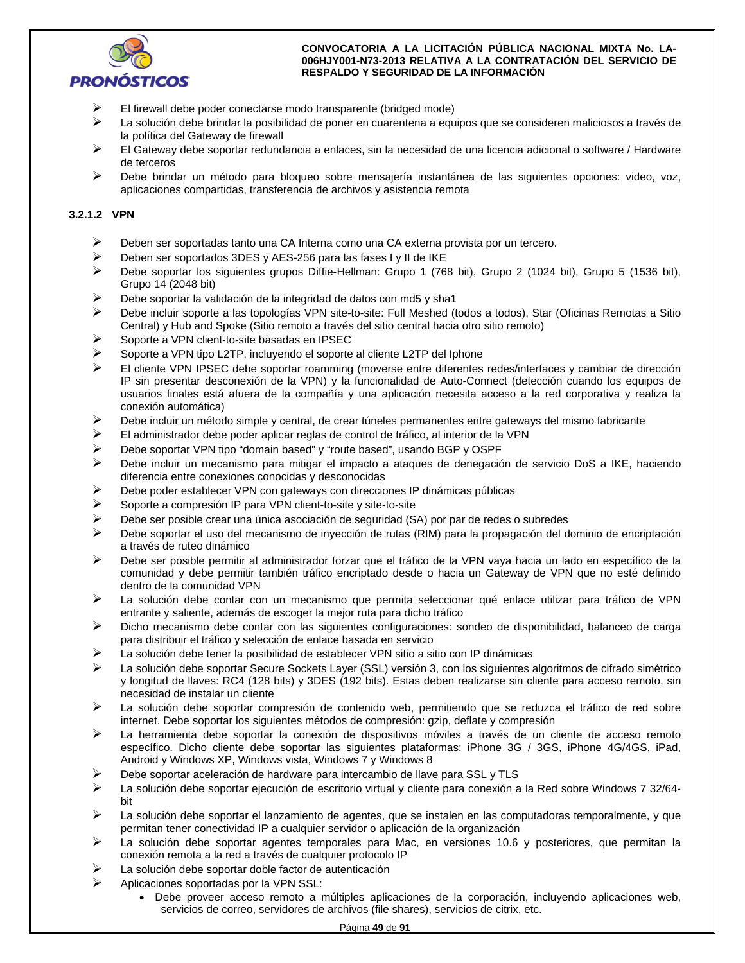

- El firewall debe poder conectarse modo transparente (bridged mode)
- La solución debe brindar la posibilidad de poner en cuarentena a equipos que se consideren maliciosos a través de la política del Gateway de firewall
- $\triangleright$  El Gateway debe soportar redundancia a enlaces, sin la necesidad de una licencia adicional o software / Hardware de terceros
- Debe brindar un método para bloqueo sobre mensajería instantánea de las siguientes opciones: video, voz, aplicaciones compartidas, transferencia de archivos y asistencia remota

## **3.2.1.2 VPN**

- Deben ser soportadas tanto una CA Interna como una CA externa provista por un tercero.
- Deben ser soportados 3DES y AES-256 para las fases I y II de IKE
- Debe soportar los siguientes grupos Diffie-Hellman: Grupo 1 (768 bit), Grupo 2 (1024 bit), Grupo 5 (1536 bit), Grupo 14 (2048 bit)
- $\triangleright$  Debe soportar la validación de la integridad de datos con md5 y sha1
- Debe incluir soporte a las topologías VPN site-to-site: Full Meshed (todos a todos), Star (Oficinas Remotas a Sitio Central) y Hub and Spoke (Sitio remoto a través del sitio central hacia otro sitio remoto)
- Soporte a VPN client-to-site basadas en IPSEC
- Soporte a VPN tipo L2TP, incluyendo el soporte al cliente L2TP del Iphone
- El cliente VPN IPSEC debe soportar roamming (moverse entre diferentes redes/interfaces y cambiar de dirección IP sin presentar desconexión de la VPN) y la funcionalidad de Auto-Connect (detección cuando los equipos de usuarios finales está afuera de la compañía y una aplicación necesita acceso a la red corporativa y realiza la conexión automática)
- $\triangleright$  Debe incluir un método simple y central, de crear túneles permanentes entre gateways del mismo fabricante
- El administrador debe poder aplicar reglas de control de tráfico, al interior de la VPN
- $\triangleright$  Debe soportar VPN tipo "domain based" y "route based", usando BGP y OSPF
- Debe incluir un mecanismo para mitigar el impacto a ataques de denegación de servicio DoS a IKE, haciendo diferencia entre conexiones conocidas y desconocidas
- $\triangleright$  Debe poder establecer VPN con gateways con direcciones IP dinámicas públicas
- $\triangleright$  Soporte a compresión IP para VPN client-to-site y site-to-site
- $\triangleright$  Debe ser posible crear una única asociación de seguridad (SA) por par de redes o subredes
- Debe soportar el uso del mecanismo de inyección de rutas (RIM) para la propagación del dominio de encriptación a través de ruteo dinámico
- Debe ser posible permitir al administrador forzar que el tráfico de la VPN vaya hacia un lado en específico de la comunidad y debe permitir también tráfico encriptado desde o hacia un Gateway de VPN que no esté definido dentro de la comunidad VPN
- La solución debe contar con un mecanismo que permita seleccionar qué enlace utilizar para tráfico de VPN entrante y saliente, además de escoger la mejor ruta para dicho tráfico
- $\triangleright$  Dicho mecanismo debe contar con las siguientes configuraciones: sondeo de disponibilidad, balanceo de carga para distribuir el tráfico y selección de enlace basada en servicio
- $\triangleright$  La solución debe tener la posibilidad de establecer VPN sitio a sitio con IP dinámicas
- La solución debe soportar Secure Sockets Layer (SSL) versión 3, con los siguientes algoritmos de cifrado simétrico y longitud de llaves: RC4 (128 bits) y 3DES (192 bits). Estas deben realizarse sin cliente para acceso remoto, sin necesidad de instalar un cliente
- La solución debe soportar compresión de contenido web, permitiendo que se reduzca el tráfico de red sobre internet. Debe soportar los siguientes métodos de compresión: gzip, deflate y compresión
- La herramienta debe soportar la conexión de dispositivos móviles a través de un cliente de acceso remoto específico. Dicho cliente debe soportar las siguientes plataformas: iPhone 3G / 3GS, iPhone 4G/4GS, iPad, Android y Windows XP, Windows vista, Windows 7 y Windows 8
- Debe soportar aceleración de hardware para intercambio de llave para SSL y TLS
- La solución debe soportar ejecución de escritorio virtual y cliente para conexión a la Red sobre Windows 7 32/64 bit
- $\triangleright$  La solución debe soportar el lanzamiento de agentes, que se instalen en las computadoras temporalmente, y que permitan tener conectividad IP a cualquier servidor o aplicación de la organización
- $\triangleright$  La solución debe soportar agentes temporales para Mac, en versiones 10.6 y posteriores, que permitan la conexión remota a la red a través de cualquier protocolo IP
- La solución debe soportar doble factor de autenticación
- Aplicaciones soportadas por la VPN SSL:
	- Debe proveer acceso remoto a múltiples aplicaciones de la corporación, incluyendo aplicaciones web, servicios de correo, servidores de archivos (file shares), servicios de citrix, etc.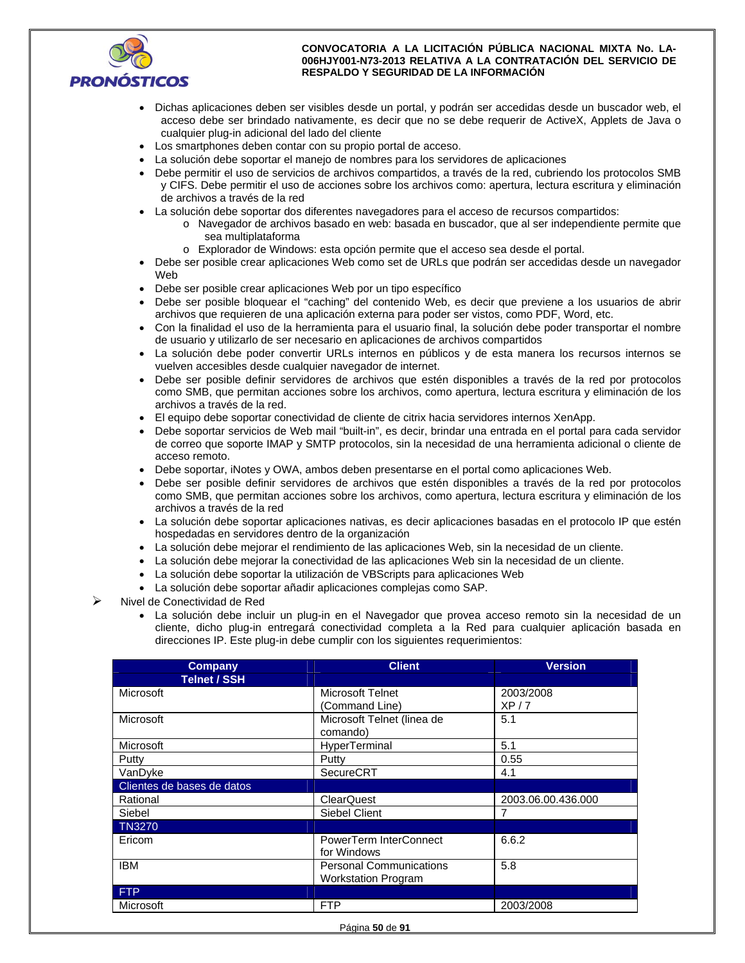

- Dichas aplicaciones deben ser visibles desde un portal, y podrán ser accedidas desde un buscador web, el acceso debe ser brindado nativamente, es decir que no se debe requerir de ActiveX, Applets de Java o cualquier plug-in adicional del lado del cliente
- Los smartphones deben contar con su propio portal de acceso.
- La solución debe soportar el manejo de nombres para los servidores de aplicaciones
- Debe permitir el uso de servicios de archivos compartidos, a través de la red, cubriendo los protocolos SMB y CIFS. Debe permitir el uso de acciones sobre los archivos como: apertura, lectura escritura y eliminación de archivos a través de la red
- La solución debe soportar dos diferentes navegadores para el acceso de recursos compartidos:
	- o Navegador de archivos basado en web: basada en buscador, que al ser independiente permite que sea multiplataforma
	- o Explorador de Windows: esta opción permite que el acceso sea desde el portal.
- Debe ser posible crear aplicaciones Web como set de URLs que podrán ser accedidas desde un navegador Web
- Debe ser posible crear aplicaciones Web por un tipo específico
- Debe ser posible bloquear el "caching" del contenido Web, es decir que previene a los usuarios de abrir archivos que requieren de una aplicación externa para poder ser vistos, como PDF, Word, etc.
- Con la finalidad el uso de la herramienta para el usuario final, la solución debe poder transportar el nombre de usuario y utilizarlo de ser necesario en aplicaciones de archivos compartidos
- La solución debe poder convertir URLs internos en públicos y de esta manera los recursos internos se vuelven accesibles desde cualquier navegador de internet.
- Debe ser posible definir servidores de archivos que estén disponibles a través de la red por protocolos como SMB, que permitan acciones sobre los archivos, como apertura, lectura escritura y eliminación de los archivos a través de la red.
- El equipo debe soportar conectividad de cliente de citrix hacia servidores internos XenApp.
- Debe soportar servicios de Web mail "built-in", es decir, brindar una entrada en el portal para cada servidor de correo que soporte IMAP y SMTP protocolos, sin la necesidad de una herramienta adicional o cliente de acceso remoto.
- Debe soportar, iNotes y OWA, ambos deben presentarse en el portal como aplicaciones Web.
- Debe ser posible definir servidores de archivos que estén disponibles a través de la red por protocolos como SMB, que permitan acciones sobre los archivos, como apertura, lectura escritura y eliminación de los archivos a través de la red
- La solución debe soportar aplicaciones nativas, es decir aplicaciones basadas en el protocolo IP que estén hospedadas en servidores dentro de la organización
- La solución debe mejorar el rendimiento de las aplicaciones Web, sin la necesidad de un cliente.
- La solución debe mejorar la conectividad de las aplicaciones Web sin la necesidad de un cliente.
- La solución debe soportar la utilización de VBScripts para aplicaciones Web
- La solución debe soportar añadir aplicaciones complejas como SAP.
- Nivel de Conectividad de Red
	- La solución debe incluir un plug-in en el Navegador que provea acceso remoto sin la necesidad de un cliente, dicho plug-in entregará conectividad completa a la Red para cualquier aplicación basada en direcciones IP. Este plug-in debe cumplir con los siguientes requerimientos:

| <b>Company</b>             | <b>Client</b>                  | <b>Version</b>     |
|----------------------------|--------------------------------|--------------------|
| <b>Telnet / SSH</b>        |                                |                    |
| Microsoft                  | Microsoft Telnet               | 2003/2008          |
|                            | (Command Line)                 | XP/7               |
| Microsoft                  | Microsoft Telnet (linea de     | 5.1                |
|                            | comando)                       |                    |
| Microsoft                  | HyperTerminal                  | 5.1                |
| Putty                      | Putty                          | 0.55               |
| VanDyke                    | <b>SecureCRT</b>               | 4.1                |
| Clientes de bases de datos |                                |                    |
| Rational                   | <b>ClearQuest</b>              | 2003.06.00.436.000 |
| Siebel                     | Siebel Client                  |                    |
| <b>TN3270</b>              |                                |                    |
| Ericom                     | PowerTerm InterConnect         | 6.6.2              |
|                            | for Windows                    |                    |
| <b>IBM</b>                 | <b>Personal Communications</b> | 5.8                |
|                            | <b>Workstation Program</b>     |                    |
| <b>FTP</b>                 |                                |                    |
| Microsoft                  | <b>FTP</b>                     | 2003/2008          |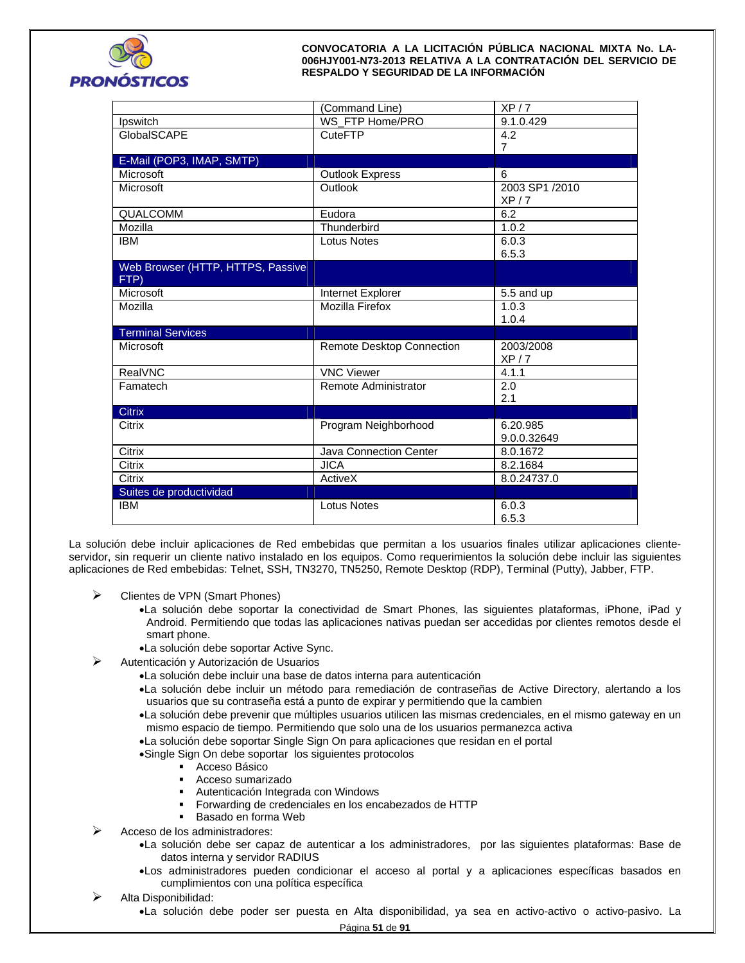

|                                   | (Command Line)            | XP/7           |
|-----------------------------------|---------------------------|----------------|
| Ipswitch                          | WS_FTP Home/PRO           | 9.1.0.429      |
| GlobalSCAPE                       | <b>CuteFTP</b>            | 4.2            |
|                                   |                           | $\overline{7}$ |
| E-Mail (POP3, IMAP, SMTP)         |                           |                |
| Microsoft                         | <b>Outlook Express</b>    | 6              |
| Microsoft                         | Outlook                   | 2003 SP1 /2010 |
|                                   |                           | XP/7           |
| QUALCOMM                          | Eudora                    | 6.2            |
| Mozilla                           | Thunderbird               | 1.0.2          |
| <b>IBM</b>                        | <b>Lotus Notes</b>        | 6.0.3          |
|                                   |                           | 6.5.3          |
| Web Browser (HTTP, HTTPS, Passive |                           |                |
| FTP)                              |                           |                |
| Microsoft                         | Internet Explorer         | 5.5 and up     |
| Mozilla                           | <b>Mozilla Firefox</b>    | 1.0.3          |
|                                   |                           | 1.0.4          |
| <b>Terminal Services</b>          |                           |                |
| Microsoft                         | Remote Desktop Connection | 2003/2008      |
|                                   |                           | XP/7           |
|                                   |                           |                |
| RealVNC                           | <b>VNC Viewer</b>         | 4.1.1          |
| Famatech                          | Remote Administrator      | 2.0            |
|                                   |                           | 2.1            |
| <b>Citrix</b>                     |                           |                |
| Citrix                            | Program Neighborhood      | 6.20.985       |
|                                   |                           | 9.0.0.32649    |
| Citrix                            | Java Connection Center    | 8.0.1672       |
| Citrix                            | <b>JICA</b>               | 8.2.1684       |
| Citrix                            | ActiveX                   | 8.0.24737.0    |
| Suites de productividad           |                           |                |
| <b>IBM</b>                        | <b>Lotus Notes</b>        | 6.0.3          |
|                                   |                           | 6.5.3          |

La solución debe incluir aplicaciones de Red embebidas que permitan a los usuarios finales utilizar aplicaciones clienteservidor, sin requerir un cliente nativo instalado en los equipos. Como requerimientos la solución debe incluir las siguientes aplicaciones de Red embebidas: Telnet, SSH, TN3270, TN5250, Remote Desktop (RDP), Terminal (Putty), Jabber, FTP.

- $\triangleright$  Clientes de VPN (Smart Phones)
	- La solución debe soportar la conectividad de Smart Phones, las siguientes plataformas, iPhone, iPad y Android. Permitiendo que todas las aplicaciones nativas puedan ser accedidas por clientes remotos desde el smart phone.
	- La solución debe soportar Active Sync.
- Autenticación y Autorización de Usuarios
	- La solución debe incluir una base de datos interna para autenticación
		- La solución debe incluir un método para remediación de contraseñas de Active Directory, alertando a los usuarios que su contraseña está a punto de expirar y permitiendo que la cambien
	- La solución debe prevenir que múltiples usuarios utilicen las mismas credenciales, en el mismo gateway en un mismo espacio de tiempo. Permitiendo que solo una de los usuarios permanezca activa
	- La solución debe soportar Single Sign On para aplicaciones que residan en el portal
	- Single Sign On debe soportar los siguientes protocolos
		- **Acceso Básico**
		- Acceso sumarizado
		- Autenticación Integrada con Windows
		- Forwarding de credenciales en los encabezados de HTTP
		- Basado en forma Web
- Acceso de los administradores:
	- La solución debe ser capaz de autenticar a los administradores, por las siguientes plataformas: Base de datos interna y servidor RADIUS
	- Los administradores pueden condicionar el acceso al portal y a aplicaciones específicas basados en cumplimientos con una política específica
- Alta Disponibilidad:
	- La solución debe poder ser puesta en Alta disponibilidad, ya sea en activo-activo o activo-pasivo. La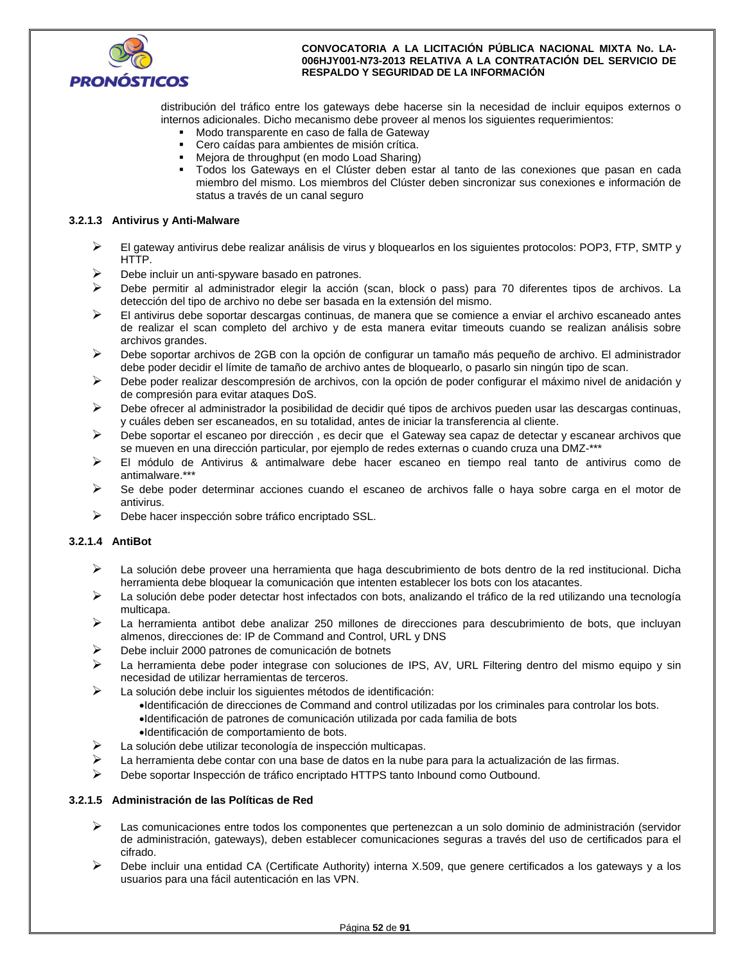

distribución del tráfico entre los gateways debe hacerse sin la necesidad de incluir equipos externos o internos adicionales. Dicho mecanismo debe proveer al menos los siguientes requerimientos:

- Modo transparente en caso de falla de Gateway
- Cero caídas para ambientes de misión crítica.
- Mejora de throughput (en modo Load Sharing)
- Todos los Gateways en el Clúster deben estar al tanto de las conexiones que pasan en cada miembro del mismo. Los miembros del Clúster deben sincronizar sus conexiones e información de status a través de un canal seguro

## **3.2.1.3 Antivirus y Anti-Malware**

- $\triangleright$  El gateway antivirus debe realizar análisis de virus y bloquearlos en los siguientes protocolos: POP3, FTP, SMTP y HTTP.
- $\triangleright$  Debe incluir un anti-spyware basado en patrones.
- Debe permitir al administrador elegir la acción (scan, block o pass) para 70 diferentes tipos de archivos. La detección del tipo de archivo no debe ser basada en la extensión del mismo.
- El antivirus debe soportar descargas continuas, de manera que se comience a enviar el archivo escaneado antes de realizar el scan completo del archivo y de esta manera evitar timeouts cuando se realizan análisis sobre archivos grandes.
- Debe soportar archivos de 2GB con la opción de configurar un tamaño más pequeño de archivo. El administrador debe poder decidir el límite de tamaño de archivo antes de bloquearlo, o pasarlo sin ningún tipo de scan.
- Debe poder realizar descompresión de archivos, con la opción de poder configurar el máximo nivel de anidación y de compresión para evitar ataques DoS.
- Debe ofrecer al administrador la posibilidad de decidir qué tipos de archivos pueden usar las descargas continuas, y cuáles deben ser escaneados, en su totalidad, antes de iniciar la transferencia al cliente.
- Debe soportar el escaneo por dirección , es decir que el Gateway sea capaz de detectar y escanear archivos que se mueven en una dirección particular, por ejemplo de redes externas o cuando cruza una DMZ-\*\*\*
- $\triangleright$  El módulo de Antivirus & antimalware debe hacer escaneo en tiempo real tanto de antivirus como de antimalware.\*\*\*
- $\triangleright$  Se debe poder determinar acciones cuando el escaneo de archivos falle o haya sobre carga en el motor de antivirus.
- $\triangleright$  Debe hacer inspección sobre tráfico encriptado SSL.

## **3.2.1.4 AntiBot**

- La solución debe proveer una herramienta que haga descubrimiento de bots dentro de la red institucional. Dicha herramienta debe bloquear la comunicación que intenten establecer los bots con los atacantes.
- La solución debe poder detectar host infectados con bots, analizando el tráfico de la red utilizando una tecnología multicapa.
- La herramienta antibot debe analizar 250 millones de direcciones para descubrimiento de bots, que incluyan almenos, direcciones de: IP de Command and Control, URL y DNS
- Debe incluir 2000 patrones de comunicación de botnets
- $\triangleright$  La herramienta debe poder integrase con soluciones de IPS, AV, URL Filtering dentro del mismo equipo y sin necesidad de utilizar herramientas de terceros.
- $\blacktriangleright$  La solución debe incluir los siguientes métodos de identificación:
	- Identificación de direcciones de Command and control utilizadas por los criminales para controlar los bots.
	- Identificación de patrones de comunicación utilizada por cada familia de bots
	- Identificación de comportamiento de bots.
- La solución debe utilizar teconología de inspección multicapas.
- La herramienta debe contar con una base de datos en la nube para para la actualización de las firmas.
- Debe soportar Inspección de tráfico encriptado HTTPS tanto Inbound como Outbound.

## **3.2.1.5 Administración de las Políticas de Red**

- Las comunicaciones entre todos los componentes que pertenezcan a un solo dominio de administración (servidor de administración, gateways), deben establecer comunicaciones seguras a través del uso de certificados para el cifrado.
- $\triangleright$  Debe incluir una entidad CA (Certificate Authority) interna X.509, que genere certificados a los gateways y a los usuarios para una fácil autenticación en las VPN.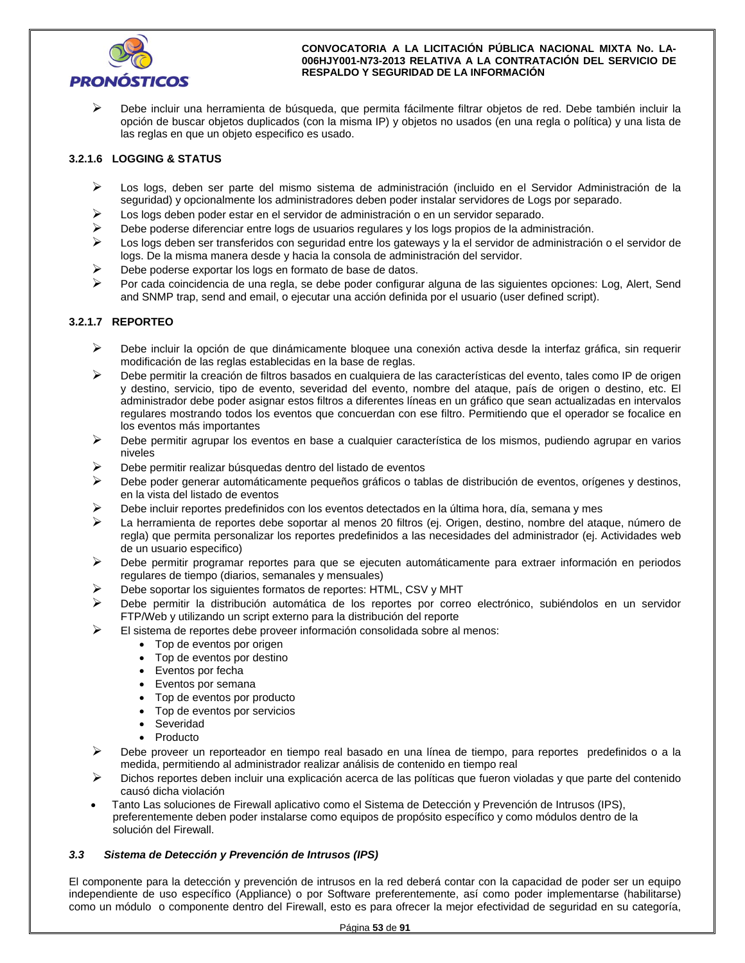

 Debe incluir una herramienta de búsqueda, que permita fácilmente filtrar objetos de red. Debe también incluir la opción de buscar objetos duplicados (con la misma IP) y objetos no usados (en una regla o política) y una lista de las reglas en que un objeto especifico es usado.

## **3.2.1.6 LOGGING & STATUS**

- Los logs, deben ser parte del mismo sistema de administración (incluido en el Servidor Administración de la seguridad) y opcionalmente los administradores deben poder instalar servidores de Logs por separado.
- Los logs deben poder estar en el servidor de administración o en un servidor separado.
- $\triangleright$  Debe poderse diferenciar entre logs de usuarios regulares y los logs propios de la administración.
- $\triangleright$  Los logs deben ser transferidos con seguridad entre los gateways y la el servidor de administración o el servidor de logs. De la misma manera desde y hacia la consola de administración del servidor.
- $\triangleright$  Debe poderse exportar los logs en formato de base de datos.
- Por cada coincidencia de una regla, se debe poder configurar alguna de las siguientes opciones: Log, Alert, Send and SNMP trap, send and email, o ejecutar una acción definida por el usuario (user defined script).

## **3.2.1.7 REPORTEO**

- $\triangleright$  Debe incluir la opción de que dinámicamente bloquee una conexión activa desde la interfaz gráfica, sin requerir modificación de las reglas establecidas en la base de reglas.
- Debe permitir la creación de filtros basados en cualquiera de las características del evento, tales como IP de origen y destino, servicio, tipo de evento, severidad del evento, nombre del ataque, país de origen o destino, etc. El administrador debe poder asignar estos filtros a diferentes líneas en un gráfico que sean actualizadas en intervalos regulares mostrando todos los eventos que concuerdan con ese filtro. Permitiendo que el operador se focalice en los eventos más importantes
- Debe permitir agrupar los eventos en base a cualquier característica de los mismos, pudiendo agrupar en varios niveles
- $\triangleright$  Debe permitir realizar búsquedas dentro del listado de eventos
- $\triangleright$  Debe poder generar automáticamente pequeños gráficos o tablas de distribución de eventos, orígenes y destinos, en la vista del listado de eventos
- Debe incluir reportes predefinidos con los eventos detectados en la última hora, día, semana y mes
- La herramienta de reportes debe soportar al menos 20 filtros (ej. Origen, destino, nombre del ataque, número de regla) que permita personalizar los reportes predefinidos a las necesidades del administrador (ej. Actividades web de un usuario especifico)
- Debe permitir programar reportes para que se ejecuten automáticamente para extraer información en periodos regulares de tiempo (diarios, semanales y mensuales)
- Debe soportar los siguientes formatos de reportes: HTML, CSV y MHT
- Debe permitir la distribución automática de los reportes por correo electrónico, subiéndolos en un servidor FTP/Web y utilizando un script externo para la distribución del reporte
- El sistema de reportes debe proveer información consolidada sobre al menos:
	- Top de eventos por origen
	- Top de eventos por destino
	- Eventos por fecha
	- Eventos por semana
	- Top de eventos por producto
	- Top de eventos por servicios
	- Severidad
	- Producto
- > Debe proveer un reporteador en tiempo real basado en una línea de tiempo, para reportes predefinidos o a la medida, permitiendo al administrador realizar análisis de contenido en tiempo real
- $\triangleright$  Dichos reportes deben incluir una explicación acerca de las políticas que fueron violadas y que parte del contenido causó dicha violación
- Tanto Las soluciones de Firewall aplicativo como el Sistema de Detección y Prevención de Intrusos (IPS), preferentemente deben poder instalarse como equipos de propósito específico y como módulos dentro de la solución del Firewall.

## *3.3 Sistema de Detección y Prevención de Intrusos (IPS)*

El componente para la detección y prevención de intrusos en la red deberá contar con la capacidad de poder ser un equipo independiente de uso específico (Appliance) o por Software preferentemente, así como poder implementarse (habilitarse) como un módulo o componente dentro del Firewall, esto es para ofrecer la mejor efectividad de seguridad en su categoría,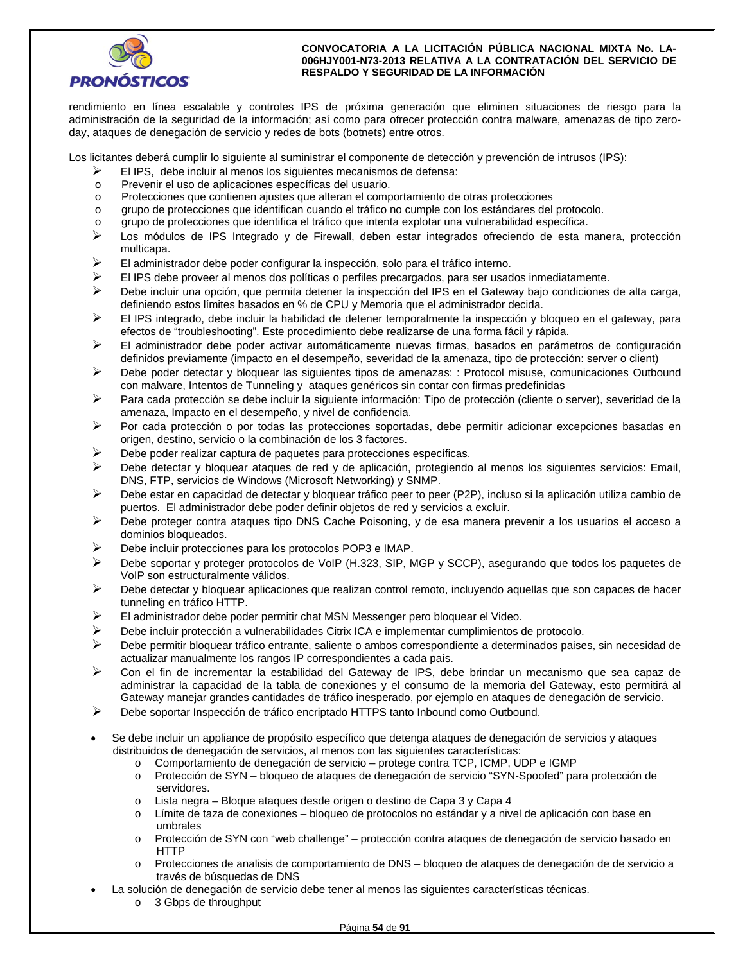

rendimiento en línea escalable y controles IPS de próxima generación que eliminen situaciones de riesgo para la administración de la seguridad de la información; así como para ofrecer protección contra malware, amenazas de tipo zeroday, ataques de denegación de servicio y redes de bots (botnets) entre otros.

Los licitantes deberá cumplir lo siguiente al suministrar el componente de detección y prevención de intrusos (IPS):

- $\triangleright$  El IPS, debe incluir al menos los siguientes mecanismos de defensa:
- o Prevenir el uso de aplicaciones específicas del usuario.
- o Protecciones que contienen ajustes que alteran el comportamiento de otras protecciones
- o grupo de protecciones que identifican cuando el tráfico no cumple con los estándares del protocolo.
- o grupo de protecciones que identifica el tráfico que intenta explotar una vulnerabilidad específica.
- $\triangleright$  Los módulos de IPS Integrado y de Firewall, deben estar integrados ofreciendo de esta manera, protección multicapa.
- $\triangleright$  El administrador debe poder configurar la inspección, solo para el tráfico interno.
- $\triangleright$  El IPS debe proveer al menos dos políticas o perfiles precargados, para ser usados inmediatamente.
- Debe incluir una opción, que permita detener la inspección del IPS en el Gateway bajo condiciones de alta carga, definiendo estos límites basados en % de CPU y Memoria que el administrador decida.
- $\triangleright$  El IPS integrado, debe incluir la habilidad de detener temporalmente la inspección y bloqueo en el gateway, para efectos de "troubleshooting". Este procedimiento debe realizarse de una forma fácil y rápida.
- $\triangleright$  El administrador debe poder activar automáticamente nuevas firmas, basados en parámetros de configuración definidos previamente (impacto en el desempeño, severidad de la amenaza, tipo de protección: server o client)
- Debe poder detectar y bloquear las siguientes tipos de amenazas: : Protocol misuse, comunicaciones Outbound con malware, Intentos de Tunneling y ataques genéricos sin contar con firmas predefinidas
- Para cada protección se debe incluir la siguiente información: Tipo de protección (cliente o server), severidad de la amenaza, Impacto en el desempeño, y nivel de confidencia.
- $\triangleright$  Por cada protección o por todas las protecciones soportadas, debe permitir adicionar excepciones basadas en origen, destino, servicio o la combinación de los 3 factores.
- $\triangleright$  Debe poder realizar captura de paquetes para protecciones específicas.
- Debe detectar y bloquear ataques de red y de aplicación, protegiendo al menos los siguientes servicios: Email, DNS, FTP, servicios de Windows (Microsoft Networking) y SNMP.
- $\triangleright$  Debe estar en capacidad de detectar y bloquear tráfico peer to peer (P2P), incluso si la aplicación utiliza cambio de puertos. El administrador debe poder definir objetos de red y servicios a excluir.
- Debe proteger contra ataques tipo DNS Cache Poisoning, y de esa manera prevenir a los usuarios el acceso a dominios bloqueados.
- Debe incluir protecciones para los protocolos POP3 e IMAP.
- $\triangleright$  Debe soportar y proteger protocolos de VoIP (H.323, SIP, MGP y SCCP), asegurando que todos los paquetes de VoIP son estructuralmente válidos.
- $\triangleright$  Debe detectar y bloquear aplicaciones que realizan control remoto, incluyendo aquellas que son capaces de hacer tunneling en tráfico HTTP.
- El administrador debe poder permitir chat MSN Messenger pero bloquear el Video.
- Debe incluir protección a vulnerabilidades Citrix ICA e implementar cumplimientos de protocolo.
- $\triangleright$  Debe permitir bloquear tráfico entrante, saliente o ambos correspondiente a determinados paises, sin necesidad de actualizar manualmente los rangos IP correspondientes a cada país.
- Con el fin de incrementar la estabilidad del Gateway de IPS, debe brindar un mecanismo que sea capaz de administrar la capacidad de la tabla de conexiones y el consumo de la memoria del Gateway, esto permitirá al Gateway manejar grandes cantidades de tráfico inesperado, por ejemplo en ataques de denegación de servicio.
- $\triangleright$  Debe soportar Inspección de tráfico encriptado HTTPS tanto Inbound como Outbound.
- Se debe incluir un appliance de propósito específico que detenga ataques de denegación de servicios y ataques distribuidos de denegación de servicios, al menos con las siguientes características:
	- o Comportamiento de denegación de servicio protege contra TCP, ICMP, UDP e IGMP
	- o Protección de SYN bloqueo de ataques de denegación de servicio "SYN-Spoofed" para protección de servidores.
	- o Lista negra Bloque ataques desde origen o destino de Capa 3 y Capa 4
	- o Límite de taza de conexiones bloqueo de protocolos no estándar y a nivel de aplicación con base en umbrales
	- o Protección de SYN con "web challenge" protección contra ataques de denegación de servicio basado en HTTP
	- o Protecciones de analisis de comportamiento de DNS bloqueo de ataques de denegación de de servicio a través de búsquedas de DNS
- La solución de denegación de servicio debe tener al menos las siguientes características técnicas.
	- o 3 Gbps de throughput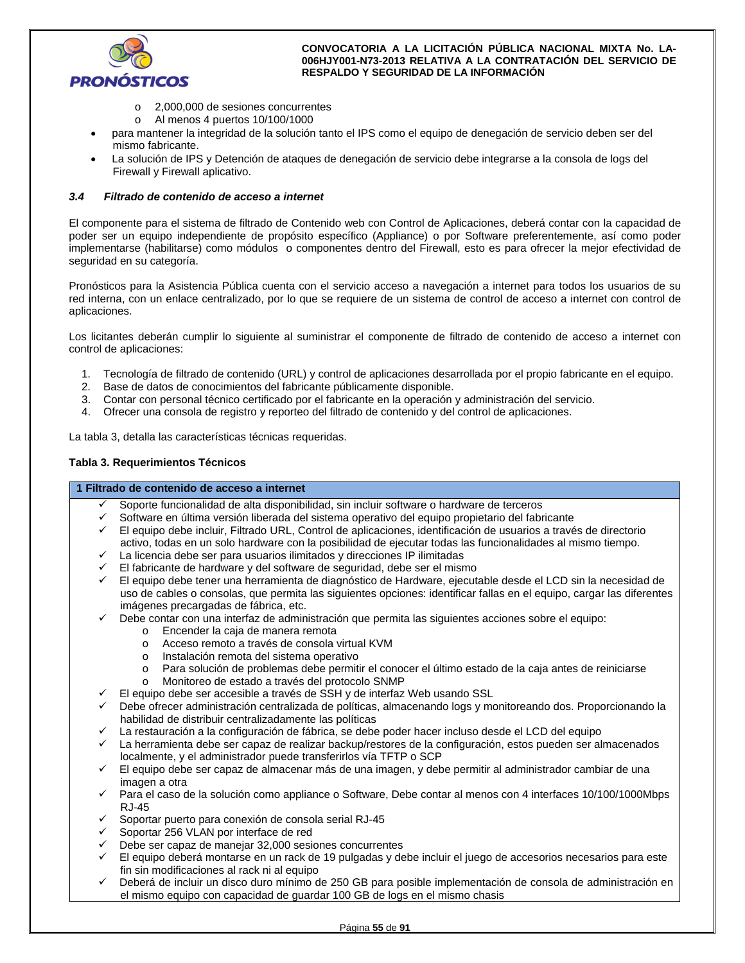

- o 2,000,000 de sesiones concurrentes
- o Al menos 4 puertos 10/100/1000
- para mantener la integridad de la solución tanto el IPS como el equipo de denegación de servicio deben ser del mismo fabricante.
- La solución de IPS y Detención de ataques de denegación de servicio debe integrarse a la consola de logs del Firewall y Firewall aplicativo.

## *3.4 Filtrado de contenido de acceso a internet*

El componente para el sistema de filtrado de Contenido web con Control de Aplicaciones, deberá contar con la capacidad de poder ser un equipo independiente de propósito específico (Appliance) o por Software preferentemente, así como poder implementarse (habilitarse) como módulos o componentes dentro del Firewall, esto es para ofrecer la mejor efectividad de seguridad en su categoría.

Pronósticos para la Asistencia Pública cuenta con el servicio acceso a navegación a internet para todos los usuarios de su red interna, con un enlace centralizado, por lo que se requiere de un sistema de control de acceso a internet con control de aplicaciones.

Los licitantes deberán cumplir lo siguiente al suministrar el componente de filtrado de contenido de acceso a internet con control de aplicaciones:

- 1. Tecnología de filtrado de contenido (URL) y control de aplicaciones desarrollada por el propio fabricante en el equipo.
- 2. Base de datos de conocimientos del fabricante públicamente disponible.
- 3. Contar con personal técnico certificado por el fabricante en la operación y administración del servicio.
- 4. Ofrecer una consola de registro y reporteo del filtrado de contenido y del control de aplicaciones.

La tabla 3, detalla las características técnicas requeridas.

#### **Tabla 3. Requerimientos Técnicos**

#### **1 Filtrado de contenido de acceso a internet**

- Soporte funcionalidad de alta disponibilidad, sin incluir software o hardware de terceros
- $\checkmark$  Software en última versión liberada del sistema operativo del equipo propietario del fabricante
- El equipo debe incluir, Filtrado URL, Control de aplicaciones, identificación de usuarios a través de directorio activo, todas en un solo hardware con la posibilidad de ejecutar todas las funcionalidades al mismo tiempo.
- La licencia debe ser para usuarios ilimitados y direcciones IP ilimitadas
- El fabricante de hardware y del software de seguridad, debe ser el mismo
- El equipo debe tener una herramienta de diagnóstico de Hardware, ejecutable desde el LCD sin la necesidad de uso de cables o consolas, que permita las siguientes opciones: identificar fallas en el equipo, cargar las diferentes imágenes precargadas de fábrica, etc.
- Debe contar con una interfaz de administración que permita las siguientes acciones sobre el equipo:
	- o Encender la caja de manera remota
	- o Acceso remoto a través de consola virtual KVM
	- o Instalación remota del sistema operativo
	- o Para solución de problemas debe permitir el conocer el último estado de la caja antes de reiniciarse
	- o Monitoreo de estado a través del protocolo SNMP
- El equipo debe ser accesible a través de SSH y de interfaz Web usando SSL
- Debe ofrecer administración centralizada de políticas, almacenando logs y monitoreando dos. Proporcionando la habilidad de distribuir centralizadamente las políticas
- La restauración a la configuración de fábrica, se debe poder hacer incluso desde el LCD del equipo
- La herramienta debe ser capaz de realizar backup/restores de la configuración, estos pueden ser almacenados localmente, y el administrador puede transferirlos vía TFTP o SCP
- El equipo debe ser capaz de almacenar más de una imagen, y debe permitir al administrador cambiar de una imagen a otra
- Para el caso de la solución como appliance o Software, Debe contar al menos con 4 interfaces 10/100/1000Mbps RJ-45
- Soportar puerto para conexión de consola serial RJ-45
- Soportar 256 VLAN por interface de red
- Debe ser capaz de manejar 32,000 sesiones concurrentes
- El equipo deberá montarse en un rack de 19 pulgadas y debe incluir el juego de accesorios necesarios para este fin sin modificaciones al rack ni al equipo
- Deberá de incluir un disco duro mínimo de 250 GB para posible implementación de consola de administración en el mismo equipo con capacidad de guardar 100 GB de logs en el mismo chasis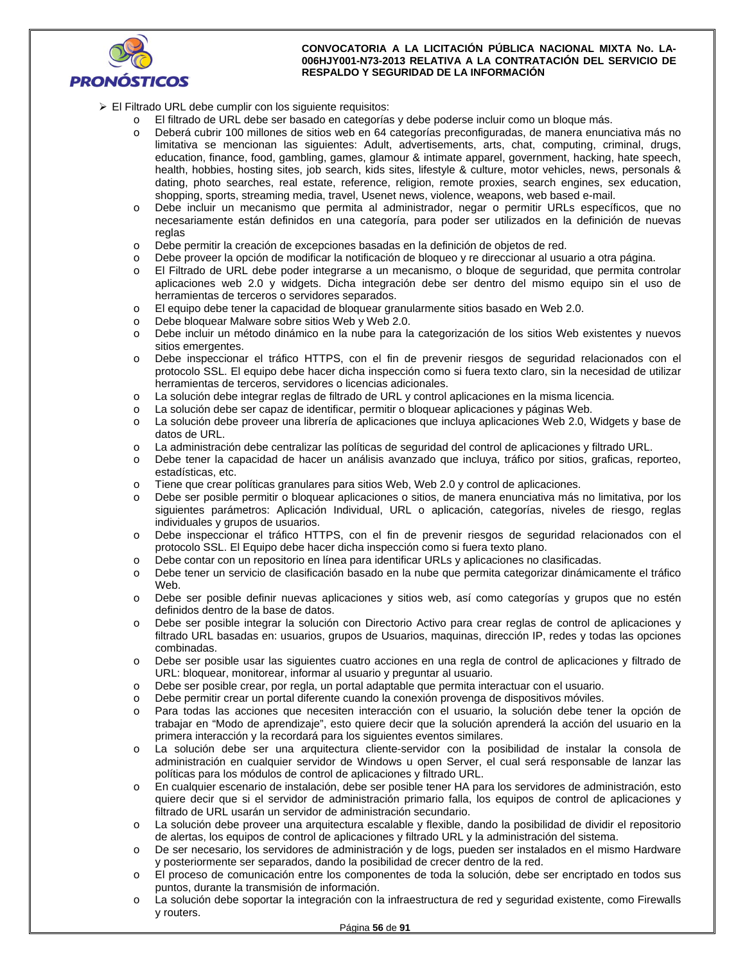

- El Filtrado URL debe cumplir con los siguiente requisitos:
	- o El filtrado de URL debe ser basado en categorías y debe poderse incluir como un bloque más.
	- o Deberá cubrir 100 millones de sitios web en 64 categorías preconfiguradas, de manera enunciativa más no limitativa se mencionan las siguientes: Adult, advertisements, arts, chat, computing, criminal, drugs, education, finance, food, gambling, games, glamour & intimate apparel, government, hacking, hate speech, health, hobbies, hosting sites, job search, kids sites, lifestyle & culture, motor vehicles, news, personals & dating, photo searches, real estate, reference, religion, remote proxies, search engines, sex education, shopping, sports, streaming media, travel, Usenet news, violence, weapons, web based e-mail.
	- o Debe incluir un mecanismo que permita al administrador, negar o permitir URLs específicos, que no necesariamente están definidos en una categoría, para poder ser utilizados en la definición de nuevas reglas
	- o Debe permitir la creación de excepciones basadas en la definición de objetos de red.
	- o Debe proveer la opción de modificar la notificación de bloqueo y re direccionar al usuario a otra página.
	- o El Filtrado de URL debe poder integrarse a un mecanismo, o bloque de seguridad, que permita controlar aplicaciones web 2.0 y widgets. Dicha integración debe ser dentro del mismo equipo sin el uso de herramientas de terceros o servidores separados.
	- o El equipo debe tener la capacidad de bloquear granularmente sitios basado en Web 2.0.
	- o Debe bloquear Malware sobre sitios Web y Web 2.0.
	- o Debe incluir un método dinámico en la nube para la categorización de los sitios Web existentes y nuevos sitios emergentes.
	- o Debe inspeccionar el tráfico HTTPS, con el fin de prevenir riesgos de seguridad relacionados con el protocolo SSL. El equipo debe hacer dicha inspección como si fuera texto claro, sin la necesidad de utilizar herramientas de terceros, servidores o licencias adicionales.
	- o La solución debe integrar reglas de filtrado de URL y control aplicaciones en la misma licencia.
	- o La solución debe ser capaz de identificar, permitir o bloquear aplicaciones y páginas Web.
	- o La solución debe proveer una librería de aplicaciones que incluya aplicaciones Web 2.0, Widgets y base de datos de URL.
	- o La administración debe centralizar las políticas de seguridad del control de aplicaciones y filtrado URL.
	- o Debe tener la capacidad de hacer un análisis avanzado que incluya, tráfico por sitios, graficas, reporteo, estadísticas, etc.
	- o Tiene que crear políticas granulares para sitios Web, Web 2.0 y control de aplicaciones.
	- Debe ser posible permitir o bloquear aplicaciones o sitios, de manera enunciativa más no limitativa, por los siguientes parámetros: Aplicación Individual, URL o aplicación, categorías, niveles de riesgo, reglas individuales y grupos de usuarios.
	- o Debe inspeccionar el tráfico HTTPS, con el fin de prevenir riesgos de seguridad relacionados con el protocolo SSL. El Equipo debe hacer dicha inspección como si fuera texto plano.
	- o Debe contar con un repositorio en línea para identificar URLs y aplicaciones no clasificadas.
	- o Debe tener un servicio de clasificación basado en la nube que permita categorizar dinámicamente el tráfico Web.
	- o Debe ser posible definir nuevas aplicaciones y sitios web, así como categorías y grupos que no estén definidos dentro de la base de datos.
	- o Debe ser posible integrar la solución con Directorio Activo para crear reglas de control de aplicaciones y filtrado URL basadas en: usuarios, grupos de Usuarios, maquinas, dirección IP, redes y todas las opciones combinadas.
	- o Debe ser posible usar las siguientes cuatro acciones en una regla de control de aplicaciones y filtrado de URL: bloquear, monitorear, informar al usuario y preguntar al usuario.
	- o Debe ser posible crear, por regla, un portal adaptable que permita interactuar con el usuario.
	- o Debe permitir crear un portal diferente cuando la conexión provenga de dispositivos móviles.
	- o Para todas las acciones que necesiten interacción con el usuario, la solución debe tener la opción de trabajar en "Modo de aprendizaje", esto quiere decir que la solución aprenderá la acción del usuario en la primera interacción y la recordará para los siguientes eventos similares.
	- o La solución debe ser una arquitectura cliente-servidor con la posibilidad de instalar la consola de administración en cualquier servidor de Windows u open Server, el cual será responsable de lanzar las políticas para los módulos de control de aplicaciones y filtrado URL.
	- o En cualquier escenario de instalación, debe ser posible tener HA para los servidores de administración, esto quiere decir que si el servidor de administración primario falla, los equipos de control de aplicaciones y filtrado de URL usarán un servidor de administración secundario.
	- o La solución debe proveer una arquitectura escalable y flexible, dando la posibilidad de dividir el repositorio de alertas, los equipos de control de aplicaciones y filtrado URL y la administración del sistema.
	- o De ser necesario, los servidores de administración y de logs, pueden ser instalados en el mismo Hardware y posteriormente ser separados, dando la posibilidad de crecer dentro de la red.
	- o El proceso de comunicación entre los componentes de toda la solución, debe ser encriptado en todos sus puntos, durante la transmisión de información.
	- o La solución debe soportar la integración con la infraestructura de red y seguridad existente, como Firewalls y routers.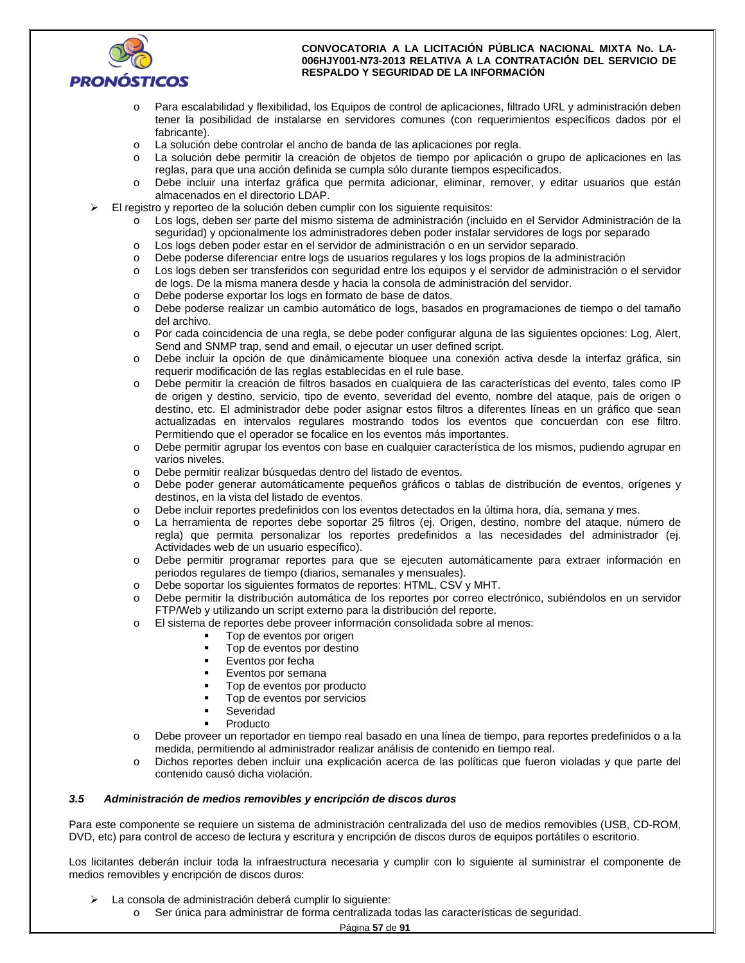

- o Para escalabilidad y flexibilidad, los Equipos de control de aplicaciones, filtrado URL y administración deben tener la posibilidad de instalarse en servidores comunes (con requerimientos específicos dados por el fabricante).
- o La solución debe controlar el ancho de banda de las aplicaciones por regla.
- o La solución debe permitir la creación de objetos de tiempo por aplicación o grupo de aplicaciones en las reglas, para que una acción definida se cumpla sólo durante tiempos especificados.
- o Debe incluir una interfaz gráfica que permita adicionar, eliminar, remover, y editar usuarios que están almacenados en el directorio LDAP.
- El registro y reporteo de la solución deben cumplir con los siguiente requisitos:
	- o Los logs, deben ser parte del mismo sistema de administración (incluido en el Servidor Administración de la seguridad) y opcionalmente los administradores deben poder instalar servidores de logs por separado
	- o Los logs deben poder estar en el servidor de administración o en un servidor separado.
	- o Debe poderse diferenciar entre logs de usuarios regulares y los logs propios de la administración
	- o Los logs deben ser transferidos con seguridad entre los equipos y el servidor de administración o el servidor de logs. De la misma manera desde y hacia la consola de administración del servidor.
	- o Debe poderse exportar los logs en formato de base de datos.
	- o Debe poderse realizar un cambio automático de logs, basados en programaciones de tiempo o del tamaño del archivo.
	- o Por cada coincidencia de una regla, se debe poder configurar alguna de las siguientes opciones: Log, Alert, Send and SNMP trap, send and email, o ejecutar un user defined script.
	- o Debe incluir la opción de que dinámicamente bloquee una conexión activa desde la interfaz gráfica, sin requerir modificación de las reglas establecidas en el rule base.
	- o Debe permitir la creación de filtros basados en cualquiera de las características del evento, tales como IP de origen y destino, servicio, tipo de evento, severidad del evento, nombre del ataque, país de origen o destino, etc. El administrador debe poder asignar estos filtros a diferentes líneas en un gráfico que sean actualizadas en intervalos regulares mostrando todos los eventos que concuerdan con ese filtro. Permitiendo que el operador se focalice en los eventos más importantes.
	- o Debe permitir agrupar los eventos con base en cualquier característica de los mismos, pudiendo agrupar en varios niveles.
	- o Debe permitir realizar búsquedas dentro del listado de eventos.
	- o Debe poder generar automáticamente pequeños gráficos o tablas de distribución de eventos, orígenes y destinos, en la vista del listado de eventos.
	- o Debe incluir reportes predefinidos con los eventos detectados en la última hora, día, semana y mes.
	- o La herramienta de reportes debe soportar 25 filtros (ej. Origen, destino, nombre del ataque, número de regla) que permita personalizar los reportes predefinidos a las necesidades del administrador (ej. Actividades web de un usuario específico).
	- o Debe permitir programar reportes para que se ejecuten automáticamente para extraer información en periodos regulares de tiempo (diarios, semanales y mensuales).
	- o Debe soportar los siguientes formatos de reportes: HTML, CSV y MHT.
	- o Debe permitir la distribución automática de los reportes por correo electrónico, subiéndolos en un servidor FTP/Web y utilizando un script externo para la distribución del reporte.
	- o El sistema de reportes debe proveer información consolidada sobre al menos:
		- Top de eventos por origen
		- Top de eventos por destino
		- Eventos por fecha
		- Eventos por semana
		- Top de eventos por producto
		- Top de eventos por servicios
		- Severidad
		- Producto
	- o Debe proveer un reportador en tiempo real basado en una línea de tiempo, para reportes predefinidos o a la medida, permitiendo al administrador realizar análisis de contenido en tiempo real.
	- o Dichos reportes deben incluir una explicación acerca de las políticas que fueron violadas y que parte del contenido causó dicha violación.

## *3.5 Administración de medios removibles y encripción de discos duros*

Para este componente se requiere un sistema de administración centralizada del uso de medios removibles (USB, CD-ROM, DVD, etc) para control de acceso de lectura y escritura y encripción de discos duros de equipos portátiles o escritorio.

Los licitantes deberán incluir toda la infraestructura necesaria y cumplir con lo siguiente al suministrar el componente de medios removibles y encripción de discos duros:

- La consola de administración deberá cumplir lo siguiente:
	- o Ser única para administrar de forma centralizada todas las características de seguridad.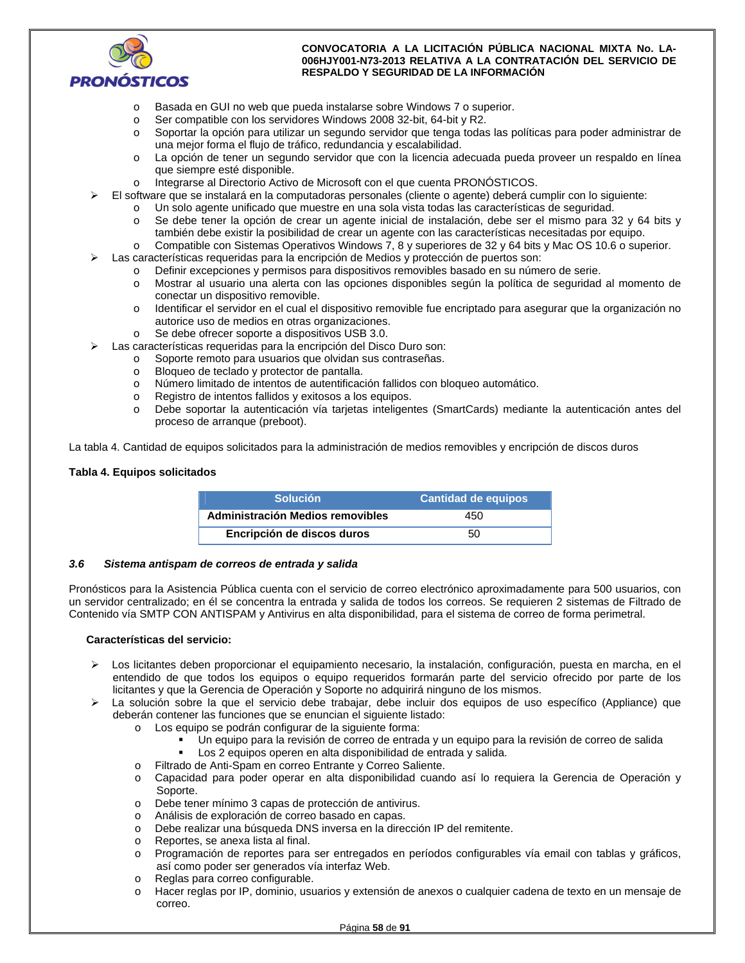

- o Basada en GUI no web que pueda instalarse sobre Windows 7 o superior.
- o Ser compatible con los servidores Windows 2008 32-bit, 64-bit y R2.
- o Soportar la opción para utilizar un segundo servidor que tenga todas las políticas para poder administrar de una mejor forma el flujo de tráfico, redundancia y escalabilidad.
- o La opción de tener un segundo servidor que con la licencia adecuada pueda proveer un respaldo en línea que siempre esté disponible.
- o Integrarse al Directorio Activo de Microsoft con el que cuenta PRONÓSTICOS.
- El software que se instalará en la computadoras personales (cliente o agente) deberá cumplir con lo siguiente:
	- o Un solo agente unificado que muestre en una sola vista todas las características de seguridad.
	- o Se debe tener la opción de crear un agente inicial de instalación, debe ser el mismo para 32 y 64 bits y también debe existir la posibilidad de crear un agente con las características necesitadas por equipo.
	- o Compatible con Sistemas Operativos Windows 7, 8 y superiores de 32 y 64 bits y Mac OS 10.6 o superior.
	- Las características requeridas para la encripción de Medios y protección de puertos son:
		- o Definir excepciones y permisos para dispositivos removibles basado en su número de serie.
			- o Mostrar al usuario una alerta con las opciones disponibles según la política de seguridad al momento de conectar un dispositivo removible.
			- o Identificar el servidor en el cual el dispositivo removible fue encriptado para asegurar que la organización no autorice uso de medios en otras organizaciones.
			- o Se debe ofrecer soporte a dispositivos USB 3.0.
- Las características requeridas para la encripción del Disco Duro son:
	- o Soporte remoto para usuarios que olvidan sus contraseñas.
	- o Bloqueo de teclado y protector de pantalla.
	- o Número limitado de intentos de autentificación fallidos con bloqueo automático.
	- o Registro de intentos fallidos y exitosos a los equipos.
	- o Debe soportar la autenticación vía tarjetas inteligentes (SmartCards) mediante la autenticación antes del proceso de arranque (preboot).

La tabla 4. Cantidad de equipos solicitados para la administración de medios removibles y encripción de discos duros

#### **Tabla 4. Equipos solicitados**

| <b>Solución</b>                  | <b>Cantidad de equipos</b> |
|----------------------------------|----------------------------|
| Administración Medios removibles | 450                        |
| Encripción de discos duros       | 50                         |

#### *3.6 Sistema antispam de correos de entrada y salida*

Pronósticos para la Asistencia Pública cuenta con el servicio de correo electrónico aproximadamente para 500 usuarios, con un servidor centralizado; en él se concentra la entrada y salida de todos los correos. Se requieren 2 sistemas de Filtrado de Contenido vía SMTP CON ANTISPAM y Antivirus en alta disponibilidad, para el sistema de correo de forma perimetral.

#### **Características del servicio:**

- Los licitantes deben proporcionar el equipamiento necesario, la instalación, configuración, puesta en marcha, en el entendido de que todos los equipos o equipo requeridos formarán parte del servicio ofrecido por parte de los licitantes y que la Gerencia de Operación y Soporte no adquirirá ninguno de los mismos.
- La solución sobre la que el servicio debe trabajar, debe incluir dos equipos de uso específico (Appliance) que deberán contener las funciones que se enuncian el siguiente listado:
	- o Los equipo se podrán configurar de la siguiente forma:
		- Un equipo para la revisión de correo de entrada y un equipo para la revisión de correo de salida
		- Los 2 equipos operen en alta disponibilidad de entrada y salida.
	- o Filtrado de Anti-Spam en correo Entrante y Correo Saliente.
	- o Capacidad para poder operar en alta disponibilidad cuando así lo requiera la Gerencia de Operación y Soporte.
	- o Debe tener mínimo 3 capas de protección de antivirus.
	- o Análisis de exploración de correo basado en capas.
	- o Debe realizar una búsqueda DNS inversa en la dirección IP del remitente.
	- o Reportes, se anexa lista al final.
	- o Programación de reportes para ser entregados en períodos configurables vía email con tablas y gráficos, así como poder ser generados vía interfaz Web.
	- o Reglas para correo configurable.
	- o Hacer reglas por IP, dominio, usuarios y extensión de anexos o cualquier cadena de texto en un mensaje de correo.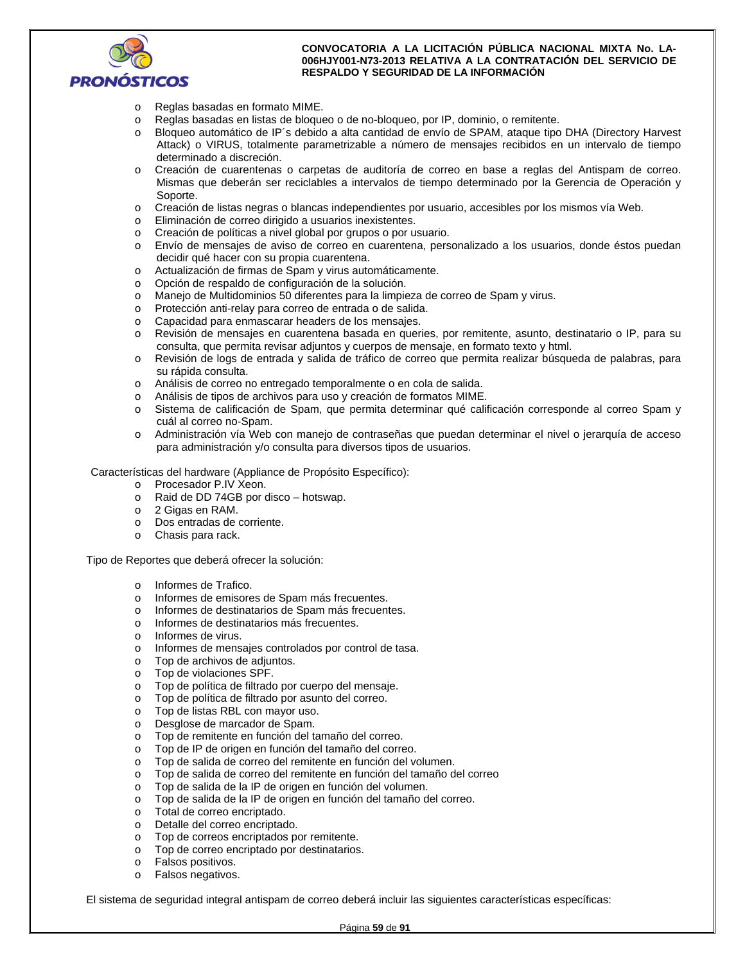

- o Reglas basadas en formato MIME.
- o Reglas basadas en listas de bloqueo o de no-bloqueo, por IP, dominio, o remitente.
- o Bloqueo automático de IP´s debido a alta cantidad de envío de SPAM, ataque tipo DHA (Directory Harvest Attack) o VIRUS, totalmente parametrizable a número de mensajes recibidos en un intervalo de tiempo determinado a discreción.
- o Creación de cuarentenas o carpetas de auditoría de correo en base a reglas del Antispam de correo. Mismas que deberán ser reciclables a intervalos de tiempo determinado por la Gerencia de Operación y Soporte.
- o Creación de listas negras o blancas independientes por usuario, accesibles por los mismos vía Web.
- o Eliminación de correo dirigido a usuarios inexistentes.
- o Creación de políticas a nivel global por grupos o por usuario.
- o Envío de mensajes de aviso de correo en cuarentena, personalizado a los usuarios, donde éstos puedan decidir qué hacer con su propia cuarentena.
- o Actualización de firmas de Spam y virus automáticamente.
- o Opción de respaldo de configuración de la solución.
- o Manejo de Multidominios 50 diferentes para la limpieza de correo de Spam y virus.
- o Protección anti-relay para correo de entrada o de salida.
- o Capacidad para enmascarar headers de los mensajes.
- o Revisión de mensajes en cuarentena basada en queries, por remitente, asunto, destinatario o IP, para su consulta, que permita revisar adjuntos y cuerpos de mensaje, en formato texto y html.
- o Revisión de logs de entrada y salida de tráfico de correo que permita realizar búsqueda de palabras, para su rápida consulta.
- o Análisis de correo no entregado temporalmente o en cola de salida.
- o Análisis de tipos de archivos para uso y creación de formatos MIME.
- o Sistema de calificación de Spam, que permita determinar qué calificación corresponde al correo Spam y cuál al correo no-Spam.
- o Administración vía Web con manejo de contraseñas que puedan determinar el nivel o jerarquía de acceso para administración y/o consulta para diversos tipos de usuarios.

Características del hardware (Appliance de Propósito Específico):

- o Procesador P.IV Xeon.
- o Raid de DD 74GB por disco hotswap.
- o 2 Gigas en RAM.
- o Dos entradas de corriente.
- o Chasis para rack.

Tipo de Reportes que deberá ofrecer la solución:

- o Informes de Trafico.
- o Informes de emisores de Spam más frecuentes.
- o Informes de destinatarios de Spam más frecuentes.
- o Informes de destinatarios más frecuentes.
- o Informes de virus.
- o Informes de mensajes controlados por control de tasa.
- o Top de archivos de adjuntos.
- o Top de violaciones SPF.
- o Top de política de filtrado por cuerpo del mensaje.
- o Top de política de filtrado por asunto del correo.
- o Top de listas RBL con mayor uso.
- o Desglose de marcador de Spam.
- o Top de remitente en función del tamaño del correo.
- o Top de IP de origen en función del tamaño del correo.
- o Top de salida de correo del remitente en función del volumen.
- o Top de salida de correo del remitente en función del tamaño del correo
- o Top de salida de la IP de origen en función del volumen.
- o Top de salida de la IP de origen en función del tamaño del correo.
- o Total de correo encriptado.
- o Detalle del correo encriptado.
- o Top de correos encriptados por remitente.
- o Top de correo encriptado por destinatarios.
- o Falsos positivos.
- o Falsos negativos.

El sistema de seguridad integral antispam de correo deberá incluir las siguientes características específicas: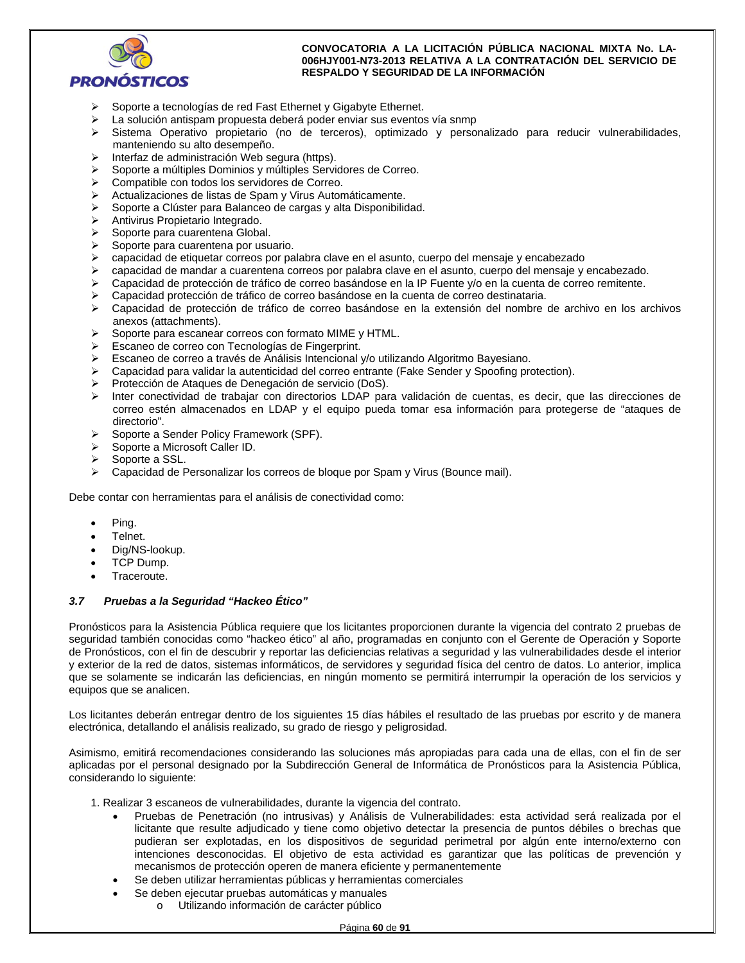

- Soporte a tecnologías de red Fast Ethernet y Gigabyte Ethernet.
- > La solución antispam propuesta deberá poder enviar sus eventos vía snmp
- $\triangleright$  Sistema Operativo propietario (no de terceros), optimizado y personalizado para reducir vulnerabilidades, manteniendo su alto desempeño.
- $\triangleright$  Interfaz de administración Web segura (https).
- Soporte a múltiples Dominios y múltiples Servidores de Correo.
- Compatible con todos los servidores de Correo.
- Actualizaciones de listas de Spam y Virus Automáticamente.
- Soporte a Clúster para Balanceo de cargas y alta Disponibilidad.
- > Antivirus Propietario Integrado.
- $\triangleright$  Soporte para cuarentena Global.
- $\triangleright$  Soporte para cuarentena por usuario.
- $\triangleright$  capacidad de etiquetar correos por palabra clave en el asunto, cuerpo del mensaje y encabezado
- $\triangleright$  capacidad de mandar a cuarentena correos por palabra clave en el asunto, cuerpo del mensaje y encabezado.
- Capacidad de protección de tráfico de correo basándose en la IP Fuente y/o en la cuenta de correo remitente.
- Capacidad protección de tráfico de correo basándose en la cuenta de correo destinataria.
- Capacidad de protección de tráfico de correo basándose en la extensión del nombre de archivo en los archivos anexos (attachments).
- $\triangleright$  Soporte para escanear correos con formato MIME y HTML.
- Escaneo de correo con Tecnologías de Fingerprint.
- $\triangleright$  Escaneo de correo a través de Análisis Intencional y/o utilizando Algoritmo Bayesiano.
- $\triangleright$  Capacidad para validar la autenticidad del correo entrante (Fake Sender y Spoofing protection).
- Protección de Ataques de Denegación de servicio (DoS).
- Inter conectividad de trabajar con directorios LDAP para validación de cuentas, es decir, que las direcciones de correo estén almacenados en LDAP y el equipo pueda tomar esa información para protegerse de "ataques de directorio".
- ▶ Soporte a Sender Policy Framework (SPF).
- $\triangleright$  Soporte a Microsoft Caller ID.
- $\triangleright$  Soporte a SSL.
- Capacidad de Personalizar los correos de bloque por Spam y Virus (Bounce mail).

Debe contar con herramientas para el análisis de conectividad como:

- Ping.
- Telnet.
- Dig/NS-lookup.
- TCP Dump.
- Traceroute.

### *3.7 Pruebas a la Seguridad "Hackeo Ético"*

Pronósticos para la Asistencia Pública requiere que los licitantes proporcionen durante la vigencia del contrato 2 pruebas de seguridad también conocidas como "hackeo ético" al año, programadas en conjunto con el Gerente de Operación y Soporte de Pronósticos, con el fin de descubrir y reportar las deficiencias relativas a seguridad y las vulnerabilidades desde el interior y exterior de la red de datos, sistemas informáticos, de servidores y seguridad física del centro de datos. Lo anterior, implica que se solamente se indicarán las deficiencias, en ningún momento se permitirá interrumpir la operación de los servicios y equipos que se analicen.

Los licitantes deberán entregar dentro de los siguientes 15 días hábiles el resultado de las pruebas por escrito y de manera electrónica, detallando el análisis realizado, su grado de riesgo y peligrosidad.

Asimismo, emitirá recomendaciones considerando las soluciones más apropiadas para cada una de ellas, con el fin de ser aplicadas por el personal designado por la Subdirección General de Informática de Pronósticos para la Asistencia Pública, considerando lo siguiente:

1. Realizar 3 escaneos de vulnerabilidades, durante la vigencia del contrato.

- Pruebas de Penetración (no intrusivas) y Análisis de Vulnerabilidades: esta actividad será realizada por el licitante que resulte adjudicado y tiene como objetivo detectar la presencia de puntos débiles o brechas que pudieran ser explotadas, en los dispositivos de seguridad perimetral por algún ente interno/externo con intenciones desconocidas. El objetivo de esta actividad es garantizar que las políticas de prevención y mecanismos de protección operen de manera eficiente y permanentemente
- Se deben utilizar herramientas públicas y herramientas comerciales
- Se deben ejecutar pruebas automáticas y manuales
	- o Utilizando información de carácter público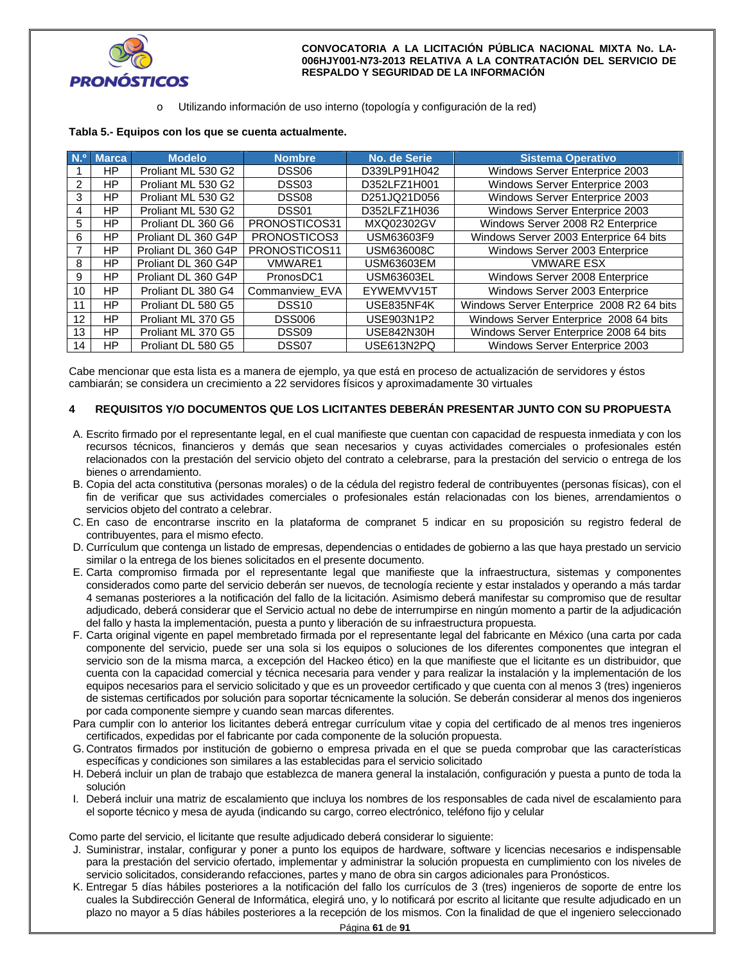

Utilizando información de uso interno (topología y configuración de la red)

| Tabla 5.- Equipos con los que se cuenta actualmente. |
|------------------------------------------------------|
|------------------------------------------------------|

| N <sup>o</sup>  | <b>Marca</b> | <b>Modelo</b>       | <b>Nombre</b>     | <b>No. de Serie</b> | <b>Sistema Operativo</b>                  |
|-----------------|--------------|---------------------|-------------------|---------------------|-------------------------------------------|
|                 | ΗP           | Proliant ML 530 G2  | DSS <sub>06</sub> | D339LP91H042        | Windows Server Enterprice 2003            |
| 2               | HP.          | Proliant ML 530 G2  | DSS <sub>03</sub> | D352LFZ1H001        | Windows Server Enterprice 2003            |
| 3               | HP.          | Proliant ML 530 G2  | DSS <sub>08</sub> | D251JQ21D056        | Windows Server Enterprice 2003            |
| 4               | HP.          | Proliant ML 530 G2  | DSS01             | D352LFZ1H036        | Windows Server Enterprice 2003            |
| 5               | HP.          | Proliant DL 360 G6  | PRONOSTICOS31     | MXQ02302GV          | Windows Server 2008 R2 Enterprice         |
| 6               | <b>HP</b>    | Proliant DL 360 G4P | PRONOSTICOS3      | USM63603F9          | Windows Server 2003 Enterprice 64 bits    |
|                 | HP.          | Proliant DL 360 G4P | PRONOSTICOS11     | USM636008C          | Windows Server 2003 Enterprice            |
| 8               | HP.          | Proliant DL 360 G4P | <b>VMWARE1</b>    | USM63603EM          | <b>VMWARE ESX</b>                         |
| 9               | HP.          | Proliant DL 360 G4P | PronosDC1         | USM63603EL          | Windows Server 2008 Enterprice            |
| 10 <sup>1</sup> | HP.          | Proliant DL 380 G4  | Commanview_EVA    | EYWEMVV15T          | Windows Server 2003 Enterprice            |
| 11              | HP.          | Proliant DL 580 G5  | DSS <sub>10</sub> | USE835NF4K          | Windows Server Enterprice 2008 R2 64 bits |
| 12              | HP.          | Proliant ML 370 G5  | <b>DSS006</b>     | USE903N1P2          | Windows Server Enterprice 2008 64 bits    |
| 13              | <b>HP</b>    | Proliant ML 370 G5  | DSS <sub>09</sub> | <b>USE842N30H</b>   | Windows Server Enterprice 2008 64 bits    |
| 14              | HP.          | Proliant DL 580 G5  | DSS07             | USE613N2PQ          | Windows Server Enterprice 2003            |

Cabe mencionar que esta lista es a manera de ejemplo, ya que está en proceso de actualización de servidores y éstos cambiarán; se considera un crecimiento a 22 servidores físicos y aproximadamente 30 virtuales

## **4 REQUISITOS Y/O DOCUMENTOS QUE LOS LICITANTES DEBERÁN PRESENTAR JUNTO CON SU PROPUESTA**

- A. Escrito firmado por el representante legal, en el cual manifieste que cuentan con capacidad de respuesta inmediata y con los recursos técnicos, financieros y demás que sean necesarios y cuyas actividades comerciales o profesionales estén relacionados con la prestación del servicio objeto del contrato a celebrarse, para la prestación del servicio o entrega de los bienes o arrendamiento.
- B. Copia del acta constitutiva (personas morales) o de la cédula del registro federal de contribuyentes (personas físicas), con el fin de verificar que sus actividades comerciales o profesionales están relacionadas con los bienes, arrendamientos o servicios objeto del contrato a celebrar.
- C. En caso de encontrarse inscrito en la plataforma de compranet 5 indicar en su proposición su registro federal de contribuyentes, para el mismo efecto.
- D. Currículum que contenga un listado de empresas, dependencias o entidades de gobierno a las que haya prestado un servicio similar o la entrega de los bienes solicitados en el presente documento.
- E. Carta compromiso firmada por el representante legal que manifieste que la infraestructura, sistemas y componentes considerados como parte del servicio deberán ser nuevos, de tecnología reciente y estar instalados y operando a más tardar 4 semanas posteriores a la notificación del fallo de la licitación. Asimismo deberá manifestar su compromiso que de resultar adjudicado, deberá considerar que el Servicio actual no debe de interrumpirse en ningún momento a partir de la adjudicación del fallo y hasta la implementación, puesta a punto y liberación de su infraestructura propuesta.
- F. Carta original vigente en papel membretado firmada por el representante legal del fabricante en México (una carta por cada componente del servicio, puede ser una sola si los equipos o soluciones de los diferentes componentes que integran el servicio son de la misma marca, a excepción del Hackeo ético) en la que manifieste que el licitante es un distribuidor, que cuenta con la capacidad comercial y técnica necesaria para vender y para realizar la instalación y la implementación de los equipos necesarios para el servicio solicitado y que es un proveedor certificado y que cuenta con al menos 3 (tres) ingenieros de sistemas certificados por solución para soportar técnicamente la solución. Se deberán considerar al menos dos ingenieros por cada componente siempre y cuando sean marcas diferentes.
- Para cumplir con lo anterior los licitantes deberá entregar currículum vitae y copia del certificado de al menos tres ingenieros certificados, expedidas por el fabricante por cada componente de la solución propuesta.
- G. Contratos firmados por institución de gobierno o empresa privada en el que se pueda comprobar que las características específicas y condiciones son similares a las establecidas para el servicio solicitado
- H. Deberá incluir un plan de trabajo que establezca de manera general la instalación, configuración y puesta a punto de toda la solución
- I. Deberá incluir una matriz de escalamiento que incluya los nombres de los responsables de cada nivel de escalamiento para el soporte técnico y mesa de ayuda (indicando su cargo, correo electrónico, teléfono fijo y celular

Como parte del servicio, el licitante que resulte adjudicado deberá considerar lo siguiente:

- J. Suministrar, instalar, configurar y poner a punto los equipos de hardware, software y licencias necesarios e indispensable para la prestación del servicio ofertado, implementar y administrar la solución propuesta en cumplimiento con los niveles de servicio solicitados, considerando refacciones, partes y mano de obra sin cargos adicionales para Pronósticos.
- K. Entregar 5 días hábiles posteriores a la notificación del fallo los currículos de 3 (tres) ingenieros de soporte de entre los cuales la Subdirección General de Informática, elegirá uno, y lo notificará por escrito al licitante que resulte adjudicado en un plazo no mayor a 5 días hábiles posteriores a la recepción de los mismos. Con la finalidad de que el ingeniero seleccionado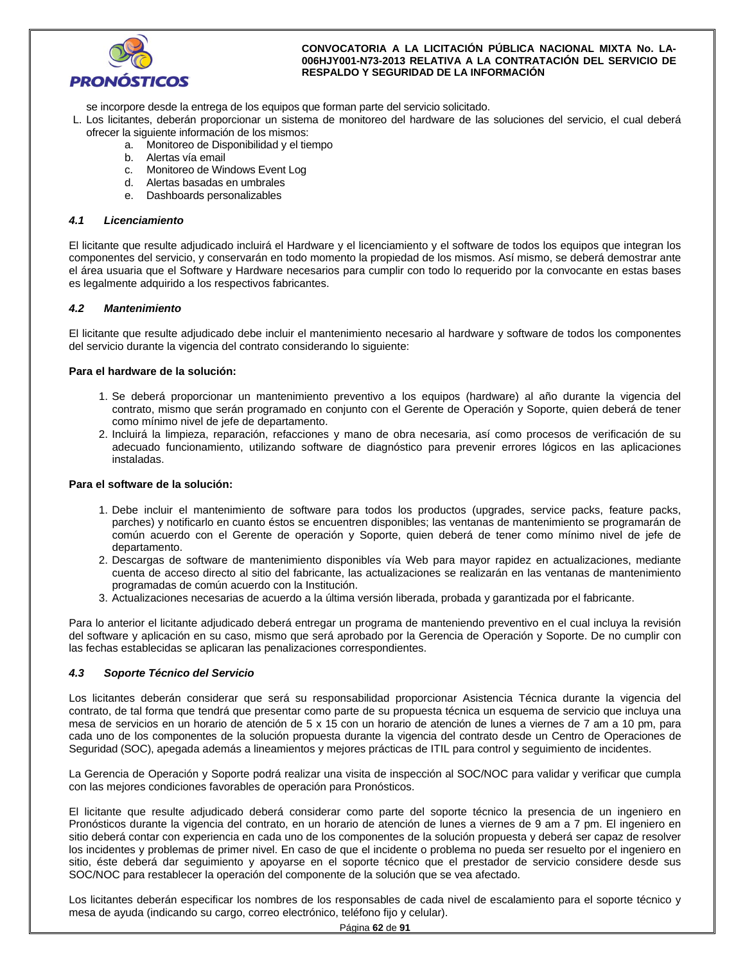

se incorpore desde la entrega de los equipos que forman parte del servicio solicitado.

L. Los licitantes, deberán proporcionar un sistema de monitoreo del hardware de las soluciones del servicio, el cual deberá ofrecer la siguiente información de los mismos:

- a. Monitoreo de Disponibilidad y el tiempo
- b. Alertas vía email
- c. Monitoreo de Windows Event Log
- d. Alertas basadas en umbrales
- e. Dashboards personalizables

#### *4.1 Licenciamiento*

El licitante que resulte adjudicado incluirá el Hardware y el licenciamiento y el software de todos los equipos que integran los componentes del servicio, y conservarán en todo momento la propiedad de los mismos. Así mismo, se deberá demostrar ante el área usuaria que el Software y Hardware necesarios para cumplir con todo lo requerido por la convocante en estas bases es legalmente adquirido a los respectivos fabricantes.

## *4.2 Mantenimiento*

El licitante que resulte adjudicado debe incluir el mantenimiento necesario al hardware y software de todos los componentes del servicio durante la vigencia del contrato considerando lo siguiente:

#### **Para el hardware de la solución:**

- 1. Se deberá proporcionar un mantenimiento preventivo a los equipos (hardware) al año durante la vigencia del contrato, mismo que serán programado en conjunto con el Gerente de Operación y Soporte, quien deberá de tener como mínimo nivel de jefe de departamento.
- 2. Incluirá la limpieza, reparación, refacciones y mano de obra necesaria, así como procesos de verificación de su adecuado funcionamiento, utilizando software de diagnóstico para prevenir errores lógicos en las aplicaciones instaladas.

### **Para el software de la solución:**

- 1. Debe incluir el mantenimiento de software para todos los productos (upgrades, service packs, feature packs, parches) y notificarlo en cuanto éstos se encuentren disponibles; las ventanas de mantenimiento se programarán de común acuerdo con el Gerente de operación y Soporte, quien deberá de tener como mínimo nivel de jefe de departamento.
- 2. Descargas de software de mantenimiento disponibles vía Web para mayor rapidez en actualizaciones, mediante cuenta de acceso directo al sitio del fabricante, las actualizaciones se realizarán en las ventanas de mantenimiento programadas de común acuerdo con la Institución.
- 3. Actualizaciones necesarias de acuerdo a la última versión liberada, probada y garantizada por el fabricante.

Para lo anterior el licitante adjudicado deberá entregar un programa de manteniendo preventivo en el cual incluya la revisión del software y aplicación en su caso, mismo que será aprobado por la Gerencia de Operación y Soporte. De no cumplir con las fechas establecidas se aplicaran las penalizaciones correspondientes.

## *4.3 Soporte Técnico del Servicio*

Los licitantes deberán considerar que será su responsabilidad proporcionar Asistencia Técnica durante la vigencia del contrato, de tal forma que tendrá que presentar como parte de su propuesta técnica un esquema de servicio que incluya una mesa de servicios en un horario de atención de 5 x 15 con un horario de atención de lunes a viernes de 7 am a 10 pm, para cada uno de los componentes de la solución propuesta durante la vigencia del contrato desde un Centro de Operaciones de Seguridad (SOC), apegada además a lineamientos y mejores prácticas de ITIL para control y seguimiento de incidentes.

La Gerencia de Operación y Soporte podrá realizar una visita de inspección al SOC/NOC para validar y verificar que cumpla con las mejores condiciones favorables de operación para Pronósticos.

El licitante que resulte adjudicado deberá considerar como parte del soporte técnico la presencia de un ingeniero en Pronósticos durante la vigencia del contrato, en un horario de atención de lunes a viernes de 9 am a 7 pm. El ingeniero en sitio deberá contar con experiencia en cada uno de los componentes de la solución propuesta y deberá ser capaz de resolver los incidentes y problemas de primer nivel. En caso de que el incidente o problema no pueda ser resuelto por el ingeniero en sitio, éste deberá dar seguimiento y apoyarse en el soporte técnico que el prestador de servicio considere desde sus SOC/NOC para restablecer la operación del componente de la solución que se vea afectado.

Los licitantes deberán especificar los nombres de los responsables de cada nivel de escalamiento para el soporte técnico y mesa de ayuda (indicando su cargo, correo electrónico, teléfono fijo y celular).

Página **62** de **91**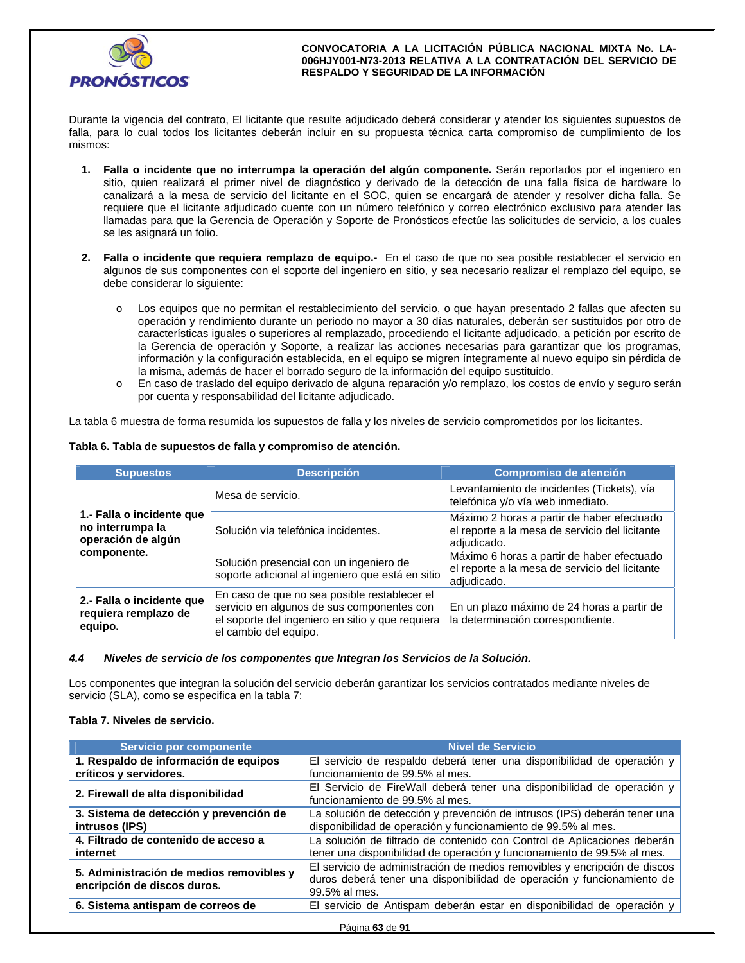

Durante la vigencia del contrato, El licitante que resulte adjudicado deberá considerar y atender los siguientes supuestos de falla, para lo cual todos los licitantes deberán incluir en su propuesta técnica carta compromiso de cumplimiento de los mismos:

- **1. Falla o incidente que no interrumpa la operación del algún componente.** Serán reportados por el ingeniero en sitio, quien realizará el primer nivel de diagnóstico y derivado de la detección de una falla física de hardware lo canalizará a la mesa de servicio del licitante en el SOC, quien se encargará de atender y resolver dicha falla. Se requiere que el licitante adjudicado cuente con un número telefónico y correo electrónico exclusivo para atender las llamadas para que la Gerencia de Operación y Soporte de Pronósticos efectúe las solicitudes de servicio, a los cuales se les asignará un folio.
- **2. Falla o incidente que requiera remplazo de equipo.-** En el caso de que no sea posible restablecer el servicio en algunos de sus componentes con el soporte del ingeniero en sitio, y sea necesario realizar el remplazo del equipo, se debe considerar lo siguiente:
	- o Los equipos que no permitan el restablecimiento del servicio, o que hayan presentado 2 fallas que afecten su operación y rendimiento durante un periodo no mayor a 30 días naturales, deberán ser sustituidos por otro de características iguales o superiores al remplazado, procediendo el licitante adjudicado, a petición por escrito de la Gerencia de operación y Soporte, a realizar las acciones necesarias para garantizar que los programas, información y la configuración establecida, en el equipo se migren íntegramente al nuevo equipo sin pérdida de la misma, además de hacer el borrado seguro de la información del equipo sustituido.
	- o En caso de traslado del equipo derivado de alguna reparación y/o remplazo, los costos de envío y seguro serán por cuenta y responsabilidad del licitante adjudicado.

La tabla 6 muestra de forma resumida los supuestos de falla y los niveles de servicio comprometidos por los licitantes.

|  |  |  |  |  | Tabla 6. Tabla de supuestos de falla y compromiso de atención. |
|--|--|--|--|--|----------------------------------------------------------------|
|--|--|--|--|--|----------------------------------------------------------------|

| <b>Supuestos</b>                                                                                                                                                                                                                        | <b>Descripción</b>                                                                          | Compromiso de atención                                                                                      |
|-----------------------------------------------------------------------------------------------------------------------------------------------------------------------------------------------------------------------------------------|---------------------------------------------------------------------------------------------|-------------------------------------------------------------------------------------------------------------|
|                                                                                                                                                                                                                                         | Mesa de servicio.                                                                           | Levantamiento de incidentes (Tickets), vía<br>telefónica y/o vía web inmediato.                             |
| 1.- Falla o incidente que<br>no interrumpa la<br>operación de algún                                                                                                                                                                     | Solución vía telefónica incidentes.                                                         | Máximo 2 horas a partir de haber efectuado<br>el reporte a la mesa de servicio del licitante<br>adjudicado. |
| componente.                                                                                                                                                                                                                             | Solución presencial con un ingeniero de<br>soporte adicional al ingeniero que está en sitio | Máximo 6 horas a partir de haber efectuado<br>el reporte a la mesa de servicio del licitante<br>adjudicado. |
| En caso de que no sea posible restablecer el<br>2.- Falla o incidente que<br>servicio en algunos de sus componentes con<br>requiera remplazo de<br>el soporte del ingeniero en sitio y que requiera<br>equipo.<br>el cambio del equipo. |                                                                                             | En un plazo máximo de 24 horas a partir de<br>la determinación correspondiente.                             |

## *4.4 Niveles de servicio de los componentes que Integran los Servicios de la Solución.*

Los componentes que integran la solución del servicio deberán garantizar los servicios contratados mediante niveles de servicio (SLA), como se especifica en la tabla 7:

## **Tabla 7. Niveles de servicio.**

| <b>Servicio por componente</b>                                          | <b>Nivel de Servicio</b>                                                                                                                                             |
|-------------------------------------------------------------------------|----------------------------------------------------------------------------------------------------------------------------------------------------------------------|
| 1. Respaldo de información de equipos<br>críticos y servidores.         | El servicio de respaldo deberá tener una disponibilidad de operación y<br>funcionamiento de 99.5% al mes.                                                            |
| 2. Firewall de alta disponibilidad                                      | El Servicio de FireWall deberá tener una disponibilidad de operación y<br>funcionamiento de 99.5% al mes.                                                            |
| 3. Sistema de detección y prevención de<br>intrusos (IPS)               | La solución de detección y prevención de intrusos (IPS) deberán tener una<br>disponibilidad de operación y funcionamiento de 99.5% al mes.                           |
| 4. Filtrado de contenido de acceso a<br>internet                        | La solución de filtrado de contenido con Control de Aplicaciones deberán<br>tener una disponibilidad de operación y funcionamiento de 99.5% al mes.                  |
| 5. Administración de medios removibles y<br>encripción de discos duros. | El servicio de administración de medios removibles y encripción de discos<br>duros deberá tener una disponibilidad de operación y funcionamiento de<br>99.5% al mes. |
| 6. Sistema antispam de correos de                                       | El servicio de Antispam deberán estar en disponibilidad de operación y                                                                                               |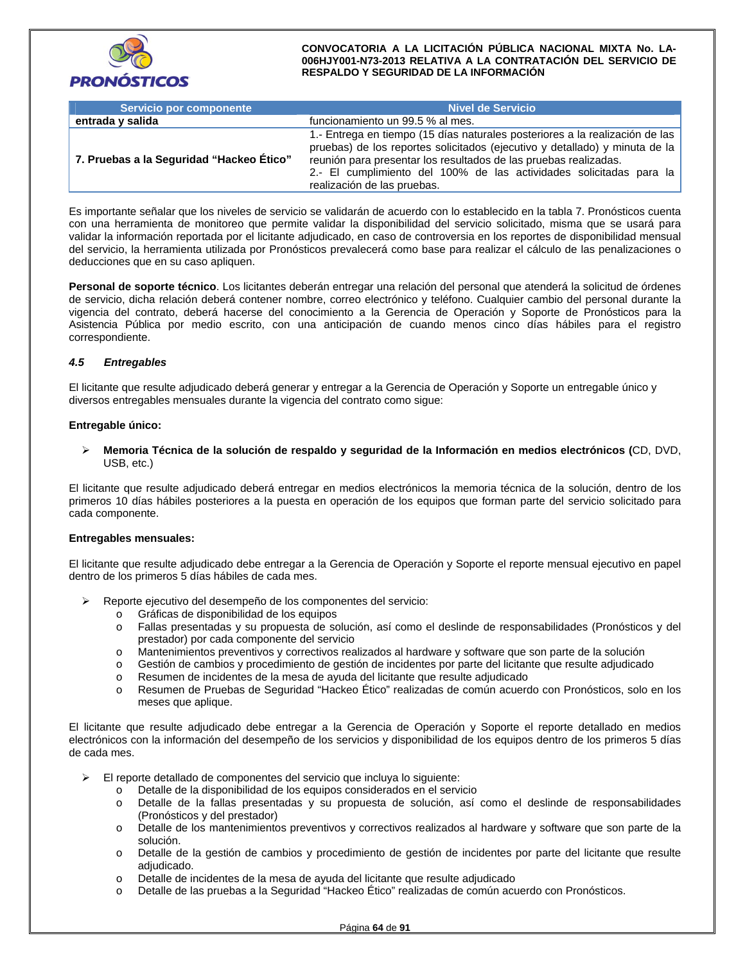

| Servicio por componente                  | <b>Nivel de Servicio</b>                                                                                                                                                                                                                                                                                                              |
|------------------------------------------|---------------------------------------------------------------------------------------------------------------------------------------------------------------------------------------------------------------------------------------------------------------------------------------------------------------------------------------|
| entrada y salida                         | funcionamiento un 99.5 % al mes.                                                                                                                                                                                                                                                                                                      |
| 7. Pruebas a la Seguridad "Hackeo Ético" | 1.- Entrega en tiempo (15 días naturales posteriores a la realización de las<br>pruebas) de los reportes solicitados (ejecutivo y detallado) y minuta de la<br>reunión para presentar los resultados de las pruebas realizadas.<br>2.- El cumplimiento del 100% de las actividades solicitadas para la<br>realización de las pruebas. |

Es importante señalar que los niveles de servicio se validarán de acuerdo con lo establecido en la tabla 7. Pronósticos cuenta con una herramienta de monitoreo que permite validar la disponibilidad del servicio solicitado, misma que se usará para validar la información reportada por el licitante adjudicado, en caso de controversia en los reportes de disponibilidad mensual del servicio, la herramienta utilizada por Pronósticos prevalecerá como base para realizar el cálculo de las penalizaciones o deducciones que en su caso apliquen.

**Personal de soporte técnico**. Los licitantes deberán entregar una relación del personal que atenderá la solicitud de órdenes de servicio, dicha relación deberá contener nombre, correo electrónico y teléfono. Cualquier cambio del personal durante la vigencia del contrato, deberá hacerse del conocimiento a la Gerencia de Operación y Soporte de Pronósticos para la Asistencia Pública por medio escrito, con una anticipación de cuando menos cinco días hábiles para el registro correspondiente.

## *4.5 Entregables*

El licitante que resulte adjudicado deberá generar y entregar a la Gerencia de Operación y Soporte un entregable único y diversos entregables mensuales durante la vigencia del contrato como sigue:

#### **Entregable único:**

 **Memoria Técnica de la solución de respaldo y seguridad de la Información en medios electrónicos (**CD, DVD, USB, etc.)

El licitante que resulte adjudicado deberá entregar en medios electrónicos la memoria técnica de la solución, dentro de los primeros 10 días hábiles posteriores a la puesta en operación de los equipos que forman parte del servicio solicitado para cada componente.

#### **Entregables mensuales:**

El licitante que resulte adjudicado debe entregar a la Gerencia de Operación y Soporte el reporte mensual ejecutivo en papel dentro de los primeros 5 días hábiles de cada mes.

- Reporte ejecutivo del desempeño de los componentes del servicio:
	- o Gráficas de disponibilidad de los equipos
	- o Fallas presentadas y su propuesta de solución, así como el deslinde de responsabilidades (Pronósticos y del prestador) por cada componente del servicio
	- o Mantenimientos preventivos y correctivos realizados al hardware y software que son parte de la solución
	- o Gestión de cambios y procedimiento de gestión de incidentes por parte del licitante que resulte adjudicado
	- o Resumen de incidentes de la mesa de ayuda del licitante que resulte adjudicado
	- o Resumen de Pruebas de Seguridad "Hackeo Ético" realizadas de común acuerdo con Pronósticos, solo en los meses que aplique.

El licitante que resulte adjudicado debe entregar a la Gerencia de Operación y Soporte el reporte detallado en medios electrónicos con la información del desempeño de los servicios y disponibilidad de los equipos dentro de los primeros 5 días de cada mes.

- $\triangleright$  El reporte detallado de componentes del servicio que incluya lo siguiente:
	- o Detalle de la disponibilidad de los equipos considerados en el servicio
	- o Detalle de la fallas presentadas y su propuesta de solución, así como el deslinde de responsabilidades (Pronósticos y del prestador)
	- o Detalle de los mantenimientos preventivos y correctivos realizados al hardware y software que son parte de la solución.
	- o Detalle de la gestión de cambios y procedimiento de gestión de incidentes por parte del licitante que resulte adjudicado.
	- o Detalle de incidentes de la mesa de ayuda del licitante que resulte adjudicado
	- o Detalle de las pruebas a la Seguridad "Hackeo Ético" realizadas de común acuerdo con Pronósticos.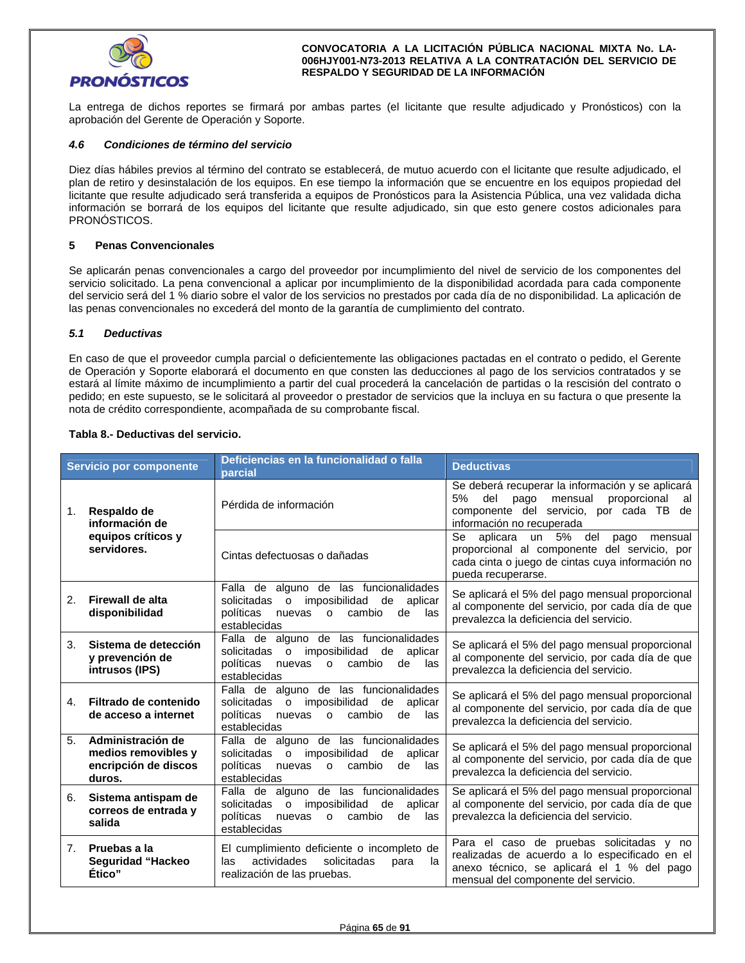

La entrega de dichos reportes se firmará por ambas partes (el licitante que resulte adjudicado y Pronósticos) con la aprobación del Gerente de Operación y Soporte.

#### *4.6 Condiciones de término del servicio*

Diez días hábiles previos al término del contrato se establecerá, de mutuo acuerdo con el licitante que resulte adjudicado, el plan de retiro y desinstalación de los equipos. En ese tiempo la información que se encuentre en los equipos propiedad del licitante que resulte adjudicado será transferida a equipos de Pronósticos para la Asistencia Pública, una vez validada dicha información se borrará de los equipos del licitante que resulte adjudicado, sin que esto genere costos adicionales para PRONÓSTICOS.

#### **5 Penas Convencionales**

Se aplicarán penas convencionales a cargo del proveedor por incumplimiento del nivel de servicio de los componentes del servicio solicitado. La pena convencional a aplicar por incumplimiento de la disponibilidad acordada para cada componente del servicio será del 1 % diario sobre el valor de los servicios no prestados por cada día de no disponibilidad. La aplicación de las penas convencionales no excederá del monto de la garantía de cumplimiento del contrato.

#### *5.1 Deductivas*

En caso de que el proveedor cumpla parcial o deficientemente las obligaciones pactadas en el contrato o pedido, el Gerente de Operación y Soporte elaborará el documento en que consten las deducciones al pago de los servicios contratados y se estará al límite máximo de incumplimiento a partir del cual procederá la cancelación de partidas o la rescisión del contrato o pedido; en este supuesto, se le solicitará al proveedor o prestador de servicios que la incluya en su factura o que presente la nota de crédito correspondiente, acompañada de su comprobante fiscal.

## **Tabla 8.- Deductivas del servicio.**

| Servicio por componente             |                                                                            | Deficiencias en la funcionalidad o falla<br>parcial                                                                                                                           | <b>Deductivas</b>                                                                                                                                                               |  |  |  |
|-------------------------------------|----------------------------------------------------------------------------|-------------------------------------------------------------------------------------------------------------------------------------------------------------------------------|---------------------------------------------------------------------------------------------------------------------------------------------------------------------------------|--|--|--|
| Respaldo de<br>1.<br>información de |                                                                            | Pérdida de información                                                                                                                                                        | Se deberá recuperar la información y se aplicará<br>5%<br>del<br>pago mensual<br>proporcional<br>al<br>componente del servicio, por cada TB de<br>información no recuperada     |  |  |  |
|                                     | equipos críticos y<br>servidores.                                          | Cintas defectuosas o dañadas                                                                                                                                                  | aplicara un<br>5%<br>del<br>Se<br>pago<br>mensual<br>proporcional al componente del servicio, por<br>cada cinta o juego de cintas cuya información no<br>pueda recuperarse.     |  |  |  |
| 2.                                  | Firewall de alta<br>disponibilidad                                         | Falla de alguno de las funcionalidades<br>solicitadas o imposibilidad<br>de<br>aplicar<br>políticas<br>cambio<br>nuevas<br>$\mathsf{o}$<br>de<br>las<br>establecidas          | Se aplicará el 5% del pago mensual proporcional<br>al componente del servicio, por cada día de que<br>prevalezca la deficiencia del servicio.                                   |  |  |  |
| 3.                                  | Sistema de detección<br>y prevención de<br>intrusos (IPS)                  | Falla de alguno de las funcionalidades<br>imposibilidad de<br>solicitadas<br>$\mathsf{o}$<br>aplicar<br>políticas<br>nuevas<br>cambio<br>$\circ$<br>de<br>las<br>establecidas | Se aplicará el 5% del pago mensual proporcional<br>al componente del servicio, por cada día de que<br>prevalezca la deficiencia del servicio.                                   |  |  |  |
| 4.                                  | Filtrado de contenido<br>de acceso a internet                              | Falla de alguno de las funcionalidades<br>solicitadas o imposibilidad de<br>aplicar<br>políticas<br>cambio<br>nuevas<br>$\circ$<br>de<br>las<br>establecidas                  | Se aplicará el 5% del pago mensual proporcional<br>al componente del servicio, por cada día de que<br>prevalezca la deficiencia del servicio.                                   |  |  |  |
| 5.                                  | Administración de<br>medios removibles y<br>encripción de discos<br>duros. | Falla de alguno de las funcionalidades<br>solicitadas o imposibilidad de<br>aplicar<br>políticas nuevas<br>cambio<br>$\circ$<br>de<br>las<br>establecidas                     | Se aplicará el 5% del pago mensual proporcional<br>al componente del servicio, por cada día de que<br>prevalezca la deficiencia del servicio.                                   |  |  |  |
| 6.                                  | Sistema antispam de<br>correos de entrada y<br>salida                      | Falla de alguno de las funcionalidades<br>imposibilidad de<br>solicitadas<br>aplicar<br>$\Omega$<br>políticas<br>nuevas<br>cambio<br>de<br>las<br>$\circ$<br>establecidas     | Se aplicará el 5% del pago mensual proporcional<br>al componente del servicio, por cada día de que<br>prevalezca la deficiencia del servicio.                                   |  |  |  |
| 7.                                  | Pruebas a la<br><b>Seguridad "Hackeo</b><br>Ético"                         | El cumplimiento deficiente o incompleto de<br>actividades<br>solicitadas<br>las<br>para<br>la<br>realización de las pruebas.                                                  | Para el caso de pruebas solicitadas y no<br>realizadas de acuerdo a lo especificado en el<br>anexo técnico, se aplicará el 1 % del pago<br>mensual del componente del servicio. |  |  |  |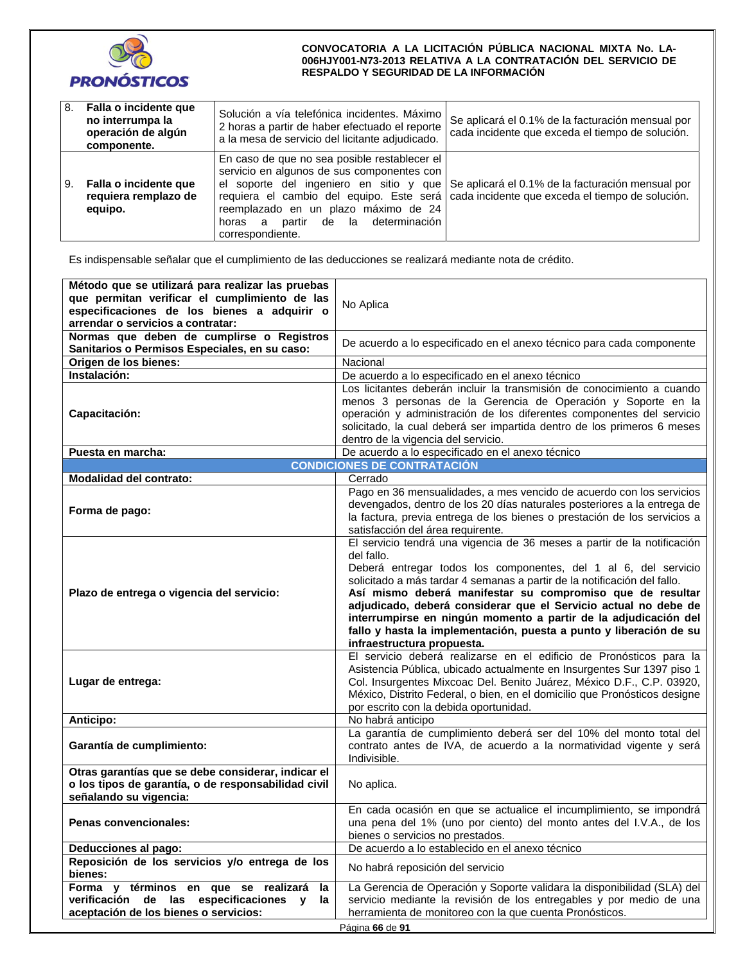

| 8. | Falla o incidente que<br>no interrumpa la<br>operación de algún<br>componente. | Solución a vía telefónica incidentes. Máximo<br>2 horas a partir de haber efectuado el reporte<br>a la mesa de servicio del licitante adjudicado.                                                     | Se aplicará el 0.1% de la facturación mensual por<br>cada incidente que exceda el tiempo de solución.                                                                                  |
|----|--------------------------------------------------------------------------------|-------------------------------------------------------------------------------------------------------------------------------------------------------------------------------------------------------|----------------------------------------------------------------------------------------------------------------------------------------------------------------------------------------|
| 9. | Falla o incidente que<br>requiera remplazo de<br>equipo.                       | En caso de que no sea posible restablecer el<br>servicio en algunos de sus componentes con<br>reemplazado en un plazo máximo de 24<br>determinación<br>partir de la<br>horas<br>a<br>correspondiente. | el soporte del ingeniero en sitio y que Se aplicará el 0.1% de la facturación mensual por<br>requiera el cambio del equipo. Este será cada incidente que exceda el tiempo de solución. |

Es indispensable señalar que el cumplimiento de las deducciones se realizará mediante nota de crédito.

| Método que se utilizará para realizar las pruebas<br>que permitan verificar el cumplimiento de las<br>especificaciones de los bienes a adquirir o<br>arrendar o servicios a contratar: | No Aplica                                                                                                                                                                                                                                                                                                                                                                                                                                                                                                                                   |  |  |  |  |
|----------------------------------------------------------------------------------------------------------------------------------------------------------------------------------------|---------------------------------------------------------------------------------------------------------------------------------------------------------------------------------------------------------------------------------------------------------------------------------------------------------------------------------------------------------------------------------------------------------------------------------------------------------------------------------------------------------------------------------------------|--|--|--|--|
| Normas que deben de cumplirse o Registros<br>Sanitarios o Permisos Especiales, en su caso:                                                                                             | De acuerdo a lo especificado en el anexo técnico para cada componente                                                                                                                                                                                                                                                                                                                                                                                                                                                                       |  |  |  |  |
| Origen de los bienes:                                                                                                                                                                  | Nacional                                                                                                                                                                                                                                                                                                                                                                                                                                                                                                                                    |  |  |  |  |
| Instalación:                                                                                                                                                                           | De acuerdo a lo especificado en el anexo técnico                                                                                                                                                                                                                                                                                                                                                                                                                                                                                            |  |  |  |  |
| Capacitación:                                                                                                                                                                          | Los licitantes deberán incluir la transmisión de conocimiento a cuando<br>menos 3 personas de la Gerencia de Operación y Soporte en la<br>operación y administración de los diferentes componentes del servicio<br>solicitado, la cual deberá ser impartida dentro de los primeros 6 meses<br>dentro de la vigencia del servicio.                                                                                                                                                                                                           |  |  |  |  |
| Puesta en marcha:                                                                                                                                                                      | De acuerdo a lo especificado en el anexo técnico                                                                                                                                                                                                                                                                                                                                                                                                                                                                                            |  |  |  |  |
|                                                                                                                                                                                        | <b>CONDICIONES DE CONTRATACIÓN</b>                                                                                                                                                                                                                                                                                                                                                                                                                                                                                                          |  |  |  |  |
| Modalidad del contrato:                                                                                                                                                                | Cerrado                                                                                                                                                                                                                                                                                                                                                                                                                                                                                                                                     |  |  |  |  |
| Forma de pago:                                                                                                                                                                         | Pago en 36 mensualidades, a mes vencido de acuerdo con los servicios<br>devengados, dentro de los 20 días naturales posteriores a la entrega de<br>la factura, previa entrega de los bienes o prestación de los servicios a<br>satisfacción del área requirente.                                                                                                                                                                                                                                                                            |  |  |  |  |
| Plazo de entrega o vigencia del servicio:                                                                                                                                              | El servicio tendrá una vigencia de 36 meses a partir de la notificación<br>del fallo.<br>Deberá entregar todos los componentes, del 1 al 6, del servicio<br>solicitado a más tardar 4 semanas a partir de la notificación del fallo.<br>Así mismo deberá manifestar su compromiso que de resultar<br>adjudicado, deberá considerar que el Servicio actual no debe de<br>interrumpirse en ningún momento a partir de la adjudicación del<br>fallo y hasta la implementación, puesta a punto y liberación de su<br>infraestructura propuesta. |  |  |  |  |
| Lugar de entrega:                                                                                                                                                                      | El servicio deberá realizarse en el edificio de Pronósticos para la<br>Asistencia Pública, ubicado actualmente en Insurgentes Sur 1397 piso 1<br>Col. Insurgentes Mixcoac Del. Benito Juárez, México D.F., C.P. 03920,<br>México, Distrito Federal, o bien, en el domicilio que Pronósticos designe<br>por escrito con la debida oportunidad.                                                                                                                                                                                               |  |  |  |  |
| <b>Anticipo:</b>                                                                                                                                                                       | No habrá anticipo                                                                                                                                                                                                                                                                                                                                                                                                                                                                                                                           |  |  |  |  |
| Garantía de cumplimiento:                                                                                                                                                              | La garantía de cumplimiento deberá ser del 10% del monto total del<br>contrato antes de IVA, de acuerdo a la normatividad vigente y será<br>Indivisible.                                                                                                                                                                                                                                                                                                                                                                                    |  |  |  |  |
| Otras garantías que se debe considerar, indicar el<br>o los tipos de garantía, o de responsabilidad civil<br>señalando su vigencia:                                                    | No aplica.                                                                                                                                                                                                                                                                                                                                                                                                                                                                                                                                  |  |  |  |  |
| Penas convencionales:                                                                                                                                                                  | En cada ocasión en que se actualice el incumplimiento, se impondrá<br>una pena del 1% (uno por ciento) del monto antes del I.V.A., de los<br>bienes o servicios no prestados.                                                                                                                                                                                                                                                                                                                                                               |  |  |  |  |
| Deducciones al pago:                                                                                                                                                                   | De acuerdo a lo establecido en el anexo técnico                                                                                                                                                                                                                                                                                                                                                                                                                                                                                             |  |  |  |  |
| Reposición de los servicios y/o entrega de los<br>bienes:                                                                                                                              | No habrá reposición del servicio                                                                                                                                                                                                                                                                                                                                                                                                                                                                                                            |  |  |  |  |
| Forma y términos en que se realizará<br>la<br>verificación de las especificaciones y<br>la<br>aceptación de los bienes o servicios:                                                    | La Gerencia de Operación y Soporte validara la disponibilidad (SLA) del<br>servicio mediante la revisión de los entregables y por medio de una<br>herramienta de monitoreo con la que cuenta Pronósticos.<br>Página 66 de 91                                                                                                                                                                                                                                                                                                                |  |  |  |  |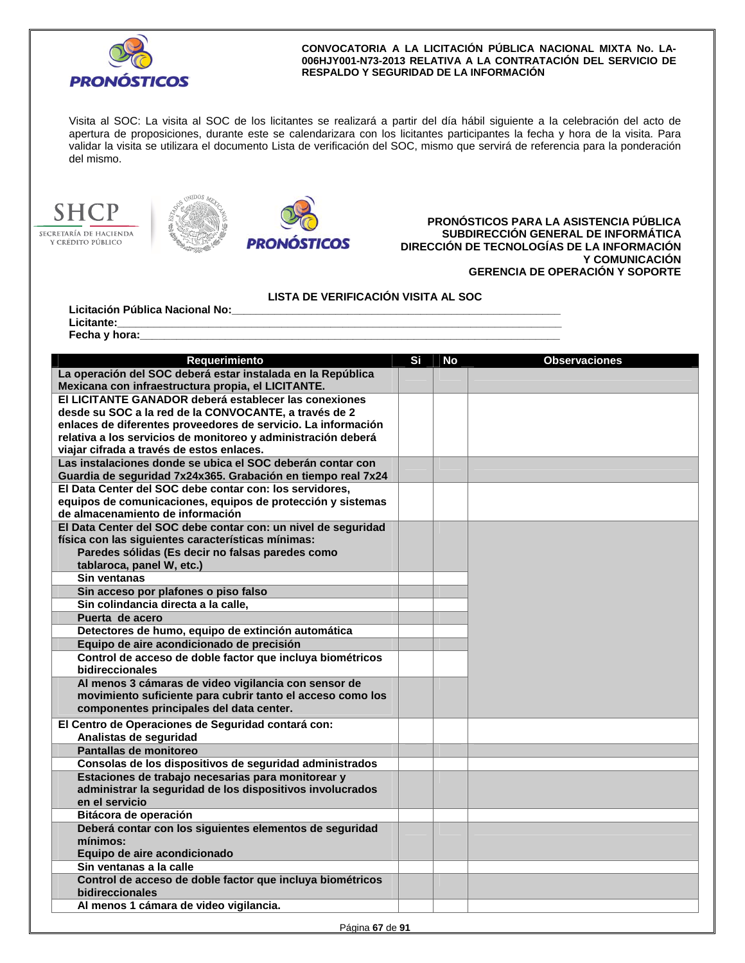

Visita al SOC: La visita al SOC de los licitantes se realizará a partir del día hábil siguiente a la celebración del acto de apertura de proposiciones, durante este se calendarizara con los licitantes participantes la fecha y hora de la visita. Para validar la visita se utilizara el documento Lista de verificación del SOC, mismo que servirá de referencia para la ponderación del mismo.







**PRONÓSTICOS PARA LA ASISTENCIA PÚBLICA SUBDIRECCIÓN GENERAL DE INFORMÁTICA DIRECCIÓN DE TECNOLOGÍAS DE LA INFORMACIÓN Y COMUNICACIÓN GERENCIA DE OPERACIÓN Y SOPORTE** 

**LISTA DE VERIFICACIÓN VISITA AL SOC** 

Licitación Pública Nacional No: Licitante:\_

Fecha y hora:

| La operación del SOC deberá estar instalada en la República<br>Mexicana con infraestructura propia, el LICITANTE. | Si | <b>No</b> | <b>Observaciones</b> |
|-------------------------------------------------------------------------------------------------------------------|----|-----------|----------------------|
|                                                                                                                   |    |           |                      |
|                                                                                                                   |    |           |                      |
| El LICITANTE GANADOR deberá establecer las conexiones                                                             |    |           |                      |
| desde su SOC a la red de la CONVOCANTE, a través de 2                                                             |    |           |                      |
| enlaces de diferentes proveedores de servicio. La información                                                     |    |           |                      |
| relativa a los servicios de monitoreo y administración deberá                                                     |    |           |                      |
| viajar cifrada a través de estos enlaces.                                                                         |    |           |                      |
| Las instalaciones donde se ubica el SOC deberán contar con                                                        |    |           |                      |
| Guardia de seguridad 7x24x365. Grabación en tiempo real 7x24                                                      |    |           |                      |
| El Data Center del SOC debe contar con: los servidores,                                                           |    |           |                      |
| equipos de comunicaciones, equipos de protección y sistemas                                                       |    |           |                      |
| de almacenamiento de información                                                                                  |    |           |                      |
| El Data Center del SOC debe contar con: un nivel de seguridad                                                     |    |           |                      |
| física con las siguientes características mínimas:                                                                |    |           |                      |
| Paredes sólidas (Es decir no falsas paredes como                                                                  |    |           |                      |
| tablaroca, panel W, etc.)                                                                                         |    |           |                      |
| Sin ventanas                                                                                                      |    |           |                      |
| Sin acceso por plafones o piso falso                                                                              |    |           |                      |
| Sin colindancia directa a la calle,                                                                               |    |           |                      |
| Puerta de acero                                                                                                   |    |           |                      |
| Detectores de humo, equipo de extinción automática                                                                |    |           |                      |
| Equipo de aire acondicionado de precisión                                                                         |    |           |                      |
| Control de acceso de doble factor que incluya biométricos                                                         |    |           |                      |
| bidireccionales                                                                                                   |    |           |                      |
| Al menos 3 cámaras de video vigilancia con sensor de                                                              |    |           |                      |
| movimiento suficiente para cubrir tanto el acceso como los                                                        |    |           |                      |
| componentes principales del data center.                                                                          |    |           |                      |
| El Centro de Operaciones de Seguridad contará con:                                                                |    |           |                      |
| Analistas de seguridad                                                                                            |    |           |                      |
| Pantallas de monitoreo                                                                                            |    |           |                      |
| Consolas de los dispositivos de seguridad administrados                                                           |    |           |                      |
| Estaciones de trabajo necesarias para monitorear y                                                                |    |           |                      |
| administrar la seguridad de los dispositivos involucrados                                                         |    |           |                      |
| en el servicio                                                                                                    |    |           |                      |
| Bitácora de operación                                                                                             |    |           |                      |
| Deberá contar con los siguientes elementos de seguridad                                                           |    |           |                      |
| mínimos:                                                                                                          |    |           |                      |
| Equipo de aire acondicionado                                                                                      |    |           |                      |
| Sin ventanas a la calle                                                                                           |    |           |                      |
| Control de acceso de doble factor que incluya biométricos                                                         |    |           |                      |
| bidireccionales                                                                                                   |    |           |                      |
| Al menos 1 cámara de video vigilancia.                                                                            |    |           |                      |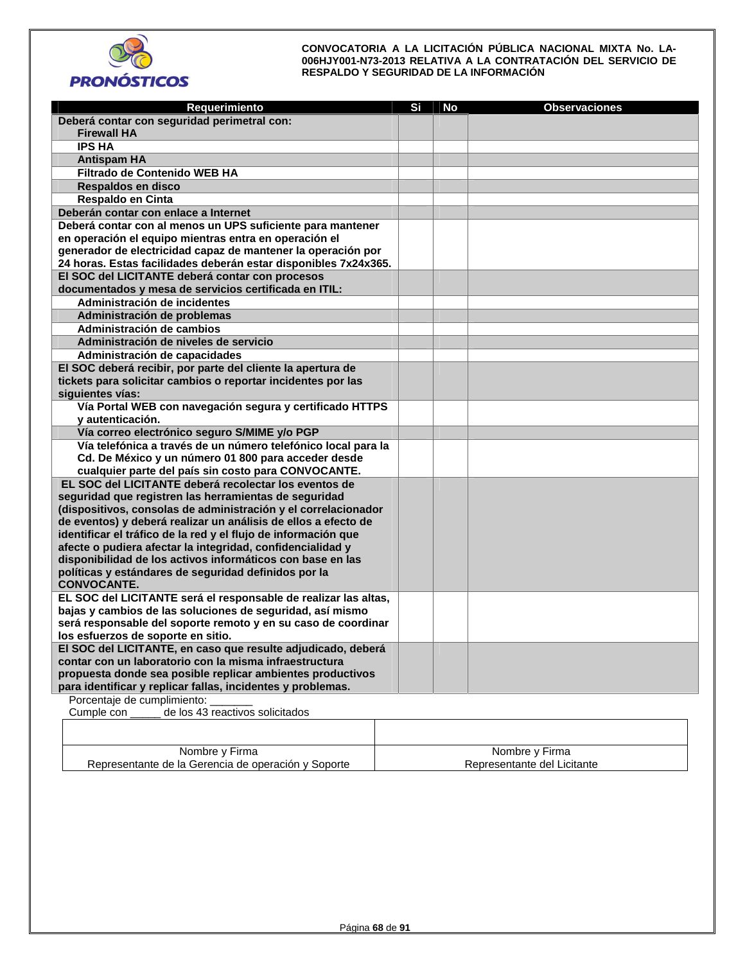

| Requerimiento                                                                                                | Si | <b>No</b> | <b>Observaciones</b> |
|--------------------------------------------------------------------------------------------------------------|----|-----------|----------------------|
| Deberá contar con seguridad perimetral con:                                                                  |    |           |                      |
| <b>Firewall HA</b>                                                                                           |    |           |                      |
| <b>IPS HA</b>                                                                                                |    |           |                      |
| <b>Antispam HA</b>                                                                                           |    |           |                      |
| Filtrado de Contenido WEB HA                                                                                 |    |           |                      |
| Respaldos en disco                                                                                           |    |           |                      |
| Respaldo en Cinta                                                                                            |    |           |                      |
| Deberán contar con enlace a Internet                                                                         |    |           |                      |
| Deberá contar con al menos un UPS suficiente para mantener                                                   |    |           |                      |
| en operación el equipo mientras entra en operación el                                                        |    |           |                      |
| generador de electricidad capaz de mantener la operación por                                                 |    |           |                      |
| 24 horas. Estas facilidades deberán estar disponibles 7x24x365.                                              |    |           |                      |
| El SOC del LICITANTE deberá contar con procesos                                                              |    |           |                      |
| documentados y mesa de servicios certificada en ITIL:                                                        |    |           |                      |
| Administración de incidentes                                                                                 |    |           |                      |
| Administración de problemas                                                                                  |    |           |                      |
| Administración de cambios                                                                                    |    |           |                      |
| Administración de niveles de servicio                                                                        |    |           |                      |
| Administración de capacidades                                                                                |    |           |                      |
| El SOC deberá recibir, por parte del cliente la apertura de                                                  |    |           |                      |
| tickets para solicitar cambios o reportar incidentes por las                                                 |    |           |                      |
| siquientes vías:                                                                                             |    |           |                      |
| Vía Portal WEB con navegación segura y certificado HTTPS                                                     |    |           |                      |
| y autenticación.                                                                                             |    |           |                      |
| Vía correo electrónico seguro S/MIME y/o PGP                                                                 |    |           |                      |
| Vía telefónica a través de un número telefónico local para la                                                |    |           |                      |
| Cd. De México y un número 01 800 para acceder desde                                                          |    |           |                      |
| cualquier parte del país sin costo para CONVOCANTE.<br>EL SOC del LICITANTE deberá recolectar los eventos de |    |           |                      |
| seguridad que registren las herramientas de seguridad                                                        |    |           |                      |
| (dispositivos, consolas de administración y el correlacionador                                               |    |           |                      |
| de eventos) y deberá realizar un análisis de ellos a efecto de                                               |    |           |                      |
| identificar el tráfico de la red y el flujo de información que                                               |    |           |                      |
| afecte o pudiera afectar la integridad, confidencialidad y                                                   |    |           |                      |
| disponibilidad de los activos informáticos con base en las                                                   |    |           |                      |
| políticas y estándares de seguridad definidos por la                                                         |    |           |                      |
| <b>CONVOCANTE.</b>                                                                                           |    |           |                      |
| EL SOC del LICITANTE será el responsable de realizar las altas,                                              |    |           |                      |
| bajas y cambios de las soluciones de seguridad, así mismo                                                    |    |           |                      |
| será responsable del soporte remoto y en su caso de coordinar                                                |    |           |                      |
| los esfuerzos de soporte en sitio.                                                                           |    |           |                      |
| El SOC del LICITANTE, en caso que resulte adjudicado, deberá                                                 |    |           |                      |
| contar con un laboratorio con la misma infraestructura                                                       |    |           |                      |
| propuesta donde sea posible replicar ambientes productivos                                                   |    |           |                      |
| para identificar y replicar fallas, incidentes y problemas.                                                  |    |           |                      |
| Dorcantaia de cumplimiento:                                                                                  |    |           |                      |

Porcentaje de cumplimiento: \_\_\_\_\_\_\_ Cumple con \_\_\_\_\_ de los 43 reactivos solicitados

| Nombre y Firma                                      | Nombre y Firma              |
|-----------------------------------------------------|-----------------------------|
| Representante de la Gerencia de operación y Soporte | Representante del Licitante |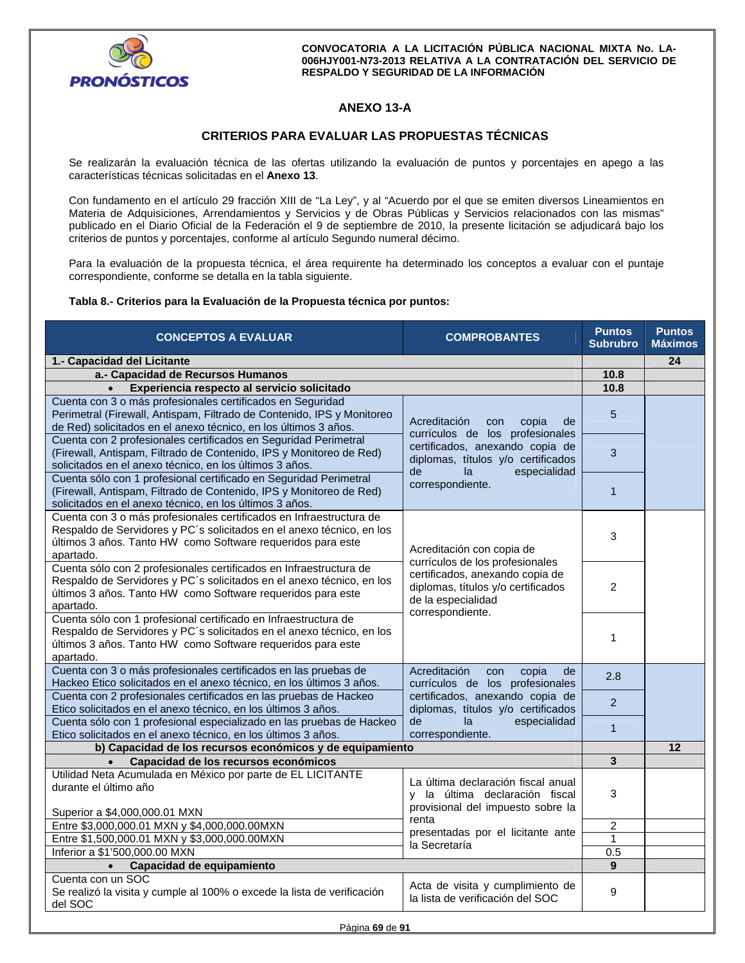

# **ANEXO 13-A**

## **CRITERIOS PARA EVALUAR LAS PROPUESTAS TÉCNICAS**

Se realizarán la evaluación técnica de las ofertas utilizando la evaluación de puntos y porcentajes en apego a las características técnicas solicitadas en el **Anexo 13**.

Con fundamento en el artículo 29 fracción XIII de "La Ley", y al "Acuerdo por el que se emiten diversos Lineamientos en Materia de Adquisiciones, Arrendamientos y Servicios y de Obras Públicas y Servicios relacionados con las mismas" publicado en el Diario Oficial de la Federación el 9 de septiembre de 2010, la presente licitación se adjudicará bajo los criterios de puntos y porcentajes, conforme al artículo Segundo numeral décimo.

Para la evaluación de la propuesta técnica, el área requirente ha determinado los conceptos a evaluar con el puntaje correspondiente, conforme se detalla en la tabla siguiente.

## **Tabla 8.- Criterios para la Evaluación de la Propuesta técnica por puntos:**

| <b>CONCEPTOS A EVALUAR</b>                                                                                                                                                                                               | <b>COMPROBANTES</b>                                                                                                            | <b>Puntos</b><br><b>Subrubro</b> | <b>Puntos</b><br><b>Máximos</b> |  |  |
|--------------------------------------------------------------------------------------------------------------------------------------------------------------------------------------------------------------------------|--------------------------------------------------------------------------------------------------------------------------------|----------------------------------|---------------------------------|--|--|
| 1.- Capacidad del Licitante                                                                                                                                                                                              |                                                                                                                                | 24                               |                                 |  |  |
| a.- Capacidad de Recursos Humanos                                                                                                                                                                                        | 10.8                                                                                                                           |                                  |                                 |  |  |
| Experiencia respecto al servicio solicitado<br>$\bullet$                                                                                                                                                                 | 10.8                                                                                                                           |                                  |                                 |  |  |
| Cuenta con 3 o más profesionales certificados en Seguridad<br>Perimetral (Firewall, Antispam, Filtrado de Contenido, IPS y Monitoreo<br>de Red) solicitados en el anexo técnico, en los últimos 3 años.                  | Acreditación<br>copia<br>de<br>con                                                                                             |                                  |                                 |  |  |
| Cuenta con 2 profesionales certificados en Seguridad Perimetral<br>(Firewall, Antispam, Filtrado de Contenido, IPS y Monitoreo de Red)<br>solicitados en el anexo técnico, en los últimos 3 años.                        | currículos de los profesionales<br>certificados, anexando copia de<br>diplomas, títulos y/o certificados                       |                                  |                                 |  |  |
| Cuenta sólo con 1 profesional certificado en Seguridad Perimetral<br>(Firewall, Antispam, Filtrado de Contenido, IPS y Monitoreo de Red)<br>solicitados en el anexo técnico, en los últimos 3 años.                      | de<br>especialidad<br>la<br>correspondiente.                                                                                   | $\mathbf{1}$                     |                                 |  |  |
| Cuenta con 3 o más profesionales certificados en Infraestructura de<br>Respaldo de Servidores y PC's solicitados en el anexo técnico, en los<br>últimos 3 años. Tanto HW como Software requeridos para este<br>apartado. | Acreditación con copia de                                                                                                      | 3                                |                                 |  |  |
| Cuenta sólo con 2 profesionales certificados en Infraestructura de<br>Respaldo de Servidores y PC's solicitados en el anexo técnico, en los<br>últimos 3 años. Tanto HW como Software requeridos para este<br>apartado.  | currículos de los profesionales<br>certificados, anexando copia de<br>diplomas, títulos y/o certificados<br>de la especialidad |                                  |                                 |  |  |
| Cuenta sólo con 1 profesional certificado en Infraestructura de<br>Respaldo de Servidores y PC's solicitados en el anexo técnico, en los<br>últimos 3 años. Tanto HW como Software requeridos para este<br>apartado.     | correspondiente.                                                                                                               | 1                                |                                 |  |  |
| Cuenta con 3 o más profesionales certificados en las pruebas de<br>Hackeo Etico solicitados en el anexo técnico, en los últimos 3 años.                                                                                  | Acreditación<br>con<br>copia<br>de<br>currículos de los profesionales                                                          | 2.8                              |                                 |  |  |
| Cuenta con 2 profesionales certificados en las pruebas de Hackeo<br>Etico solicitados en el anexo técnico, en los últimos 3 años.                                                                                        | certificados, anexando copia de<br>diplomas, títulos y/o certificados                                                          | $\overline{2}$                   |                                 |  |  |
| Cuenta sólo con 1 profesional especializado en las pruebas de Hackeo<br>Etico solicitados en el anexo técnico, en los últimos 3 años.                                                                                    | de<br>especialidad<br>la<br>correspondiente.                                                                                   | $\mathbf{1}$                     |                                 |  |  |
| b) Capacidad de los recursos económicos y de equipamiento                                                                                                                                                                |                                                                                                                                |                                  | 12                              |  |  |
| Capacidad de los recursos económicos                                                                                                                                                                                     |                                                                                                                                | 3                                |                                 |  |  |
| Utilidad Neta Acumulada en México por parte de EL LICITANTE<br>durante el último año                                                                                                                                     | La última declaración fiscal anual<br>y la última declaración fiscal<br>provisional del impuesto sobre la                      | 3                                |                                 |  |  |
| Superior a \$4,000,000.01 MXN                                                                                                                                                                                            | renta                                                                                                                          |                                  |                                 |  |  |
| Entre \$3,000,000.01 MXN y \$4,000,000.00MXN                                                                                                                                                                             | presentadas por el licitante ante                                                                                              | $\overline{c}$                   |                                 |  |  |
| Entre \$1,500,000.01 MXN y \$3,000,000.00MXN                                                                                                                                                                             | la Secretaría                                                                                                                  | $\mathbf{1}$                     |                                 |  |  |
| Inferior a \$1'500,000.00 MXN                                                                                                                                                                                            |                                                                                                                                | 0.5<br>9                         |                                 |  |  |
| Capacidad de equipamiento<br>$\bullet$<br>Cuenta con un SOC                                                                                                                                                              |                                                                                                                                |                                  |                                 |  |  |
| Se realizó la visita y cumple al 100% o excede la lista de verificación<br>del SOC                                                                                                                                       | Acta de visita y cumplimiento de<br>la lista de verificación del SOC                                                           | 9                                |                                 |  |  |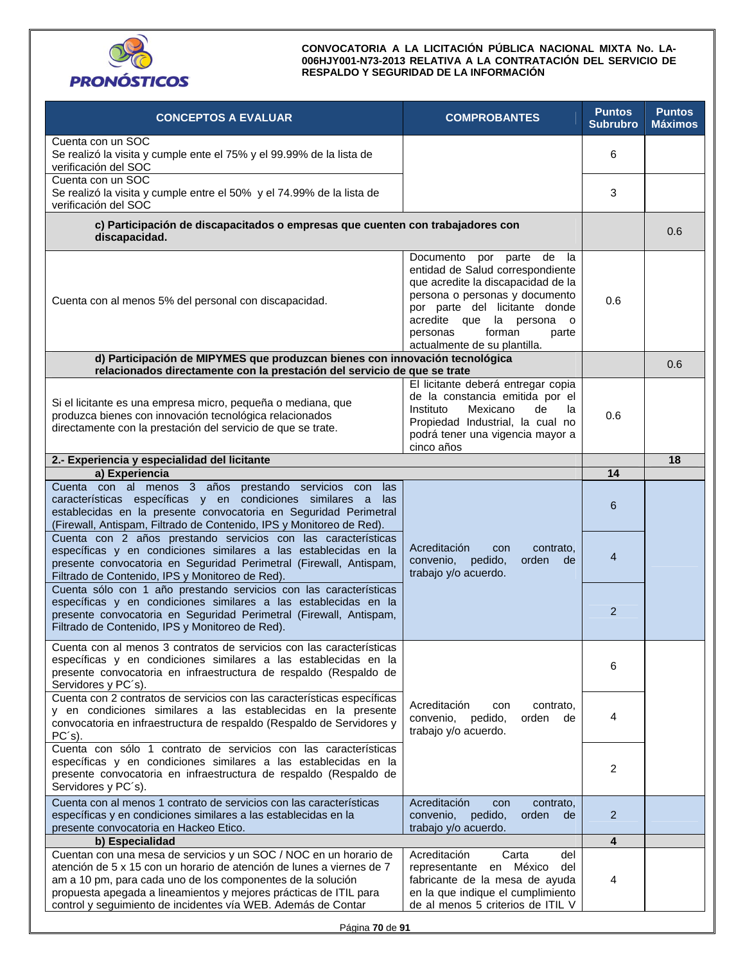

| <b>CONCEPTOS A EVALUAR</b>                                                                                                                                                                                                                                                                                                                      | <b>COMPROBANTES</b>                                                                                                                                                                                                                                                              | <b>Puntos</b><br><b>Subrubro</b> | <b>Puntos</b><br><b>Máximos</b> |
|-------------------------------------------------------------------------------------------------------------------------------------------------------------------------------------------------------------------------------------------------------------------------------------------------------------------------------------------------|----------------------------------------------------------------------------------------------------------------------------------------------------------------------------------------------------------------------------------------------------------------------------------|----------------------------------|---------------------------------|
| Cuenta con un SOC<br>Se realizó la visita y cumple ente el 75% y el 99.99% de la lista de<br>verificación del SOC                                                                                                                                                                                                                               |                                                                                                                                                                                                                                                                                  | 6                                |                                 |
| Cuenta con un SOC<br>Se realizó la visita y cumple entre el 50% y el 74.99% de la lista de<br>verificación del SOC                                                                                                                                                                                                                              |                                                                                                                                                                                                                                                                                  | 3                                |                                 |
| c) Participación de discapacitados o empresas que cuenten con trabajadores con<br>discapacidad.                                                                                                                                                                                                                                                 |                                                                                                                                                                                                                                                                                  | 0.6                              |                                 |
| Cuenta con al menos 5% del personal con discapacidad.                                                                                                                                                                                                                                                                                           | Documento por parte de<br>- la<br>entidad de Salud correspondiente<br>que acredite la discapacidad de la<br>persona o personas y documento<br>por parte del licitante donde<br>acredite que la persona<br>$\circ$<br>personas<br>forman<br>parte<br>actualmente de su plantilla. | 0.6                              |                                 |
| d) Participación de MIPYMES que produzcan bienes con innovación tecnológica<br>relacionados directamente con la prestación del servicio de que se trate                                                                                                                                                                                         |                                                                                                                                                                                                                                                                                  |                                  | 0.6                             |
| Si el licitante es una empresa micro, pequeña o mediana, que<br>produzca bienes con innovación tecnológica relacionados<br>directamente con la prestación del servicio de que se trate.                                                                                                                                                         | El licitante deberá entregar copia<br>de la constancia emitida por el<br>Instituto<br>Mexicano<br>de<br>la<br>Propiedad Industrial, la cual no<br>podrá tener una vigencia mayor a<br>cinco años                                                                                 | 0.6                              |                                 |
| 2.- Experiencia y especialidad del licitante                                                                                                                                                                                                                                                                                                    |                                                                                                                                                                                                                                                                                  |                                  | 18                              |
| a) Experiencia                                                                                                                                                                                                                                                                                                                                  |                                                                                                                                                                                                                                                                                  | 14                               |                                 |
| Cuenta con al menos 3 años prestando servicios con<br>las<br>características específicas y en condiciones similares a<br>las.<br>establecidas en la presente convocatoria en Seguridad Perimetral<br>(Firewall, Antispam, Filtrado de Contenido, IPS y Monitoreo de Red).                                                                       |                                                                                                                                                                                                                                                                                  | 6                                |                                 |
| Cuenta con 2 años prestando servicios con las características<br>específicas y en condiciones similares a las establecidas en la<br>presente convocatoria en Seguridad Perimetral (Firewall, Antispam,<br>Filtrado de Contenido, IPS y Monitoreo de Red).                                                                                       | Acreditación<br>con<br>contrato,<br>orden<br>convenio,<br>pedido,<br>de<br>trabajo y/o acuerdo.                                                                                                                                                                                  | $\overline{4}$                   |                                 |
| Cuenta sólo con 1 año prestando servicios con las características<br>específicas y en condiciones similares a las establecidas en la<br>presente convocatoria en Seguridad Perimetral (Firewall, Antispam,<br>Filtrado de Contenido, IPS y Monitoreo de Red).                                                                                   |                                                                                                                                                                                                                                                                                  | $\overline{2}$                   |                                 |
| Cuenta con al menos 3 contratos de servicios con las características<br>específicas y en condiciones similares a las establecidas en la<br>presente convocatoria en infraestructura de respaldo (Respaldo de<br>Servidores y PC's).                                                                                                             |                                                                                                                                                                                                                                                                                  | 6                                |                                 |
| Cuenta con 2 contratos de servicios con las características específicas<br>y en condiciones similares a las establecidas en la presente<br>convocatoria en infraestructura de respaldo (Respaldo de Servidores y<br>PC's).                                                                                                                      | Acreditación<br>contrato,<br>con<br>convenio,<br>pedido,<br>orden<br>de<br>trabajo y/o acuerdo.                                                                                                                                                                                  | 4                                |                                 |
| Cuenta con sólo 1 contrato de servicios con las características<br>específicas y en condiciones similares a las establecidas en la<br>presente convocatoria en infraestructura de respaldo (Respaldo de<br>Servidores y PC's).                                                                                                                  |                                                                                                                                                                                                                                                                                  | 2                                |                                 |
| Cuenta con al menos 1 contrato de servicios con las características<br>específicas y en condiciones similares a las establecidas en la<br>presente convocatoria en Hackeo Etico.                                                                                                                                                                | Acreditación<br>contrato,<br>con<br>convenio,<br>pedido,<br>orden<br>de<br>trabajo y/o acuerdo.                                                                                                                                                                                  | $\overline{2}$                   |                                 |
| b) Especialidad                                                                                                                                                                                                                                                                                                                                 |                                                                                                                                                                                                                                                                                  | 4                                |                                 |
| Cuentan con una mesa de servicios y un SOC / NOC en un horario de<br>atención de 5 x 15 con un horario de atención de lunes a viernes de 7<br>am a 10 pm, para cada uno de los componentes de la solución<br>propuesta apegada a lineamientos y mejores prácticas de ITIL para<br>control y seguimiento de incidentes vía WEB. Además de Contar | Acreditación<br>Carta<br>del<br>en México<br>representante<br>del<br>fabricante de la mesa de ayuda<br>en la que indique el cumplimiento<br>de al menos 5 criterios de ITIL V                                                                                                    | 4                                |                                 |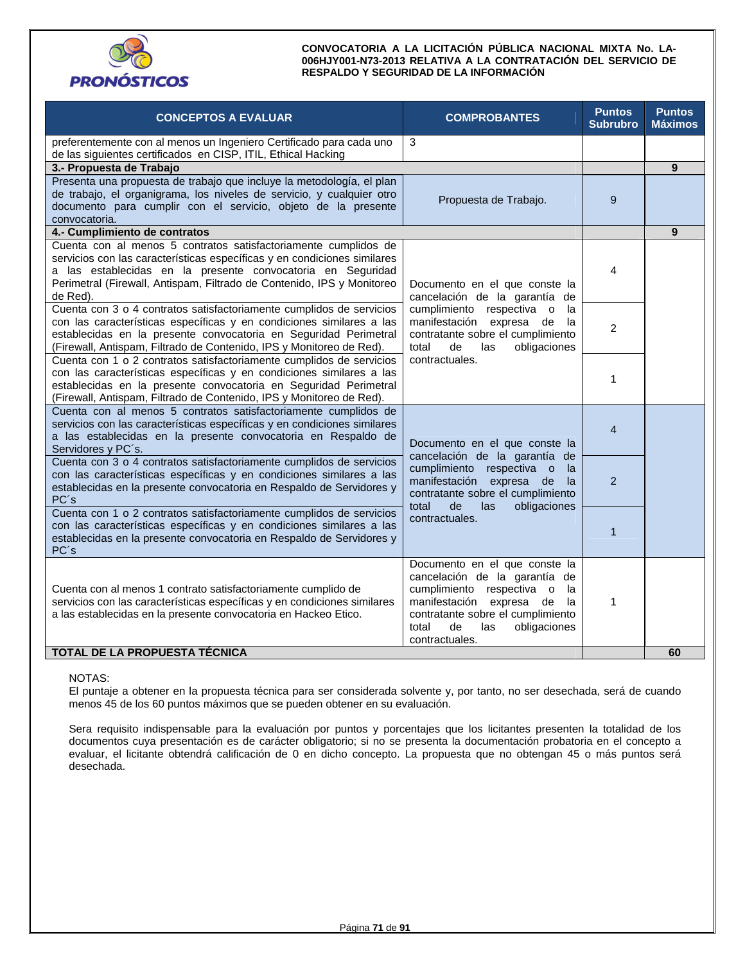

| <b>CONCEPTOS A EVALUAR</b>                                                                                                                                                                                                                                                                       | <b>COMPROBANTES</b>                                                                                                                                                                                                                 | <b>Puntos</b><br><b>Subrubro</b> | <b>Puntos</b><br><b>Máximos</b> |  |
|--------------------------------------------------------------------------------------------------------------------------------------------------------------------------------------------------------------------------------------------------------------------------------------------------|-------------------------------------------------------------------------------------------------------------------------------------------------------------------------------------------------------------------------------------|----------------------------------|---------------------------------|--|
| preferentemente con al menos un Ingeniero Certificado para cada uno<br>de las siguientes certificados en CISP, ITIL, Ethical Hacking                                                                                                                                                             | 3                                                                                                                                                                                                                                   |                                  |                                 |  |
| 3.- Propuesta de Trabajo                                                                                                                                                                                                                                                                         |                                                                                                                                                                                                                                     |                                  | 9                               |  |
| Presenta una propuesta de trabajo que incluye la metodología, el plan<br>de trabajo, el organigrama, los niveles de servicio, y cualquier otro<br>documento para cumplir con el servicio, objeto de la presente<br>convocatoria.                                                                 | Propuesta de Trabajo.                                                                                                                                                                                                               | 9                                |                                 |  |
| 4.- Cumplimiento de contratos                                                                                                                                                                                                                                                                    |                                                                                                                                                                                                                                     |                                  | 9                               |  |
| Cuenta con al menos 5 contratos satisfactoriamente cumplidos de<br>servicios con las características específicas y en condiciones similares<br>a las establecidas en la presente convocatoria en Seguridad<br>Perimetral (Firewall, Antispam, Filtrado de Contenido, IPS y Monitoreo<br>de Red). | Documento en el que conste la<br>cancelación de la garantía de                                                                                                                                                                      | 4                                |                                 |  |
| Cuenta con 3 o 4 contratos satisfactoriamente cumplidos de servicios<br>con las características específicas y en condiciones similares a las<br>establecidas en la presente convocatoria en Seguridad Perimetral<br>(Firewall, Antispam, Filtrado de Contenido, IPS y Monitoreo de Red).         | cumplimiento respectiva o<br>la<br>manifestación<br>expresa de<br>la<br>contratante sobre el cumplimiento<br>obligaciones<br>total<br>de<br>las                                                                                     |                                  |                                 |  |
| Cuenta con 1 o 2 contratos satisfactoriamente cumplidos de servicios<br>con las características específicas y en condiciones similares a las<br>establecidas en la presente convocatoria en Seguridad Perimetral<br>(Firewall, Antispam, Filtrado de Contenido, IPS y Monitoreo de Red).         | contractuales.                                                                                                                                                                                                                      | 1                                |                                 |  |
| Cuenta con al menos 5 contratos satisfactoriamente cumplidos de<br>servicios con las características específicas y en condiciones similares<br>a las establecidas en la presente convocatoria en Respaldo de<br>Servidores y PC's.                                                               | Documento en el que conste la<br>cancelación de la garantía de                                                                                                                                                                      | $\overline{4}$                   |                                 |  |
| Cuenta con 3 o 4 contratos satisfactoriamente cumplidos de servicios<br>con las características específicas y en condiciones similares a las<br>establecidas en la presente convocatoria en Respaldo de Servidores y<br>PC's                                                                     | $\mathcal{P}$                                                                                                                                                                                                                       |                                  |                                 |  |
| Cuenta con 1 o 2 contratos satisfactoriamente cumplidos de servicios<br>con las características específicas y en condiciones similares a las<br>establecidas en la presente convocatoria en Respaldo de Servidores y<br>PC's                                                                     | obligaciones<br>total<br>de<br>las<br>contractuales.                                                                                                                                                                                | 1                                |                                 |  |
| Cuenta con al menos 1 contrato satisfactoriamente cumplido de<br>servicios con las características específicas y en condiciones similares<br>a las establecidas en la presente convocatoria en Hackeo Etico.                                                                                     | Documento en el que conste la<br>cancelación de la garantía de<br>cumplimiento respectiva o<br>la<br>manifestación<br>expresa de<br>la<br>contratante sobre el cumplimiento<br>obligaciones<br>total<br>de<br>las<br>contractuales. | 1                                |                                 |  |
| TOTAL DE LA PROPUESTA TÉCNICA                                                                                                                                                                                                                                                                    |                                                                                                                                                                                                                                     |                                  | 60                              |  |

#### NOTAS:

El puntaje a obtener en la propuesta técnica para ser considerada solvente y, por tanto, no ser desechada, será de cuando menos 45 de los 60 puntos máximos que se pueden obtener en su evaluación.

Sera requisito indispensable para la evaluación por puntos y porcentajes que los licitantes presenten la totalidad de los documentos cuya presentación es de carácter obligatorio; si no se presenta la documentación probatoria en el concepto a evaluar, el licitante obtendrá calificación de 0 en dicho concepto. La propuesta que no obtengan 45 o más puntos será desechada.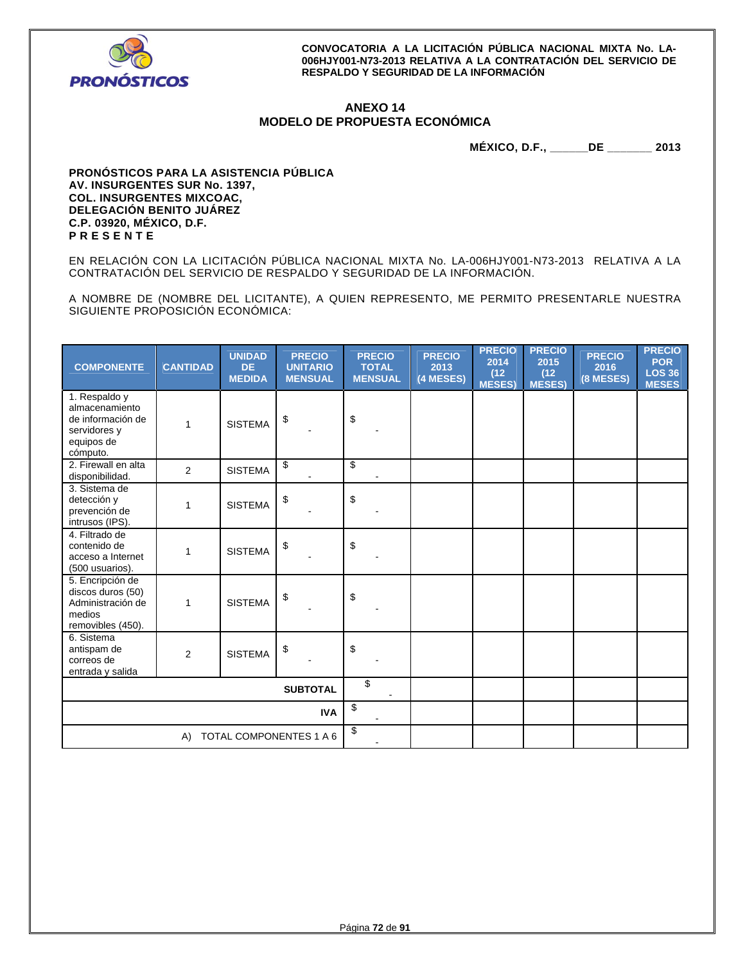

## **ANEXO 14 MODELO DE PROPUESTA ECONÓMICA**

**MÉXICO, D.F., \_\_\_\_\_\_DE \_\_\_\_\_\_\_ 2013** 

**PRONÓSTICOS PARA LA ASISTENCIA PÚBLICA AV. INSURGENTES SUR No. 1397, COL. INSURGENTES MIXCOAC, DELEGACIÓN BENITO JUÁREZ C.P. 03920, MÉXICO, D.F. P R E S E N T E** 

EN RELACIÓN CON LA LICITACIÓN PÚBLICA NACIONAL MIXTA No. LA-006HJY001-N73-2013 RELATIVA A LA CONTRATACIÓN DEL SERVICIO DE RESPALDO Y SEGURIDAD DE LA INFORMACIÓN.

A NOMBRE DE (NOMBRE DEL LICITANTE), A QUIEN REPRESENTO, ME PERMITO PRESENTARLE NUESTRA SIGUIENTE PROPOSICIÓN ECONÓMICA:

| <b>COMPONENTE</b>                                                                              | <b>CANTIDAD</b> | <b>UNIDAD</b><br><b>DE</b><br><b>MEDIDA</b> | <b>PRECIO</b><br><b>UNITARIO</b><br><b>MENSUAL</b> | <b>PRECIO</b><br><b>TOTAL</b><br><b>MENSUAL</b> | <b>PRECIO</b><br>2013<br>(4 MESES) | <b>PRECIO</b><br>2014<br>(12)<br><b>MESES)</b> | <b>PRECIO</b><br>2015<br>(12)<br><b>MESES)</b> | <b>PRECIO</b><br>2016<br>(8 MESES) | <b>PRECIO</b><br><b>POR</b><br><b>LOS 36</b><br><b>MESES</b> |
|------------------------------------------------------------------------------------------------|-----------------|---------------------------------------------|----------------------------------------------------|-------------------------------------------------|------------------------------------|------------------------------------------------|------------------------------------------------|------------------------------------|--------------------------------------------------------------|
| 1. Respaldo y<br>almacenamiento<br>de información de<br>servidores y<br>equipos de<br>cómputo. | 1               | <b>SISTEMA</b>                              | \$                                                 | \$                                              |                                    |                                                |                                                |                                    |                                                              |
| 2. Firewall en alta<br>disponibilidad.                                                         | 2               | <b>SISTEMA</b>                              | \$                                                 | \$                                              |                                    |                                                |                                                |                                    |                                                              |
| 3. Sistema de<br>detección y<br>prevención de<br>intrusos (IPS).                               | 1               | <b>SISTEMA</b>                              | \$                                                 | \$                                              |                                    |                                                |                                                |                                    |                                                              |
| 4. Filtrado de<br>contenido de<br>acceso a Internet<br>(500 usuarios).                         | 1               | <b>SISTEMA</b>                              | \$                                                 | \$                                              |                                    |                                                |                                                |                                    |                                                              |
| 5. Encripción de<br>discos duros (50)<br>Administración de<br>medios<br>removibles (450).      | 1               | <b>SISTEMA</b>                              | \$                                                 | \$                                              |                                    |                                                |                                                |                                    |                                                              |
| 6. Sistema<br>antispam de<br>correos de<br>entrada y salida                                    | 2               | <b>SISTEMA</b>                              | \$                                                 | \$                                              |                                    |                                                |                                                |                                    |                                                              |
| <b>SUBTOTAL</b>                                                                                |                 |                                             | \$                                                 |                                                 |                                    |                                                |                                                |                                    |                                                              |
| <b>IVA</b>                                                                                     |                 |                                             |                                                    | \$                                              |                                    |                                                |                                                |                                    |                                                              |
| TOTAL COMPONENTES 1 A 6<br>A)                                                                  |                 |                                             | \$                                                 |                                                 |                                    |                                                |                                                |                                    |                                                              |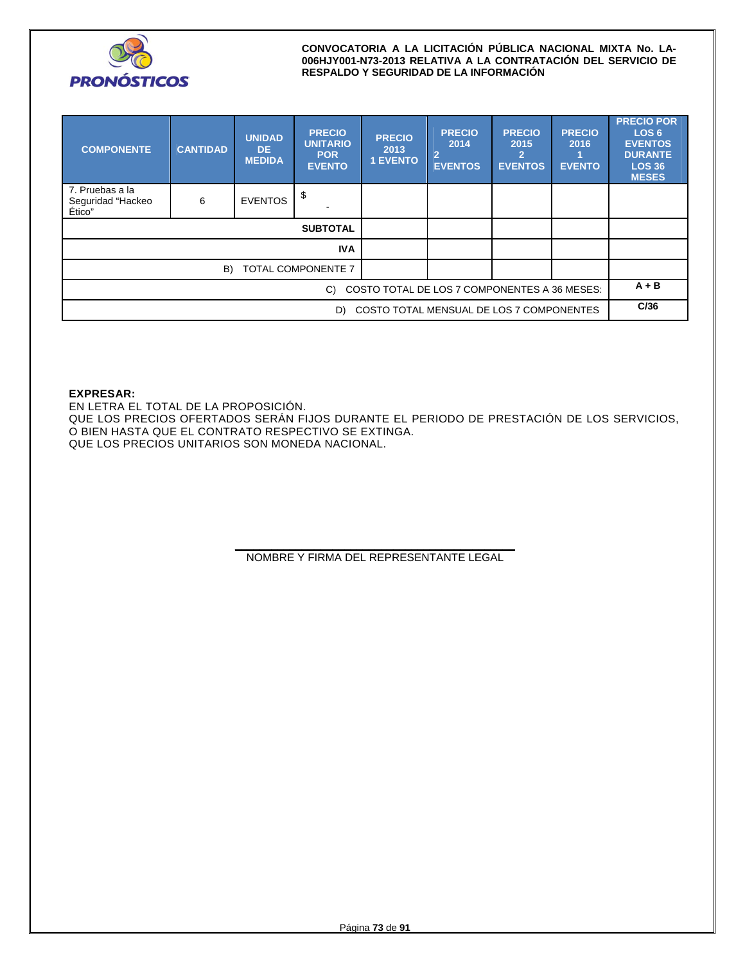

| <b>COMPONENTE</b>                                  | <b>CANTIDAD</b> | <b>UNIDAD</b><br>DE.<br><b>MEDIDA</b> | <b>PRECIO</b><br><b>UNITARIO</b><br><b>POR</b><br><b>EVENTO</b> | <b>PRECIO</b><br>2013<br><b>1 EVENTO</b> | <b>PRECIO</b><br>2014<br>$\overline{2}$<br><b>EVENTOS</b> | <b>PRECIO</b><br>2015<br><b>EVENTOS</b> | <b>PRECIO</b><br>2016<br><b>EVENTO</b> | <b>PRECIO POR</b><br>LOS <sub>6</sub><br><b>EVENTOS</b><br><b>DURANTE</b><br><b>LOS 36</b><br><b>MESES</b> |
|----------------------------------------------------|-----------------|---------------------------------------|-----------------------------------------------------------------|------------------------------------------|-----------------------------------------------------------|-----------------------------------------|----------------------------------------|------------------------------------------------------------------------------------------------------------|
| 7. Pruebas a la<br>Seguridad "Hackeo<br>Ético"     | 6               | <b>EVENTOS</b>                        | \$                                                              |                                          |                                                           |                                         |                                        |                                                                                                            |
|                                                    |                 |                                       | <b>SUBTOTAL</b>                                                 |                                          |                                                           |                                         |                                        |                                                                                                            |
|                                                    | <b>IVA</b>      |                                       |                                                                 |                                          |                                                           |                                         |                                        |                                                                                                            |
| TOTAL COMPONENTE 7<br>B)                           |                 |                                       |                                                                 |                                          |                                                           |                                         |                                        |                                                                                                            |
| COSTO TOTAL DE LOS 7 COMPONENTES A 36 MESES:<br>C) |                 |                                       |                                                                 |                                          |                                                           |                                         | $A + B$                                |                                                                                                            |
| COSTO TOTAL MENSUAL DE LOS 7 COMPONENTES<br>D)     |                 |                                       |                                                                 |                                          |                                                           |                                         | C/36                                   |                                                                                                            |

## **EXPRESAR:**

EN LETRA EL TOTAL DE LA PROPOSICIÓN. QUE LOS PRECIOS OFERTADOS SERÁN FIJOS DURANTE EL PERIODO DE PRESTACIÓN DE LOS SERVICIOS, O BIEN HASTA QUE EL CONTRATO RESPECTIVO SE EXTINGA. QUE LOS PRECIOS UNITARIOS SON MONEDA NACIONAL.

> **\_\_\_\_\_\_\_\_\_\_\_\_\_\_\_\_\_\_\_\_\_\_\_\_\_\_\_\_\_\_\_\_\_\_\_\_\_\_\_\_\_\_\_\_\_\_**  NOMBRE Y FIRMA DEL REPRESENTANTE LEGAL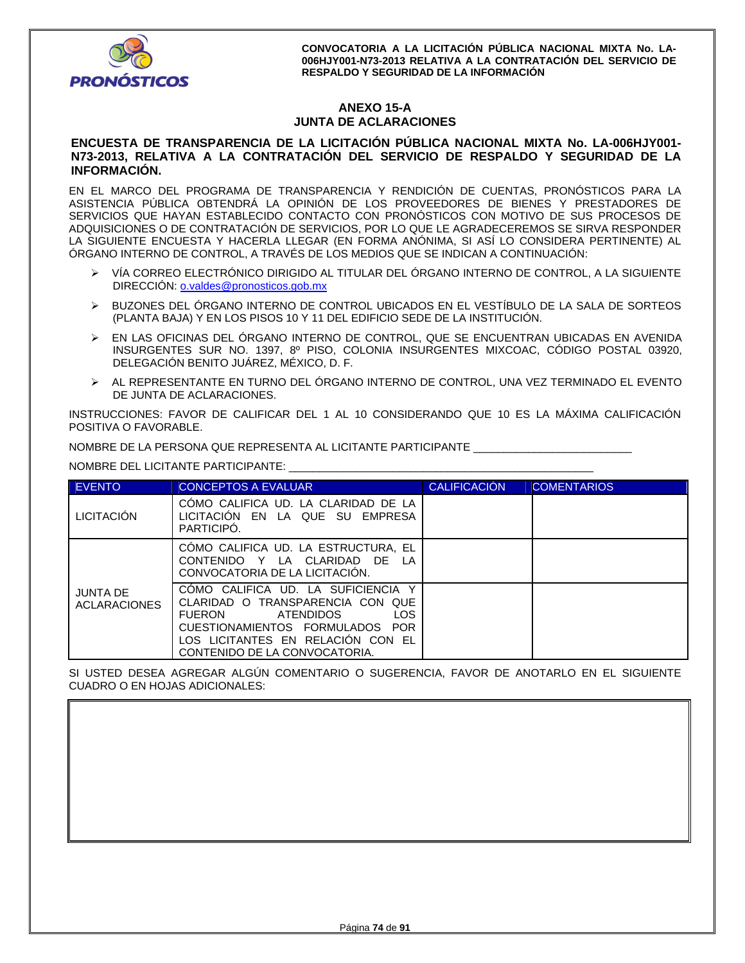

# **ANEXO 15-A JUNTA DE ACLARACIONES**

## **ENCUESTA DE TRANSPARENCIA DE LA LICITACIÓN PÚBLICA NACIONAL MIXTA No. LA-006HJY001- N73-2013, RELATIVA A LA CONTRATACIÓN DEL SERVICIO DE RESPALDO Y SEGURIDAD DE LA INFORMACIÓN.**

EN EL MARCO DEL PROGRAMA DE TRANSPARENCIA Y RENDICIÓN DE CUENTAS, PRONÓSTICOS PARA LA ASISTENCIA PÚBLICA OBTENDRÁ LA OPINIÓN DE LOS PROVEEDORES DE BIENES Y PRESTADORES DE SERVICIOS QUE HAYAN ESTABLECIDO CONTACTO CON PRONÓSTICOS CON MOTIVO DE SUS PROCESOS DE ADQUISICIONES O DE CONTRATACIÓN DE SERVICIOS, POR LO QUE LE AGRADECEREMOS SE SIRVA RESPONDER LA SIGUIENTE ENCUESTA Y HACERLA LLEGAR (EN FORMA ANÓNIMA, SI ASÍ LO CONSIDERA PERTINENTE) AL ÓRGANO INTERNO DE CONTROL, A TRAVÉS DE LOS MEDIOS QUE SE INDICAN A CONTINUACIÓN:

- VÍA CORREO ELECTRÓNICO DIRIGIDO AL TITULAR DEL ÓRGANO INTERNO DE CONTROL, A LA SIGUIENTE DIRECCIÓN: **o.valdes@pronosticos.gob.mx**
- BUZONES DEL ÓRGANO INTERNO DE CONTROL UBICADOS EN EL VESTÍBULO DE LA SALA DE SORTEOS (PLANTA BAJA) Y EN LOS PISOS 10 Y 11 DEL EDIFICIO SEDE DE LA INSTITUCIÓN.
- EN LAS OFICINAS DEL ÓRGANO INTERNO DE CONTROL, QUE SE ENCUENTRAN UBICADAS EN AVENIDA INSURGENTES SUR NO. 1397, 8º PISO, COLONIA INSURGENTES MIXCOAC, CÓDIGO POSTAL 03920, DELEGACIÓN BENITO JUÁREZ, MÉXICO, D. F.
- AL REPRESENTANTE EN TURNO DEL ÓRGANO INTERNO DE CONTROL, UNA VEZ TERMINADO EL EVENTO DE JUNTA DE ACLARACIONES.

INSTRUCCIONES: FAVOR DE CALIFICAR DEL 1 AL 10 CONSIDERANDO QUE 10 ES LA MÁXIMA CALIFICACIÓN POSITIVA O FAVORABLE.

NOMBRE DE LA PERSONA QUE REPRESENTA AL LICITANTE PARTICIPANTE \_\_\_\_\_\_\_\_\_\_\_\_\_\_\_\_\_\_\_\_\_\_\_\_\_\_

NOMBRE DEL LICITANTE PARTICIPANTE: \_\_\_\_\_\_\_\_\_\_\_\_\_\_\_\_\_\_\_\_\_\_\_\_\_\_\_\_\_\_\_\_\_\_\_\_\_\_\_\_\_\_\_\_\_\_\_\_\_\_

| <b>EVENTO</b>                          | <b>CONCEPTOS A EVALUAR</b>                                                                                                                                                                                                | <b>CALIFICACIÓN</b> | <b>COMENTARIOS</b> |
|----------------------------------------|---------------------------------------------------------------------------------------------------------------------------------------------------------------------------------------------------------------------------|---------------------|--------------------|
| <b>LICITACIÓN</b>                      | COMO CALIFICA UD. LA CLARIDAD DE LA<br>LICITACION EN LA QUE SU EMPRESA<br>PARTICIPO.                                                                                                                                      |                     |                    |
|                                        | CÓMO CALIFICA UD. LA ESTRUCTURA, EL<br>CONTENIDO Y LA CLARIDAD DE<br>LA<br>CONVOCATORIA DE LA LICITACION.                                                                                                                 |                     |                    |
| <b>JUNTA DE</b><br><b>ACLARACIONES</b> | COMO CALIFICA UD. LA SUFICIENCIA<br>CLARIDAD O TRANSPARENCIA CON QUE<br><b>LOS</b><br><b>FUERON</b><br>ATENDIDOS<br>CUESTIONAMIENTOS FORMULADOS POR<br>LOS LICITANTES EN RELACION CON EL<br>CONTENIDO DE LA CONVOCATORIA. |                     |                    |

SI USTED DESEA AGREGAR ALGÚN COMENTARIO O SUGERENCIA, FAVOR DE ANOTARLO EN EL SIGUIENTE CUADRO O EN HOJAS ADICIONALES: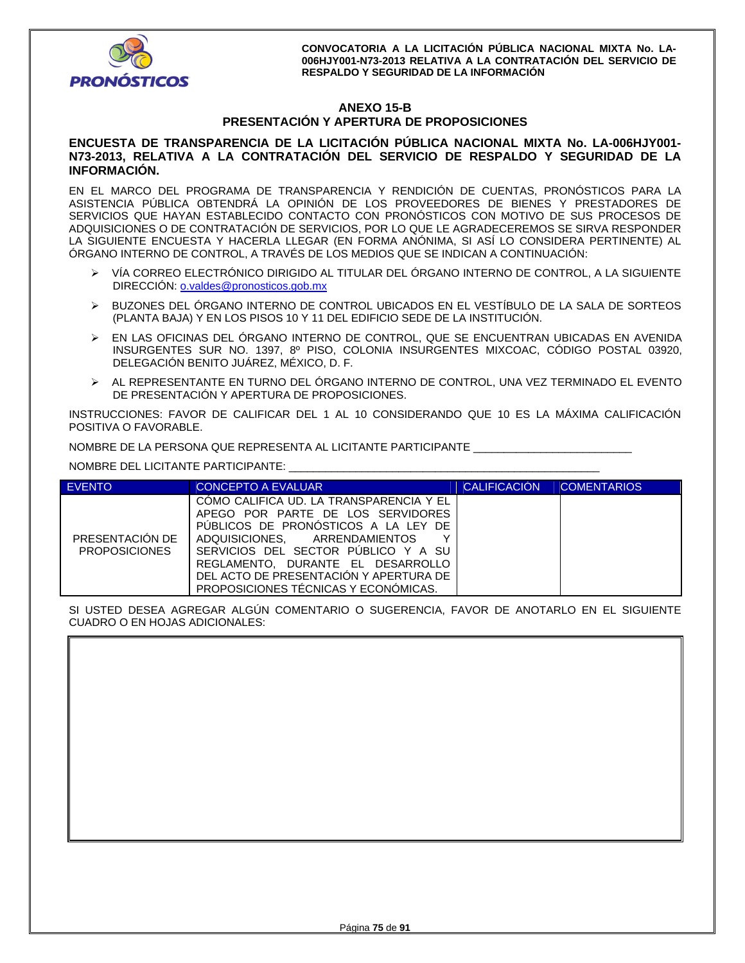

# **ANEXO 15-B PRESENTACIÓN Y APERTURA DE PROPOSICIONES**

## **ENCUESTA DE TRANSPARENCIA DE LA LICITACIÓN PÚBLICA NACIONAL MIXTA No. LA-006HJY001- N73-2013, RELATIVA A LA CONTRATACIÓN DEL SERVICIO DE RESPALDO Y SEGURIDAD DE LA INFORMACIÓN.**

EN EL MARCO DEL PROGRAMA DE TRANSPARENCIA Y RENDICIÓN DE CUENTAS, PRONÓSTICOS PARA LA ASISTENCIA PÚBLICA OBTENDRÁ LA OPINIÓN DE LOS PROVEEDORES DE BIENES Y PRESTADORES DE SERVICIOS QUE HAYAN ESTABLECIDO CONTACTO CON PRONÓSTICOS CON MOTIVO DE SUS PROCESOS DE ADQUISICIONES O DE CONTRATACIÓN DE SERVICIOS, POR LO QUE LE AGRADECEREMOS SE SIRVA RESPONDER LA SIGUIENTE ENCUESTA Y HACERLA LLEGAR (EN FORMA ANÓNIMA, SI ASÍ LO CONSIDERA PERTINENTE) AL ÓRGANO INTERNO DE CONTROL, A TRAVÉS DE LOS MEDIOS QUE SE INDICAN A CONTINUACIÓN:

- VÍA CORREO ELECTRÓNICO DIRIGIDO AL TITULAR DEL ÓRGANO INTERNO DE CONTROL, A LA SIGUIENTE DIRECCIÓN: o.valdes@pronosticos.gob.mx
- BUZONES DEL ÓRGANO INTERNO DE CONTROL UBICADOS EN EL VESTÍBULO DE LA SALA DE SORTEOS (PLANTA BAJA) Y EN LOS PISOS 10 Y 11 DEL EDIFICIO SEDE DE LA INSTITUCIÓN.
- EN LAS OFICINAS DEL ÓRGANO INTERNO DE CONTROL, QUE SE ENCUENTRAN UBICADAS EN AVENIDA INSURGENTES SUR NO. 1397, 8º PISO, COLONIA INSURGENTES MIXCOAC, CÓDIGO POSTAL 03920, DELEGACIÓN BENITO JUÁREZ, MÉXICO, D. F.
- AL REPRESENTANTE EN TURNO DEL ÓRGANO INTERNO DE CONTROL, UNA VEZ TERMINADO EL EVENTO DE PRESENTACIÓN Y APERTURA DE PROPOSICIONES.

INSTRUCCIONES: FAVOR DE CALIFICAR DEL 1 AL 10 CONSIDERANDO QUE 10 ES LA MÁXIMA CALIFICACIÓN POSITIVA O FAVORABLE.

NOMBRE DE LA PERSONA QUE REPRESENTA AL LICITANTE PARTICIPANTE \_\_\_\_\_\_\_\_\_\_\_\_\_\_\_\_\_\_\_\_\_\_\_\_\_\_

NOMBRE DEL LICITANTE PARTICIPANTE: \_\_\_\_\_\_\_\_\_\_\_\_\_\_\_\_\_\_\_\_\_\_\_\_\_\_\_\_\_\_\_\_\_\_\_\_\_\_\_\_\_\_\_\_\_\_\_\_\_\_\_

| <b>EVENTO</b>                           | CONCEPTO A EVALUAR                                                                                                                                                                                                                                                                                                      | <b>CALIFICACIÓN</b> | <b>COMENTARIOS</b> |
|-----------------------------------------|-------------------------------------------------------------------------------------------------------------------------------------------------------------------------------------------------------------------------------------------------------------------------------------------------------------------------|---------------------|--------------------|
| PRESENTACIÓN DE<br><b>PROPOSICIONES</b> | COMO CALIFICA UD. LA TRANSPARENCIA Y EL<br>APEGO POR PARTE DE LOS SERVIDORES<br>PUBLICOS DE PRONOSTICOS A LA LEY DE<br>ADQUISICIONES. ARRENDAMIENTOS<br>v<br>SERVICIOS DEL SECTOR PUBLICO Y A SU<br>REGLAMENTO. DURANTE EL DESARROLLO<br>DEL ACTO DE PRESENTACIÓN Y APERTURA DE<br>PROPOSICIONES TÉCNICAS Y ECONÓMICAS. |                     |                    |

SI USTED DESEA AGREGAR ALGÚN COMENTARIO O SUGERENCIA, FAVOR DE ANOTARLO EN EL SIGUIENTE CUADRO O EN HOJAS ADICIONALES.

| <b>OUNDING OF LIVE INDUCTOR ADIOIVALLO.</b> |  |  |  |
|---------------------------------------------|--|--|--|
|                                             |  |  |  |
|                                             |  |  |  |
|                                             |  |  |  |
|                                             |  |  |  |
|                                             |  |  |  |
|                                             |  |  |  |
|                                             |  |  |  |
|                                             |  |  |  |
|                                             |  |  |  |
|                                             |  |  |  |
|                                             |  |  |  |
|                                             |  |  |  |
|                                             |  |  |  |
|                                             |  |  |  |
|                                             |  |  |  |
|                                             |  |  |  |
|                                             |  |  |  |
|                                             |  |  |  |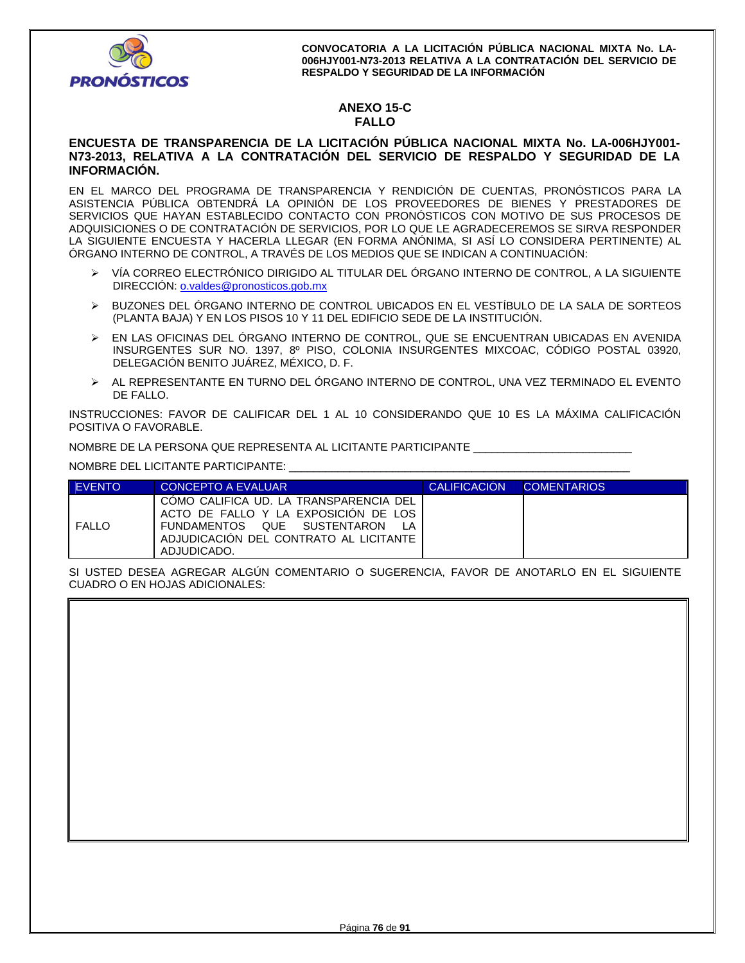

# **ANEXO 15-C FALLO**

## **ENCUESTA DE TRANSPARENCIA DE LA LICITACIÓN PÚBLICA NACIONAL MIXTA No. LA-006HJY001- N73-2013, RELATIVA A LA CONTRATACIÓN DEL SERVICIO DE RESPALDO Y SEGURIDAD DE LA INFORMACIÓN.**

EN EL MARCO DEL PROGRAMA DE TRANSPARENCIA Y RENDICIÓN DE CUENTAS, PRONÓSTICOS PARA LA ASISTENCIA PÚBLICA OBTENDRÁ LA OPINIÓN DE LOS PROVEEDORES DE BIENES Y PRESTADORES DE SERVICIOS QUE HAYAN ESTABLECIDO CONTACTO CON PRONÓSTICOS CON MOTIVO DE SUS PROCESOS DE ADQUISICIONES O DE CONTRATACIÓN DE SERVICIOS, POR LO QUE LE AGRADECEREMOS SE SIRVA RESPONDER LA SIGUIENTE ENCUESTA Y HACERLA LLEGAR (EN FORMA ANÓNIMA, SI ASÍ LO CONSIDERA PERTINENTE) AL ÓRGANO INTERNO DE CONTROL, A TRAVÉS DE LOS MEDIOS QUE SE INDICAN A CONTINUACIÓN:

- VÍA CORREO ELECTRÓNICO DIRIGIDO AL TITULAR DEL ÓRGANO INTERNO DE CONTROL, A LA SIGUIENTE DIRECCIÓN: o.valdes@pronosticos.gob.mx
- BUZONES DEL ÓRGANO INTERNO DE CONTROL UBICADOS EN EL VESTÍBULO DE LA SALA DE SORTEOS (PLANTA BAJA) Y EN LOS PISOS 10 Y 11 DEL EDIFICIO SEDE DE LA INSTITUCIÓN.
- EN LAS OFICINAS DEL ÓRGANO INTERNO DE CONTROL, QUE SE ENCUENTRAN UBICADAS EN AVENIDA INSURGENTES SUR NO. 1397, 8º PISO, COLONIA INSURGENTES MIXCOAC, CÓDIGO POSTAL 03920, DELEGACIÓN BENITO JUÁREZ, MÉXICO, D. F.
- AL REPRESENTANTE EN TURNO DEL ÓRGANO INTERNO DE CONTROL, UNA VEZ TERMINADO EL EVENTO DE FALLO.

INSTRUCCIONES: FAVOR DE CALIFICAR DEL 1 AL 10 CONSIDERANDO QUE 10 ES LA MÁXIMA CALIFICACIÓN POSITIVA O FAVORABLE.

NOMBRE DE LA PERSONA QUE REPRESENTA AL LICITANTE PARTICIPANTE \_\_\_\_\_\_\_\_\_\_\_\_\_\_\_\_\_\_\_\_\_\_\_\_\_\_

NOMBRE DEL LICITANTE PARTICIPANTE: \_\_\_\_\_\_\_\_\_\_\_\_\_\_\_\_\_\_\_\_\_\_\_\_\_\_\_\_\_\_\_\_\_\_\_\_\_\_\_\_\_\_\_\_\_\_\_\_\_\_\_\_\_\_\_\_

| <b>FVENTO</b> | <b>CONCEPTO A EVALUAR</b>                                                                                                                                              | <b>CALIFICACION</b> | <b>COMENTARIOS</b> |
|---------------|------------------------------------------------------------------------------------------------------------------------------------------------------------------------|---------------------|--------------------|
| <b>FALLO</b>  | COMO CALIFICA UD. LA TRANSPARENCIA DEL<br>ACTO DE FALLO Y LA EXPOSICION DE LOS<br>FUNDAMENTOS QUE SUSTENTARON<br>ADJUDICACION DEL CONTRATO AL LICITANTE<br>ADJUDICADO. |                     |                    |

SI USTED DESEA AGREGAR ALGÚN COMENTARIO O SUGERENCIA, FAVOR DE ANOTARLO EN EL SIGUIENTE CUADRO O EN HOJAS ADICIONALES: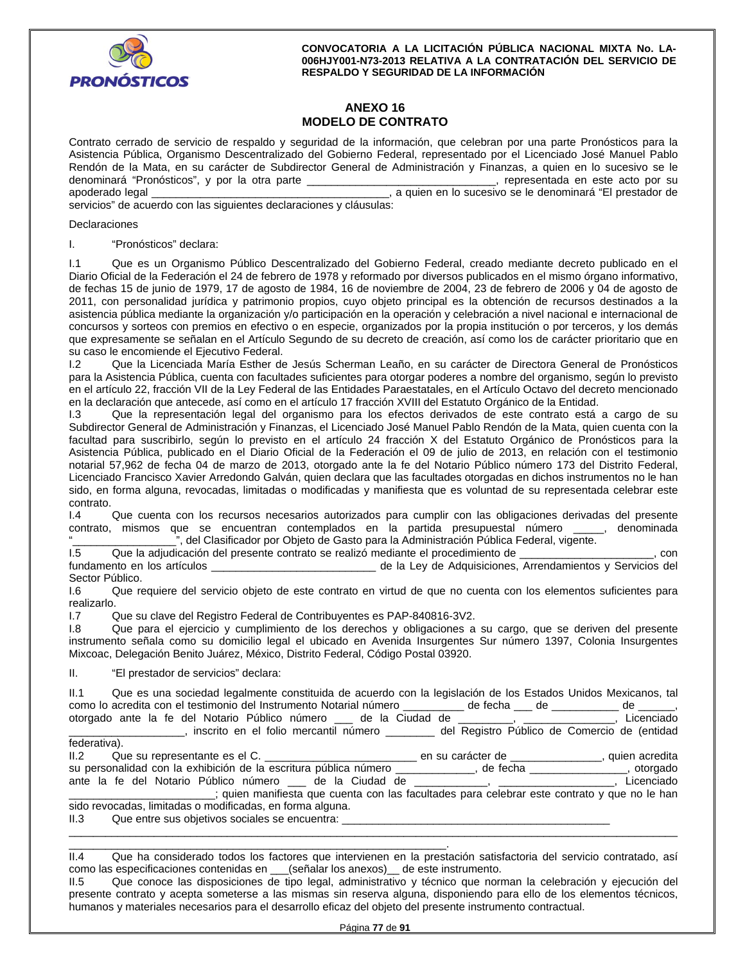

# **ANEXO 16 MODELO DE CONTRATO**

Contrato cerrado de servicio de respaldo y seguridad de la información, que celebran por una parte Pronósticos para la Asistencia Pública, Organismo Descentralizado del Gobierno Federal, representado por el Licenciado José Manuel Pablo Rendón de la Mata, en su carácter de Subdirector General de Administración y Finanzas, a quien en lo sucesivo se le<br>denominará "Pronósticos", y por la otra parte \_\_\_\_\_\_\_\_\_\_\_\_\_\_\_\_\_\_\_\_\_\_\_\_\_\_\_\_\_\_\_\_\_\_, representada en este act denominará "Pronósticos", y por la otra parte \_ apoderado legal \_\_\_\_\_\_\_\_\_\_\_\_\_\_\_\_\_\_\_\_\_\_\_\_\_\_\_\_\_\_\_\_\_\_\_\_\_\_\_, a quien en lo sucesivo se le denominará "El prestador de

servicios" de acuerdo con las siguientes declaraciones y cláusulas:

#### Declaraciones

#### I. "Pronósticos" declara:

I.1 Que es un Organismo Público Descentralizado del Gobierno Federal, creado mediante decreto publicado en el Diario Oficial de la Federación el 24 de febrero de 1978 y reformado por diversos publicados en el mismo órgano informativo, de fechas 15 de junio de 1979, 17 de agosto de 1984, 16 de noviembre de 2004, 23 de febrero de 2006 y 04 de agosto de 2011, con personalidad jurídica y patrimonio propios, cuyo objeto principal es la obtención de recursos destinados a la asistencia pública mediante la organización y/o participación en la operación y celebración a nivel nacional e internacional de concursos y sorteos con premios en efectivo o en especie, organizados por la propia institución o por terceros, y los demás que expresamente se señalan en el Artículo Segundo de su decreto de creación, así como los de carácter prioritario que en su caso le encomiende el Ejecutivo Federal.

I.2 Que la Licenciada María Esther de Jesús Scherman Leaño, en su carácter de Directora General de Pronósticos para la Asistencia Pública, cuenta con facultades suficientes para otorgar poderes a nombre del organismo, según lo previsto en el artículo 22, fracción VII de la Ley Federal de las Entidades Paraestatales, en el Artículo Octavo del decreto mencionado en la declaración que antecede, así como en el artículo 17 fracción XVIII del Estatuto Orgánico de la Entidad.

I.3 Que la representación legal del organismo para los efectos derivados de este contrato está a cargo de su Subdirector General de Administración y Finanzas, el Licenciado José Manuel Pablo Rendón de la Mata, quien cuenta con la facultad para suscribirlo, según lo previsto en el artículo 24 fracción X del Estatuto Orgánico de Pronósticos para la Asistencia Pública, publicado en el Diario Oficial de la Federación el 09 de julio de 2013, en relación con el testimonio notarial 57,962 de fecha 04 de marzo de 2013, otorgado ante la fe del Notario Público número 173 del Distrito Federal, Licenciado Francisco Xavier Arredondo Galván, quien declara que las facultades otorgadas en dichos instrumentos no le han sido, en forma alguna, revocadas, limitadas o modificadas y manifiesta que es voluntad de su representada celebrar este

contrato.<br>I.4 Que cuenta con los recursos necesarios autorizados para cumplir con las obligaciones derivadas del presente contrato, mismos que se encuentran contemplados en la partida presupuestal número \_\_\_\_\_, denominada ", del Clasificador por Objeto de Gasto para la Administración Pública Federal, vigente.

I.5 Que la adjudicación del presente contrato se realizó mediante el procedimiento de \_\_\_\_\_\_\_\_\_\_\_\_\_\_\_\_\_\_\_\_\_\_, con

fundamento en los artículos \_\_\_\_\_\_\_\_\_\_\_\_\_\_\_\_\_\_\_\_\_\_\_\_\_\_\_ de la Ley de Adquisiciones, Arrendamientos y Servicios del Sector Público.

I.6 Que requiere del servicio objeto de este contrato en virtud de que no cuenta con los elementos suficientes para realizarlo.

I.7 Que su clave del Registro Federal de Contribuyentes es PAP-840816-3V2.

I.8 Que para el ejercicio y cumplimiento de los derechos y obligaciones a su cargo, que se deriven del presente instrumento señala como su domicilio legal el ubicado en Avenida Insurgentes Sur número 1397, Colonia Insurgentes Mixcoac, Delegación Benito Juárez, México, Distrito Federal, Código Postal 03920.

II. "El prestador de servicios" declara:

| II.1 Que es una sociedad legalmente constituida de acuerdo con la legislación de los Estados Unidos Mexicanos, tal                     |                |
|----------------------------------------------------------------------------------------------------------------------------------------|----------------|
| como lo acredita con el testimonio del Instrumento Notarial número _________ de fecha __ de ________ de ______,                        |                |
| otorgado ante la fe del Notario Público número ___ de la Ciudad de ________, ___________,                                              | Licenciado     |
| el Registro Público de Comercio de (entidad), inscrito en el folio mercantil número en el del Registro Público de Comercio de (entidad |                |
| federativa).                                                                                                                           |                |
|                                                                                                                                        | quien acredita |
| su personalidad con la exhibición de la escritura pública número ___________, de fecha ___________, otorgado                           |                |
| ante la fe del Notario Público número ___ de la Ciudad de ___________, ________________,                                               | Licenciado     |
| iguien manifiesta que cuenta con las facultades para celebrar este contrato y que no le han (contrato y que no                         |                |
| sido revocadas, limitadas o modificadas, en forma alguna.                                                                              |                |
| II.3 Que entre sus objetivos sociales se encuentra:                                                                                    |                |

\_\_\_\_\_\_\_\_\_\_\_\_\_\_\_\_\_\_\_\_\_\_\_\_\_\_\_\_\_\_\_\_\_\_\_\_\_\_\_\_\_\_\_\_\_\_\_\_\_\_\_\_\_\_\_\_\_\_\_\_\_\_. II.4 Que ha considerado todos los factores que intervienen en la prestación satisfactoria del servicio contratado, así como las especificaciones contenidas en \_\_\_(señalar los anexos)\_\_ de este instrumento.

\_\_\_\_\_\_\_\_\_\_\_\_\_\_\_\_\_\_\_\_\_\_\_\_\_\_\_\_\_\_\_\_\_\_\_\_\_\_\_\_\_\_\_\_\_\_\_\_\_\_\_\_\_\_\_\_\_\_\_\_\_\_\_\_\_\_\_\_\_\_\_\_\_\_\_\_\_\_\_\_\_\_\_\_\_\_\_\_\_\_\_\_\_\_\_\_\_\_\_\_

II.5 Que conoce las disposiciones de tipo legal, administrativo y técnico que norman la celebración y ejecución del presente contrato y acepta someterse a las mismas sin reserva alguna, disponiendo para ello de los elementos técnicos, humanos y materiales necesarios para el desarrollo eficaz del objeto del presente instrumento contractual.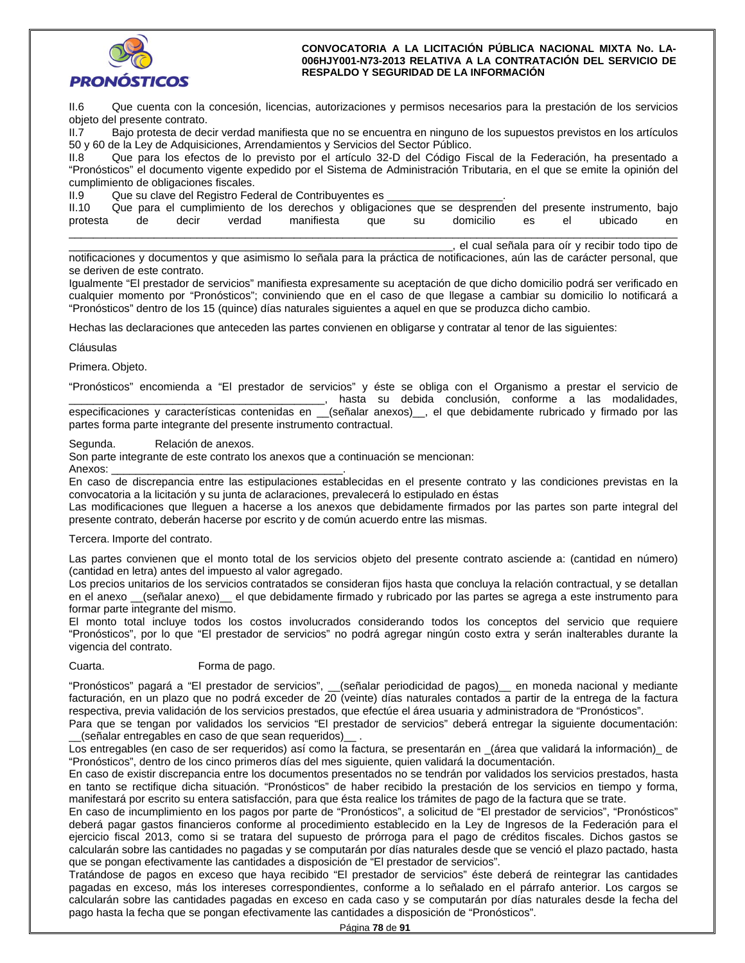

II.6 Que cuenta con la concesión, licencias, autorizaciones y permisos necesarios para la prestación de los servicios objeto del presente contrato.

II.7 Bajo protesta de decir verdad manifiesta que no se encuentra en ninguno de los supuestos previstos en los artículos 50 y 60 de la Ley de Adquisiciones, Arrendamientos y Servicios del Sector Público.

II.8 Que para los efectos de lo previsto por el artículo 32-D del Código Fiscal de la Federación, ha presentado a "Pronósticos" el documento vigente expedido por el Sistema de Administración Tributaria, en el que se emite la opinión del cumplimiento de obligaciones fiscales.

II.9 Que su clave del Registro Federal de Contribuyentes es

| II.10    |    |       |        |            | Que para el cumplimiento de los derechos y obligaciones que se desprenden del presente instrumento, bajo |       |           |    |    |         |    |
|----------|----|-------|--------|------------|----------------------------------------------------------------------------------------------------------|-------|-----------|----|----|---------|----|
| protesta | de | decir | verdad | manifiesta | aue                                                                                                      | su su | domicilio | es | el | ubicado | en |
|          |    |       |        |            |                                                                                                          |       |           |    |    |         |    |

\_\_\_\_\_\_\_\_\_\_\_\_\_\_\_\_\_\_\_\_\_\_\_\_\_\_\_\_\_\_\_\_\_\_\_\_\_\_\_\_\_\_\_\_\_\_\_\_\_\_\_\_\_\_\_\_\_\_\_\_\_\_\_, el cual señala para oír y recibir todo tipo de

notificaciones y documentos y que asimismo lo señala para la práctica de notificaciones, aún las de carácter personal, que se deriven de este contrato.

Igualmente "El prestador de servicios" manifiesta expresamente su aceptación de que dicho domicilio podrá ser verificado en cualquier momento por "Pronósticos"; conviniendo que en el caso de que llegase a cambiar su domicilio lo notificará a "Pronósticos" dentro de los 15 (quince) días naturales siguientes a aquel en que se produzca dicho cambio.

Hechas las declaraciones que anteceden las partes convienen en obligarse y contratar al tenor de las siguientes:

Cláusulas

Primera. Objeto.

"Pronósticos" encomienda a "El prestador de servicios" y éste se obliga con el Organismo a prestar el servicio de \_\_\_\_\_\_\_\_\_\_\_\_\_\_\_\_\_\_\_\_\_\_\_\_\_\_\_\_\_\_\_\_\_\_\_\_\_\_\_\_\_\_, hasta su debida conclusión, conforme a las modalidades, especificaciones y características contenidas en \_\_(señalar anexos)\_, el que debidamente rubricado y firmado por las partes forma parte integrante del presente instrumento contractual.

Segunda. Relación de anexos.

Son parte integrante de este contrato los anexos que a continuación se mencionan:

Anexos:

En caso de discrepancia entre las estipulaciones establecidas en el presente contrato y las condiciones previstas en la convocatoria a la licitación y su junta de aclaraciones, prevalecerá lo estipulado en éstas

Las modificaciones que lleguen a hacerse a los anexos que debidamente firmados por las partes son parte integral del presente contrato, deberán hacerse por escrito y de común acuerdo entre las mismas.

### Tercera. Importe del contrato.

Las partes convienen que el monto total de los servicios objeto del presente contrato asciende a: (cantidad en número) (cantidad en letra) antes del impuesto al valor agregado.

Los precios unitarios de los servicios contratados se consideran fijos hasta que concluya la relación contractual, y se detallan en el anexo \_(señalar anexo) el que debidamente firmado y rubricado por las partes se agrega a este instrumento para formar parte integrante del mismo.

El monto total incluye todos los costos involucrados considerando todos los conceptos del servicio que requiere "Pronósticos", por lo que "El prestador de servicios" no podrá agregar ningún costo extra y serán inalterables durante la vigencia del contrato.

### Cuarta. Forma de pago.

"Pronósticos" pagará a "El prestador de servicios", \_\_(señalar periodicidad de pagos)\_\_ en moneda nacional y mediante facturación, en un plazo que no podrá exceder de 20 (veinte) días naturales contados a partir de la entrega de la factura respectiva, previa validación de los servicios prestados, que efectúe el área usuaria y administradora de "Pronósticos".

Para que se tengan por validados los servicios "El prestador de servicios" deberá entregar la siguiente documentación: \_\_(señalar entregables en caso de que sean requeridos)\_\_ .

Los entregables (en caso de ser requeridos) así como la factura, se presentarán en \_(área que validará la información)\_ de "Pronósticos", dentro de los cinco primeros días del mes siguiente, quien validará la documentación.

En caso de existir discrepancia entre los documentos presentados no se tendrán por validados los servicios prestados, hasta en tanto se rectifique dicha situación. "Pronósticos" de haber recibido la prestación de los servicios en tiempo y forma, manifestará por escrito su entera satisfacción, para que ésta realice los trámites de pago de la factura que se trate.

En caso de incumplimiento en los pagos por parte de "Pronósticos", a solicitud de "El prestador de servicios", "Pronósticos" deberá pagar gastos financieros conforme al procedimiento establecido en la Ley de Ingresos de la Federación para el ejercicio fiscal 2013, como si se tratara del supuesto de prórroga para el pago de créditos fiscales. Dichos gastos se calcularán sobre las cantidades no pagadas y se computarán por días naturales desde que se venció el plazo pactado, hasta que se pongan efectivamente las cantidades a disposición de "El prestador de servicios".

Tratándose de pagos en exceso que haya recibido "El prestador de servicios" éste deberá de reintegrar las cantidades pagadas en exceso, más los intereses correspondientes, conforme a lo señalado en el párrafo anterior. Los cargos se calcularán sobre las cantidades pagadas en exceso en cada caso y se computarán por días naturales desde la fecha del pago hasta la fecha que se pongan efectivamente las cantidades a disposición de "Pronósticos".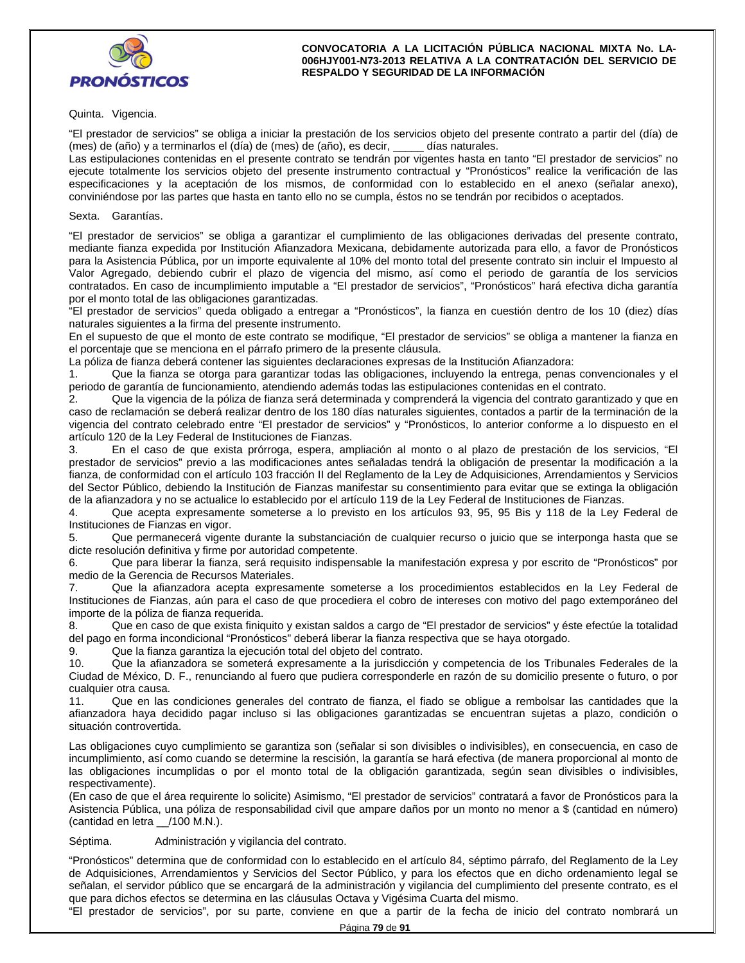

Quinta. Vigencia.

"El prestador de servicios" se obliga a iniciar la prestación de los servicios objeto del presente contrato a partir del (día) de (mes) de (año) y a terminarlos el (día) de (mes) de (año), es decir, \_\_\_\_\_ días naturales.

Las estipulaciones contenidas en el presente contrato se tendrán por vigentes hasta en tanto "El prestador de servicios" no ejecute totalmente los servicios objeto del presente instrumento contractual y "Pronósticos" realice la verificación de las especificaciones y la aceptación de los mismos, de conformidad con lo establecido en el anexo (señalar anexo), conviniéndose por las partes que hasta en tanto ello no se cumpla, éstos no se tendrán por recibidos o aceptados.

Sexta. Garantías.

"El prestador de servicios" se obliga a garantizar el cumplimiento de las obligaciones derivadas del presente contrato, mediante fianza expedida por Institución Afianzadora Mexicana, debidamente autorizada para ello, a favor de Pronósticos para la Asistencia Pública, por un importe equivalente al 10% del monto total del presente contrato sin incluir el Impuesto al Valor Agregado, debiendo cubrir el plazo de vigencia del mismo, así como el periodo de garantía de los servicios contratados. En caso de incumplimiento imputable a "El prestador de servicios", "Pronósticos" hará efectiva dicha garantía por el monto total de las obligaciones garantizadas.

"El prestador de servicios" queda obligado a entregar a "Pronósticos", la fianza en cuestión dentro de los 10 (diez) días naturales siguientes a la firma del presente instrumento.

En el supuesto de que el monto de este contrato se modifique, "El prestador de servicios" se obliga a mantener la fianza en el porcentaje que se menciona en el párrafo primero de la presente cláusula.

La póliza de fianza deberá contener las siguientes declaraciones expresas de la Institución Afianzadora:

1. Que la fianza se otorga para garantizar todas las obligaciones, incluyendo la entrega, penas convencionales y el periodo de garantía de funcionamiento, atendiendo además todas las estipulaciones contenidas en el contrato.

2. Que la vigencia de la póliza de fianza será determinada y comprenderá la vigencia del contrato garantizado y que en caso de reclamación se deberá realizar dentro de los 180 días naturales siguientes, contados a partir de la terminación de la vigencia del contrato celebrado entre "El prestador de servicios" y "Pronósticos, lo anterior conforme a lo dispuesto en el artículo 120 de la Ley Federal de Instituciones de Fianzas.

3. En el caso de que exista prórroga, espera, ampliación al monto o al plazo de prestación de los servicios, "El prestador de servicios" previo a las modificaciones antes señaladas tendrá la obligación de presentar la modificación a la fianza, de conformidad con el artículo 103 fracción II del Reglamento de la Ley de Adquisiciones, Arrendamientos y Servicios del Sector Público, debiendo la Institución de Fianzas manifestar su consentimiento para evitar que se extinga la obligación de la afianzadora y no se actualice lo establecido por el artículo 119 de la Ley Federal de Instituciones de Fianzas.

4. Que acepta expresamente someterse a lo previsto en los artículos 93, 95, 95 Bis y 118 de la Ley Federal de Instituciones de Fianzas en vigor.

5. Que permanecerá vigente durante la substanciación de cualquier recurso o juicio que se interponga hasta que se dicte resolución definitiva y firme por autoridad competente.

6. Que para liberar la fianza, será requisito indispensable la manifestación expresa y por escrito de "Pronósticos" por medio de la Gerencia de Recursos Materiales.

7. Que la afianzadora acepta expresamente someterse a los procedimientos establecidos en la Ley Federal de Instituciones de Fianzas, aún para el caso de que procediera el cobro de intereses con motivo del pago extemporáneo del importe de la póliza de fianza requerida.

8. Que en caso de que exista finiquito y existan saldos a cargo de "El prestador de servicios" y éste efectúe la totalidad del pago en forma incondicional "Pronósticos" deberá liberar la fianza respectiva que se haya otorgado.

9. Que la fianza garantiza la ejecución total del objeto del contrato.

10. Que la afianzadora se someterá expresamente a la jurisdicción y competencia de los Tribunales Federales de la Ciudad de México, D. F., renunciando al fuero que pudiera corresponderle en razón de su domicilio presente o futuro, o por cualquier otra causa.

11. Que en las condiciones generales del contrato de fianza, el fiado se obligue a rembolsar las cantidades que la afianzadora haya decidido pagar incluso si las obligaciones garantizadas se encuentran sujetas a plazo, condición o situación controvertida.

Las obligaciones cuyo cumplimiento se garantiza son (señalar si son divisibles o indivisibles), en consecuencia, en caso de incumplimiento, así como cuando se determine la rescisión, la garantía se hará efectiva (de manera proporcional al monto de las obligaciones incumplidas o por el monto total de la obligación garantizada, según sean divisibles o indivisibles, respectivamente).

(En caso de que el área requirente lo solicite) Asimismo, "El prestador de servicios" contratará a favor de Pronósticos para la Asistencia Pública, una póliza de responsabilidad civil que ampare daños por un monto no menor a \$ (cantidad en número) (cantidad en letra \_\_/100 M.N.).

Séptima. Administración y vigilancia del contrato.

"Pronósticos" determina que de conformidad con lo establecido en el artículo 84, séptimo párrafo, del Reglamento de la Ley de Adquisiciones, Arrendamientos y Servicios del Sector Público, y para los efectos que en dicho ordenamiento legal se señalan, el servidor público que se encargará de la administración y vigilancia del cumplimiento del presente contrato, es el que para dichos efectos se determina en las cláusulas Octava y Vigésima Cuarta del mismo.

"El prestador de servicios", por su parte, conviene en que a partir de la fecha de inicio del contrato nombrará un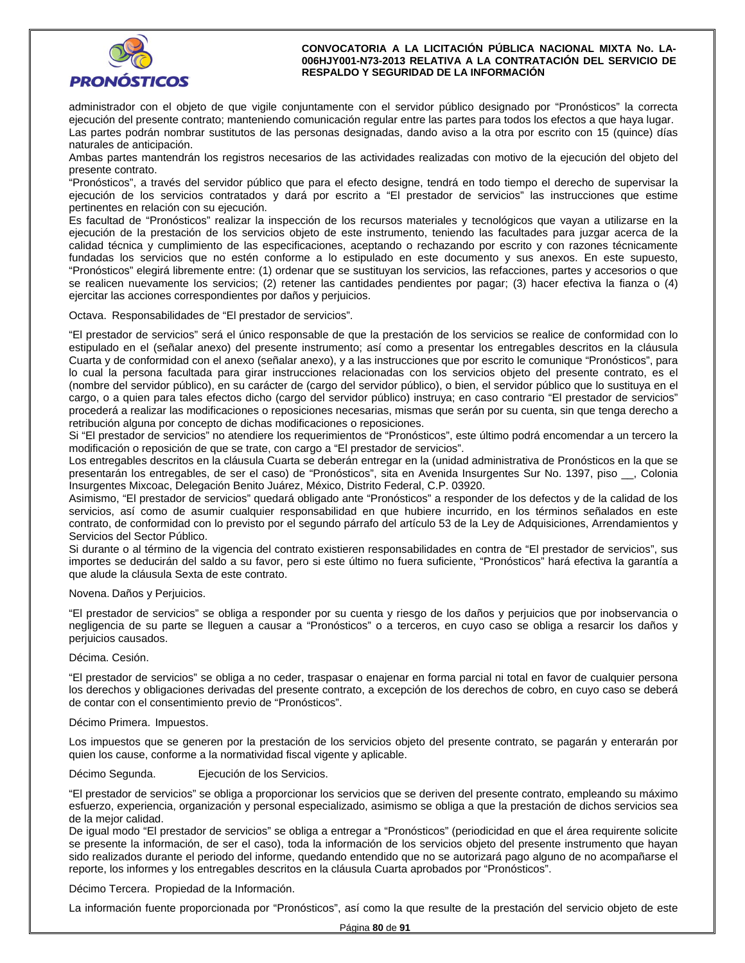

administrador con el objeto de que vigile conjuntamente con el servidor público designado por "Pronósticos" la correcta ejecución del presente contrato; manteniendo comunicación regular entre las partes para todos los efectos a que haya lugar. Las partes podrán nombrar sustitutos de las personas designadas, dando aviso a la otra por escrito con 15 (quince) días naturales de anticipación.

Ambas partes mantendrán los registros necesarios de las actividades realizadas con motivo de la ejecución del objeto del presente contrato.

"Pronósticos", a través del servidor público que para el efecto designe, tendrá en todo tiempo el derecho de supervisar la ejecución de los servicios contratados y dará por escrito a "El prestador de servicios" las instrucciones que estime pertinentes en relación con su ejecución.

Es facultad de "Pronósticos" realizar la inspección de los recursos materiales y tecnológicos que vayan a utilizarse en la ejecución de la prestación de los servicios objeto de este instrumento, teniendo las facultades para juzgar acerca de la calidad técnica y cumplimiento de las especificaciones, aceptando o rechazando por escrito y con razones técnicamente fundadas los servicios que no estén conforme a lo estipulado en este documento y sus anexos. En este supuesto, "Pronósticos" elegirá libremente entre: (1) ordenar que se sustituyan los servicios, las refacciones, partes y accesorios o que se realicen nuevamente los servicios; (2) retener las cantidades pendientes por pagar; (3) hacer efectiva la fianza o (4) ejercitar las acciones correspondientes por daños y perjuicios.

Octava. Responsabilidades de "El prestador de servicios".

"El prestador de servicios" será el único responsable de que la prestación de los servicios se realice de conformidad con lo estipulado en el (señalar anexo) del presente instrumento; así como a presentar los entregables descritos en la cláusula Cuarta y de conformidad con el anexo (señalar anexo), y a las instrucciones que por escrito le comunique "Pronósticos", para lo cual la persona facultada para girar instrucciones relacionadas con los servicios objeto del presente contrato, es el (nombre del servidor público), en su carácter de (cargo del servidor público), o bien, el servidor público que lo sustituya en el cargo, o a quien para tales efectos dicho (cargo del servidor público) instruya; en caso contrario "El prestador de servicios" procederá a realizar las modificaciones o reposiciones necesarias, mismas que serán por su cuenta, sin que tenga derecho a retribución alguna por concepto de dichas modificaciones o reposiciones.

Si "El prestador de servicios" no atendiere los requerimientos de "Pronósticos", este último podrá encomendar a un tercero la modificación o reposición de que se trate, con cargo a "El prestador de servicios".

Los entregables descritos en la cláusula Cuarta se deberán entregar en la (unidad administrativa de Pronósticos en la que se presentarán los entregables, de ser el caso) de "Pronósticos", sita en Avenida Insurgentes Sur No. 1397, piso \_\_, Colonia Insurgentes Mixcoac, Delegación Benito Juárez, México, Distrito Federal, C.P. 03920.

Asimismo, "El prestador de servicios" quedará obligado ante "Pronósticos" a responder de los defectos y de la calidad de los servicios, así como de asumir cualquier responsabilidad en que hubiere incurrido, en los términos señalados en este contrato, de conformidad con lo previsto por el segundo párrafo del artículo 53 de la Ley de Adquisiciones, Arrendamientos y Servicios del Sector Público.

Si durante o al término de la vigencia del contrato existieren responsabilidades en contra de "El prestador de servicios", sus importes se deducirán del saldo a su favor, pero si este último no fuera suficiente, "Pronósticos" hará efectiva la garantía a que alude la cláusula Sexta de este contrato.

### Novena. Daños y Perjuicios.

"El prestador de servicios" se obliga a responder por su cuenta y riesgo de los daños y perjuicios que por inobservancia o negligencia de su parte se lleguen a causar a "Pronósticos" o a terceros, en cuyo caso se obliga a resarcir los daños y perjuicios causados.

Décima. Cesión.

"El prestador de servicios" se obliga a no ceder, traspasar o enajenar en forma parcial ni total en favor de cualquier persona los derechos y obligaciones derivadas del presente contrato, a excepción de los derechos de cobro, en cuyo caso se deberá de contar con el consentimiento previo de "Pronósticos".

#### Décimo Primera. Impuestos.

Los impuestos que se generen por la prestación de los servicios objeto del presente contrato, se pagarán y enterarán por quien los cause, conforme a la normatividad fiscal vigente y aplicable.

Décimo Segunda. Ejecución de los Servicios.

"El prestador de servicios" se obliga a proporcionar los servicios que se deriven del presente contrato, empleando su máximo esfuerzo, experiencia, organización y personal especializado, asimismo se obliga a que la prestación de dichos servicios sea de la mejor calidad.

De igual modo "El prestador de servicios" se obliga a entregar a "Pronósticos" (periodicidad en que el área requirente solicite se presente la información, de ser el caso), toda la información de los servicios objeto del presente instrumento que hayan sido realizados durante el periodo del informe, quedando entendido que no se autorizará pago alguno de no acompañarse el reporte, los informes y los entregables descritos en la cláusula Cuarta aprobados por "Pronósticos".

Décimo Tercera. Propiedad de la Información.

La información fuente proporcionada por "Pronósticos", así como la que resulte de la prestación del servicio objeto de este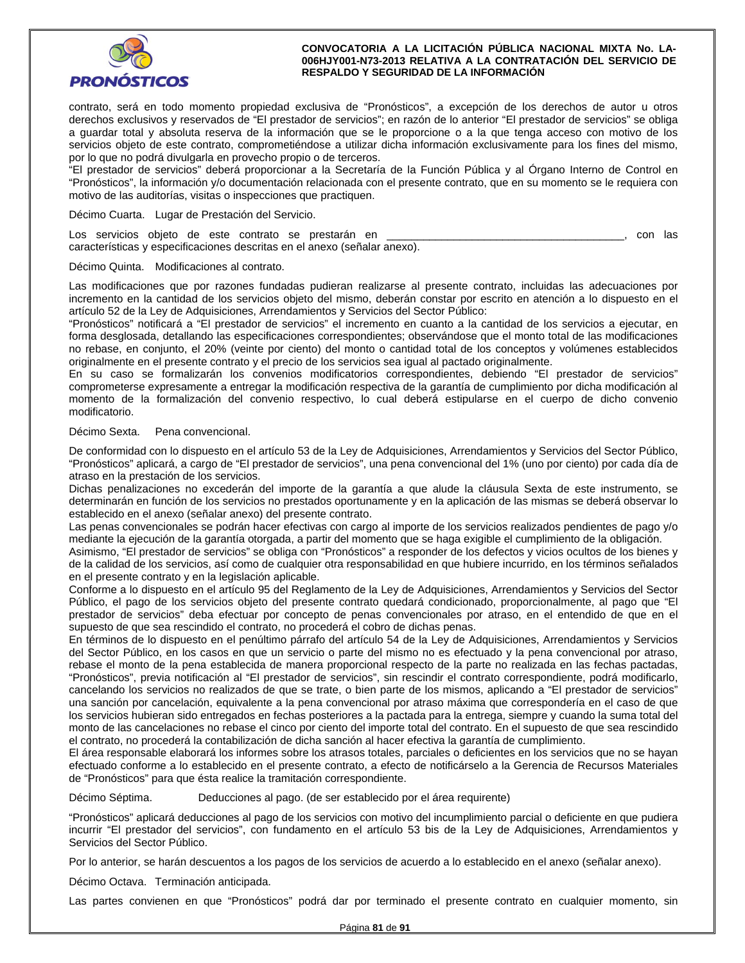

contrato, será en todo momento propiedad exclusiva de "Pronósticos", a excepción de los derechos de autor u otros derechos exclusivos y reservados de "El prestador de servicios"; en razón de lo anterior "El prestador de servicios" se obliga a guardar total y absoluta reserva de la información que se le proporcione o a la que tenga acceso con motivo de los servicios objeto de este contrato, comprometiéndose a utilizar dicha información exclusivamente para los fines del mismo, por lo que no podrá divulgarla en provecho propio o de terceros.

"El prestador de servicios" deberá proporcionar a la Secretaría de la Función Pública y al Órgano Interno de Control en "Pronósticos", la información y/o documentación relacionada con el presente contrato, que en su momento se le requiera con motivo de las auditorías, visitas o inspecciones que practiquen.

Décimo Cuarta. Lugar de Prestación del Servicio.

Los servicios objeto de este contrato se prestarán en **entrato en el contrato en el contrato en el contrato**, con las características y especificaciones descritas en el anexo (señalar anexo).

Décimo Quinta. Modificaciones al contrato.

Las modificaciones que por razones fundadas pudieran realizarse al presente contrato, incluidas las adecuaciones por incremento en la cantidad de los servicios objeto del mismo, deberán constar por escrito en atención a lo dispuesto en el artículo 52 de la Ley de Adquisiciones, Arrendamientos y Servicios del Sector Público:

"Pronósticos" notificará a "El prestador de servicios" el incremento en cuanto a la cantidad de los servicios a ejecutar, en forma desglosada, detallando las especificaciones correspondientes; observándose que el monto total de las modificaciones no rebase, en conjunto, el 20% (veinte por ciento) del monto o cantidad total de los conceptos y volúmenes establecidos originalmente en el presente contrato y el precio de los servicios sea igual al pactado originalmente.

En su caso se formalizarán los convenios modificatorios correspondientes, debiendo "El prestador de servicios" comprometerse expresamente a entregar la modificación respectiva de la garantía de cumplimiento por dicha modificación al momento de la formalización del convenio respectivo, lo cual deberá estipularse en el cuerpo de dicho convenio modificatorio.

#### Décimo Sexta. Pena convencional.

De conformidad con lo dispuesto en el artículo 53 de la Ley de Adquisiciones, Arrendamientos y Servicios del Sector Público, "Pronósticos" aplicará, a cargo de "El prestador de servicios", una pena convencional del 1% (uno por ciento) por cada día de atraso en la prestación de los servicios.

Dichas penalizaciones no excederán del importe de la garantía a que alude la cláusula Sexta de este instrumento, se determinarán en función de los servicios no prestados oportunamente y en la aplicación de las mismas se deberá observar lo establecido en el anexo (señalar anexo) del presente contrato.

Las penas convencionales se podrán hacer efectivas con cargo al importe de los servicios realizados pendientes de pago y/o mediante la ejecución de la garantía otorgada, a partir del momento que se haga exigible el cumplimiento de la obligación.

Asimismo, "El prestador de servicios" se obliga con "Pronósticos" a responder de los defectos y vicios ocultos de los bienes y de la calidad de los servicios, así como de cualquier otra responsabilidad en que hubiere incurrido, en los términos señalados en el presente contrato y en la legislación aplicable.

Conforme a lo dispuesto en el artículo 95 del Reglamento de la Ley de Adquisiciones, Arrendamientos y Servicios del Sector Público, el pago de los servicios objeto del presente contrato quedará condicionado, proporcionalmente, al pago que "El prestador de servicios" deba efectuar por concepto de penas convencionales por atraso, en el entendido de que en el supuesto de que sea rescindido el contrato, no procederá el cobro de dichas penas.

En términos de lo dispuesto en el penúltimo párrafo del artículo 54 de la Ley de Adquisiciones, Arrendamientos y Servicios del Sector Público, en los casos en que un servicio o parte del mismo no es efectuado y la pena convencional por atraso, rebase el monto de la pena establecida de manera proporcional respecto de la parte no realizada en las fechas pactadas, "Pronósticos", previa notificación al "El prestador de servicios", sin rescindir el contrato correspondiente, podrá modificarlo, cancelando los servicios no realizados de que se trate, o bien parte de los mismos, aplicando a "El prestador de servicios" una sanción por cancelación, equivalente a la pena convencional por atraso máxima que correspondería en el caso de que los servicios hubieran sido entregados en fechas posteriores a la pactada para la entrega, siempre y cuando la suma total del monto de las cancelaciones no rebase el cinco por ciento del importe total del contrato. En el supuesto de que sea rescindido el contrato, no procederá la contabilización de dicha sanción al hacer efectiva la garantía de cumplimiento.

El área responsable elaborará los informes sobre los atrasos totales, parciales o deficientes en los servicios que no se hayan efectuado conforme a lo establecido en el presente contrato, a efecto de notificárselo a la Gerencia de Recursos Materiales de "Pronósticos" para que ésta realice la tramitación correspondiente.

Décimo Séptima. Deducciones al pago. (de ser establecido por el área requirente)

"Pronósticos" aplicará deducciones al pago de los servicios con motivo del incumplimiento parcial o deficiente en que pudiera incurrir "El prestador del servicios", con fundamento en el artículo 53 bis de la Ley de Adquisiciones, Arrendamientos y Servicios del Sector Público.

Por lo anterior, se harán descuentos a los pagos de los servicios de acuerdo a lo establecido en el anexo (señalar anexo).

Décimo Octava. Terminación anticipada.

Las partes convienen en que "Pronósticos" podrá dar por terminado el presente contrato en cualquier momento, sin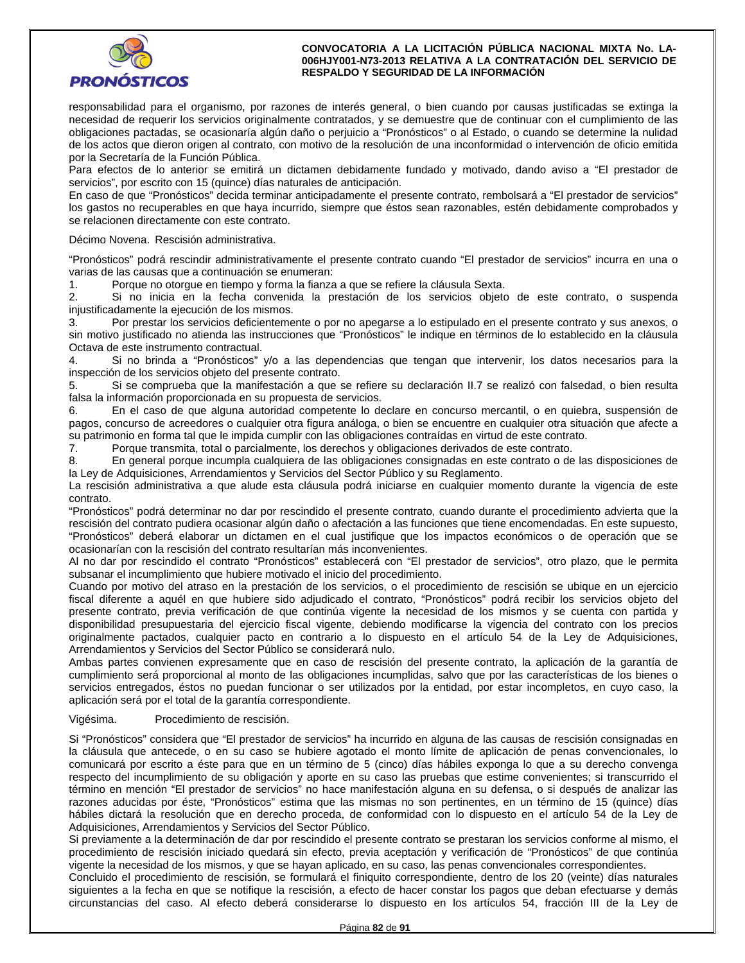

responsabilidad para el organismo, por razones de interés general, o bien cuando por causas justificadas se extinga la necesidad de requerir los servicios originalmente contratados, y se demuestre que de continuar con el cumplimiento de las obligaciones pactadas, se ocasionaría algún daño o perjuicio a "Pronósticos" o al Estado, o cuando se determine la nulidad de los actos que dieron origen al contrato, con motivo de la resolución de una inconformidad o intervención de oficio emitida por la Secretaría de la Función Pública.

Para efectos de lo anterior se emitirá un dictamen debidamente fundado y motivado, dando aviso a "El prestador de servicios", por escrito con 15 (quince) días naturales de anticipación.

En caso de que "Pronósticos" decida terminar anticipadamente el presente contrato, rembolsará a "El prestador de servicios" los gastos no recuperables en que haya incurrido, siempre que éstos sean razonables, estén debidamente comprobados y se relacionen directamente con este contrato.

Décimo Novena. Rescisión administrativa.

"Pronósticos" podrá rescindir administrativamente el presente contrato cuando "El prestador de servicios" incurra en una o varias de las causas que a continuación se enumeran:

1. Porque no otorgue en tiempo y forma la fianza a que se refiere la cláusula Sexta.

2. Si no inicia en la fecha convenida la prestación de los servicios objeto de este contrato, o suspenda injustificadamente la ejecución de los mismos.

3. Por prestar los servicios deficientemente o por no apegarse a lo estipulado en el presente contrato y sus anexos, o sin motivo justificado no atienda las instrucciones que "Pronósticos" le indique en términos de lo establecido en la cláusula Octava de este instrumento contractual.

4. Si no brinda a "Pronósticos" y/o a las dependencias que tengan que intervenir, los datos necesarios para la inspección de los servicios objeto del presente contrato.

5. Si se comprueba que la manifestación a que se refiere su declaración II.7 se realizó con falsedad, o bien resulta falsa la información proporcionada en su propuesta de servicios.

6. En el caso de que alguna autoridad competente lo declare en concurso mercantil, o en quiebra, suspensión de pagos, concurso de acreedores o cualquier otra figura análoga, o bien se encuentre en cualquier otra situación que afecte a su patrimonio en forma tal que le impida cumplir con las obligaciones contraídas en virtud de este contrato.

7. Porque transmita, total o parcialmente, los derechos y obligaciones derivados de este contrato.

8. En general porque incumpla cualquiera de las obligaciones consignadas en este contrato o de las disposiciones de la Ley de Adquisiciones, Arrendamientos y Servicios del Sector Público y su Reglamento.

La rescisión administrativa a que alude esta cláusula podrá iniciarse en cualquier momento durante la vigencia de este contrato.

"Pronósticos" podrá determinar no dar por rescindido el presente contrato, cuando durante el procedimiento advierta que la rescisión del contrato pudiera ocasionar algún daño o afectación a las funciones que tiene encomendadas. En este supuesto, "Pronósticos" deberá elaborar un dictamen en el cual justifique que los impactos económicos o de operación que se ocasionarían con la rescisión del contrato resultarían más inconvenientes.

Al no dar por rescindido el contrato "Pronósticos" establecerá con "El prestador de servicios", otro plazo, que le permita subsanar el incumplimiento que hubiere motivado el inicio del procedimiento.

Cuando por motivo del atraso en la prestación de los servicios, o el procedimiento de rescisión se ubique en un ejercicio fiscal diferente a aquél en que hubiere sido adjudicado el contrato, "Pronósticos" podrá recibir los servicios objeto del presente contrato, previa verificación de que continúa vigente la necesidad de los mismos y se cuenta con partida y disponibilidad presupuestaria del ejercicio fiscal vigente, debiendo modificarse la vigencia del contrato con los precios originalmente pactados, cualquier pacto en contrario a lo dispuesto en el artículo 54 de la Ley de Adquisiciones, Arrendamientos y Servicios del Sector Público se considerará nulo.

Ambas partes convienen expresamente que en caso de rescisión del presente contrato, la aplicación de la garantía de cumplimiento será proporcional al monto de las obligaciones incumplidas, salvo que por las características de los bienes o servicios entregados, éstos no puedan funcionar o ser utilizados por la entidad, por estar incompletos, en cuyo caso, la aplicación será por el total de la garantía correspondiente.

### Vigésima. Procedimiento de rescisión.

Si "Pronósticos" considera que "El prestador de servicios" ha incurrido en alguna de las causas de rescisión consignadas en la cláusula que antecede, o en su caso se hubiere agotado el monto límite de aplicación de penas convencionales, lo comunicará por escrito a éste para que en un término de 5 (cinco) días hábiles exponga lo que a su derecho convenga respecto del incumplimiento de su obligación y aporte en su caso las pruebas que estime convenientes; si transcurrido el término en mención "El prestador de servicios" no hace manifestación alguna en su defensa, o si después de analizar las razones aducidas por éste, "Pronósticos" estima que las mismas no son pertinentes, en un término de 15 (quince) días hábiles dictará la resolución que en derecho proceda, de conformidad con lo dispuesto en el artículo 54 de la Ley de Adquisiciones, Arrendamientos y Servicios del Sector Público.

Si previamente a la determinación de dar por rescindido el presente contrato se prestaran los servicios conforme al mismo, el procedimiento de rescisión iniciado quedará sin efecto, previa aceptación y verificación de "Pronósticos" de que continúa vigente la necesidad de los mismos, y que se hayan aplicado, en su caso, las penas convencionales correspondientes.

Concluido el procedimiento de rescisión, se formulará el finiquito correspondiente, dentro de los 20 (veinte) días naturales siguientes a la fecha en que se notifique la rescisión, a efecto de hacer constar los pagos que deban efectuarse y demás circunstancias del caso. Al efecto deberá considerarse lo dispuesto en los artículos 54, fracción III de la Ley de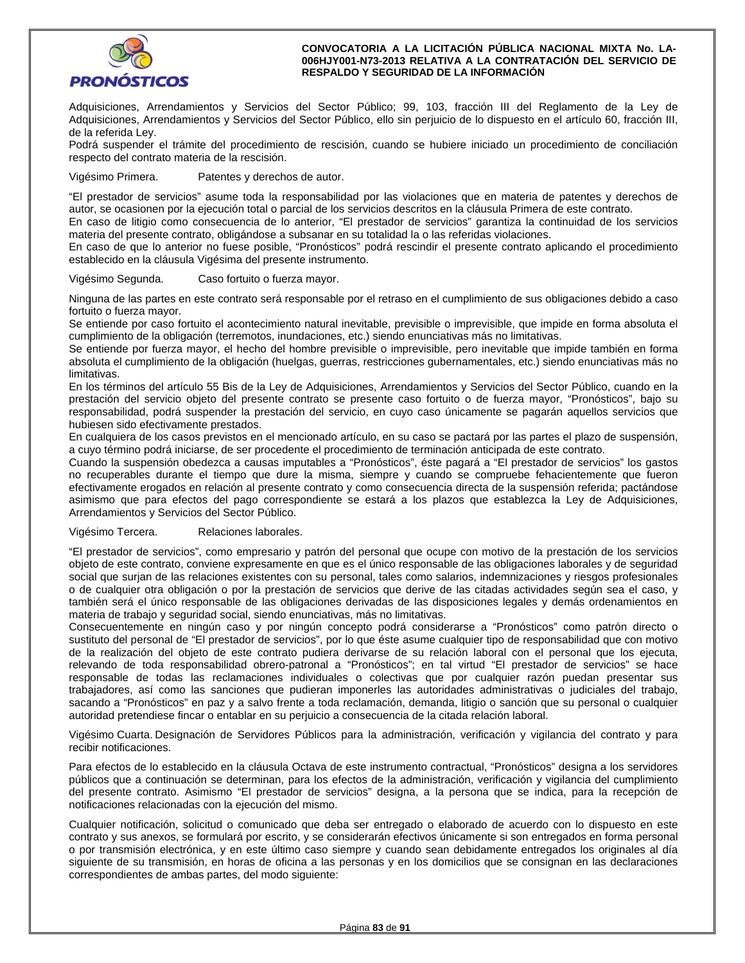

Adquisiciones, Arrendamientos y Servicios del Sector Público; 99, 103, fracción III del Reglamento de la Ley de Adquisiciones, Arrendamientos y Servicios del Sector Público, ello sin perjuicio de lo dispuesto en el artículo 60, fracción III, de la referida Ley.

Podrá suspender el trámite del procedimiento de rescisión, cuando se hubiere iniciado un procedimiento de conciliación respecto del contrato materia de la rescisión.

Vigésimo Primera. Patentes y derechos de autor.

"El prestador de servicios" asume toda la responsabilidad por las violaciones que en materia de patentes y derechos de autor, se ocasionen por la ejecución total o parcial de los servicios descritos en la cláusula Primera de este contrato.

En caso de litigio como consecuencia de lo anterior, "El prestador de servicios" garantiza la continuidad de los servicios materia del presente contrato, obligándose a subsanar en su totalidad la o las referidas violaciones.

En caso de que lo anterior no fuese posible, "Pronósticos" podrá rescindir el presente contrato aplicando el procedimiento establecido en la cláusula Vigésima del presente instrumento.

Vigésimo Segunda. Caso fortuito o fuerza mayor.

Ninguna de las partes en este contrato será responsable por el retraso en el cumplimiento de sus obligaciones debido a caso fortuito o fuerza mayor.

Se entiende por caso fortuito el acontecimiento natural inevitable, previsible o imprevisible, que impide en forma absoluta el cumplimiento de la obligación (terremotos, inundaciones, etc.) siendo enunciativas más no limitativas.

Se entiende por fuerza mayor, el hecho del hombre previsible o imprevisible, pero inevitable que impide también en forma absoluta el cumplimiento de la obligación (huelgas, guerras, restricciones gubernamentales, etc.) siendo enunciativas más no limitativas.

En los términos del artículo 55 Bis de la Ley de Adquisiciones, Arrendamientos y Servicios del Sector Público, cuando en la prestación del servicio objeto del presente contrato se presente caso fortuito o de fuerza mayor, "Pronósticos", bajo su responsabilidad, podrá suspender la prestación del servicio, en cuyo caso únicamente se pagarán aquellos servicios que hubiesen sido efectivamente prestados.

En cualquiera de los casos previstos en el mencionado artículo, en su caso se pactará por las partes el plazo de suspensión, a cuyo término podrá iniciarse, de ser procedente el procedimiento de terminación anticipada de este contrato.

Cuando la suspensión obedezca a causas imputables a "Pronósticos", éste pagará a "El prestador de servicios" los gastos no recuperables durante el tiempo que dure la misma, siempre y cuando se compruebe fehacientemente que fueron efectivamente erogados en relación al presente contrato y como consecuencia directa de la suspensión referida; pactándose asimismo que para efectos del pago correspondiente se estará a los plazos que establezca la Ley de Adquisiciones, Arrendamientos y Servicios del Sector Público.

### Vigésimo Tercera. Relaciones laborales.

"El prestador de servicios", como empresario y patrón del personal que ocupe con motivo de la prestación de los servicios objeto de este contrato, conviene expresamente en que es el único responsable de las obligaciones laborales y de seguridad social que surjan de las relaciones existentes con su personal, tales como salarios, indemnizaciones y riesgos profesionales o de cualquier otra obligación o por la prestación de servicios que derive de las citadas actividades según sea el caso, y también será el único responsable de las obligaciones derivadas de las disposiciones legales y demás ordenamientos en materia de trabajo y seguridad social, siendo enunciativas, más no limitativas.

Consecuentemente en ningún caso y por ningún concepto podrá considerarse a "Pronósticos" como patrón directo o sustituto del personal de "El prestador de servicios", por lo que éste asume cualquier tipo de responsabilidad que con motivo de la realización del objeto de este contrato pudiera derivarse de su relación laboral con el personal que los ejecuta, relevando de toda responsabilidad obrero-patronal a "Pronósticos"; en tal virtud "El prestador de servicios" se hace responsable de todas las reclamaciones individuales o colectivas que por cualquier razón puedan presentar sus trabajadores, así como las sanciones que pudieran imponerles las autoridades administrativas o judiciales del trabajo, sacando a "Pronósticos" en paz y a salvo frente a toda reclamación, demanda, litigio o sanción que su personal o cualquier autoridad pretendiese fincar o entablar en su perjuicio a consecuencia de la citada relación laboral.

Vigésimo Cuarta. Designación de Servidores Públicos para la administración, verificación y vigilancia del contrato y para recibir notificaciones.

Para efectos de lo establecido en la cláusula Octava de este instrumento contractual, "Pronósticos" designa a los servidores públicos que a continuación se determinan, para los efectos de la administración, verificación y vigilancia del cumplimiento del presente contrato. Asimismo "El prestador de servicios" designa, a la persona que se indica, para la recepción de notificaciones relacionadas con la ejecución del mismo.

Cualquier notificación, solicitud o comunicado que deba ser entregado o elaborado de acuerdo con lo dispuesto en este contrato y sus anexos, se formulará por escrito, y se considerarán efectivos únicamente si son entregados en forma personal o por transmisión electrónica, y en este último caso siempre y cuando sean debidamente entregados los originales al día siguiente de su transmisión, en horas de oficina a las personas y en los domicilios que se consignan en las declaraciones correspondientes de ambas partes, del modo siguiente: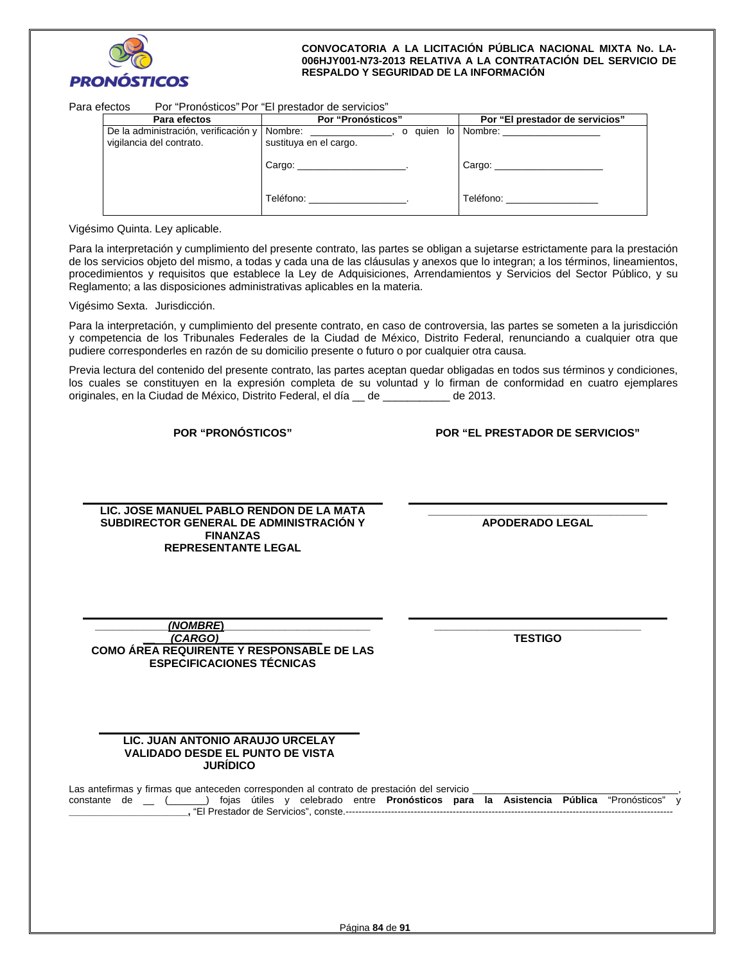

| Para efectos | "Pronósticos" Por "El prestador de servicios"<br>Por |                   |       |                                 |
|--------------|------------------------------------------------------|-------------------|-------|---------------------------------|
|              | Para efectos                                         | Por "Pronósticos" |       | Por "El prestador de servicios" |
|              | De la administración, verificación y LNombre;        |                   | aulen | lo I Nombre:                    |

| ייטוע שוטים                          |                        |                                  |
|--------------------------------------|------------------------|----------------------------------|
| De la administración, verificación y | Nombre: Nombre:        | o quien lo Nombre:               |
| vigilancia del contrato.             | sustituya en el cargo. |                                  |
|                                      | Cargo:                 | Cargo:                           |
|                                      |                        |                                  |
|                                      |                        |                                  |
|                                      | Teléfono:              | Teléfono: <b>Antique Activit</b> |
|                                      |                        |                                  |

Vigésimo Quinta. Ley aplicable.

Para la interpretación y cumplimiento del presente contrato, las partes se obligan a sujetarse estrictamente para la prestación de los servicios objeto del mismo, a todas y cada una de las cláusulas y anexos que lo integran; a los términos, lineamientos, procedimientos y requisitos que establece la Ley de Adquisiciones, Arrendamientos y Servicios del Sector Público, y su Reglamento; a las disposiciones administrativas aplicables en la materia.

Vigésimo Sexta. Jurisdicción.

Para la interpretación, y cumplimiento del presente contrato, en caso de controversia, las partes se someten a la jurisdicción y competencia de los Tribunales Federales de la Ciudad de México, Distrito Federal, renunciando a cualquier otra que pudiere corresponderles en razón de su domicilio presente o futuro o por cualquier otra causa.

Previa lectura del contenido del presente contrato, las partes aceptan quedar obligadas en todos sus términos y condiciones, los cuales se constituyen en la expresión completa de su voluntad y lo firman de conformidad en cuatro ejemplares originales, en la Ciudad de México, Distrito Federal, el día \_\_ de \_\_\_\_\_\_\_\_\_\_\_ de 2013.

**POR "PRONÓSTICOS" POR "EL PRESTADOR DE SERVICIOS"**

**LIC. JOSE MANUEL PABLO RENDON DE LA MATA SUBDIRECTOR GENERAL DE ADMINISTRACIÓN Y FINANZAS REPRESENTANTE LEGAL** 

**\_\_\_\_\_\_\_\_\_\_\_\_\_\_\_\_\_\_\_\_\_\_\_\_\_\_\_\_\_\_\_\_\_\_\_\_ APODERADO LEGAL** 

| (NOMBRE)                                  |
|-------------------------------------------|
| (CARGO)                                   |
| COMO ÁREA REQUIRENTE Y RESPONSABLE DE LAS |
| <b>ESPECIFICACIONES TÉCNICAS</b>          |

**\_\_\_\_\_\_\_\_\_\_\_\_\_\_\_\_\_\_\_\_\_\_\_\_\_\_\_\_\_\_\_\_\_\_ TESTIGO** 

### **LIC. JUAN ANTONIO ARAUJO URCELAY VALIDADO DESDE EL PUNTO DE VISTA JURÍDICO**

Las antefirmas y firmas que anteceden corresponden al contrato de prestación del servicio \_ constante de \_\_ (\_\_\_\_\_\_\_) fojas útiles y celebrado entre **Pronósticos para la Asistencia Pública** "Pronósticos" y **\_\_\_\_\_\_\_\_\_\_\_\_\_\_\_\_\_\_\_\_\_\_,** "El Prestador de Servicios", conste.-----------------------------------------------------------------------------------------------------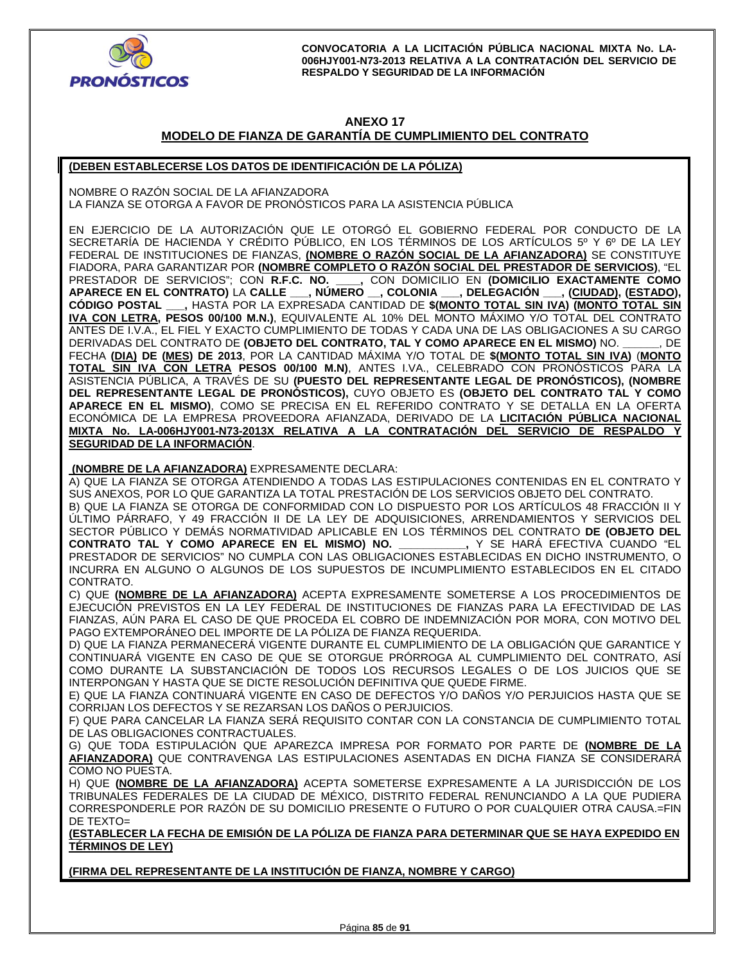

## **ANEXO 17 MODELO DE FIANZA DE GARANTÍA DE CUMPLIMIENTO DEL CONTRATO**

## **(DEBEN ESTABLECERSE LOS DATOS DE IDENTIFICACIÓN DE LA PÓLIZA)**

NOMBRE O RAZÓN SOCIAL DE LA AFIANZADORA LA FIANZA SE OTORGA A FAVOR DE PRONOSTICOS PARA LA ASISTENCIA PUBLICA

EN EJERCICIO DE LA AUTORIZACIÓN QUE LE OTORGÓ EL GOBIERNO FEDERAL POR CONDUCTO DE LA SECRETARÍA DE HACIENDA Y CRÉDITO PÚBLICO, EN LOS TÉRMINOS DE LOS ARTÍCULOS 5º Y 6º DE LA LEY FEDERAL DE INSTITUCIONES DE FIANZAS, **(NOMBRE O RAZÓN SOCIAL DE LA AFIANZADORA)** SE CONSTITUYE FIADORA, PARA GARANTIZAR POR **(NOMBRE COMPLETO O RAZÓN SOCIAL DEL PRESTADOR DE SERVICIOS)**, "EL PRESTADOR DE SERVICIOS"; CON **R.F.C. NO. \_\_\_\_,** CON DOMICILIO EN **(DOMICILIO EXACTAMENTE COMO APARECE EN EL CONTRATO)** LA **CALLE \_\_\_, NÚMERO \_\_, COLONIA \_\_\_, DELEGACIÓN \_\_\_, (CIUDAD), (ESTADO), CÓDIGO POSTAL \_\_\_,** HASTA POR LA EXPRESADA CANTIDAD DE **\$(MONTO TOTAL SIN IVA) (MONTO TOTAL SIN IVA CON LETRA, PESOS 00/100 M.N.)**, EQUIVALENTE AL 10% DEL MONTO MÁXIMO Y/O TOTAL DEL CONTRATO ANTES DE I.V.A., EL FIEL Y EXACTO CUMPLIMIENTO DE TODAS Y CADA UNA DE LAS OBLIGACIONES A SU CARGO DERIVADAS DEL CONTRATO DE **(OBJETO DEL CONTRATO, TAL Y COMO APARECE EN EL MISMO)** NO. **\_\_\_\_\_\_**, DE FECHA **(DIA) DE (MES) DE 2013**, POR LA CANTIDAD MÁXIMA Y/O TOTAL DE **\$(MONTO TOTAL SIN IVA)** (**MONTO TOTAL SIN IVA CON LETRA PESOS 00/100 M.N)**, ANTES I.VA., CELEBRADO CON PRONÓSTICOS PARA LA ASISTENCIA PÚBLICA, A TRAVÉS DE SU **(PUESTO DEL REPRESENTANTE LEGAL DE PRONÓSTICOS), (NOMBRE DEL REPRESENTANTE LEGAL DE PRONÓSTICOS),** CUYO OBJETO ES **(OBJETO DEL CONTRATO TAL Y COMO APARECE EN EL MISMO)**, COMO SE PRECISA EN EL REFERIDO CONTRATO Y SE DETALLA EN LA OFERTA ECONÓMICA DE LA EMPRESA PROVEEDORA AFIANZADA, DERIVADO DE LA **LICITACIÓN PÚBLICA NACIONAL MIXTA No. LA-006HJY001-N73-2013X RELATIVA A LA CONTRATACIÓN DEL SERVICIO DE RESPALDO Y SEGURIDAD DE LA INFORMACIÓN**.

 **(NOMBRE DE LA AFIANZADORA)** EXPRESAMENTE DECLARA:

A) QUE LA FIANZA SE OTORGA ATENDIENDO A TODAS LAS ESTIPULACIONES CONTENIDAS EN EL CONTRATO Y SUS ANEXOS, POR LO QUE GARANTIZA LA TOTAL PRESTACIÓN DE LOS SERVICIOS OBJETO DEL CONTRATO.

B) QUE LA FIANZA SE OTORGA DE CONFORMIDAD CON LO DISPUESTO POR LOS ARTÍCULOS 48 FRACCIÓN II Y ÚLTIMO PÁRRAFO, Y 49 FRACCIÓN II DE LA LEY DE ADQUISICIONES, ARRENDAMIENTOS Y SERVICIOS DEL SECTOR PÚBLICO Y DEMÁS NORMATIVIDAD APLICABLE EN LOS TÉRMINOS DEL CONTRATO **DE (OBJETO DEL CONTRATO TAL Y COMO APARECE EN EL MISMO) NO. \_\_\_\_\_\_\_\_\_\_\_,** Y SE HARÁ EFECTIVA CUANDO "EL PRESTADOR DE SERVICIOS" NO CUMPLA CON LAS OBLIGACIONES ESTABLECIDAS EN DICHO INSTRUMENTO, O INCURRA EN ALGUNO O ALGUNOS DE LOS SUPUESTOS DE INCUMPLIMIENTO ESTABLECIDOS EN EL CITADO CONTRATO.

C) QUE **(NOMBRE DE LA AFIANZADORA)** ACEPTA EXPRESAMENTE SOMETERSE A LOS PROCEDIMIENTOS DE EJECUCIÓN PREVISTOS EN LA LEY FEDERAL DE INSTITUCIONES DE FIANZAS PARA LA EFECTIVIDAD DE LAS FIANZAS, AÚN PARA EL CASO DE QUE PROCEDA EL COBRO DE INDEMNIZACIÓN POR MORA, CON MOTIVO DEL PAGO EXTEMPORÁNEO DEL IMPORTE DE LA PÓLIZA DE FIANZA REQUERIDA.

D) QUE LA FIANZA PERMANECERÁ VIGENTE DURANTE EL CUMPLIMIENTO DE LA OBLIGACIÓN QUE GARANTICE Y CONTINUARÁ VIGENTE EN CASO DE QUE SE OTORGUE PRÓRROGA AL CUMPLIMIENTO DEL CONTRATO, ASÍ COMO DURANTE LA SUBSTANCIACIÓN DE TODOS LOS RECURSOS LEGALES O DE LOS JUICIOS QUE SE INTERPONGAN Y HASTA QUE SE DICTE RESOLUCIÓN DEFINITIVA QUE QUEDE FIRME.

E) QUE LA FIANZA CONTINUARÁ VIGENTE EN CASO DE DEFECTOS Y/O DAÑOS Y/O PERJUICIOS HASTA QUE SE CORRIJAN LOS DEFECTOS Y SE REZARSAN LOS DAÑOS O PERJUICIOS.

F) QUE PARA CANCELAR LA FIANZA SERÁ REQUISITO CONTAR CON LA CONSTANCIA DE CUMPLIMIENTO TOTAL DE LAS OBLIGACIONES CONTRACTUALES.

G) QUE TODA ESTIPULACIÓN QUE APAREZCA IMPRESA POR FORMATO POR PARTE DE **(NOMBRE DE LA AFIANZADORA)** QUE CONTRAVENGA LAS ESTIPULACIONES ASENTADAS EN DICHA FIANZA SE CONSIDERARÁ COMO NO PUESTA.

H) QUE **(NOMBRE DE LA AFIANZADORA)** ACEPTA SOMETERSE EXPRESAMENTE A LA JURISDICCIÓN DE LOS TRIBUNALES FEDERALES DE LA CIUDAD DE MÉXICO, DISTRITO FEDERAL RENUNCIANDO A LA QUE PUDIERA CORRESPONDERLE POR RAZÓN DE SU DOMICILIO PRESENTE O FUTURO O POR CUALQUIER OTRA CAUSA.=FIN DE TEXTO=

**(ESTABLECER LA FECHA DE EMISIÓN DE LA PÓLIZA DE FIANZA PARA DETERMINAR QUE SE HAYA EXPEDIDO EN TÉRMINOS DE LEY)** 

**(FIRMA DEL REPRESENTANTE DE LA INSTITUCIÓN DE FIANZA, NOMBRE Y CARGO)**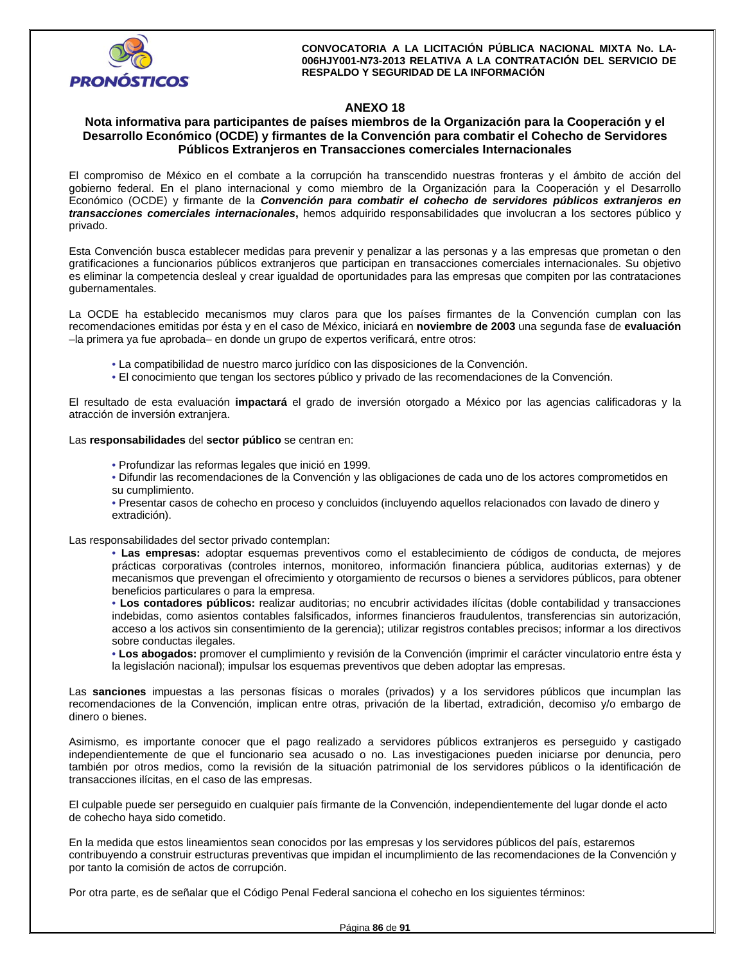

## **ANEXO 18**

## **Nota informativa para participantes de países miembros de la Organización para la Cooperación y el Desarrollo Económico (OCDE) y firmantes de la Convención para combatir el Cohecho de Servidores Públicos Extranjeros en Transacciones comerciales Internacionales**

El compromiso de México en el combate a la corrupción ha transcendido nuestras fronteras y el ámbito de acción del gobierno federal. En el plano internacional y como miembro de la Organización para la Cooperación y el Desarrollo Económico (OCDE) y firmante de la *Convención para combatir el cohecho de servidores públicos extranjeros en transacciones comerciales internacionales***,** hemos adquirido responsabilidades que involucran a los sectores público y privado.

Esta Convención busca establecer medidas para prevenir y penalizar a las personas y a las empresas que prometan o den gratificaciones a funcionarios públicos extranjeros que participan en transacciones comerciales internacionales. Su objetivo es eliminar la competencia desleal y crear igualdad de oportunidades para las empresas que compiten por las contrataciones gubernamentales.

La OCDE ha establecido mecanismos muy claros para que los países firmantes de la Convención cumplan con las recomendaciones emitidas por ésta y en el caso de México, iniciará en **noviembre de 2003** una segunda fase de **evaluación**  –la primera ya fue aprobada– en donde un grupo de expertos verificará, entre otros:

- La compatibilidad de nuestro marco jurídico con las disposiciones de la Convención.
- El conocimiento que tengan los sectores público y privado de las recomendaciones de la Convención.

El resultado de esta evaluación **impactará** el grado de inversión otorgado a México por las agencias calificadoras y la atracción de inversión extranjera.

Las **responsabilidades** del **sector público** se centran en:

- Profundizar las reformas legales que inició en 1999.
- Difundir las recomendaciones de la Convención y las obligaciones de cada uno de los actores comprometidos en su cumplimiento.
- Presentar casos de cohecho en proceso y concluidos (incluyendo aquellos relacionados con lavado de dinero y extradición).

Las responsabilidades del sector privado contemplan:

• **Las empresas:** adoptar esquemas preventivos como el establecimiento de códigos de conducta, de mejores prácticas corporativas (controles internos, monitoreo, información financiera pública, auditorias externas) y de mecanismos que prevengan el ofrecimiento y otorgamiento de recursos o bienes a servidores públicos, para obtener beneficios particulares o para la empresa.

• **Los contadores públicos:** realizar auditorias; no encubrir actividades ilícitas (doble contabilidad y transacciones indebidas, como asientos contables falsificados, informes financieros fraudulentos, transferencias sin autorización, acceso a los activos sin consentimiento de la gerencia); utilizar registros contables precisos; informar a los directivos sobre conductas ilegales.

• **Los abogados:** promover el cumplimiento y revisión de la Convención (imprimir el carácter vinculatorio entre ésta y la legislación nacional); impulsar los esquemas preventivos que deben adoptar las empresas.

Las **sanciones** impuestas a las personas físicas o morales (privados) y a los servidores públicos que incumplan las recomendaciones de la Convención, implican entre otras, privación de la libertad, extradición, decomiso y/o embargo de dinero o bienes.

Asimismo, es importante conocer que el pago realizado a servidores públicos extranjeros es perseguido y castigado independientemente de que el funcionario sea acusado o no. Las investigaciones pueden iniciarse por denuncia, pero también por otros medios, como la revisión de la situación patrimonial de los servidores públicos o la identificación de transacciones ilícitas, en el caso de las empresas.

El culpable puede ser perseguido en cualquier país firmante de la Convención, independientemente del lugar donde el acto de cohecho haya sido cometido.

En la medida que estos lineamientos sean conocidos por las empresas y los servidores públicos del país, estaremos contribuyendo a construir estructuras preventivas que impidan el incumplimiento de las recomendaciones de la Convención y por tanto la comisión de actos de corrupción.

Por otra parte, es de señalar que el Código Penal Federal sanciona el cohecho en los siguientes términos: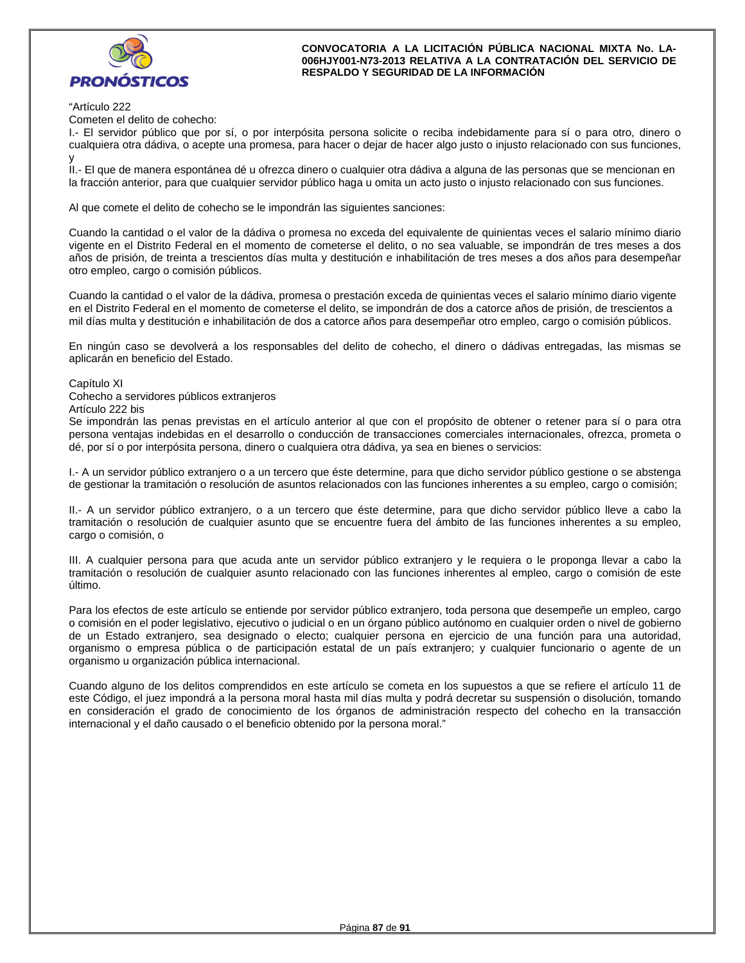

"Artículo 222

Cometen el delito de cohecho:

I.- El servidor público que por sí, o por interpósita persona solicite o reciba indebidamente para sí o para otro, dinero o cualquiera otra dádiva, o acepte una promesa, para hacer o dejar de hacer algo justo o injusto relacionado con sus funciones, y

II.- El que de manera espontánea dé u ofrezca dinero o cualquier otra dádiva a alguna de las personas que se mencionan en la fracción anterior, para que cualquier servidor público haga u omita un acto justo o injusto relacionado con sus funciones.

Al que comete el delito de cohecho se le impondrán las siguientes sanciones:

Cuando la cantidad o el valor de la dádiva o promesa no exceda del equivalente de quinientas veces el salario mínimo diario vigente en el Distrito Federal en el momento de cometerse el delito, o no sea valuable, se impondrán de tres meses a dos años de prisión, de treinta a trescientos días multa y destitución e inhabilitación de tres meses a dos años para desempeñar otro empleo, cargo o comisión públicos.

Cuando la cantidad o el valor de la dádiva, promesa o prestación exceda de quinientas veces el salario mínimo diario vigente en el Distrito Federal en el momento de cometerse el delito, se impondrán de dos a catorce años de prisión, de trescientos a mil días multa y destitución e inhabilitación de dos a catorce años para desempeñar otro empleo, cargo o comisión públicos.

En ningún caso se devolverá a los responsables del delito de cohecho, el dinero o dádivas entregadas, las mismas se aplicarán en beneficio del Estado.

Capítulo XI

Cohecho a servidores públicos extranjeros

Artículo 222 bis

Se impondrán las penas previstas en el artículo anterior al que con el propósito de obtener o retener para sí o para otra persona ventajas indebidas en el desarrollo o conducción de transacciones comerciales internacionales, ofrezca, prometa o dé, por sí o por interpósita persona, dinero o cualquiera otra dádiva, ya sea en bienes o servicios:

I.- A un servidor público extranjero o a un tercero que éste determine, para que dicho servidor público gestione o se abstenga de gestionar la tramitación o resolución de asuntos relacionados con las funciones inherentes a su empleo, cargo o comisión;

II.- A un servidor público extranjero, o a un tercero que éste determine, para que dicho servidor público lleve a cabo la tramitación o resolución de cualquier asunto que se encuentre fuera del ámbito de las funciones inherentes a su empleo, cargo o comisión, o

III. A cualquier persona para que acuda ante un servidor público extranjero y le requiera o le proponga llevar a cabo la tramitación o resolución de cualquier asunto relacionado con las funciones inherentes al empleo, cargo o comisión de este último.

Para los efectos de este artículo se entiende por servidor público extranjero, toda persona que desempeñe un empleo, cargo o comisión en el poder legislativo, ejecutivo o judicial o en un órgano público autónomo en cualquier orden o nivel de gobierno de un Estado extranjero, sea designado o electo; cualquier persona en ejercicio de una función para una autoridad, organismo o empresa pública o de participación estatal de un país extranjero; y cualquier funcionario o agente de un organismo u organización pública internacional.

Cuando alguno de los delitos comprendidos en este artículo se cometa en los supuestos a que se refiere el artículo 11 de este Código, el juez impondrá a la persona moral hasta mil días multa y podrá decretar su suspensión o disolución, tomando en consideración el grado de conocimiento de los órganos de administración respecto del cohecho en la transacción internacional y el daño causado o el beneficio obtenido por la persona moral."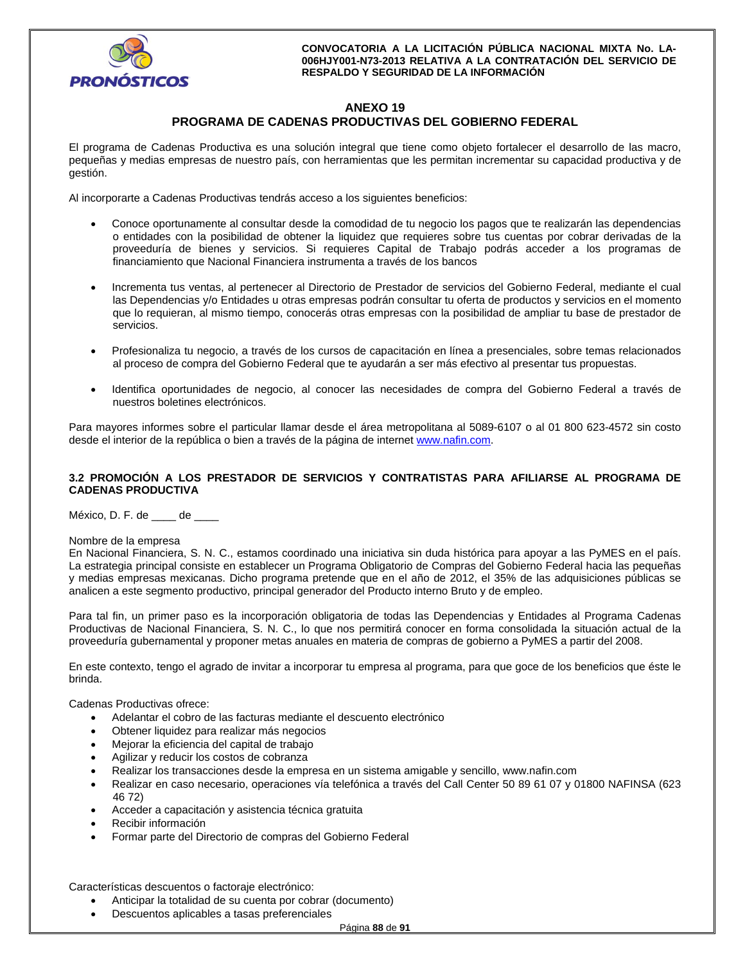

# **ANEXO 19 PROGRAMA DE CADENAS PRODUCTIVAS DEL GOBIERNO FEDERAL**

El programa de Cadenas Productiva es una solución integral que tiene como objeto fortalecer el desarrollo de las macro, pequeñas y medias empresas de nuestro país, con herramientas que les permitan incrementar su capacidad productiva y de gestión.

Al incorporarte a Cadenas Productivas tendrás acceso a los siguientes beneficios:

- Conoce oportunamente al consultar desde la comodidad de tu negocio los pagos que te realizarán las dependencias o entidades con la posibilidad de obtener la liquidez que requieres sobre tus cuentas por cobrar derivadas de la proveeduría de bienes y servicios. Si requieres Capital de Trabajo podrás acceder a los programas de financiamiento que Nacional Financiera instrumenta a través de los bancos
- Incrementa tus ventas, al pertenecer al Directorio de Prestador de servicios del Gobierno Federal, mediante el cual las Dependencias y/o Entidades u otras empresas podrán consultar tu oferta de productos y servicios en el momento que lo requieran, al mismo tiempo, conocerás otras empresas con la posibilidad de ampliar tu base de prestador de servicios.
- Profesionaliza tu negocio, a través de los cursos de capacitación en línea a presenciales, sobre temas relacionados al proceso de compra del Gobierno Federal que te ayudarán a ser más efectivo al presentar tus propuestas.
- Identifica oportunidades de negocio, al conocer las necesidades de compra del Gobierno Federal a través de nuestros boletines electrónicos.

Para mayores informes sobre el particular llamar desde el área metropolitana al 5089-6107 o al 01 800 623-4572 sin costo desde el interior de la república o bien a través de la página de internet www.nafin.com.

## **3.2 PROMOCIÓN A LOS PRESTADOR DE SERVICIOS Y CONTRATISTAS PARA AFILIARSE AL PROGRAMA DE CADENAS PRODUCTIVA**

México, D. F. de \_\_\_\_ de \_\_\_\_

#### Nombre de la empresa

En Nacional Financiera, S. N. C., estamos coordinado una iniciativa sin duda histórica para apoyar a las PyMES en el país. La estrategia principal consiste en establecer un Programa Obligatorio de Compras del Gobierno Federal hacia las pequeñas y medias empresas mexicanas. Dicho programa pretende que en el año de 2012, el 35% de las adquisiciones públicas se analicen a este segmento productivo, principal generador del Producto interno Bruto y de empleo.

Para tal fin, un primer paso es la incorporación obligatoria de todas las Dependencias y Entidades al Programa Cadenas Productivas de Nacional Financiera, S. N. C., lo que nos permitirá conocer en forma consolidada la situación actual de la proveeduría gubernamental y proponer metas anuales en materia de compras de gobierno a PyMES a partir del 2008.

En este contexto, tengo el agrado de invitar a incorporar tu empresa al programa, para que goce de los beneficios que éste le brinda.

Cadenas Productivas ofrece:

- Adelantar el cobro de las facturas mediante el descuento electrónico
- Obtener liquidez para realizar más negocios
- Mejorar la eficiencia del capital de trabajo
- Agilizar y reducir los costos de cobranza
- Realizar los transacciones desde la empresa en un sistema amigable y sencillo, www.nafin.com
- Realizar en caso necesario, operaciones vía telefónica a través del Call Center 50 89 61 07 y 01800 NAFINSA (623 46 72)
- Acceder a capacitación y asistencia técnica gratuita
- Recibir información
- Formar parte del Directorio de compras del Gobierno Federal

Características descuentos o factoraje electrónico:

- Anticipar la totalidad de su cuenta por cobrar (documento)
- Descuentos aplicables a tasas preferenciales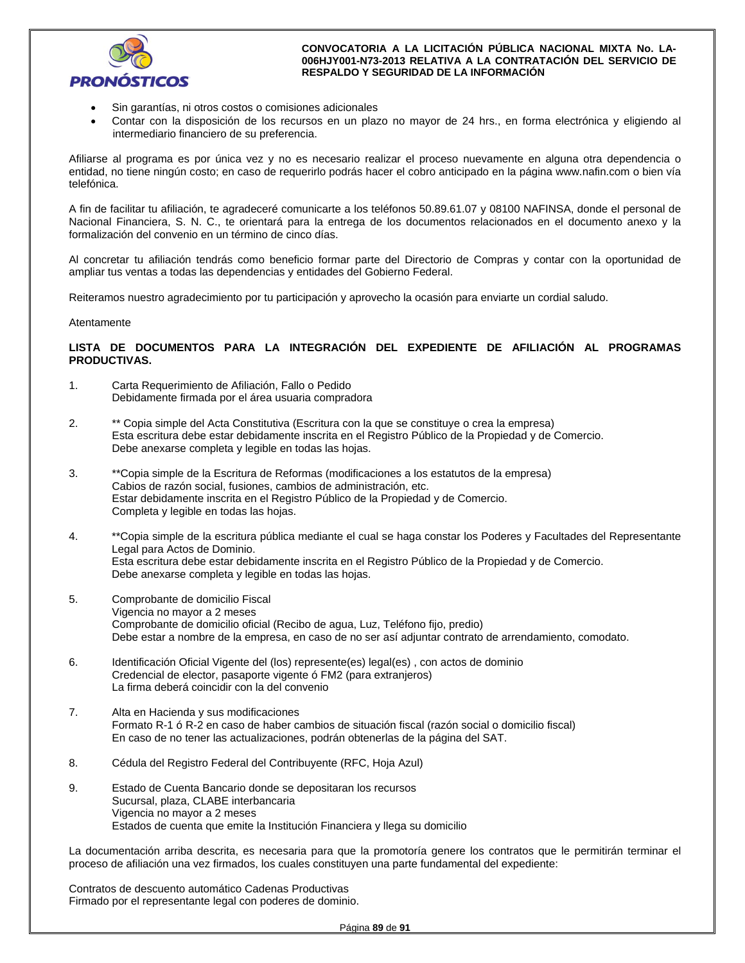

- Sin garantías, ni otros costos o comisiones adicionales
- Contar con la disposición de los recursos en un plazo no mayor de 24 hrs., en forma electrónica y eligiendo al intermediario financiero de su preferencia.

Afiliarse al programa es por única vez y no es necesario realizar el proceso nuevamente en alguna otra dependencia o entidad, no tiene ningún costo; en caso de requerirlo podrás hacer el cobro anticipado en la página www.nafin.com o bien vía telefónica.

A fin de facilitar tu afiliación, te agradeceré comunicarte a los teléfonos 50.89.61.07 y 08100 NAFINSA, donde el personal de Nacional Financiera, S. N. C., te orientará para la entrega de los documentos relacionados en el documento anexo y la formalización del convenio en un término de cinco días.

Al concretar tu afiliación tendrás como beneficio formar parte del Directorio de Compras y contar con la oportunidad de ampliar tus ventas a todas las dependencias y entidades del Gobierno Federal.

Reiteramos nuestro agradecimiento por tu participación y aprovecho la ocasión para enviarte un cordial saludo.

#### Atentamente

## **LISTA DE DOCUMENTOS PARA LA INTEGRACIÓN DEL EXPEDIENTE DE AFILIACIÓN AL PROGRAMAS PRODUCTIVAS.**

- 1. Carta Requerimiento de Afiliación, Fallo o Pedido Debidamente firmada por el área usuaria compradora
- 2. \*\* Copia simple del Acta Constitutiva (Escritura con la que se constituye o crea la empresa) Esta escritura debe estar debidamente inscrita en el Registro Público de la Propiedad y de Comercio. Debe anexarse completa y legible en todas las hojas.
- 3. \*\*Copia simple de la Escritura de Reformas (modificaciones a los estatutos de la empresa) Cabios de razón social, fusiones, cambios de administración, etc. Estar debidamente inscrita en el Registro Público de la Propiedad y de Comercio. Completa y legible en todas las hojas.
- 4. \*\*Copia simple de la escritura pública mediante el cual se haga constar los Poderes y Facultades del Representante Legal para Actos de Dominio. Esta escritura debe estar debidamente inscrita en el Registro Público de la Propiedad y de Comercio. Debe anexarse completa y legible en todas las hojas.
- 5. Comprobante de domicilio Fiscal Vigencia no mayor a 2 meses Comprobante de domicilio oficial (Recibo de agua, Luz, Teléfono fijo, predio) Debe estar a nombre de la empresa, en caso de no ser así adjuntar contrato de arrendamiento, comodato.
- 6. Identificación Oficial Vigente del (los) represente(es) legal(es) , con actos de dominio Credencial de elector, pasaporte vigente ó FM2 (para extranjeros) La firma deberá coincidir con la del convenio
- 7. Alta en Hacienda y sus modificaciones Formato R-1 ó R-2 en caso de haber cambios de situación fiscal (razón social o domicilio fiscal) En caso de no tener las actualizaciones, podrán obtenerlas de la página del SAT.
- 8. Cédula del Registro Federal del Contribuyente (RFC, Hoja Azul)
- 9. Estado de Cuenta Bancario donde se depositaran los recursos Sucursal, plaza, CLABE interbancaria Vigencia no mayor a 2 meses Estados de cuenta que emite la Institución Financiera y llega su domicilio

La documentación arriba descrita, es necesaria para que la promotoría genere los contratos que le permitirán terminar el proceso de afiliación una vez firmados, los cuales constituyen una parte fundamental del expediente:

Contratos de descuento automático Cadenas Productivas Firmado por el representante legal con poderes de dominio.

Página **89** de **91**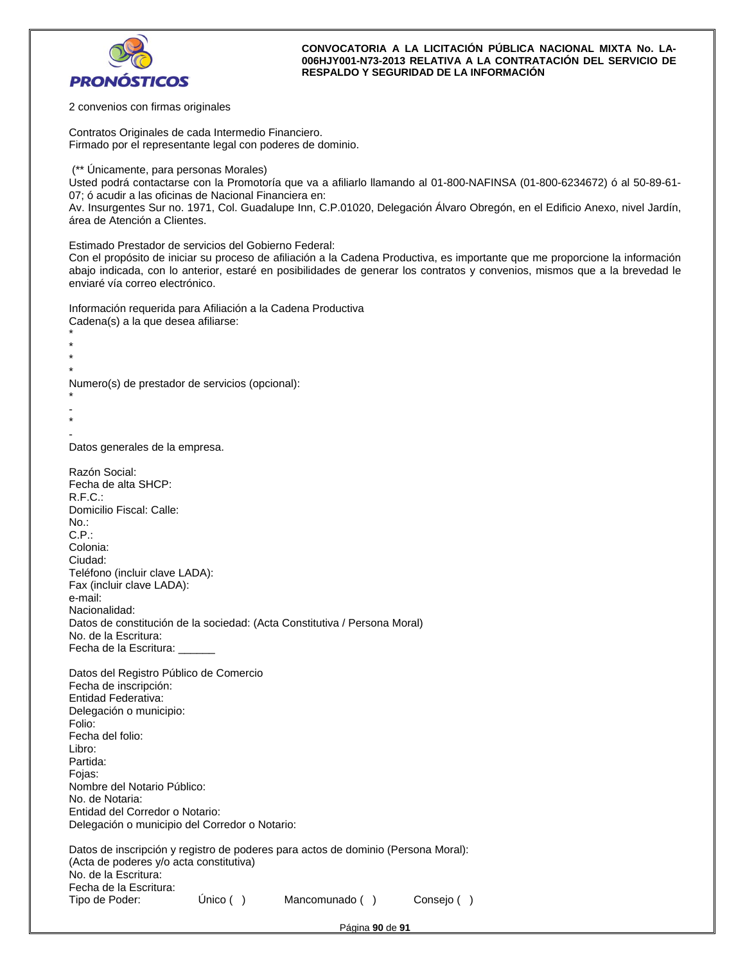

2 convenios con firmas originales

Contratos Originales de cada Intermedio Financiero. Firmado por el representante legal con poderes de dominio.

(\*\* Únicamente, para personas Morales)

Usted podrá contactarse con la Promotoría que va a afiliarlo llamando al 01-800-NAFINSA (01-800-6234672) ó al 50-89-61- 07; ó acudir a las oficinas de Nacional Financiera en:

Av. Insurgentes Sur no. 1971, Col. Guadalupe Inn, C.P.01020, Delegación Álvaro Obregón, en el Edificio Anexo, nivel Jardín, área de Atención a Clientes.

Estimado Prestador de servicios del Gobierno Federal:

Con el propósito de iniciar su proceso de afiliación a la Cadena Productiva, es importante que me proporcione la información abajo indicada, con lo anterior, estaré en posibilidades de generar los contratos y convenios, mismos que a la brevedad le enviaré vía correo electrónico.

Información requerida para Afiliación a la Cadena Productiva Cadena(s) a la que desea afiliarse:

\* \* \*

Numero(s) de prestador de servicios (opcional):

```
* 
- 
*
```
\*

- Datos generales de la empresa.

| Razón Social:                                                                     |             |                |            |
|-----------------------------------------------------------------------------------|-------------|----------------|------------|
| Fecha de alta SHCP:<br>R.F.C.:                                                    |             |                |            |
| Domicilio Fiscal: Calle:                                                          |             |                |            |
| No.:                                                                              |             |                |            |
| C.P.:                                                                             |             |                |            |
| Colonia:                                                                          |             |                |            |
| Ciudad:                                                                           |             |                |            |
| Teléfono (incluir clave LADA):                                                    |             |                |            |
| Fax (incluir clave LADA):<br>e-mail:                                              |             |                |            |
| Nacionalidad:                                                                     |             |                |            |
| Datos de constitución de la sociedad: (Acta Constitutiva / Persona Moral)         |             |                |            |
| No. de la Escritura:                                                              |             |                |            |
| Fecha de la Escritura:                                                            |             |                |            |
| Datos del Registro Público de Comercio                                            |             |                |            |
| Fecha de inscripción:                                                             |             |                |            |
| Entidad Federativa:                                                               |             |                |            |
| Delegación o municipio:                                                           |             |                |            |
| Folio:<br>Fecha del folio:                                                        |             |                |            |
| Libro:                                                                            |             |                |            |
| Partida:                                                                          |             |                |            |
| Fojas:                                                                            |             |                |            |
| Nombre del Notario Público:                                                       |             |                |            |
| No. de Notaria:                                                                   |             |                |            |
| Entidad del Corredor o Notario:                                                   |             |                |            |
| Delegación o municipio del Corredor o Notario:                                    |             |                |            |
| Datos de inscripción y registro de poderes para actos de dominio (Persona Moral): |             |                |            |
| (Acta de poderes y/o acta constitutiva)                                           |             |                |            |
| No. de la Escritura:                                                              |             |                |            |
| Fecha de la Escritura:<br>Tipo de Poder:                                          | Único $( )$ | Mancomunado () | Consejo () |
|                                                                                   |             |                |            |